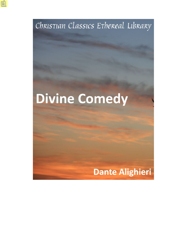

# **Divine Comedy**

## **Dante Alighieri**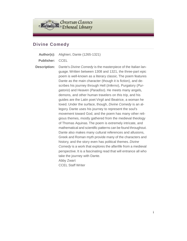

#### **Divine Comedy**

- **Author(s):** Alighieri, Dante (1265-1321)
- **Publisher:** CCEL

**Description:** Dante's *Divine Comedy* is the masterpiece of the Italian language. Written between 1308 and 1321, the three-part epic poem is well-known as a literary classic. The poem features Dante as the main character (though it is fiction), and describes his journey through Hell (*Inferno*), Purgatory (*Purgatorio*) and Heaven (*Paradiso*). He meets many angels, demons, and other human travelers on this trip, and his guides are the Latin poet Virgil and Beatrice, a woman he loved. Under the surface, though, *Divine Comedy* is an allegory. Dante uses his journey to represent the soul's movement toward God, and the poem has many other religious themes, mostly gathered from the medieval theology of Thomas Aquinas. The poem is extremely intricate, and mathematical and scientific patterns can be found throughout. Dante also makes many cultural references and allusions, Greek and Roman myth provide many of the characters and history, and the story even has political themes. *Divine Comedy* is a work that explores the afterlife from a medieval perspective. It is a fascinating read that will entrance all who take the journey with Dante. Abby Zwart CCEL Staff Writer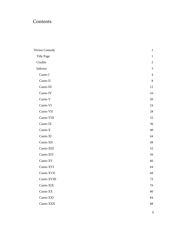### Contents

| Divine Comedy | $\mathbf{1}$     |
|---------------|------------------|
| Title Page    | $\mathbf{1}$     |
| Credits       | $\boldsymbol{2}$ |
| Inferno       | $\mathfrak{Z}$   |
| Canto I       | $\overline{4}$   |
| Canto II      | $\,8\,$          |
| Canto III     | 12               |
| Canto IV      | 16               |
| Canto V       | 20               |
| Canto VI      | 24               |
| Canto VII     | 28               |
| Canto VIII    | 32               |
| Canto IX      | 36               |
| Canto X       | $40\,$           |
| Canto XI      | 44               |
| Canto XII     | $\rm 48$         |
| Canto XIII    | 52               |
| Canto XIV     | 56               |
| Canto XV      | 60               |
| Canto XVI     | 64               |
| Canto XVII    | 68               |
| Canto XVIII   | $72\,$           |
| Canto XIX     | 76               |
| Canto XX      | $80\,$           |
| Canto XXI     | 84               |
| Canto XXII    | 88               |
|               |                  |

ii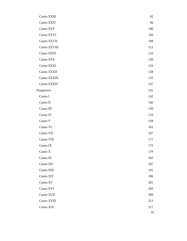| Canto XXIII     | 92  |
|-----------------|-----|
| Canto XXIV      | 96  |
| Canto XXV       | 100 |
| Canto XXVI      | 104 |
| Canto XXVII     | 108 |
| Canto XXVIII    | 112 |
| Canto XXIX      | 116 |
| Canto XXX       | 120 |
| Canto XXXI      | 124 |
| Canto XXXII     | 128 |
| Canto XXXIII    | 132 |
| Canto XXXIV     | 137 |
| Purgatorio      | 141 |
| Canto I         | 142 |
| Canto II        | 146 |
| Canto III       | 150 |
| Canto IV        | 154 |
| Canto ${\rm V}$ | 158 |
| Canto VI        | 162 |
| Canto VII       | 167 |
| Canto VIII      | 171 |
| Canto IX        | 175 |
| Canto X         | 179 |
| Canto XI        | 183 |
| Canto XII       | 187 |
| Canto XIII      | 191 |
| Canto XIV       | 196 |
| Canto XV        | 201 |
| Canto XVI       | 205 |
| Canto XVII      | 209 |
| Canto XVIII     | 213 |
| Canto XIX       | 217 |
|                 | iii |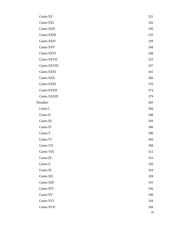| Canto XX     | 221 |
|--------------|-----|
| Canto XXI    | 226 |
| Canto XXII   | 230 |
| Canto XXIII  | 235 |
| Canto XXIV   | 239 |
| Canto XXV    | 244 |
| Canto XXVI   | 248 |
| Canto XXVII  | 253 |
| Canto XXVIII | 257 |
| Canto XXIX   | 261 |
| Canto XXX    | 266 |
| Canto XXXI   | 270 |
| Canto XXXII  | 274 |
| Canto XXXIII | 279 |
| Paradiso     | 283 |
| Canto I      | 284 |
| Canto II     | 288 |
| Canto III    | 292 |
| Canto IV     | 296 |
| Canto V      | 300 |
| Canto VI     | 304 |
| Canto VII    | 308 |
| Canto VIII   | 312 |
| Canto IX     | 316 |
| Canto X      | 320 |
| Canto XI     | 324 |
| Canto XII    | 328 |
| Canto XIII   | 332 |
| Canto XIV    | 336 |
| Canto XV     | 340 |
| Canto XVI    | 344 |
| Canto XVII   | 349 |
|              | iv  |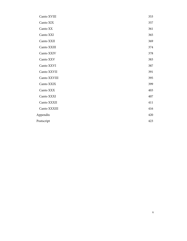| Canto XVIII  | 353 |
|--------------|-----|
| Canto XIX    | 357 |
| Canto XX     | 361 |
| Canto XXI    | 365 |
| Canto XXII   | 369 |
| Canto XXIII  | 374 |
| Canto XXIV   | 378 |
| Canto XXV    | 383 |
| Canto XXVI   | 387 |
| Canto XXVII  | 391 |
| Canto XXVIII | 395 |
| Canto XXIX   | 399 |
| Canto XXX    | 403 |
| Canto XXXI   | 407 |
| Canto XXXII  | 411 |
| Canto XXXIII | 416 |
| Appendix     | 420 |
| Postscript   | 423 |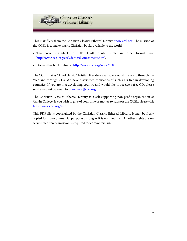

This PDF file is from the Christian Classics Ethereal Library, [www.ccel.org.](http://www.ccel.org) The mission of the CCEL is to make classic Christian books available to the world.

- This book is available in PDF, HTML, ePub, Kindle, and other formats. See [http://www.ccel.org/ccel/dante/divinecomedy.html.](http://www.ccel.org/ccel/dante/divinecomedy.html)
- Discuss this book online at [http://www.ccel.org/node/5780.](http://www.ccel.org/node/5780)

The CCEL makes CDs of classic Christian literature available around the world through the Web and through CDs. We have distributed thousands of such CDs free in developing countries. If you are in a developing country and would like to receive a free CD, please send a request by email to [cd-request@ccel.org.](mailto:cd-request@ccel.org)

The Christian Classics Ethereal Library is a self supporting non-profit organization at Calvin College. If you wish to give of your time or money to support the CCEL, please visit [http://www.ccel.org/give.](http://www.ccel.org/give)

This PDF file is copyrighted by the Christian Classics Ethereal Library. It may be freely copied for non-commercial purposes as long as it is not modified. All other rights are reserved. Written permission is required for commercial use.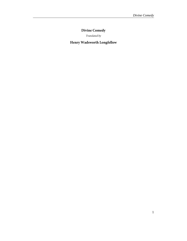#### **Divine Comedy**

Translated by

<span id="page-7-0"></span>**Henry Wadsworth Longfellow**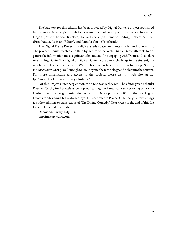<span id="page-8-0"></span>The base text for this edition has been provided by Digital Dante, a project sponsored by Columbia University's Institute for Learning Technologies. Specific thanks goes to Jennifer Hogan (Project Editor/Director), Tanya Larkin (Assistant to Editor), Robert W. Cole (Proofreader/Assistant Editor), and Jennifer Cook (Proofreader).

The Digital Dante Project is a digital 'study space' for Dante studies and scholarship. The project is multi-faceted and fluid by nature of the Web. Digital Dante attempts to organize the information most significant for students first engaging with Dante and scholars researching Dante. The digital of Digital Dante incurs a new challenge to the student, the scholar, and teacher, perusing the Web: to become proficient in the new tools, e.g., Search, the Discussion Group, well enough to look beyond the technology and delve into the content. For more information and access to the project, please visit its web site at: http://www.ilt.columbia.edu/projects/dante/

For this Project Gutenberg edition the e-text was rechecked. The editor greatly thanks Dian McCarthy for her assistance in proofreading the Paradiso. Also deserving praise are Herbert Fann for programming the text editor "Desktop Tools/Edit" and the late August Dvorak for designing his keyboard layout. Please refer to Project Gutenberg's e-text listings for other editions or translations of 'The Divine Comedy.' Please refer to the end of this file for supplemental materials.

Dennis McCarthy, July 1997 imprimatur@juno.com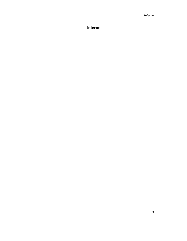<span id="page-9-0"></span>**Inferno**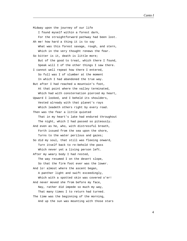<span id="page-10-0"></span>Midway upon the journey of our life I found myself within a forest dark, For the straightforward pathway had been lost. Ah me! how hard a thing it is to say What was this forest savage, rough, and stern, Which in the very thought renews the fear. So bitter is it, death is little more; But of the good to treat, which there I found, Speak will I of the other things I saw there. I cannot well repeat how there I entered, So full was I of slumber at the moment In which I had abandoned the true way. But after I had reached a mountain's foot, At that point where the valley terminated, Which had with consternation pierced my heart, Upward I looked, and I beheld its shoulders, Vested already with that planet's rays Which leadeth others right by every road. Then was the fear a little quieted That in my heart's lake had endured throughout The night, which I had passed so piteously. And even as he, who, with distressful breath, Forth issued from the sea upon the shore, Turns to the water perilous and gazes; So did my soul, that still was fleeing onward, Turn itself back to re-behold the pass Which never yet a living person left. After my weary body I had rested, The way resumed I on the desert slope, So that the firm foot ever was the lower. And lo! almost where the ascent began, A panther light and swift exceedingly, Which with a spotted skin was covered o'er! And never moved she from before my face, Nay, rather did impede so much my way, That many times I to return had turned. The time was the beginning of the morning, And up the sun was mounting with those stars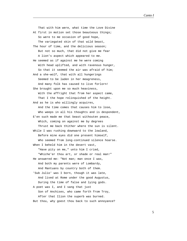That with him were, what time the Love Divine At first in motion set those beauteous things; So were to me occasion of good hope, The variegated skin of that wild beast, The hour of time, and the delicious season; But not so much, that did not give me fear A lion's aspect which appeared to me. He seemed as if against me he were coming With head uplifted, and with ravenous hunger, So that it seemed the air was afraid of him; And a she-wolf, that with all hungerings Seemed to be laden in her meagreness, And many folk has caused to live forlorn! She brought upon me so much heaviness, With the affright that from her aspect came, That I the hope relinquished of the height. And as he is who willingly acquires, And the time comes that causes him to lose, Who weeps in all his thoughts and is despondent, E'en such made me that beast withouten peace, Which, coming on against me by degrees Thrust me back thither where the sun is silent. While I was rushing downward to the lowland, Before mine eyes did one present himself, Who seemed from long-continued silence hoarse. When I beheld him in the desert vast, "Have pity on me," unto him I cried, "Whiche'er thou art, or shade or real man!" He answered me: "Not man; man once I was, And both my parents were of Lombardy, And Mantuans by country both of them. 'Sub Julio' was I born, though it was late, And lived at Rome under the good Augustus, During the time of false and lying gods. A poet was I, and I sang that just Son of Anchises, who came forth from Troy, After that Ilion the superb was burned. But thou, why goest thou back to such annoyance?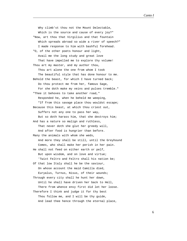Why climb'st thou not the Mount Delectable, Which is the source and cause of every joy?" "Now, art thou that Virgilius and that fountain Which spreads abroad so wide a river of speech?" I made response to him with bashful forehead. "O, of the other poets honour and light, Avail me the long study and great love That have impelled me to explore thy volume! Thou art my master, and my author thou, Thou art alone the one from whom I took The beautiful style that has done honour to me. Behold the beast, for which I have turned back; Do thou protect me from her, famous Sage, For she doth make my veins and pulses tremble." "Thee it behoves to take another road," Responded he, when he beheld me weeping, "If from this savage place thou wouldst escape; Because this beast, at which thou criest out, Suffers not any one to pass her way, But so doth harass him, that she destroys him; And has a nature so malign and ruthless, That never doth she glut her greedy will, And after food is hungrier than before. Many the animals with whom she weds, And more they shall be still, until the Greyhound Comes, who shall make her perish in her pain. He shall not feed on either earth or pelf, But upon wisdom, and on love and virtue; 'Twixt Feltro and Feltro shall his nation be; Of that low Italy shall he be the saviour, On whose account the maid Camilla died, Euryalus, Turnus, Nisus, of their wounds; Through every city shall he hunt her down, Until he shall have driven her back to Hell, There from whence envy first did let her loose. Therefore I think and judge it for thy best Thou follow me, and I will be thy guide, And lead thee hence through the eternal place,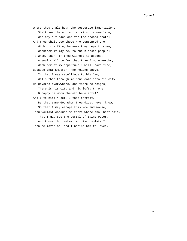Where thou shalt hear the desperate lamentations, Shalt see the ancient spirits disconsolate, Who cry out each one for the second death; And thou shalt see those who contented are Within the fire, because they hope to come, Whene'er it may be, to the blessed people; To whom, then, if thou wishest to ascend, A soul shall be for that than I more worthy; With her at my departure I will leave thee; Because that Emperor, who reigns above, In that I was rebellious to his law, Wills that through me none come into his city. He governs everywhere, and there he reigns; There is his city and his lofty throne; O happy he whom thereto he elects!" And I to him: "Poet, I thee entreat, By that same God whom thou didst never know, So that I may escape this woe and worse, Thou wouldst conduct me there where thou hast said, That I may see the portal of Saint Peter, And those thou makest so disconsolate." Then he moved on, and I behind him followed.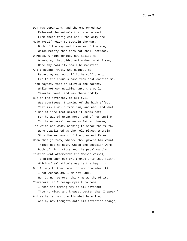<span id="page-14-0"></span>Day was departing, and the embrowned air Released the animals that are on earth From their fatigues; and I the only one Made myself ready to sustain the war, Both of the way and likewise of the woe, Which memory that errs not shall retrace. O Muses, O high genius, now assist me! O memory, that didst write down what I saw, Here thy nobility shall be manifest! And I began: "Poet, who guidest me, Regard my manhood, if it be sufficient, Ere to the arduous pass thou dost confide me. Thou sayest, that of Silvius the parent, While yet corruptible, unto the world Immortal went, and was there bodily. But if the adversary of all evil Was courteous, thinking of the high effect That issue would from him, and who, and what, To men of intellect unmeet it seems not; For he was of great Rome, and of her empire In the empyreal heaven as father chosen; The which and what, wishing to speak the truth, Were stablished as the holy place, wherein Sits the successor of the greatest Peter. Upon this journey, whence thou givest him vaunt, Things did he hear, which the occasion were Both of his victory and the papal mantle. Thither went afterwards the Chosen Vessel, To bring back comfort thence unto that Faith, Which of salvation's way is the beginning. But I, why thither come, or who concedes it? I not Aeneas am, I am not Paul, Nor I, nor others, think me worthy of it. Therefore, if I resign myself to come, I fear the coming may be ill-advised; Thou'rt wise, and knowest better than I speak." And as he is, who unwills what he willed, And by new thoughts doth his intention change,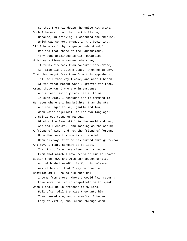So that from his design he quite withdraws, Such I became, upon that dark hillside, Because, in thinking, I consumed the emprise, Which was so very prompt in the beginning. "If I have well thy language understood," Replied that shade of the Magnanimous, "Thy soul attainted is with cowardice, Which many times a man encumbers so, It turns him back from honoured enterprise, As false sight doth a beast, when he is shy. That thou mayst free thee from this apprehension, I'll tell thee why I came, and what I heard At the first moment when I grieved for thee. Among those was I who are in suspense, And a fair, saintly Lady called to me In such wise, I besought her to command me. Her eyes where shining brighter than the Star; And she began to say, gentle and low, With voice angelical, in her own language: 'O spirit courteous of Mantua, Of whom the fame still in the world endures, And shall endure, long-lasting as the world; A friend of mine, and not the friend of fortune, Upon the desert slope is so impeded Upon his way, that he has turned through terror, And may, I fear, already be so lost, That I too late have risen to his succour, From that which I have heard of him in Heaven. Bestir thee now, and with thy speech ornate, And with what needful is for his release, Assist him so, that I may be consoled. Beatrice am I, who do bid thee go; I come from there, where I would fain return; Love moved me, which compelleth me to speak. When I shall be in presence of my Lord, Full often will I praise thee unto him.' Then paused she, and thereafter I began: 'O Lady of virtue, thou alone through whom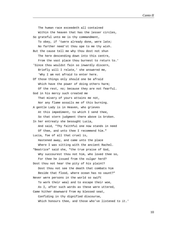The human race exceedeth all contained Within the heaven that has the lesser circles, So grateful unto me is thy commandment, To obey, if 'twere already done, were late; No farther need'st thou ope to me thy wish. But the cause tell me why thou dost not shun The here descending down into this centre, From the vast place thou burnest to return to.' 'Since thou wouldst fain so inwardly discern, Briefly will I relate,' she answered me, 'Why I am not afraid to enter here. Of those things only should one be afraid Which have the power of doing others harm; Of the rest, no; because they are not fearful. God in his mercy such created me That misery of yours attains me not, Nor any flame assails me of this burning. A gentle Lady is in Heaven, who grieves At this impediment, to which I send thee, So that stern judgment there above is broken. In her entreaty she besought Lucia, And said, "Thy faithful one now stands in need Of thee, and unto thee I recommend him." Lucia, foe of all that cruel is, Hastened away, and came unto the place Where I was sitting with the ancient Rachel. "Beatrice" said she, "the true praise of God, Why succourest thou not him, who loved thee so, For thee he issued from the vulgar herd? Dost thou not hear the pity of his plaint? Dost thou not see the death that combats him Beside that flood, where ocean has no vaunt?" Never were persons in the world so swift To work their weal and to escape their woe, As I, after such words as these were uttered, Came hither downward from my blessed seat, Confiding in thy dignified discourse, Which honours thee, and those who've listened to it.'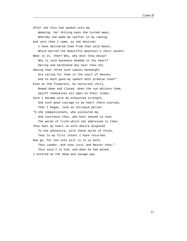After she thus had spoken unto me, Weeping, her shining eyes she turned away; Whereby she made me swifter in my coming; And unto thee I came, as she desired; I have delivered thee from that wild beast, Which barred the beautiful mountain's short ascent. What is it, then? Why, why dost thou delay? Why is such baseness bedded in thy heart? Daring and hardihood why hast thou not, Seeing that three such Ladies benedight Are caring for thee in the court of Heaven, And so much good my speech doth promise thee?" Even as the flowerets, by nocturnal chill, Bowed down and closed, when the sun whitens them, Uplift themselves all open on their stems; Such I became with my exhausted strength, And such good courage to my heart there coursed, That I began, like an intrepid person: "O she compassionate, who succoured me, And courteous thou, who hast obeyed so soon The words of truth which she addressed to thee! Thou hast my heart so with desire disposed To the adventure, with these words of thine, That to my first intent I have returned. Now go, for one sole will is in us both, Thou Leader, and thou Lord, and Master thou." Thus said I to him; and when he had moved, I entered on the deep and savage way.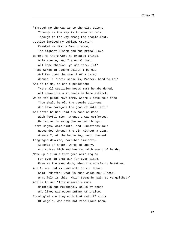<span id="page-18-0"></span>"Through me the way is to the city dolent; Through me the way is to eternal dole; Through me the way among the people lost. Justice incited my sublime Creator; Created me divine Omnipotence, The highest Wisdom and the primal Love. Before me there were no created things, Only eterne, and I eternal last. All hope abandon, ye who enter in!" These words in sombre colour I beheld Written upon the summit of a gate; Whence I: "Their sense is, Master, hard to me!" And he to me, as one experienced: "Here all suspicion needs must be abandoned, All cowardice must needs be here extinct. We to the place have come, where I have told thee Thou shalt behold the people dolorous Who have foregone the good of intellect." And after he had laid his hand on mine With joyful mien, whence I was comforted, He led me in among the secret things. There sighs, complaints, and ululations loud Resounded through the air without a star, Whence I, at the beginning, wept thereat. Languages diverse, horrible dialects, Accents of anger, words of agony, And voices high and hoarse, with sound of hands, Made up a tumult that goes whirling on For ever in that air for ever black, Even as the sand doth, when the whirlwind breathes. And I, who had my head with horror bound, Said: "Master, what is this which now I hear? What folk is this, which seems by pain so vanquished?" And he to me: "This miserable mode Maintain the melancholy souls of those Who lived withouten infamy or praise. Commingled are they with that caitiff choir Of Angels, who have not rebellious been,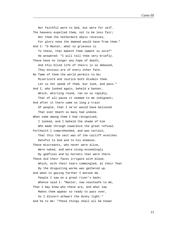Nor faithful were to God, but were for self. The heavens expelled them, not to be less fair; Nor them the nethermore abyss receives, For glory none the damned would have from them." And I: "O Master, what so grievous is To these, that maketh them lament so sore?" He answered: "I will tell thee very briefly. These have no longer any hope of death; And this blind life of theirs is so debased, They envious are of every other fate. No fame of them the world permits to be; Misericord and Justice both disdain them. Let us not speak of them, but look, and pass." And I, who looked again, beheld a banner, Which, whirling round, ran on so rapidly, That of all pause it seemed to me indignant; And after it there came so long a train Of people, that I ne'er would have believed That ever Death so many had undone. When some among them I had recognised, I looked, and I beheld the shade of him Who made through cowardice the great refusal. Forthwith I comprehended, and was certain, That this the sect was of the caitiff wretches Hateful to God and to his enemies. These miscreants, who never were alive, Were naked, and were stung exceedingly By gadflies and by hornets that were there. These did their faces irrigate with blood, Which, with their tears commingled, at their feet By the disgusting worms was gathered up. And when to gazing farther I betook me. People I saw on a great river's bank; Whence said I: "Master, now vouchsafe to me, That I may know who these are, and what law Makes them appear so ready to pass over, As I discern athwart the dusky light." And he to me: "These things shall all be known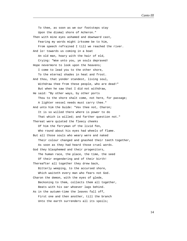To thee, as soon as we our footsteps stay Upon the dismal shore of Acheron." Then with mine eyes ashamed and downward cast, Fearing my words might irksome be to him, From speech refrained I till we reached the river. And lo! towards us coming in a boat An old man, hoary with the hair of eld, Crying: "Woe unto you, ye souls depraved! Hope nevermore to look upon the heavens; I come to lead you to the other shore, To the eternal shades in heat and frost. And thou, that yonder standest, living soul, Withdraw thee from these people, who are dead!" But when he saw that I did not withdraw, He said: "By other ways, by other ports Thou to the shore shalt come, not here, for passage; A lighter vessel needs must carry thee." And unto him the Guide: "Vex thee not, Charon; It is so willed there where is power to do That which is willed; and farther question not." Thereat were quieted the fleecy cheeks Of him the ferryman of the livid fen, Who round about his eyes had wheels of flame. But all those souls who weary were and naked Their colour changed and gnashed their teeth together, As soon as they had heard those cruel words. God they blasphemed and their progenitors, The human race, the place, the time, the seed Of their engendering and of their birth! Thereafter all together they drew back, Bitterly weeping, to the accursed shore, Which waiteth every man who fears not God. Charon the demon, with the eyes of glede, Beckoning to them, collects them all together, Beats with his oar whoever lags behind. As in the autumn-time the leaves fall off, First one and then another, till the branch

Unto the earth surrenders all its spoils;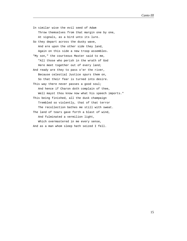*Canto III*

In similar wise the evil seed of Adam Throw themselves from that margin one by one, At signals, as a bird unto its lure. So they depart across the dusky wave, And ere upon the other side they land, Again on this side a new troop assembles. "My son," the courteous Master said to me, "All those who perish in the wrath of God Here meet together out of every land; And ready are they to pass o'er the river, Because celestial Justice spurs them on, So that their fear is turned into desire. This way there never passes a good soul; And hence if Charon doth complain of thee, Well mayst thou know now what his speech imports." This being finished, all the dusk champaign Trembled so violently, that of that terror The recollection bathes me still with sweat. The land of tears gave forth a blast of wind, And fulminated a vermilion light, Which overmastered in me every sense, And as a man whom sleep hath seized I fell.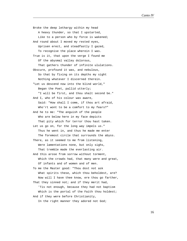*Canto IV*

<span id="page-22-0"></span>Broke the deep lethargy within my head A heavy thunder, so that I upstarted, Like to a person who by force is wakened; And round about I moved my rested eyes, Uprisen erect, and steadfastly I gazed, To recognise the place wherein I was. True is it, that upon the verge I found me Of the abysmal valley dolorous, That gathers thunder of infinite ululations. Obscure, profound it was, and nebulous, So that by fixing on its depths my sight Nothing whatever I discerned therein. "Let us descend now into the blind world," Began the Poet, pallid utterly; "I will be first, and thou shalt second be." And I, who of his colour was aware, Said: "How shall I come, if thou art afraid, Who'rt wont to be a comfort to my fears?" And he to me: "The anguish of the people Who are below here in my face depicts That pity which for terror thou hast taken. Let us go on, for the long way impels us." Thus he went in, and thus he made me enter The foremost circle that surrounds the abyss. There, as it seemed to me from listening, Were lamentations none, but only sighs, That tremble made the everlasting air. And this arose from sorrow without torment, Which the crowds had, that many were and great, Of infants and of women and of men. To me the Master good: "Thou dost not ask What spirits these, which thou beholdest, are? Now will I have thee know, ere thou go farther, That they sinned not; and if they merit had, 'Tis not enough, because they had not baptism Which is the portal of the Faith thou holdest; And if they were before Christianity, In the right manner they adored not God;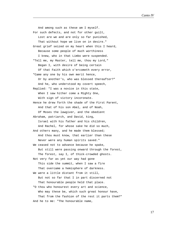And among such as these am I myself. For such defects, and not for other guilt, Lost are we and are only so far punished, That without hope we live on in desire." Great grief seized on my heart when this I heard, Because some people of much worthiness I knew, who in that Limbo were suspended. "Tell me, my Master, tell me, thou my Lord," Began I, with desire of being certain Of that Faith which o'ercometh every error, "Came any one by his own merit hence, Or by another's, who was blessed thereafter?" And he, who understood my covert speech, Replied: "I was a novice in this state, When I saw hither come a Mighty One, With sign of victory incoronate. Hence he drew forth the shade of the First Parent, And that of his son Abel, and of Noah, Of Moses the lawgiver, and the obedient Abraham, patriarch, and David, king, Israel with his father and his children, And Rachel, for whose sake he did so much, And others many, and he made them blessed; And thou must know, that earlier than these Never were any human spirits saved." We ceased not to advance because he spake, But still were passing onward through the forest, The forest, say I, of thick-crowded ghosts. Not very far as yet our way had gone This side the summit, when I saw a fire That overcame a hemisphere of darkness. We were a little distant from it still, But not so far that I in part discerned not That honourable people held that place. "O thou who honourest every art and science, Who may these be, which such great honour have, That from the fashion of the rest it parts them?"

And he to me: "The honourable name,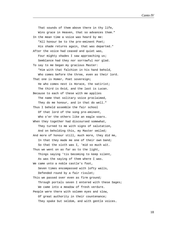That sounds of them above there in thy life, Wins grace in Heaven, that so advances them." In the mean time a voice was heard by me: "All honour be to the pre-eminent Poet; His shade returns again, that was departed." After the voice had ceased and quiet was, Four mighty shades I saw approaching us; Semblance had they nor sorrowful nor glad. To say to me began my gracious Master: "Him with that falchion in his hand behold, Who comes before the three, even as their lord. That one is Homer, Poet sovereign; He who comes next is Horace, the satirist; The third is Ovid, and the last is Lucan. Because to each of these with me applies The name that solitary voice proclaimed, They do me honour, and in that do well." Thus I beheld assemble the fair school Of that lord of the song pre-eminent, Who o'er the others like an eagle soars. When they together had discoursed somewhat, They turned to me with signs of salutation, And on beholding this, my Master smiled; And more of honour still, much more, they did me, In that they made me one of their own band; So that the sixth was I, 'mid so much wit. Thus we went on as far as to the light, Things saying 'tis becoming to keep silent, As was the saying of them where I was. We came unto a noble castle's foot, Seven times encompassed with lofty walls, Defended round by a fair rivulet; This we passed over even as firm ground; Through portals seven I entered with these Sages; We came into a meadow of fresh verdure. People were there with solemn eyes and slow, Of great authority in their countenance; They spake but seldom, and with gentle voices.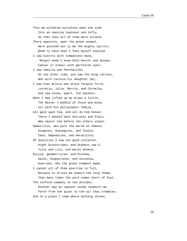Thus we withdrew ourselves upon one side Into an opening luminous and lofty, So that they all of them were visible. There opposite, upon the green enamel, Were pointed out to me the mighty spirits, Whom to have seen I feel myself exalted. I saw Electra with companions many, 'Mongst whom I knew both Hector and Aeneas, Caesar in armour with gerfalcon eyes; I saw Camilla and Penthesilea On the other side, and saw the King Latinus, Who with Lavinia his daughter sat; I saw that Brutus who drove Tarquin forth, Lucretia, Julia, Marcia, and Cornelia, And saw alone, apart, the Saladin. When I had lifted up my brows a little, The Master I beheld of those who know, Sit with his philosophic family. All gaze upon him, and all do him honour. There I beheld both Socrates and Plato, Who nearer him before the others stand; Democritus, who puts the world on chance, Diogenes, Anaxagoras, and Thales, Zeno, Empedocles, and Heraclitus; Of qualities I saw the good collector, Hight Dioscorides; and Orpheus saw I, Tully and Livy, and moral Seneca, Euclid, geometrician, and Ptolemy, Galen, Hippocrates, and Avicenna, Averroes, who the great Comment made. I cannot all of them pourtray in full, Because so drives me onward the long theme, That many times the word comes short of fact. The sixfold company in two divides; Another way my sapient Guide conducts me Forth from the quiet to the air that trembles; And to a place I come where nothing shines.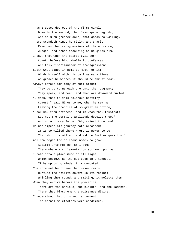<span id="page-26-0"></span>Thus I descended out of the first circle Down to the second, that less space begirds, And so much greater dole, that goads to wailing. There standeth Minos horribly, and snarls; Examines the transgressions at the entrance; Judges, and sends according as he girds him. I say, that when the spirit evil-born Cometh before him, wholly it confesses; And this discriminator of transgressions Seeth what place in Hell is meet for it; Girds himself with his tail as many times As grades he wishes it should be thrust down. Always before him many of them stand; They go by turns each one unto the judgment; They speak, and hear, and then are downward hurled. "O thou, that to this dolorous hostelry Comest," said Minos to me, when he saw me, Leaving the practice of so great an office, "Look how thou enterest, and in whom thou trustest; Let not the portal's amplitude deceive thee." And unto him my Guide: "Why criest thou too? Do not impede his journey fate-ordained; It is so willed there where is power to do That which is willed; and ask no further question." And now begin the dolesome notes to grow Audible unto me; now am I come There where much lamentation strikes upon me. I came into a place mute of all light, Which bellows as the sea does in a tempest, If by opposing winds 't is combated. The infernal hurricane that never rests Hurtles the spirits onward in its rapine; Whirling them round, and smiting, it molests them. When they arrive before the precipice, There are the shrieks, the plaints, and the laments, There they blaspheme the puissance divine. I understood that unto such a torment The carnal malefactors were condemned,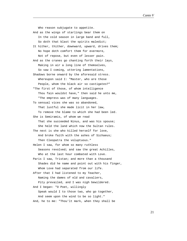Who reason subjugate to appetite. And as the wings of starlings bear them on In the cold season in large band and full, So doth that blast the spirits maledict; It hither, thither, downward, upward, drives them; No hope doth comfort them for evermore, Not of repose, but even of lesser pain. And as the cranes go chanting forth their lays, Making in air a long line of themselves, So saw I coming, uttering lamentations, Shadows borne onward by the aforesaid stress. Whereupon said I: "Master, who are those People, whom the black air so castigates?" "The first of those, of whom intelligence Thou fain wouldst have," then said he unto me, "The empress was of many languages. To sensual vices she was so abandoned, That lustful she made licit in her law, To remove the blame to which she had been led. She is Semiramis, of whom we read That she succeeded Ninus, and was his spouse; She held the land which now the Sultan rules. The next is she who killed herself for love, And broke faith with the ashes of Sichaeus; Then Cleopatra the voluptuous." Helen I saw, for whom so many ruthless Seasons revolved; and saw the great Achilles, Who at the last hour combated with Love. Paris I saw, Tristan; and more than a thousand Shades did he name and point out with his finger, Whom Love had separated from our life. After that I had listened to my Teacher, Naming the dames of eld and cavaliers, Pity prevailed, and I was nigh bewildered. And I began: "O Poet, willingly Speak would I to those two, who go together, And seem upon the wind to be so light." And, he to me: "Thou'lt mark, when they shall be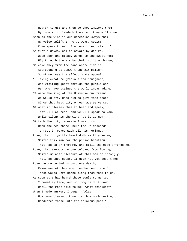Nearer to us; and then do thou implore them By love which leadeth them, and they will come." Soon as the wind in our direction sways them, My voice uplift I: "O ye weary souls! Come speak to us, if no one interdicts it." As turtle-doves, called onward by desire, With open and steady wings to the sweet nest Fly through the air by their volition borne, So came they from the band where Dido is, Approaching us athwart the air malign, So strong was the affectionate appeal. "O living creature gracious and benignant, Who visiting goest through the purple air Us, who have stained the world incarnadine, If were the King of the Universe our friend, We would pray unto him to give thee peace, Since thou hast pity on our woe perverse. Of what it pleases thee to hear and speak, That will we hear, and we will speak to you, While silent is the wind, as it is now. Sitteth the city, wherein I was born, Upon the sea-shore where the Po descends To rest in peace with all his retinue. Love, that on gentle heart doth swiftly seize, Seized this man for the person beautiful That was ta'en from me, and still the mode offends me. Love, that exempts no one beloved from loving, Seized me with pleasure of this man so strongly, That, as thou seest, it doth not yet desert me; Love has conducted us unto one death; Caina waiteth him who quenched our life!" These words were borne along from them to us. As soon as I had heard those souls tormented, I bowed my face, and so long held it down Until the Poet said to me: "What thinkest?" When I made answer, I began: "Alas! How many pleasant thoughts, how much desire, Conducted these unto the dolorous pass!"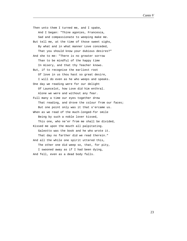Then unto them I turned me, and I spake, And I began: "Thine agonies, Francesca, Sad and compassionate to weeping make me. But tell me, at the time of those sweet sighs, By what and in what manner Love conceded, That you should know your dubious desires?" And she to me: "There is no greater sorrow Than to be mindful of the happy time In misery, and that thy Teacher knows. But, if to recognise the earliest root Of love in us thou hast so great desire, I will do even as he who weeps and speaks. One day we reading were for our delight Of Launcelot, how Love did him enthral. Alone we were and without any fear. Full many a time our eyes together drew That reading, and drove the colour from our faces; But one point only was it that o'ercame us. When as we read of the much-longed-for smile Being by such a noble lover kissed, This one, who ne'er from me shall be divided, Kissed me upon the mouth all palpitating. Galeotto was the book and he who wrote it. That day no farther did we read therein." And all the while one spirit uttered this, The other one did weep so, that, for pity, I swooned away as if I had been dying, And fell, even as a dead body falls.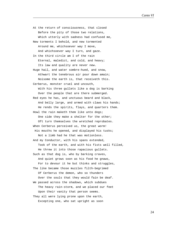<span id="page-30-0"></span>At the return of consciousness, that closed Before the pity of those two relations, Which utterly with sadness had confused me, New torments I behold, and new tormented Around me, whichsoever way I move, And whichsoever way I turn, and gaze. In the third circle am I of the rain Eternal, maledict, and cold, and heavy; Its law and quality are never new. Huge hail, and water sombre-hued, and snow, Athwart the tenebrous air pour down amain; Noisome the earth is, that receiveth this. Cerberus, monster cruel and uncouth, With his three gullets like a dog is barking Over the people that are there submerged. Red eyes he has, and unctuous beard and black, And belly large, and armed with claws his hands; He rends the spirits, flays, and quarters them. Howl the rain maketh them like unto dogs; One side they make a shelter for the other; Oft turn themselves the wretched reprobates. When Cerberus perceived us, the great worm! His mouths he opened, and displayed his tusks; Not a limb had he that was motionless. And my Conductor, with his spans extended, Took of the earth, and with his fists well filled, He threw it into those rapacious gullets. Such as that dog is, who by barking craves, And quiet grows soon as his food he gnaws, For to devour it he but thinks and struggles, The like became those muzzles filth-begrimed Of Cerberus the demon, who so thunders Over the souls that they would fain be deaf. We passed across the shadows, which subdues The heavy rain-storm, and we placed our feet Upon their vanity that person seems. They all were lying prone upon the earth, Excepting one, who sat upright as soon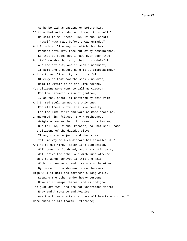As he beheld us passing on before him. "O thou that art conducted through this Hell," He said to me, "recall me, if thou canst; Thyself wast made before I was unmade." And I to him: "The anguish which thou hast Perhaps doth draw thee out of my remembrance, So that it seems not I have ever seen thee. But tell me who thou art, that in so doleful A place art put, and in such punishment, If some are greater, none is so displeasing." And he to me: "Thy city, which is full Of envy so that now the sack runs over, Held me within it in the life serene. You citizens were wont to call me Ciacco; For the pernicious sin of gluttony I, as thou seest, am battered by this rain. And I, sad soul, am not the only one, For all these suffer the like penalty For the like sin;" and word no more spake he. I answered him: "Ciacco, thy wretchedness Weighs on me so that it to weep invites me; But tell me, if thou knowest, to what shall come The citizens of the divided city; If any there be just; and the occasion Tell me why so much discord has assailed it." And he to me: "They, after long contention, Will come to bloodshed; and the rustic party Will drive the other out with much offence. Then afterwards behoves it this one fall Within three suns, and rise again the other By force of him who now is on the coast. High will it hold its forehead a long while, Keeping the other under heavy burdens, Howe'er it weeps thereat and is indignant. The just are two, and are not understood there; Envy and Arrogance and Avarice Are the three sparks that have all hearts enkindled." Here ended he his tearful utterance;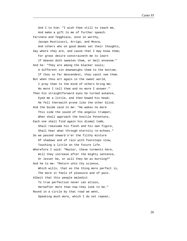And I to him: "I wish thee still to teach me, And make a gift to me of further speech. Farinata and Tegghiaio, once so worthy, Jacopo Rusticucci, Arrigo, and Mosca, And others who on good deeds set their thoughts, Say where they are, and cause that I may know them; For great desire constraineth me to learn If Heaven doth sweeten them, or Hell envenom." And he: "They are among the blacker souls; A different sin downweighs them to the bottom; If thou so far descendest, thou canst see them. But when thou art again in the sweet world, I pray thee to the mind of others bring me; No more I tell thee and no more I answer." Then his straightforward eyes he turned askance, Eyed me a little, and then bowed his head; He fell therewith prone like the other blind. And the Guide said to me: "He wakes no more This side the sound of the angelic trumpet; When shall approach the hostile Potentate, Each one shall find again his dismal tomb, Shall reassume his flesh and his own figure, Shall hear what through eternity re-echoes." So we passed onward o'er the filthy mixture Of shadows and of rain with footsteps slow, Touching a little on the future life. Wherefore I said: "Master, these torments here, Will they increase after the mighty sentence, Or lesser be, or will they be as burning?" And he to me: "Return unto thy science, Which wills, that as the thing more perfect is, The more it feels of pleasure and of pain. Albeit that this people maledict To true perfection never can attain, Hereafter more than now they look to be." Round in a circle by that road we went, Speaking much more, which I do not repeat;

26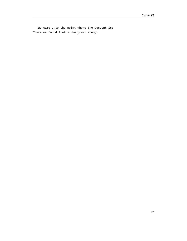We came unto the point where the descent is; There we found Plutus the great enemy.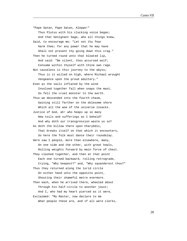<span id="page-34-0"></span>"Pape Satan, Pape Satan, Aleppe!" Thus Plutus with his clucking voice began; And that benignant Sage, who all things knew, Said, to encourage me: "Let not thy fear Harm thee; for any power that he may have Shall not prevent thy going down this crag." Then he turned round unto that bloated lip, And said: "Be silent, thou accursed wolf; Consume within thyself with thine own rage. Not causeless is this journey to the abyss; Thus is it willed on high, where Michael wrought Vengeance upon the proud adultery." Even as the sails inflated by the wind Involved together fall when snaps the mast, So fell the cruel monster to the earth. Thus we descended into the fourth chasm, Gaining still farther on the dolesome shore Which all the woe of the universe insacks. Justice of God, ah! who heaps up so many New toils and sufferings as I beheld? And why doth our transgression waste us so? As doth the billow there upon Charybdis, That breaks itself on that which it encounters, So here the folk must dance their roundelay. Here saw I people, more than elsewhere, many, On one side and the other, with great howls, Rolling weights forward by main force of chest. They clashed together, and then at that point Each one turned backward, rolling retrograde, Crying, "Why keepest?" and, "Why squanderest thou?" Thus they returned along the lurid circle On either hand unto the opposite point, Shouting their shameful metre evermore. Then each, when he arrived there, wheeled about Through his half-circle to another joust; And I, who had my heart pierced as it were, Exclaimed: "My Master, now declare to me What people these are, and if all were clerks,

28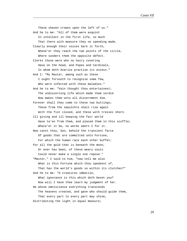These shaven crowns upon the left of us." And he to me: "All of them were asquint In intellect in the first life, so much That there with measure they no spending made. Clearly enough their voices bark it forth, Whene'er they reach the two points of the circle, Where sunders them the opposite defect. Clerks those were who no hairy covering Have on the head, and Popes and Cardinals, In whom doth Avarice practise its excess." And I: "My Master, among such as these I ought forsooth to recognise some few, Who were infected with these maladies." And he to me: "Vain thought thou entertainest; The undiscerning life which made them sordid Now makes them unto all discernment dim. Forever shall they come to these two buttings; These from the sepulchre shall rise again With the fist closed, and these with tresses shorn. Ill giving and ill keeping the fair world Have ta'en from them, and placed them in this scuffle; Whate'er it be, no words adorn I for it. Now canst thou, Son, behold the transient farce Of goods that are committed unto Fortune, For which the human race each other buffet; For all the gold that is beneath the moon, Or ever has been, of these weary souls Could never make a single one repose." "Master," I said to him, "now tell me also What is this Fortune which thou speakest of, That has the world's goods so within its clutches?" And he to me: "O creatures imbecile, What ignorance is this which doth beset you? Now will I have thee learn my judgment of her. He whose omniscience everything transcends The heavens created, and gave who should guide them, That every part to every part may shine, Distributing the light in equal measure;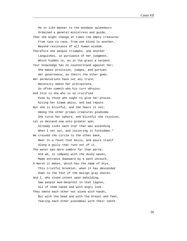He in like manner to the mundane splendours Ordained a general ministress and guide, That she might change at times the empty treasures From race to race, from one blood to another, Beyond resistance of all human wisdom. Therefore one people triumphs, and another Languishes, in pursuance of her judgment, Which hidden is, as in the grass a serpent. Your knowledge has no counterstand against her; She makes provision, judges, and pursues Her governance, as theirs the other gods. Her permutations have not any truce; Necessity makes her precipitate, So often cometh who his turn obtains. And this is she who is so crucified Even by those who ought to give her praise, Giving her blame amiss, and bad repute. But she is blissful, and she hears it not; Among the other primal creatures gladsome She turns her sphere, and blissful she rejoices. Let us descend now unto greater woe; Already sinks each star that was ascending When I set out, and loitering is forbidden." We crossed the circle to the other bank, Near to a fount that boils, and pours itself Along a gully that runs out of it. The water was more sombre far than perse; And we, in company with the dusky waves, Made entrance downward by a path uncouth. A marsh it makes, which has the name of Styx, This tristful brooklet, when it has descended Down to the foot of the malign gray shores. And I, who stood intent upon beholding, Saw people mud-besprent in that lagoon, All of them naked and with angry look. They smote each other not alone with hands, But with the head and with the breast and feet, Tearing each other piecemeal with their teeth.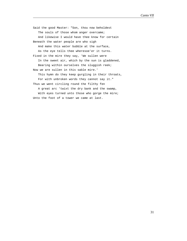Said the good Master: "Son, thou now beholdest The souls of those whom anger overcame; And likewise I would have thee know for certain Beneath the water people are who sigh And make this water bubble at the surface, As the eye tells thee wheresoe'er it turns. Fixed in the mire they say, 'We sullen were In the sweet air, which by the sun is gladdened, Bearing within ourselves the sluggish reek; Now we are sullen in this sable mire.' This hymn do they keep gurgling in their throats, For with unbroken words they cannot say it." Thus we went circling round the filthy fen A great arc 'twixt the dry bank and the swamp, With eyes turned unto those who gorge the mire; Unto the foot of a tower we came at last.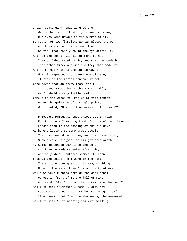I say, continuing, that long before We to the foot of that high tower had come, Our eyes went upward to the summit of it, By reason of two flamelets we saw placed there, And from afar another answer them, So far, that hardly could the eye attain it. And, to the sea of all discernment turned, I said: "What sayeth this, and what respondeth That other fire? and who are they that made it?" And he to me: "Across the turbid waves What is expected thou canst now discern, If reek of the morass conceal it not." Cord never shot an arrow from itself That sped away athwart the air so swift, As I beheld a very little boat Come o'er the water tow'rds us at that moment, Under the guidance of a single pilot, Who shouted, "Now art thou arrived, fell soul?" Phlegyas, Phlegyas, thou criest out in vain For this once," said my Lord; "thou shalt not have us Longer than in the passing of the slough." As he who listens to some great deceit That has been done to him, and then resents it, Such became Phlegyas, in his gathered wrath. My Guide descended down into the boat, And then he made me enter after him, And only when I entered seemed it laden. Soon as the Guide and I were in the boat, The antique prow goes on its way, dividing More of the water than 'tis wont with others. While we were running through the dead canal, Uprose in front of me one full of mire, And said, "Who 'rt thou that comest ere the hour?" And I to him: "Although I come, I stay not; But who art thou that hast become so squalid?" "Thou seest that I am one who weeps," he answered. And I to him: "With weeping and with wailing,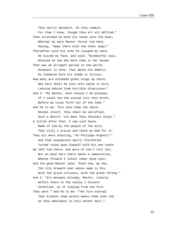Thou spirit maledict, do thou remain; For thee I know, though thou art all defiled." Then stretched he both his hands unto the boat; Whereat my wary Master thrust him back, Saying, "Away there with the other dogs!" Thereafter with his arms he clasped my neck; He kissed my face, and said: "Disdainful soul, Blessed be she who bore thee in her bosom. That was an arrogant person in the world; Goodness is none, that decks his memory; So likewise here his shade is furious. How many are esteemed great kings up there, Who here shall be like unto swine in mire, Leaving behind them horrible dispraises!" And I: "My Master, much should I be pleased, If I could see him soused into this broth, Before we issue forth out of the lake." And he to me: "Ere unto thee the shore Reveal itself, thou shalt be satisfied; Such a desire 'tis meet thou shouldst enjoy." A little after that, I saw such havoc Made of him by the people of the mire, That still I praise and thank my God for it. They all were shouting, "At Philippo Argenti!" And that exasperate spirit Florentine Turned round upon himself with his own teeth. We left him there, and more of him I tell not; But on mine ears there smote a lamentation, Whence forward I intent unbar mine eyes. And the good Master said: "Even now, my Son, The city draweth near whose name is Dis, With the grave citizens, with the great throng." And I: "Its mosques already, Master, clearly Within there in the valley I discern Vermilion, as if issuing from the fire They were." And he to me: "The fire eternal That kindles them within makes them look red, As thou beholdest in this nether Hell."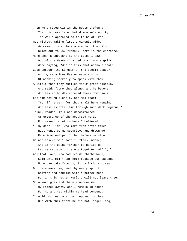Then we arrived within the moats profound, That circumvallate that disconsolate city; The walls appeared to me to be of iron. Not without making first a circuit wide, We came unto a place where loud the pilot Cried out to us, "Debark, here is the entrance." More than a thousand at the gates I saw Out of the Heavens rained down, who angrily Were saying, "Who is this that without death Goes through the kingdom of the people dead?" And my sagacious Master made a sign Of wishing secretly to speak with them. A little then they quelled their great disdain, And said: "Come thou alone, and he begone Who has so boldly entered these dominions. Let him return alone by his mad road; Try, if he can; for thou shalt here remain, Who hast escorted him through such dark regions." Think, Reader, if I was discomforted At utterance of the accursed words; For never to return here I believed. "O my dear Guide, who more than seven times Hast rendered me security, and drawn me From imminent peril that before me stood, Do not desert me," said I, "thus undone; And if the going farther be denied us, Let us retrace our steps together swiftly." And that Lord, who had led me thitherward, Said unto me: "Fear not; because our passage None can take from us, it by Such is given. But here await me, and thy weary spirit Comfort and nourish with a better hope; For in this nether world I will not leave thee." So onward goes and there abandons me My Father sweet, and I remain in doubt, For No and Yes within my head contend. I could not hear what he proposed to them; But with them there he did not linger long,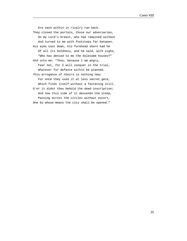Ere each within in rivalry ran back. They closed the portals, those our adversaries, On my Lord's breast, who had remained without And turned to me with footsteps far between. His eyes cast down, his forehead shorn had he Of all its boldness, and he said, with sighs, "Who has denied to me the dolesome houses?" And unto me: "Thou, because I am angry, Fear not, for I will conquer in the trial, Whatever for defence within be planned. This arrogance of theirs is nothing new; For once they used it at less secret gate, Which finds itself without a fastening still. O'er it didst thou behold the dead inscription; And now this side of it descends the steep, Passing across the circles without escort, One by whose means the city shall be opened."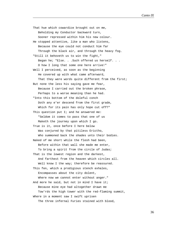That hue which cowardice brought out on me, Beholding my Conductor backward turn, Sooner repressed within him his new colour. He stopped attentive, like a man who listens, Because the eye could not conduct him far Through the black air, and through the heavy fog. "Still it behoveth us to win the fight," Began he; "Else. . . Such offered us herself. . . O how I long that some one here arrive!" Well I perceived, as soon as the beginning He covered up with what came afterward, That they were words quite different from the first; But none the less his saying gave me fear, Because I carried out the broken phrase, Perhaps to a worse meaning than he had. "Into this bottom of the doleful conch Doth any e'er descend from the first grade, Which for its pain has only hope cut off?" This question put I; and he answered me: "Seldom it comes to pass that one of us Maketh the journey upon which I go. True is it, once before I here below Was conjured by that pitiless Erictho, Who summoned back the shades unto their bodies. Naked of me short while the flesh had been, Before within that wall she made me enter, To bring a spirit from the circle of Judas; That is the lowest region and the darkest, And farthest from the heaven which circles all. Well know I the way; therefore be reassured. This fen, which a prodigious stench exhales, Encompasses about the city dolent, Where now we cannot enter without anger." And more he said, but not in mind I have it; Because mine eye had altogether drawn me Tow'rds the high tower with the red-flaming summit, Where in a moment saw I swift uprisen The three infernal Furies stained with blood,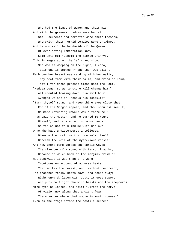Who had the limbs of women and their mien, And with the greenest hydras were begirt; Small serpents and cerastes were their tresses, Wherewith their horrid temples were entwined. And he who well the handmaids of the Queen Of everlasting lamentation knew, Said unto me: "Behold the fierce Erinnys. This is Megaera, on the left-hand side; She who is weeping on the right, Alecto; Tisiphone is between;" and then was silent. Each one her breast was rending with her nails; They beat them with their palms, and cried so loud, That I for dread pressed close unto the Poet. "Medusa come, so we to stone will change him!" All shouted looking down; "in evil hour Avenged we not on Theseus his assault!" "Turn thyself round, and keep thine eyes close shut, For if the Gorgon appear, and thou shouldst see it, No more returning upward would there be." Thus said the Master; and he turned me round Himself, and trusted not unto my hands So far as not to blind me with his own. O ye who have undistempered intellects, Observe the doctrine that conceals itself Beneath the veil of the mysterious verses! And now there came across the turbid waves The clangour of a sound with terror fraught, Because of which both of the margins trembled; Not otherwise it was than of a wind Impetuous on account of adverse heats, That smites the forest, and, without restraint, The branches rends, beats down, and bears away; Right onward, laden with dust, it goes superb, And puts to flight the wild beasts and the shepherds. Mine eyes he loosed, and said: "Direct the nerve Of vision now along that ancient foam, There yonder where that smoke is most intense." Even as the frogs before the hostile serpent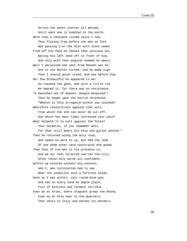*Canto IX*

 Across the water scatter all abroad, Until each one is huddled in the earth. More than a thousand ruined souls I saw, Thus fleeing from before one who on foot Was passing o'er the Styx with soles unwet. From off his face he fanned that unctuous air, Waving his left hand oft in front of him, And only with that anguish seemed he weary. Well I perceived one sent from Heaven was he, And to the Master turned; and he made sign That I should quiet stand, and bow before him. Ah! how disdainful he appeared to me! He reached the gate, and with a little rod He opened it, for there was no resistance. "O banished out of Heaven, people despised!" Thus he began upon the horrid threshold; "Whence is this arrogance within you couched? Wherefore recalcitrate against that will, From which the end can never be cut off, And which has many times increased your pain? What helpeth it to butt against the fates? Your Cerberus, if you remember well, For that still bears his chin and gullet peeled." Then he returned along the miry road, And spake no word to us, but had the look Of one whom other care constrains and goads Than that of him who in his presence is; And we our feet directed tow'rds the city, After those holy words all confident. Within we entered without any contest; And I, who inclination had to see What the condition such a fortress holds, Soon as I was within, cast round mine eye, And see on every hand an ample plain, Full of distress and torment terrible. Even as at Arles, where stagnant grows the Rhone, Even as at Pola near to the Quarnaro, That shuts in Italy and bathes its borders,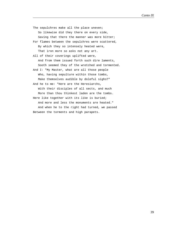The sepulchres make all the place uneven; So likewise did they there on every side, Saving that there the manner was more bitter; For flames between the sepulchres were scattered, By which they so intensely heated were, That iron more so asks not any art. All of their coverings uplifted were, And from them issued forth such dire laments, Sooth seemed they of the wretched and tormented. And I: "My Master, what are all those people Who, having sepulture within those tombs, Make themselves audible by doleful sighs?" And he to me: "Here are the Heresiarchs, With their disciples of all sects, and much More than thou thinkest laden are the tombs. Here like together with its like is buried; And more and less the monuments are heated." And when he to the right had turned, we passed

Between the torments and high parapets.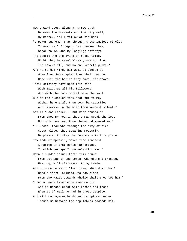*Canto X*

Now onward goes, along a narrow path Between the torments and the city wall, My Master, and I follow at his back. "O power supreme, that through these impious circles Turnest me," I began, "as pleases thee, Speak to me, and my longings satisfy; The people who are lying in these tombs, Might they be seen? already are uplifted The covers all, and no one keepeth guard." And he to me: "They all will be closed up When from Jehoshaphat they shall return Here with the bodies they have left above. Their cemetery have upon this side With Epicurus all his followers, Who with the body mortal make the soul; But in the question thou dost put to me, Within here shalt thou soon be satisfied, And likewise in the wish thou keepest silent." And I: "Good Leader, I but keep concealed From thee my heart, that I may speak the less, Nor only now hast thou thereto disposed me." "O Tuscan, thou who through the city of fire Goest alive, thus speaking modestly, Be pleased to stay thy footsteps in this place. Thy mode of speaking makes thee manifest A native of that noble fatherland, To which perhaps I too molestful was." Upon a sudden issued forth this sound From out one of the tombs; wherefore I pressed, Fearing, a little nearer to my Leader. And unto me he said: "Turn thee; what dost thou? Behold there Farinata who has risen; From the waist upwards wholly shalt thou see him." I had already fixed mine eyes on his, And he uprose erect with breast and front E'en as if Hell he had in great despite. And with courageous hands and prompt my Leader Thrust me between the sepulchres towards him,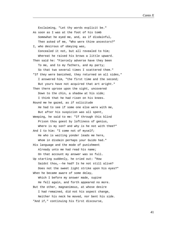Exclaiming, "Let thy words explicit be." As soon as I was at the foot of his tomb Somewhat he eyed me, and, as if disdainful, Then asked of me, "Who were thine ancestors?" I, who desirous of obeying was, Concealed it not, but all revealed to him; Whereat he raised his brows a little upward. Then said he: "Fiercely adverse have they been To me, and to my fathers, and my party; So that two several times I scattered them." "If they were banished, they returned on all sides," I answered him, "the first time and the second; But yours have not acquired that art aright." Then there uprose upon the sight, uncovered Down to the chin, a shadow at his side; I think that he had risen on his knees. Round me he gazed, as if solicitude He had to see if some one else were with me, But after his suspicion was all spent, Weeping, he said to me: "If through this blind Prison thou goest by loftiness of genius, Where is my son? and why is he not with thee?" And I to him: "I come not of myself; He who is waiting yonder leads me here, Whom in disdain perhaps your Guido had." His language and the mode of punishment Already unto me had read his name; On that account my answer was so full. Up starting suddenly, he cried out: "How Saidst thou,--he had? Is he not still alive? Does not the sweet light strike upon his eyes?" When he became aware of some delay, Which I before my answer made, supine He fell again, and forth appeared no more. But the other, magnanimous, at whose desire I had remained, did not his aspect change, Neither his neck he moved, nor bent his side. "And if," continuing his first discourse,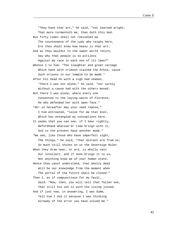"They have that art," he said, "not learned aright, That more tormenteth me, than doth this bed. But fifty times shall not rekindled be The countenance of the Lady who reigns here, Ere thou shalt know how heavy is that art; And as thou wouldst to the sweet world return, Say why that people is so pitiless Against my race in each one of its laws?" Whence I to him: "The slaughter and great carnage Which have with crimson stained the Arbia, cause Such orisons in our temple to be made." After his head he with a sigh had shaken, "There I was not alone," he said, "nor surely Without a cause had with the others moved. But there I was alone, where every one Consented to the laying waste of Florence, He who defended her with open face." "Ah! so hereafter may your seed repose," I him entreated, "solve for me that knot, Which has entangled my conceptions here. It seems that you can see, if I hear rightly, Beforehand whatsoe'er time brings with it, And in the present have another mode." "We see, like those who have imperfect sight, The things," he said, "that distant are from us; So much still shines on us the Sovereign Ruler. When they draw near, or are, is wholly vain Our intellect, and if none brings it to us, Not anything know we of your human state. Hence thou canst understand, that wholly dead Will be our knowledge from the moment when The portal of the future shall be closed." Then I, as if compunctious for my fault, Said: "Now, then, you will tell that fallen one, That still his son is with the living joined. And if just now, in answering, I was dumb, Tell him I did it because I was thinking Already of the error you have solved me."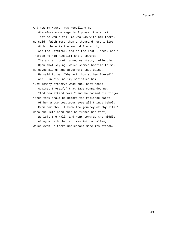And now my Master was recalling me, Wherefore more eagerly I prayed the spirit That he would tell me who was with him there. He said: "With more than a thousand here I lie; Within here is the second Frederick, And the Cardinal, and of the rest I speak not." Thereon he hid himself; and I towards The ancient poet turned my steps, reflecting Upon that saying, which seemed hostile to me. He moved along; and afterward thus going, He said to me, "Why art thou so bewildered?" And I in his inquiry satisfied him. "Let memory preserve what thou hast heard Against thyself," that Sage commanded me, "And now attend here;" and he raised his finger. "When thou shalt be before the radiance sweet Of her whose beauteous eyes all things behold, From her thou'lt know the journey of thy life." Unto the left hand then he turned his feet; We left the wall, and went towards the middle, Along a path that strikes into a valley, Which even up there unpleasant made its stench.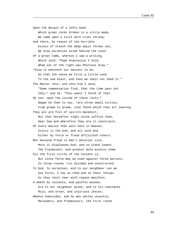*Canto XI*

Upon the margin of a lofty bank Which great rocks broken in a circle made, We came upon a still more cruel throng; And there, by reason of the horrible Excess of stench the deep abyss throws out, We drew ourselves aside behind the cover Of a great tomb, whereon I saw a writing, Which said: "Pope Anastasius I hold, Whom out of the right way Photinus drew." "Slow it behoveth our descent to be, So that the sense be first a little used To the sad blast, and then we shall not heed it." The Master thus; and unto him I said, "Some compensation find, that the time pass not Idly;" and he: "Thou seest I think of that. My son, upon the inside of these rocks," Began he then to say, "are three small circles, From grade to grade, like those which thou art leaving. They all are full of spirits maledict; But that hereafter sight alone suffice thee, Hear how and wherefore they are in constraint. Of every malice that wins hate in Heaven, Injury is the end; and all such end Either by force or fraud afflicteth others. But because fraud is man's peculiar vice, More it displeases God; and so stand lowest The fraudulent, and greater dole assails them. All the first circle of the Violent is; But since force may be used against three persons, In three rounds 'tis divided and constructed. To God, to ourselves, and to our neighbour can we Use force; I say on them and on their things, As thou shalt hear with reason manifest. A death by violence, and painful wounds, Are to our neighbour given; and in his substance Ruin, and arson, and injurious levies; Whence homicides, and he who smites unjustly, Marauders, and freebooters, the first round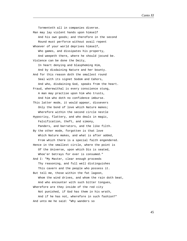Tormenteth all in companies diverse. Man may lay violent hands upon himself And his own goods; and therefore in the second Round must perforce without avail repent Whoever of your world deprives himself, Who games, and dissipates his property, And weepeth there, where he should jocund be. Violence can be done the Deity, In heart denying and blaspheming Him, And by disdaining Nature and her bounty. And for this reason doth the smallest round Seal with its signet Sodom and Cahors, And who, disdaining God, speaks from the heart. Fraud, wherewithal is every conscience stung, A man may practise upon him who trusts, And him who doth no confidence imburse. This latter mode, it would appear, dissevers Only the bond of love which Nature makes; Wherefore within the second circle nestle Hypocrisy, flattery, and who deals in magic, Falsification, theft, and simony, Panders, and barrators, and the like filth. By the other mode, forgotten is that love Which Nature makes, and what is after added, From which there is a special faith engendered. Hence in the smallest circle, where the point is Of the Universe, upon which Dis is seated, Whoe'er betrays for ever is consumed." And I: "My Master, clear enough proceeds Thy reasoning, and full well distinguishes This cavern and the people who possess it. But tell me, those within the fat lagoon, Whom the wind drives, and whom the rain doth beat, And who encounter with such bitter tongues, Wherefore are they inside of the red city Not punished, if God has them in his wrath, And if he has not, wherefore in such fashion?" And unto me he said: "Why wanders so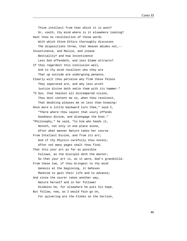Thine intellect from that which it is wont? Or, sooth, thy mind where is it elsewhere looking? Hast thou no recollection of those words With which thine Ethics thoroughly discusses The dispositions three, that Heaven abides not,-- Incontinence, and Malice, and insane Bestiality? and how Incontinence Less God offendeth, and less blame attracts? If thou regardest this conclusion well, And to thy mind recallest who they are That up outside are undergoing penance, Clearly wilt thou perceive why from these felons They separated are, and why less wroth Justice divine doth smite them with its hammer." "O Sun, that healest all distempered vision, Thou dost content me so, when thou resolvest, That doubting pleases me no less than knowing! Once more a little backward turn thee," said I, "There where thou sayest that usury offends Goodness divine, and disengage the knot." "Philosophy," he said, "to him who heeds it, Noteth, not only in one place alone, After what manner Nature takes her course From Intellect Divine, and from its art; And if thy Physics carefully thou notest, After not many pages shalt thou find, That this your art as far as possible Follows, as the disciple doth the master; So that your art is, as it were, God's grandchild. From these two, if thou bringest to thy mind Genesis at the beginning, it behoves Mankind to gain their life and to advance; And since the usurer takes another way, Nature herself and in her follower Disdains he, for elsewhere he puts his hope. But follow, now, as I would fain go on, For quivering are the Fishes on the horizon,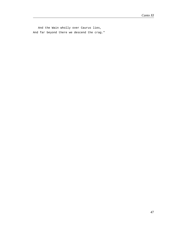And the Wain wholly over Caurus lies, And far beyond there we descend the crag."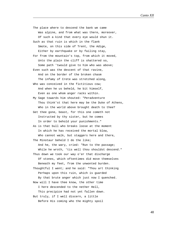The place where to descend the bank we came Was alpine, and from what was there, moreover, Of such a kind that every eye would shun it. Such as that ruin is which in the flank Smote, on this side of Trent, the Adige, Either by earthquake or by failing stay, For from the mountain's top, from which it moved, Unto the plain the cliff is shattered so, Some path 'twould give to him who was above; Even such was the descent of that ravine, And on the border of the broken chasm The infamy of Crete was stretched along, Who was conceived in the fictitious cow; And when he us beheld, he bit himself, Even as one whom anger racks within. My Sage towards him shouted: "Peradventure Thou think'st that here may be the Duke of Athens, Who in the world above brought death to thee? Get thee gone, beast, for this one cometh not Instructed by thy sister, but he comes In order to behold your punishments." As is that bull who breaks loose at the moment In which he has received the mortal blow, Who cannot walk, but staggers here and there, The Minotaur beheld I do the like; And he, the wary, cried: "Run to the passage; While he wroth, 'tis well thou shouldst descend." Thus down we took our way o'er that discharge Of stones, which oftentimes did move themselves Beneath my feet, from the unwonted burden. Thoughtful I went; and he said: "Thou art thinking Perhaps upon this ruin, which is guarded By that brute anger which just now I quenched. Now will I have thee know, the other time I here descended to the nether Hell, This precipice had not yet fallen down. But truly, if I well discern, a little Before His coming who the mighty spoil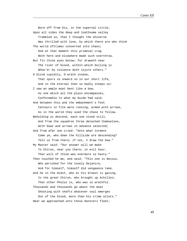Bore off from Dis, in the supernal circle, Upon all sides the deep and loathsome valley Trembled so, that I thought the Universe Was thrilled with love, by which there are who think The world ofttimes converted into chaos; And at that moment this primeval crag Both here and elsewhere made such overthrow. But fix thine eyes below; for draweth near The river of blood, within which boiling is Whoe'er by violence doth injure others." O blind cupidity, O wrath insane, That spurs us onward so in our short life, And in the eternal then so badly steeps us! I saw an ample moat bent like a bow, As one which all the plain encompasses, Conformable to what my Guide had said. And between this and the embankment's foot Centaurs in file were running, armed with arrows, As in the world they used the chase to follow. Beholding us descend, each one stood still, And from the squadron three detached themselves, With bows and arrows in advance selected; And from afar one cried: "Unto what torment Come ye, who down the hillside are descending? Tell us from there; if not, I draw the bow." My Master said: "Our answer will we make To Chiron, near you there; in evil hour, That will of thine was evermore so hasty." Then touched he me, and said: "This one is Nessus, Who perished for the lovely Dejanira, And for himself, himself did vengeance take. And he in the midst, who at his breast is gazing, Is the great Chiron, who brought up Achilles; That other Pholus is, who was so wrathful. Thousands and thousands go about the moat Shooting with shafts whatever soul emerges Out of the blood, more than his crime allots." Near we approached unto those monsters fleet;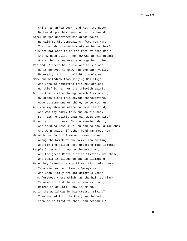Chiron an arrow took, and with the notch Backward upon his jaws he put his beard. After he had uncovered his great mouth, He said to his companions: "Are you ware That he behind moveth whate'er he touches? Thus are not wont to do the feet of dead men." And my good Guide, who now was at his breast, Where the two natures are together joined, Replied: "Indeed he lives, and thus alone Me it behoves to show him the dark valley; Necessity, and not delight, impels us. Some one withdrew from singing Halleluja, Who unto me committed this new office; No thief is he, nor I a thievish spirit. But by that virtue through which I am moving My steps along this savage thoroughfare, Give us some one of thine, to be with us, And who may show us where to pass the ford, And who may carry this one on his back; For 'tis no spirit that can walk the air." Upon his right breast Chiron wheeled about, And said to Nessus: "Turn and do thou guide them, And warn aside, if other band may meet you." We with our faithful escort onward moved Along the brink of the vermilion boiling, Wherein the boiled were uttering loud laments. People I saw within up to the eyebrows, And the great Centaur said: "Tyrants are these, Who dealt in bloodshed and in pillaging. Here they lament their pitiless mischiefs; here Is Alexander, and fierce Dionysius Who upon Sicily brought dolorous years. That forehead there which has the hair so black Is Azzolin; and the other who is blond, Obizzo is of Esti, who, in truth, Up in the world was by his stepson slain." Then turned I to the Poet; and he said,

"Now he be first to thee, and second I."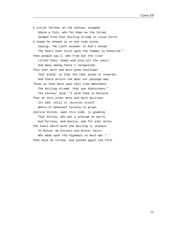A little farther on the Centaur stopped Above a folk, who far down as the throat Seemed from that boiling stream to issue forth. A shade he showed us on one side alone, Saying: "He cleft asunder in God's bosom The heart that still upon the Thames is honoured." Then people saw I, who from out the river Lifted their heads and also all the chest; And many among these I recognised. Thus ever more and more grew shallower That blood, so that the feet alone it covered; And there across the moat our passage was. "Even as thou here upon this side beholdest The boiling stream, that aye diminishes," The Centaur said, "I wish thee to believe That on this other more and more declines Its bed, until it reunites itself Where it behoveth tyranny to groan. Justice divine, upon this side, is goading That Attila, who was a scourge on earth, And Pyrrhus, and Sextus; and for ever milks The tears which with the boiling it unseals In Rinier da Corneto and Rinier Pazzo, Who made upon the highways so much war." Then back he turned, and passed again the ford.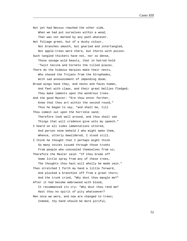Not yet had Nessus reached the other side, When we had put ourselves within a wood, That was not marked by any path whatever. Not foliage green, but of a dusky colour, Not branches smooth, but gnarled and intertangled, Not apple-trees were there, but thorns with poison. Such tangled thickets have not, nor so dense, Those savage wild beasts, that in hatred hold 'Twixt Cecina and Corneto the tilled places. There do the hideous Harpies make their nests, Who chased the Trojans from the Strophades, With sad announcement of impending doom; Broad wings have they, and necks and faces human, And feet with claws, and their great bellies fledged; They make laments upon the wondrous trees. And the good Master: "Ere thou enter farther, Know that thou art within the second round," Thus he began to say, "and shalt be, till Thou comest out upon the horrible sand; Therefore look well around, and thou shalt see Things that will credence give unto my speech." I heard on all sides lamentations uttered, And person none beheld I who might make them, Whence, utterly bewildered, I stood still. I think he thought that I perhaps might think So many voices issued through those trunks From people who concealed themselves from us; Therefore the Master said: "If thou break off Some little spray from any of these trees, The thoughts thou hast will wholly be made vain." Then stretched I forth my hand a little forward, And plucked a branchlet off from a great thorn; And the trunk cried, "Why dost thou mangle me?" After it had become embrowned with blood, It recommenced its cry: "Why dost thou rend me? Hast thou no spirit of pity whatsoever? Men once we were, and now are changed to trees; Indeed, thy hand should be more pitiful,

52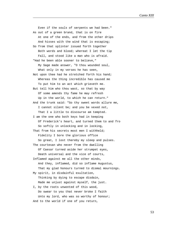Even if the souls of serpents we had been." As out of a green brand, that is on fire At one of the ends, and from the other drips And hisses with the wind that is escaping; So from that splinter issued forth together Both words and blood; whereat I let the tip Fall, and stood like a man who is afraid. "Had he been able sooner to believe," My Sage made answer, "O thou wounded soul, What only in my verses he has seen, Not upon thee had he stretched forth his hand; Whereas the thing incredible has caused me To put him to an act which grieveth me. But tell him who thou wast, so that by way Of some amends thy fame he may refresh Up in the world, to which he can return." And the trunk said: "So thy sweet words allure me, I cannot silent be; and you be vexed not, That I a little to discourse am tempted. I am the one who both keys had in keeping Of Frederick's heart, and turned them to and fro So softly in unlocking and in locking, That from his secrets most men I withheld; Fidelity I bore the glorious office So great, I lost thereby my sleep and pulses. The courtesan who never from the dwelling Of Caesar turned aside her strumpet eyes, Death universal and the vice of courts, Inflamed against me all the other minds, And they, inflamed, did so inflame Augustus, That my glad honours turned to dismal mournings. My spirit, in disdainful exultation, Thinking by dying to escape disdain, Made me unjust against myself, the just. I, by the roots unwonted of this wood, Do swear to you that never broke I faith Unto my lord, who was so worthy of honour;

And to the world if one of you return,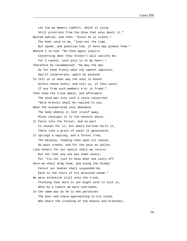Let him my memory comfort, which is lying Still prostrate from the blow that envy dealt it." Waited awhile, and then: "Since he is silent," The Poet said to me, "lose not the time, But speak, and question him, if more may please thee." Whence I to him: "Do thou again inquire Concerning what thou thinks't will satisfy me; For I cannot, such pity is in my heart." Therefore he recommenced: "So may the man Do for thee freely what thy speech implores, Spirit incarcerate, again be pleased To tell us in what way the soul is bound Within these knots; and tell us, if thou canst, If any from such members e'er is freed." Then blew the trunk amain, and afterward The wind was into such a voice converted: "With brevity shall be replied to you. When the exasperated soul abandons The body whence it rent itself away, Minos consigns it to the seventh abyss. It falls into the forest, and no part Is chosen for it; but where Fortune hurls it, There like a grain of spelt it germinates. It springs a sapling, and a forest tree; The Harpies, feeding then upon its leaves, Do pain create, and for the pain an outlet. Like others for our spoils shall we return; But not that any one may them revest, For 'tis not just to have what one casts off. Here we shall drag them, and along the dismal Forest our bodies shall suspended be, Each to the thorn of his molested shade." We were attentive still unto the trunk, Thinking that more it yet might wish to tell us, When by a tumult we were overtaken, In the same way as he is who perceives The boar and chase approaching to his stand,

Who hears the crashing of the beasts and branches;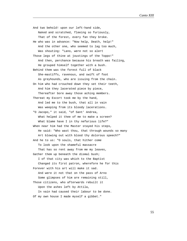And two behold! upon our left-hand side, Naked and scratched, fleeing so furiously, That of the forest, every fan they broke. He who was in advance: "Now help, Death, help!" And the other one, who seemed to lag too much, Was shouting: "Lano, were not so alert Those legs of thine at joustings of the Toppo!" And then, perchance because his breath was failing, He grouped himself together with a bush. Behind them was the forest full of black She-mastiffs, ravenous, and swift of foot As greyhounds, who are issuing from the chain. On him who had crouched down they set their teeth, And him they lacerated piece by piece, Thereafter bore away those aching members. Thereat my Escort took me by the hand, And led me to the bush, that all in vain Was weeping from its bloody lacerations. "O Jacopo," it said, "of Sant' Andrea, What helped it thee of me to make a screen? What blame have I in thy nefarious life?" When near him had the Master stayed his steps, He said: "Who wast thou, that through wounds so many Art blowing out with blood thy dolorous speech?" And he to us: "O souls, that hither come To look upon the shameful massacre That has so rent away from me my leaves, Gather them up beneath the dismal bush; I of that city was which to the Baptist Changed its first patron, wherefore he for this Forever with his art will make it sad. And were it not that on the pass of Arno Some glimpses of him are remaining still, Those citizens, who afterwards rebuilt it Upon the ashes left by Attila, In vain had caused their labour to be done. Of my own house I made myself a gibbet."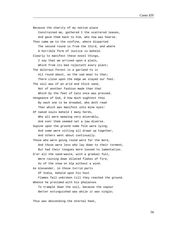Because the charity of my native place Constrained me, gathered I the scattered leaves, And gave them back to him, who now was hoarse. Then came we to the confine, where disparted The second round is from the third, and where A horrible form of Justice is beheld. Clearly to manifest these novel things, I say that we arrived upon a plain, Which from its bed rejecteth every plant; The dolorous forest is a garland to it All round about, as the sad moat to that; There close upon the edge we stayed our feet. The soil was of an arid and thick sand, Not of another fashion made than that Which by the feet of Cato once was pressed. Vengeance of God, O how much oughtest thou By each one to be dreaded, who doth read That which was manifest unto mine eyes! Of naked souls beheld I many herds, Who all were weeping very miserably, And over them seemed set a law diverse. Supine upon the ground some folk were lying; And some were sitting all drawn up together, And others went about continually. Those who were going round were far the more, And those were less who lay down to their torment, But had their tongues more loosed to lamentation. O'er all the sand-waste, with a gradual fall, Were raining down dilated flakes of fire, As of the snow on Alp without a wind. As Alexander, in those torrid parts Of India, beheld upon his host Flames fall unbroken till they reached the ground. Whence he provided with his phalanxes To trample down the soil, because the vapour Better extinguished was while it was single;

Thus was descending the eternal heat,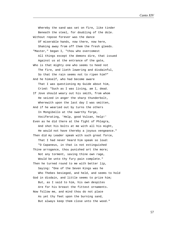Whereby the sand was set on fire, like tinder Beneath the steel, for doubling of the dole. Without repose forever was the dance Of miserable hands, now there, now here, Shaking away from off them the fresh gleeds. "Master," began I, "thou who overcomest All things except the demons dire, that issued Against us at the entrance of the gate, Who is that mighty one who seems to heed not The fire, and lieth lowering and disdainful, So that the rain seems not to ripen him?" And he himself, who had become aware That I was questioning my Guide about him, Cried: "Such as I was living, am I, dead. If Jove should weary out his smith, from whom He seized in anger the sharp thunderbolt, Wherewith upon the last day I was smitten, And if he wearied out by turns the others In Mongibello at the swarthy forge, Vociferating, 'Help, good Vulcan, help!' Even as he did there at the fight of Phlegra, And shot his bolts at me with all his might, He would not have thereby a joyous vengeance." Then did my Leader speak with such great force, That I had never heard him speak so loud: "O Capaneus, in that is not extinguished Thine arrogance, thou punished art the more; Not any torment, saving thine own rage, Would be unto thy fury pain complete." Then he turned round to me with better lip, Saying: "One of the Seven Kings was he Who Thebes besieged, and held, and seems to hold God in disdain, and little seems to prize him; But, as I said to him, his own despites Are for his breast the fittest ornaments. Now follow me, and mind thou do not place As yet thy feet upon the burning sand, But always keep them close unto the wood."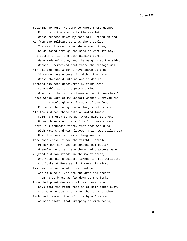Speaking no word, we came to where there gushes Forth from the wood a little rivulet, Whose redness makes my hair still stand on end. As from the Bulicame springs the brooklet, The sinful women later share among them, So downward through the sand it went its way. The bottom of it, and both sloping banks, Were made of stone, and the margins at the side; Whence I perceived that there the passage was. "In all the rest which I have shown to thee Since we have entered in within the gate Whose threshold unto no one is denied, Nothing has been discovered by thine eyes So notable as is the present river, Which all the little flames above it quenches." These words were of my Leader; whence I prayed him That he would give me largess of the food, For which he had given me largess of desire. "In the mid-sea there sits a wasted land," Said he thereafterward, "whose name is Crete, Under whose king the world of old was chaste. There is a mountain there, that once was glad With waters and with leaves, which was called Ida; Now 'tis deserted, as a thing worn out. Rhea once chose it for the faithful cradle Of her own son; and to conceal him better, Whene'er he cried, she there had clamours made. A grand old man stands in the mount erect, Who holds his shoulders turned tow'rds Damietta, And looks at Rome as if it were his mirror. His head is fashioned of refined gold, And of pure silver are the arms and breast; Then he is brass as far down as the fork. From that point downward all is chosen iron, Save that the right foot is of kiln-baked clay, And more he stands on that than on the other. Each part, except the gold, is by a fissure Asunder cleft, that dripping is with tears,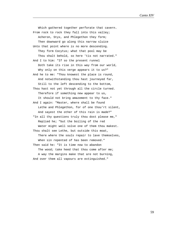Which gathered together perforate that cavern. From rock to rock they fall into this valley; Acheron, Styx, and Phlegethon they form; Then downward go along this narrow sluice Unto that point where is no more descending. They form Cocytus; what that pool may be Thou shalt behold, so here 'tis not narrated." And I to him: "If so the present runnel Doth take its rise in this way from our world, Why only on this verge appears it to us?" And he to me: "Thou knowest the place is round, And notwithstanding thou hast journeyed far, Still to the left descending to the bottom, Thou hast not yet through all the circle turned. Therefore if something new appear to us, It should not bring amazement to thy face." And I again: "Master, where shall be found Lethe and Phlegethon, for of one thou'rt silent, And sayest the other of this rain is made?" "In all thy questions truly thou dost please me," Replied he; "but the boiling of the red Water might well solve one of them thou makest. Thou shalt see Lethe, but outside this moat, There where the souls repair to lave themselves, When sin repented of has been removed." Then said he: "It is time now to abandon The wood; take heed that thou come after me; A way the margins make that are not burning, And over them all vapours are extinguished."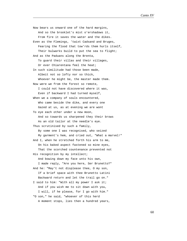Now bears us onward one of the hard margins, And so the brooklet's mist o'ershadows it, From fire it saves the water and the dikes. Even as the Flemings, 'twixt Cadsand and Bruges, Fearing the flood that tow'rds them hurls itself, Their bulwarks build to put the sea to flight; And as the Paduans along the Brenta, To guard their villas and their villages, Or ever Chiarentana feel the heat; In such similitude had those been made, Albeit not so lofty nor so thick, Whoever he might be, the master made them. Now were we from the forest so remote, I could not have discovered where it was, Even if backward I had turned myself, When we a company of souls encountered, Who came beside the dike, and every one Gazed at us, as at evening we are wont To eye each other under a new moon, And so towards us sharpened they their brows As an old tailor at the needle's eye. Thus scrutinised by such a family, By some one I was recognised, who seized My garment's hem, and cried out, "What a marvel!" And I, when he stretched forth his arm to me, On his baked aspect fastened so mine eyes, That the scorched countenance prevented not His recognition by my intellect; And bowing down my face unto his own, I made reply, "Are you here, Ser Brunetto?" And he: "May't not displease thee, O my son, If a brief space with thee Brunetto Latini Backward return and let the trail go on." I said to him: "With all my power I ask it; And if you wish me to sit down with you, I will, if he please, for I go with him." "O son," he said, "whoever of this herd A moment stops, lies then a hundred years,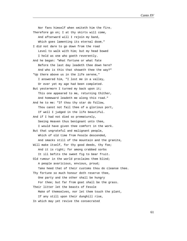Nor fans himself when smiteth him the fire. Therefore go on; I at thy skirts will come, And afterward will I rejoin my band, Which goes lamenting its eternal doom." I did not dare to go down from the road Level to walk with him; but my head bowed I held as one who goeth reverently. And he began: "What fortune or what fate Before the last day leadeth thee down here? And who is this that showeth thee the way?" "Up there above us in the life serene," I answered him, "I lost me in a valley, Or ever yet my age had been completed. But yestermorn I turned my back upon it; This one appeared to me, returning thither, And homeward leadeth me along this road." And he to me: "If thou thy star do follow, Thou canst not fail thee of a glorious port, If well I judged in the life beautiful. And if I had not died so prematurely, Seeing Heaven thus benignant unto thee, I would have given thee comfort in the work. But that ungrateful and malignant people, Which of old time from Fesole descended, And smacks still of the mountain and the granite, Will make itself, for thy good deeds, thy foe; And it is right; for among crabbed sorbs It ill befits the sweet fig to bear fruit. Old rumour in the world proclaims them blind; A people avaricious, envious, proud; Take heed that of their customs thou do cleanse thee. Thy fortune so much honour doth reserve thee, One party and the other shall be hungry For thee; but far from goat shall be the grass. Their litter let the beasts of Fesole Make of themselves, nor let them touch the plant, If any still upon their dunghill rise, In which may yet revive the consecrated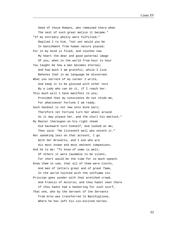Seed of those Romans, who remained there when The nest of such great malice it became." "If my entreaty wholly were fulfilled," Replied I to him, "not yet would you be In banishment from human nature placed; For in my mind is fixed, and touches now My heart the dear and good paternal image Of you, when in the world from hour to hour You taught me how a man becomes eternal; And how much I am grateful, while I live Behoves that in my language be discerned. What you narrate of my career I write, And keep it to be glossed with other text By a Lady who can do it, if I reach her. This much will I have manifest to you; Provided that my conscience do not chide me, For whatsoever Fortune I am ready. Such handsel is not new unto mine ears; Therefore let Fortune turn her wheel around As it may please her, and the churl his mattock." My Master thereupon on his right cheek Did backward turn himself, and looked at me; Then said: "He listeneth well who noteth it." Nor speaking less on that account, I go With Ser Brunetto, and I ask who are His most known and most eminent companions. And he to me: "To know of some is well; Of others it were laudable to be silent, For short would be the time for so much speech. Know them in sum, that all of them were clerks, And men of letters great and of great fame, In the world tainted with the selfsame sin. Priscian goes yonder with that wretched crowd, And Francis of Accorso; and thou hadst seen there If thou hadst had a hankering for such scurf, That one, who by the Servant of the Servants From Arno was transferred to Bacchiglione, Where he has left his sin-excited nerves.

62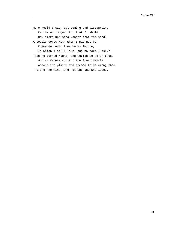More would I say, but coming and discoursing Can be no longer; for that I behold New smoke uprising yonder from the sand. A people comes with whom I may not be; Commended unto thee be my Tesoro, In which I still live, and no more I ask." Then he turned round, and seemed to be of those Who at Verona run for the Green Mantle Across the plain; and seemed to be among them The one who wins, and not the one who loses.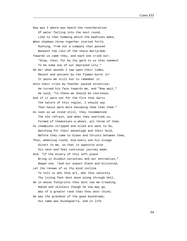*Canto XVI*

Now was I where was heard the reverberation Of water falling into the next round, Like to that humming which the beehives make, When shadows three together started forth, Running, from out a company that passed Beneath the rain of the sharp martyrdom. Towards us came they, and each one cried out: "Stop, thou; for by thy garb to us thou seemest To be some one of our depraved city." Ah me! what wounds I saw upon their limbs, Recent and ancient by the flames burnt in! It pains me still but to remember it. Unto their cries my Teacher paused attentive; He turned his face towards me, and "Now wait," He said; "to these we should be courteous. And if it were not for the fire that darts The nature of this region, I should say That haste were more becoming thee than them." As soon as we stood still, they recommenced The old refrain, and when they overtook us, Formed of themselves a wheel, all three of them. As champions stripped and oiled are wont to do, Watching for their advantage and their hold, Before they come to blows and thrusts between them, Thus, wheeling round, did every one his visage Direct to me, so that in opposite wise His neck and feet continual journey made. And, "If the misery of this soft place Bring in disdain ourselves and our entreaties," Began one, "and our aspect black and blistered, Let the renown of us thy mind incline To tell us who thou art, who thus securely Thy living feet dost move along through Hell. He in whose footprints thou dost see me treading, Naked and skinless though he now may go, Was of a greater rank than thou dost think; He was the grandson of the good Gualdrada; His name was Guidoguerra, and in life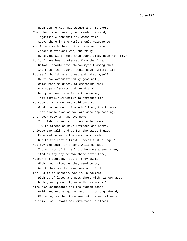Much did he with his wisdom and his sword. The other, who close by me treads the sand, Tegghiaio Aldobrandi is, whose fame Above there in the world should welcome be. And I, who with them on the cross am placed, Jacopo Rusticucci was; and truly My savage wife, more than aught else, doth harm me." Could I have been protected from the fire, Below I should have thrown myself among them, And think the Teacher would have suffered it; But as I should have burned and baked myself, My terror overmastered my good will, Which made me greedy of embracing them. Then I began: "Sorrow and not disdain Did your condition fix within me so, That tardily it wholly is stripped off, As soon as this my Lord said unto me Words, on account of which I thought within me That people such as you are were approaching. I of your city am; and evermore Your labours and your honourable names I with affection have retraced and heard. I leave the gall, and go for the sweet fruits Promised to me by the veracious Leader; But to the centre first I needs must plunge." "So may the soul for a long while conduct Those limbs of thine," did he make answer then, "And so may thy renown shine after thee, Valour and courtesy, say if they dwell Within our city, as they used to do, Or if they wholly have gone out of it; For Guglielmo Borsier, who is in torment With us of late, and goes there with his comrades, Doth greatly mortify us with his words." "The new inhabitants and the sudden gains, Pride and extravagance have in thee engendered, Florence, so that thou weep'st thereat already!" In this wise I exclaimed with face uplifted;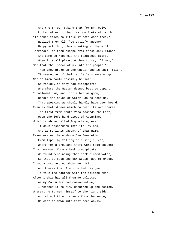And the three, taking that for my reply, Looked at each other, as one looks at truth. "If other times so little it doth cost thee," Replied they all, "to satisfy another, Happy art thou, thus speaking at thy will! Therefore, if thou escape from these dark places, And come to rebehold the beauteous stars, When it shall pleasure thee to say, 'I was,' See that thou speak of us unto the people." Then they broke up the wheel, and in their flight It seemed as if their agile legs were wings. Not an Amen could possibly be said So rapidly as they had disappeared; Wherefore the Master deemed best to depart. I followed him, and little had we gone, Before the sound of water was so near us, That speaking we should hardly have been heard. Even as that stream which holdeth its own course The first from Monte Veso tow'rds the East, Upon the left-hand slope of Apennine, Which is above called Acquacheta, ere It down descendeth into its low bed, And at Forli is vacant of that name, Reverberates there above San Benedetto From Alps, by falling at a single leap, Where for a thousand there were room enough; Thus downward from a bank precipitate, We found resounding that dark-tinted water, So that it soon the ear would have offended. I had a cord around about me girt, And therewithal I whilom had designed To take the panther with the painted skin. After I this had all from me unloosed, As my Conductor had commanded me, I reached it to him, gathered up and coiled, Whereat he turned himself to the right side, And at a little distance from the verge, He cast it down into that deep abyss.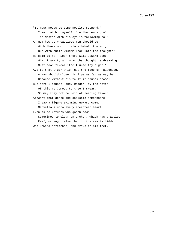"It must needs be some novelty respond," I said within myself, "to the new signal The Master with his eye is following so." Ah me! how very cautious men should be With those who not alone behold the act, But with their wisdom look into the thoughts! He said to me: "Soon there will upward come What I await; and what thy thought is dreaming Must soon reveal itself unto thy sight." Aye to that truth which has the face of falsehood, A man should close his lips as far as may be, Because without his fault it causes shame; But here I cannot; and, Reader, by the notes Of this my Comedy to thee I swear, So may they not be void of lasting favour, Athwart that dense and darksome atmosphere I saw a figure swimming upward come, Marvellous unto every steadfast heart, Even as he returns who goeth down Sometimes to clear an anchor, which has grappled Reef, or aught else that in the sea is hidden, Who upward stretches, and draws in his feet.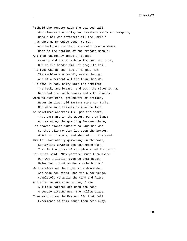"Behold the monster with the pointed tail, Who cleaves the hills, and breaketh walls and weapons, Behold him who infecteth all the world." Thus unto me my Guide began to say, And beckoned him that he should come to shore, Near to the confine of the trodden marble; And that uncleanly image of deceit Came up and thrust ashore its head and bust, But on the border did not drag its tail. The face was as the face of a just man, Its semblance outwardly was so benign, And of a serpent all the trunk beside. Two paws it had, hairy unto the armpits; The back, and breast, and both the sides it had Depicted o'er with nooses and with shields. With colours more, groundwork or broidery Never in cloth did Tartars make nor Turks, Nor were such tissues by Arachne laid. As sometimes wherries lie upon the shore, That part are in the water, part on land; And as among the guzzling Germans there, The beaver plants himself to wage his war; So that vile monster lay upon the border, Which is of stone, and shutteth in the sand. His tail was wholly quivering in the void, Contorting upwards the envenomed fork, That in the guise of scorpion armed its point. The Guide said: "Now perforce must turn aside Our way a little, even to that beast Malevolent, that yonder coucheth him." We therefore on the right side descended, And made ten steps upon the outer verge, Completely to avoid the sand and flame; And after we are come to him, I see A little farther off upon the sand A people sitting near the hollow place. Then said to me the Master: "So that full Experience of this round thou bear away,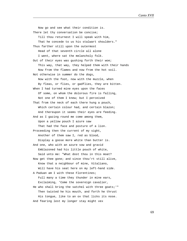Now go and see what their condition is. There let thy conversation be concise; Till thou returnest I will speak with him, That he concede to us his stalwart shoulders." Thus farther still upon the outermost Head of that seventh circle all alone I went, where sat the melancholy folk. Out of their eyes was gushing forth their woe; This way, that way, they helped them with their hands Now from the flames and now from the hot soil. Not otherwise in summer do the dogs, Now with the foot, now with the muzzle, when By fleas, or flies, or gadflies, they are bitten. When I had turned mine eyes upon the faces Of some, on whom the dolorous fire is falling, Not one of them I knew; but I perceived That from the neck of each there hung a pouch, Which certain colour had, and certain blazon; And thereupon it seems their eyes are feeding. And as I gazing round me come among them, Upon a yellow pouch I azure saw That had the face and posture of a lion. Proceeding then the current of my sight, Another of them saw I, red as blood, Display a goose more white than butter is. And one, who with an azure sow and gravid Emblazoned had his little pouch of white, Said unto me: "What dost thou in this moat? Now get thee gone; and since thou'rt still alive, Know that a neighbour of mine, Vitaliano, Will have his seat here on my left-hand side. A Paduan am I with these Florentines; Full many a time they thunder in mine ears, Exclaiming, 'Come the sovereign cavalier, He who shall bring the satchel with three goats;'" Then twisted he his mouth, and forth he thrust His tongue, like to an ox that licks its nose. And fearing lest my longer stay might vex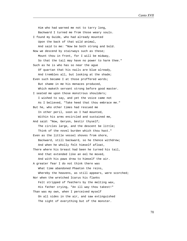Him who had warned me not to tarry long, Backward I turned me from those weary souls. I found my Guide, who had already mounted Upon the back of that wild animal, And said to me: "Now be both strong and bold. Now we descend by stairways such as these; Mount thou in front, for I will be midway, So that the tail may have no power to harm thee." Such as he is who has so near the ague Of quartan that his nails are blue already, And trembles all, but looking at the shade; Even such became I at those proffered words; But shame in me his menaces produced, Which maketh servant strong before good master. I seated me upon those monstrous shoulders; I wished to say, and yet the voice came not As I believed, "Take heed that thou embrace me." But he, who other times had rescued me In other peril, soon as I had mounted, Within his arms encircled and sustained me, And said: "Now, Geryon, bestir thyself; The circles large, and the descent be little; Think of the novel burden which thou hast." Even as the little vessel shoves from shore, Backward, still backward, so he thence withdrew; And when he wholly felt himself afloat, There where his breast had been he turned his tail, And that extended like an eel he moved, And with his paws drew to himself the air. A greater fear I do not think there was What time abandoned Phaeton the reins, Whereby the heavens, as still appears, were scorched; Nor when the wretched Icarus his flanks Felt stripped of feathers by the melting wax, His father crying, "An ill way thou takest!" Than was my own, when I perceived myself On all sides in the air, and saw extinguished The sight of everything but of the monster.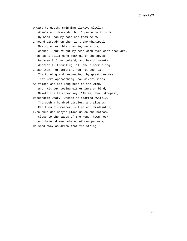Onward he goeth, swimming slowly, slowly; Wheels and descends, but I perceive it only By wind upon my face and from below. I heard already on the right the whirlpool Making a horrible crashing under us; Whence I thrust out my head with eyes cast downward. Then was I still more fearful of the abyss; Because I fires beheld, and heard laments, Whereat I, trembling, all the closer cling. I saw then, for before I had not seen it, The turning and descending, by great horrors That were approaching upon divers sides. As falcon who has long been on the wing, Who, without seeing either lure or bird, Maketh the falconer say, "Ah me, thou stoopest," Descendeth weary, whence he started swiftly, Thorough a hundred circles, and alights Far from his master, sullen and disdainful; Even thus did Geryon place us on the bottom, Close to the bases of the rough-hewn rock, And being disencumbered of our persons, He sped away as arrow from the string.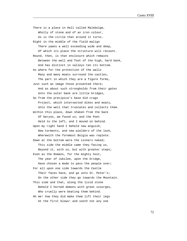There is a place in Hell called Malebolge, Wholly of stone and of an iron colour, As is the circle that around it turns. Right in the middle of the field malign There yawns a well exceeding wide and deep, Of which its place the structure will recount. Round, then, is that enclosure which remains Between the well and foot of the high, hard bank, And has distinct in valleys ten its bottom. As where for the protection of the walls Many and many moats surround the castles, The part in which they are a figure forms, Just such an image those presented there; And as about such strongholds from their gates Unto the outer bank are little bridges, So from the precipice's base did crags Project, which intersected dikes and moats, Unto the well that truncates and collects them. Within this place, down shaken from the back Of Geryon, we found us; and the Poet Held to the left, and I moved on behind. Upon my right hand I beheld new anguish, New torments, and new wielders of the lash, Wherewith the foremost Bolgia was replete. Down at the bottom were the sinners naked; This side the middle came they facing us, Beyond it, with us, but with greater steps; Even as the Romans, for the mighty host, The year of Jubilee, upon the bridge, Have chosen a mode to pass the people over; For all upon one side towards the Castle Their faces have, and go unto St. Peter's; On the other side they go towards the Mountain. This side and that, along the livid stone Beheld I horned demons with great scourges, Who cruelly were beating them behind. Ah me! how they did make them lift their legs At the first blows! and sooth not any one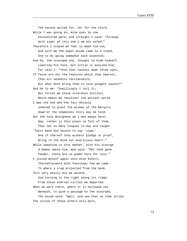The second waited for, nor for the third. While I was going on, mine eyes by one Encountered were; and straight I said: "Already With sight of this one I am not unfed." Therefore I stayed my feet to make him out, And with me the sweet Guide came to a stand, And to my going somewhat back assented; And he, the scourged one, thought to hide himself, Lowering his face, but little it availed him; For said I: "Thou that castest down thine eyes, If false are not the features which thou bearest, Thou art Venedico Caccianimico; But what doth bring thee to such pungent sauces?" And he to me: "Unwillingly I tell it; But forces me thine utterance distinct, Which makes me recollect the ancient world. I was the one who the fair Ghisola Induced to grant the wishes of the Marquis, Howe'er the shameless story may be told. Not the sole Bolognese am I who weeps here; Nay, rather is this place so full of them, That not so many tongues to-day are taught 'Twixt Reno and Savena to say 'sipa;' And if thereof thou wishest pledge or proof, Bring to thy mind our avaricious heart." While speaking in this manner, with his scourge A demon smote him, and said: "Get thee gone Pander, there are no women here for coin." I joined myself again unto mine Escort; Thereafterward with footsteps few we came To where a crag projected from the bank. This very easily did we ascend, And turning to the right along its ridge, From those eternal circles we departed. When we were there, where it is hollowed out Beneath, to give a passage to the scourged, The Guide said: "Wait, and see that on thee strike The vision of those others evil-born,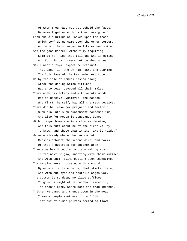Of whom thou hast not yet beheld the faces, Because together with us they have gone." From the old bridge we looked upon the train Which tow'rds us came upon the other border, And which the scourges in like manner smite. And the good Master, without my inquiring, Said to me: "See that tall one who is coming, And for his pain seems not to shed a tear; Still what a royal aspect he retains! That Jason is, who by his heart and cunning The Colchians of the Ram made destitute. He by the isle of Lemnos passed along After the daring women pitiless Had unto death devoted all their males. There with his tokens and with ornate words Did he deceive Hypsipyle, the maiden Who first, herself, had all the rest deceived. There did he leave her pregnant and forlorn; Such sin unto such punishment condemns him, And also for Medea is vengeance done. With him go those who in such wise deceive; And this sufficient be of the first valley To know, and those that in its jaws it holds." We were already where the narrow path Crosses athwart the second dike, and forms Of that a buttress for another arch. Thence we heard people, who are making moan In the next Bolgia, snorting with their muzzles, And with their palms beating upon themselves The margins were incrusted with a mould By exhalation from below, that sticks there, And with the eyes and nostrils wages war. The bottom is so deep, no place suffices To give us sight of it, without ascending The arch's back, where most the crag impends. Thither we came, and thence down in the moat I saw a people smothered in a filth That out of human privies seemed to flow;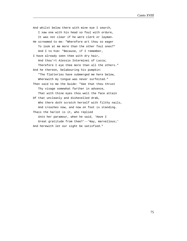And whilst below there with mine eye I search, I saw one with his head so foul with ordure, It was not clear if he were clerk or layman. He screamed to me: "Wherefore art thou so eager To look at me more than the other foul ones?" And I to him: "Because, if I remember, I have already seen thee with dry hair, And thou'rt Alessio Interminei of Lucca; Therefore I eye thee more than all the others." And he thereon, belabouring his pumpkin: "The flatteries have submerged me here below, Wherewith my tongue was never surfeited." Then said to me the Guide: "See that thou thrust Thy visage somewhat farther in advance, That with thine eyes thou well the face attain Of that uncleanly and dishevelled drab, Who there doth scratch herself with filthy nails, And crouches now, and now on foot is standing. Thais the harlot is it, who replied Unto her paramour, when he said, 'Have I Great gratitude from thee?'--'Nay, marvellous;' And herewith let our sight be satisfied."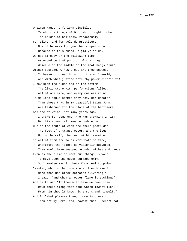O Simon Magus, O forlorn disciples, Ye who the things of God, which ought to be The brides of holiness, rapaciously For silver and for gold do prostitute, Now it behoves for you the trumpet sound, Because in this third Bolgia ye abide. We had already on the following tomb Ascended to that portion of the crag Which o'er the middle of the moat hangs plumb. Wisdom supreme, O how great art thou showest In heaven, in earth, and in the evil world, And with what justice doth thy power distribute! I saw upon the sides and on the bottom The livid stone with perforations filled, All of one size, and every one was round. To me less ample seemed they not, nor greater Than those that in my beautiful Saint John Are fashioned for the place of the baptisers, And one of which, not many years ago, I broke for some one, who was drowning in it; Be this a seal all men to undeceive. Out of the mouth of each one there protruded The feet of a transgressor, and the legs Up to the calf, the rest within remained. In all of them the soles were both on fire; Wherefore the joints so violently quivered, They would have snapped asunder withes and bands. Even as the flame of unctuous things is wont To move upon the outer surface only, So likewise was it there from heel to point. "Master, who is that one who writhes himself, More than his other comrades quivering," I said, "and whom a redder flame is sucking?" And he to me: "If thou wilt have me bear thee Down there along that bank which lowest lies, From him thou'lt know his errors and himself." And I: "What pleases thee, to me is pleasing; Thou art my Lord, and knowest that I depart not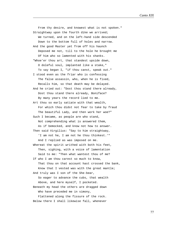From thy desire, and knowest what is not spoken." Straightway upon the fourth dike we arrived; We turned, and on the left-hand side descended Down to the bottom full of holes and narrow. And the good Master yet from off his haunch Deposed me not, till to the hole he brought me Of him who so lamented with his shanks. "Whoe'er thou art, that standest upside down, O doleful soul, implanted like a stake," To say began I, "if thou canst, speak out." I stood even as the friar who is confessing The false assassin, who, when he is fixed, Recalls him, so that death may be delayed. And he cried out: "Dost thou stand there already, Dost thou stand there already, Boniface? By many years the record lied to me. Art thou so early satiate with that wealth, For which thou didst not fear to take by fraud The beautiful Lady, and then work her woe?" Such I became, as people are who stand, Not comprehending what is answered them, As if bemocked, and know not how to answer. Then said Virgilius: "Say to him straightway, 'I am not he, I am not he thou thinkest.'" And I replied as was imposed on me. Whereat the spirit writhed with both his feet, Then, sighing, with a voice of lamentation Said to me: "Then what wantest thou of me? If who I am thou carest so much to know, That thou on that account hast crossed the bank, Know that I vested was with the great mantle; And truly was I son of the She-bear, So eager to advance the cubs, that wealth Above, and here myself, I pocketed. Beneath my head the others are dragged down Who have preceded me in simony, Flattened along the fissure of the rock. Below there I shall likewise fall, whenever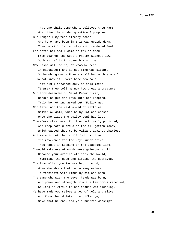That one shall come who I believed thou wast, What time the sudden question I proposed. But longer I my feet already toast, And here have been in this way upside down, Than he will planted stay with reddened feet; For after him shall come of fouler deed From tow'rds the west a Pastor without law, Such as befits to cover him and me. New Jason will he be, of whom we read In Maccabees; and as his king was pliant, So he who governs France shall be to this one." I do not know if I were here too bold, That him I answered only in this metre: "I pray thee tell me now how great a treasure Our Lord demanded of Saint Peter first, Before he put the keys into his keeping? Truly he nothing asked but 'Follow me.' Nor Peter nor the rest asked of Matthias Silver or gold, when he by lot was chosen Unto the place the guilty soul had lost. Therefore stay here, for thou art justly punished, And keep safe guard o'er the ill-gotten money, Which caused thee to be valiant against Charles. And were it not that still forbids it me The reverence for the keys superlative Thou hadst in keeping in the gladsome life, I would make use of words more grievous still; Because your avarice afflicts the world, Trampling the good and lifting the depraved. The Evangelist you Pastors had in mind, When she who sitteth upon many waters To fornicate with kings by him was seen; The same who with the seven heads was born, And power and strength from the ten horns received, So long as virtue to her spouse was pleasing. Ye have made yourselves a god of gold and silver; And from the idolater how differ ye, Save that he one, and ye a hundred worship?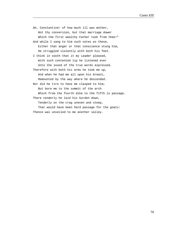Ah, Constantine! of how much ill was mother, Not thy conversion, but that marriage dower Which the first wealthy Father took from thee!" And while I sang to him such notes as these, Either that anger or that conscience stung him, He struggled violently with both his feet. I think in sooth that it my Leader pleased, With such contented lip he listened ever Unto the sound of the true words expressed. Therefore with both his arms he took me up, And when he had me all upon his breast, Remounted by the way where he descended. Nor did he tire to have me clasped to him; But bore me to the summit of the arch Which from the fourth dike to the fifth is passage. There tenderly he laid his burden down, Tenderly on the crag uneven and steep, That would have been hard passage for the goats: Thence was unveiled to me another valley.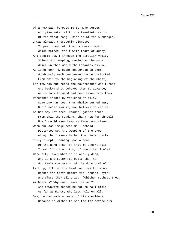Of a new pain behoves me to make verses And give material to the twentieth canto Of the first song, which is of the submerged. I was already thoroughly disposed To peer down into the uncovered depth, Which bathed itself with tears of agony; And people saw I through the circular valley, Silent and weeping, coming at the pace Which in this world the Litanies assume. As lower down my sight descended on them, Wondrously each one seemed to be distorted From chin to the beginning of the chest; For tow'rds the reins the countenance was turned, And backward it behoved them to advance, As to look forward had been taken from them. Perchance indeed by violence of palsy Some one has been thus wholly turned awry; But I ne'er saw it, nor believe it can be. As God may let thee, Reader, gather fruit From this thy reading, think now for thyself How I could ever keep my face unmoistened, When our own image near me I beheld Distorted so, the weeping of the eyes Along the fissure bathed the hinder parts. Truly I wept, leaning upon a peak Of the hard crag, so that my Escort said To me: "Art thou, too, of the other fools? Here pity lives when it is wholly dead; Who is a greater reprobate than he Who feels compassion at the doom divine? Lift up, lift up thy head, and see for whom Opened the earth before the Thebans' eyes; Wherefore they all cried: 'Whither rushest thou, Amphiaraus? Why dost leave the war?' And downward ceased he not to fall amain As far as Minos, who lays hold on all. See, he has made a bosom of his shoulders! Because he wished to see too far before him

80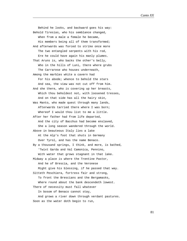Behind he looks, and backward goes his way: Behold Tiresias, who his semblance changed, When from a male a female he became, His members being all of them transformed; And afterwards was forced to strike once more The two entangled serpents with his rod, Ere he could have again his manly plumes. That Aruns is, who backs the other's belly, Who in the hills of Luni, there where grubs The Carrarese who houses underneath, Among the marbles white a cavern had For his abode; whence to behold the stars And sea, the view was not cut off from him. And she there, who is covering up her breasts, Which thou beholdest not, with loosened tresses, And on that side has all the hairy skin, Was Manto, who made quest through many lands, Afterwards tarried there where I was born; Whereof I would thou list to me a little. After her father had from life departed, And the city of Bacchus had become enslaved, She a long season wandered through the world. Above in beauteous Italy lies a lake At the Alp's foot that shuts in Germany Over Tyrol, and has the name Benaco. By a thousand springs, I think, and more, is bathed, 'Twixt Garda and Val Camonica, Pennino, With water that grows stagnant in that lake. Midway a place is where the Trentine Pastor, And he of Brescia, and the Veronese Might give his blessing, if he passed that way. Sitteth Peschiera, fortress fair and strong, To front the Brescians and the Bergamasks, Where round about the bank descendeth lowest. There of necessity must fall whatever In bosom of Benaco cannot stay, And grows a river down through verdant pastures. Soon as the water doth begin to run,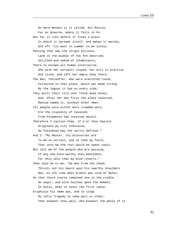No more Benaco is it called, but Mincio, Far as Governo, where it falls in Po. Not far it runs before it finds a plain In which it spreads itself, and makes it marshy, And oft 'tis wont in summer to be sickly. Passing that way the virgin pitiless Land in the middle of the fen descried, Untilled and naked of inhabitants; There to escape all human intercourse, She with her servants stayed, her arts to practise And lived, and left her empty body there. The men, thereafter, who were scattered round, Collected in that place, which was made strong By the lagoon it had on every side; They built their city over those dead bones, And, after her who first the place selected, Mantua named it, without other omen. Its people once within more crowded were, Ere the stupidity of Casalodi From Pinamonte had received deceit. Therefore I caution thee, if e'er thou hearest Originate my city otherwise, No falsehood may the verity defraud." And I: "My Master, thy discourses are To me so certain, and so take my faith, That unto me the rest would be spent coals. But tell me of the people who are passing, If any one note-worthy thou beholdest, For only unto that my mind reverts." Then said he to me: "He who from the cheek Thrusts out his beard upon his swarthy shoulders Was, at the time when Greece was void of males, So that there scarce remained one in the cradle, An augur, and with Calchas gave the moment, In Aulis, when to sever the first cable. Eryphylus his name was, and so sings My lofty Tragedy in some part or other; That knowest thou well, who knowest the whole of it.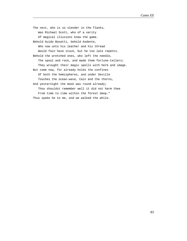The next, who is so slender in the flanks, Was Michael Scott, who of a verity Of magical illusions knew the game. Behold Guido Bonatti, behold Asdente, Who now unto his leather and his thread Would fain have stuck, but he too late repents. Behold the wretched ones, who left the needle, The spool and rock, and made them fortune-tellers; They wrought their magic spells with herb and image. But come now, for already holds the confines Of both the hemispheres, and under Seville Touches the ocean-wave, Cain and the thorns, And yesternight the moon was round already; Thou shouldst remember well it did not harm thee From time to time within the forest deep." Thus spake he to me, and we walked the while.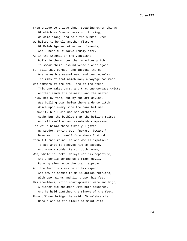From bridge to bridge thus, speaking other things Of which my Comedy cares not to sing, We came along, and held the summit, when We halted to behold another fissure Of Malebolge and other vain laments; And I beheld it marvellously dark. As in the Arsenal of the Venetians Boils in the winter the tenacious pitch To smear their unsound vessels o'er again, For sail they cannot; and instead thereof One makes his vessel new, and one recaulks The ribs of that which many a voyage has made; One hammers at the prow, one at the stern, This one makes oars, and that one cordage twists, Another mends the mainsail and the mizzen; Thus, not by fire, but by the art divine, Was boiling down below there a dense pitch Which upon every side the bank belimed. I saw it, but I did not see within it Aught but the bubbles that the boiling raised, And all swell up and resubside compressed. The while below there fixedly I gazed, My Leader, crying out: "Beware, beware!" Drew me unto himself from where I stood. Then I turned round, as one who is impatient To see what it behoves him to escape, And whom a sudden terror doth unman, Who, while he looks, delays not his departure; And I beheld behind us a black devil, Running along upon the crag, approach. Ah, how ferocious was he in his aspect! And how he seemed to me in action ruthless, With open wings and light upon his feet! His shoulders, which sharp-pointed were and high, A sinner did encumber with both haunches, And he held clutched the sinews of the feet. From off our bridge, he said: "O Malebranche, Behold one of the elders of Saint Zita;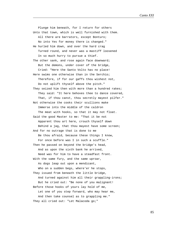Plunge him beneath, for I return for others Unto that town, which is well furnished with them. All there are barrators, except Bonturo; No into Yes for money there is changed." He hurled him down, and over the hard crag Turned round, and never was a mastiff loosened In so much hurry to pursue a thief. The other sank, and rose again face downward; But the demons, under cover of the bridge, Cried: "Here the Santo Volto has no place! Here swims one otherwise than in the Serchio; Therefore, if for our gaffs thou wishest not, Do not uplift thyself above the pitch." They seized him then with more than a hundred rakes; They said: "It here behoves thee to dance covered, That, if thou canst, thou secretly mayest pilfer." Not otherwise the cooks their scullions make Immerse into the middle of the caldron The meat with hooks, so that it may not float. Said the good Master to me: "That it be not Apparent thou art here, crouch thyself down Behind a jag, that thou mayest have some screen; And for no outrage that is done to me Be thou afraid, because these things I know, For once before was I in such a scuffle." Then he passed on beyond the bridge's head, And as upon the sixth bank he arrived, Need was for him to have a steadfast front. With the same fury, and the same uproar, As dogs leap out upon a mendicant, Who on a sudden begs, where'er he stops, They issued from beneath the little bridge, And turned against him all their grappling-irons; But he cried out: "Be none of you malignant! Before those hooks of yours lay hold of me, Let one of you step forward, who may hear me, And then take counsel as to grappling me." They all cried out: "Let Malacoda go;"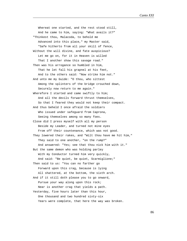Whereat one started, and the rest stood still, And he came to him, saying: "What avails it?" "Thinkest thou, Malacoda, to behold me Advanced into this place," my Master said, "Safe hitherto from all your skill of fence, Without the will divine, and fate auspicious? Let me go on, for it in Heaven is willed That I another show this savage road." Then was his arrogance so humbled in him, That he let fall his grapnel at his feet, And to the others said: "Now strike him not." And unto me my Guide: "O thou, who sittest Among the splinters of the bridge crouched down, Securely now return to me again." Wherefore I started and came swiftly to him; And all the devils forward thrust themselves, So that I feared they would not keep their compact. And thus beheld I once afraid the soldiers Who issued under safeguard from Caprona, Seeing themselves among so many foes. Close did I press myself with all my person Beside my Leader, and turned not mine eyes From off their countenance, which was not good. They lowered their rakes, and "Wilt thou have me hit him," They said to one another, "on the rump?" And answered: "Yes; see that thou nick him with it." But the same demon who was holding parley With my Conductor turned him very quickly, And said: "Be quiet, be quiet, Scarmiglione;" Then said to us: "You can no farther go Forward upon this crag, because is lying All shattered, at the bottom, the sixth arch. And if it still doth please you to go onward, Pursue your way along upon this rock; Near is another crag that yields a path. Yesterday, five hours later than this hour, One thousand and two hundred sixty-six Years were complete, that here the way was broken.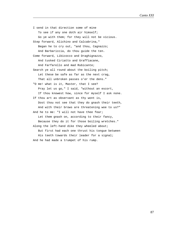*Canto XXI*

I send in that direction some of mine To see if any one doth air himself; Go ye with them; for they will not be vicious. Step forward, Alichino and Calcabrina," Began he to cry out, "and thou, Cagnazzo; And Barbariccia, do thou guide the ten. Come forward, Libicocco and Draghignazzo, And tusked Ciriatto and Graffiacane, And Farfarello and mad Rubicante; Search ye all round about the boiling pitch; Let these be safe as far as the next crag, That all unbroken passes o'er the dens." "O me! what is it, Master, that I see? Pray let us go," I said, "without an escort, If thou knowest how, since for myself I ask none. If thou art as observant as thy wont is, Dost thou not see that they do gnash their teeth, And with their brows are threatening woe to us?" And he to me: "I will not have thee fear; Let them gnash on, according to their fancy, Because they do it for those boiling wretches." Along the left-hand dike they wheeled about; But first had each one thrust his tongue between His teeth towards their leader for a signal; And he had made a trumpet of his rump.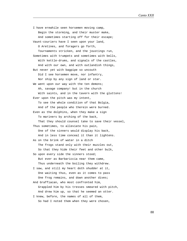I have erewhile seen horsemen moving camp, Begin the storming, and their muster make, And sometimes starting off for their escape; Vaunt-couriers have I seen upon your land, O Aretines, and foragers go forth, Tournaments stricken, and the joustings run, Sometimes with trumpets and sometimes with bells, With kettle-drums, and signals of the castles, And with our own, and with outlandish things, But never yet with bagpipe so uncouth Did I see horsemen move, nor infantry, Nor ship by any sign of land or star. We went upon our way with the ten demons; Ah, savage company! but in the church With saints, and in the tavern with the gluttons! Ever upon the pitch was my intent, To see the whole condition of that Bolgia, And of the people who therein were burned. Even as the dolphins, when they make a sign To mariners by arching of the back, That they should counsel take to save their vessel, Thus sometimes, to alleviate his pain, One of the sinners would display his back, And in less time conceal it than it lightens. As on the brink of water in a ditch The frogs stand only with their muzzles out, So that they hide their feet and other bulk, So upon every side the sinners stood; But ever as Barbariccia near them came, Thus underneath the boiling they withdrew. I saw, and still my heart doth shudder at it, One waiting thus, even as it comes to pass One frog remains, and down another dives; And Graffiacan, who most confronted him, Grappled him by his tresses smeared with pitch, And drew him up, so that he seemed an otter. I knew, before, the names of all of them, So had I noted them when they were chosen,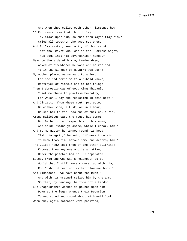And when they called each other, listened how. "O Rubicante, see that thou do lay Thy claws upon him, so that thou mayst flay him," Cried all together the accursed ones. And I: "My Master, see to it, if thou canst, That thou mayst know who is the luckless wight, Thus come into his adversaries' hands." Near to the side of him my Leader drew, Asked of him whence he was; and he replied: "I in the kingdom of Navarre was born; My mother placed me servant to a lord, For she had borne me to a ribald knave, Destroyer of himself and of his things. Then I domestic was of good King Thibault; I set me there to practise barratry, For which I pay the reckoning in this heat." And Ciriatto, from whose mouth projected, On either side, a tusk, as in a boar, Caused him to feel how one of them could rip. Among malicious cats the mouse had come; But Barbariccia clasped him in his arms, And said: "Stand ye aside, while I enfork him." And to my Master he turned round his head; "Ask him again," he said, "if more thou wish To know from him, before some one destroy him." The Guide: "Now tell then of the other culprits; Knowest thou any one who is a Latian, Under the pitch?" And he: "I separated Lately from one who was a neighbour to it; Would that I still were covered up with him, For I should fear not either claw nor hook!" And Libicocco: "We have borne too much;" And with his grapnel seized him by the arm, So that, by rending, he tore off a tendon. Eke Draghignazzo wished to pounce upon him Down at the legs; whence their Decurion Turned round and round about with evil look. When they again somewhat were pacified,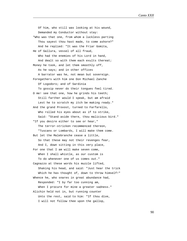Of him, who still was looking at his wound, Demanded my Conductor without stay: "Who was that one, from whom a luckless parting Thou sayest thou hast made, to come ashore?" And he replied: "It was the Friar Gomita, He of Gallura, vessel of all fraud, Who had the enemies of his Lord in hand, And dealt so with them each exults thereat; Money he took, and let them smoothly off, As he says; and in other offices A barrator was he, not mean but sovereign. Foregathers with him one Don Michael Zanche Of Logodoro; and of Sardinia To gossip never do their tongues feel tired. O me! see that one, how he grinds his teeth; Still farther would I speak, but am afraid Lest he to scratch my itch be making ready." And the grand Provost, turned to Farfarello, Who rolled his eyes about as if to strike, Said: "Stand aside there, thou malicious bird." "If you desire either to see or hear," The terror-stricken recommenced thereon, "Tuscans or Lombards, I will make them come. But let the Malebranche cease a little, So that these may not their revenges fear, And I, down sitting in this very place, For one that I am will make seven come, When I shall whistle, as our custom is To do whenever one of us comes out." Cagnazzo at these words his muzzle lifted, Shaking his head, and said: "Just hear the trick Which he has thought of, down to throw himself!" Whence he, who snares in great abundance had, Responded: "I by far too cunning am, When I procure for mine a greater sadness." Alichin held not in, but running counter Unto the rest, said to him: "If thou dive, I will not follow thee upon the gallop,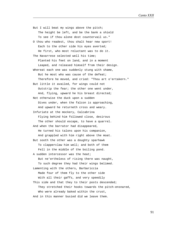But I will beat my wings above the pitch; The height be left, and be the bank a shield To see if thou alone dost countervail us." O thou who readest, thou shalt hear new sport! Each to the other side his eyes averted; He first, who most reluctant was to do it. The Navarrese selected well his time; Planted his feet on land, and in a moment Leaped, and released himself from their design. Whereat each one was suddenly stung with shame, But he most who was cause of the defeat; Therefore he moved, and cried: "Thou art o'ertakern." But little it availed, for wings could not Outstrip the fear; the other one went under, And, flying, upward he his breast directed; Not otherwise the duck upon a sudden Dives under, when the falcon is approaching, And upward he returneth cross and weary. Infuriate at the mockery, Calcabrina Flying behind him followed close, desirous The other should escape, to have a quarrel. And when the barrator had disappeared, He turned his talons upon his companion, And grappled with him right above the moat. But sooth the other was a doughty sparhawk To clapperclaw him well; and both of them Fell in the middle of the boiling pond. A sudden intercessor was the heat; But ne'ertheless of rising there was naught, To such degree they had their wings belimed. Lamenting with the others, Barbariccia Made four of them fly to the other side With all their gaffs, and very speedily This side and that they to their posts descended; They stretched their hooks towards the pitch-ensnared, Who were already baked within the crust, And in this manner busied did we leave them.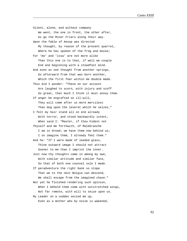Silent, alone, and without company We went, the one in front, the other after, As go the Minor Friars along their way. Upon the fable of Aesop was directed My thought, by reason of the present quarrel, Where he has spoken of the frog and mouse; For 'mo' and 'issa' are not more alike Than this one is to that, if well we couple End and beginning with a steadfast mind. And even as one thought from another springs, So afterward from that was born another, Which the first fear within me double made. Thus did I ponder: "These on our account Are laughed to scorn, with injury and scoff So great, that much I think it must annoy them. If anger be engrafted on ill-will, They will come after us more merciless Than dog upon the leveret which he seizes," I felt my hair stand all on end already With terror, and stood backwardly intent, When said I: "Master, if thou hidest not Thyself and me forthwith, of Malebranche I am in dread; we have them now behind us; I so imagine them, I already feel them." And he: "If I were made of leaded glass, Thine outward image I should not attract Sooner to me than I imprint the inner. Just now thy thoughts came in among my own, With similar attitude and similar face, So that of both one counsel sole I made. If peradventure the right bank so slope That we to the next Bolgia can descend, We shall escape from the imagined chase." Not yet he finished rendering such opinion, When I beheld them come with outstretched wings, Not far remote, with will to seize upon us. My Leader on a sudden seized me up, Even as a mother who by noise is wakened,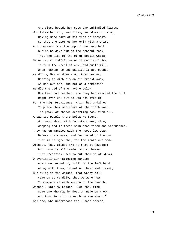And close beside her sees the enkindled flames, Who takes her son, and flies, and does not stop, Having more care of him than of herself, So that she clothes her only with a shift; And downward from the top of the hard bank Supine he gave him to the pendent rock, That one side of the other Bolgia walls. Ne'er ran so swiftly water through a sluice To turn the wheel of any land-built mill, When nearest to the paddles it approaches, As did my Master down along that border, Bearing me with him on his breast away, As his own son, and not as a companion. Hardly the bed of the ravine below His feet had reached, ere they had reached the hill Right over us; but he was not afraid; For the high Providence, which had ordained To place them ministers of the fifth moat, The power of thence departing took from all. A painted people there below we found, Who went about with footsteps very slow, Weeping and in their semblance tired and vanquished. They had on mantles with the hoods low down Before their eyes, and fashioned of the cut That in Cologne they for the monks are made. Without, they gilded are so that it dazzles; But inwardly all leaden and so heavy That Frederick used to put them on of straw. O everlastingly fatiguing mantle! Again we turned us, still to the left hand Along with them, intent on their sad plaint; But owing to the weight, that weary folk Came on so tardily, that we were new In company at each motion of the haunch. Whence I unto my Leader: "See thou find Some one who may by deed or name be known, And thus in going move thine eye about." And one, who understood the Tuscan speech,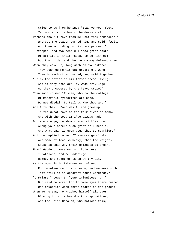Cried to us from behind: "Stay ye your feet, Ye, who so run athwart the dusky air! Perhaps thou'lt have from me what thou demandest." Whereat the Leader turned him, and said: "Wait, And then according to his pace proceed." I stopped, and two beheld I show great haste Of spirit, in their faces, to be with me; But the burden and the narrow way delayed them. When they came up, long with an eye askance They scanned me without uttering a word. Then to each other turned, and said together: "He by the action of his throat seems living; And if they dead are, by what privilege Go they uncovered by the heavy stole?" Then said to me: "Tuscan, who to the college Of miserable hypocrites art come, Do not disdain to tell us who thou art." And I to them: "Born was I, and grew up In the great town on the fair river of Arno, And with the body am I've always had. But who are ye, in whom there trickles down Along your cheeks such grief as I behold? And what pain is upon you, that so sparkles?" And one replied to me: "These orange cloaks Are made of lead so heavy, that the weights Cause in this way their balances to creak. Frati Gaudenti were we, and Bolognese; I Catalano, and he Loderingo Named, and together taken by thy city, As the wont is to take one man alone, For maintenance of its peace; and we were such That still it is apparent round Gardingo." "O Friars," began I, "your iniquitous. . ." But said no more; for to mine eyes there rushed One crucified with three stakes on the ground. When me he saw, he writhed himself all over, Blowing into his beard with suspirations;

And the Friar Catalan, who noticed this,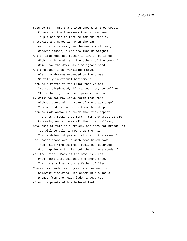Said to me: "This transfixed one, whom thou seest, Counselled the Pharisees that it was meet To put one man to torture for the people. Crosswise and naked is he on the path, As thou perceivest; and he needs must feel, Whoever passes, first how much he weighs; And in like mode his father-in-law is punished Within this moat, and the others of the council, Which for the Jews was a malignant seed." And thereupon I saw Virgilius marvel O'er him who was extended on the cross So vilely in eternal banishment. Then he directed to the Friar this voice: "Be not displeased, if granted thee, to tell us If to the right hand any pass slope down By which we two may issue forth from here, Without constraining some of the black angels To come and extricate us from this deep." Then he made answer: "Nearer than thou hopest There is a rock, that forth from the great circle Proceeds, and crosses all the cruel valleys, Save that at this 'tis broken, and does not bridge it; You will be able to mount up the ruin, That sidelong slopes and at the bottom rises." The Leader stood awhile with head bowed down; Then said: "The business badly he recounted Who grapples with his hook the sinners yonder." And the Friar: "Many of the Devil's vices Once heard I at Bologna, and among them, That he's a liar and the father of lies." Thereat my Leader with great strides went on, Somewhat disturbed with anger in his looks; Whence from the heavy-laden I departed After the prints of his beloved feet.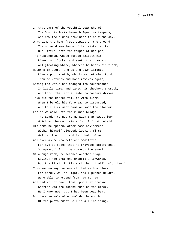In that part of the youthful year wherein The Sun his locks beneath Aquarius tempers, And now the nights draw near to half the day, What time the hoar-frost copies on the ground The outward semblance of her sister white, But little lasts the temper of her pen, The husbandman, whose forage faileth him, Rises, and looks, and seeth the champaign All gleaming white, whereat he beats his flank, Returns in doors, and up and down laments, Like a poor wretch, who knows not what to do; Then he returns and hope revives again, Seeing the world has changed its countenance In little time, and takes his shepherd's crook, And forth the little lambs to pasture drives. Thus did the Master fill me with alarm, When I beheld his forehead so disturbed, And to the ailment came as soon the plaster. For as we came unto the ruined bridge, The Leader turned to me with that sweet look Which at the mountain's foot I first beheld. His arms he opened, after some advisement Within himself elected, looking first Well at the ruin, and laid hold of me. And even as he who acts and meditates, For aye it seems that he provides beforehand, So upward lifting me towards the summit Of a huge rock, he scanned another crag, Saying: "To that one grapple afterwards, But try first if 'tis such that it will hold thee." This was no way for one clothed with a cloak; For hardly we, he light, and I pushed upward, Were able to ascend from jag to jag. And had it not been, that upon that precinct Shorter was the ascent than on the other, He I know not, but I had been dead beat. But because Malebolge tow'rds the mouth Of the profoundest well is all inclining,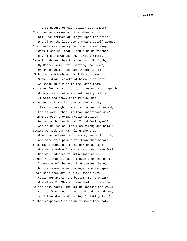The structure of each valley doth import That one bank rises and the other sinks. Still we arrived at length upon the point Wherefrom the last stone breaks itself asunder. The breath was from my lungs so milked away, When I was up, that I could go no farther, Nay, I sat down upon my first arrival. "Now it behoves thee thus to put off sloth," My Master said; "for sitting upon down, Or under quilt, one cometh not to fame, Withouten which whoso his life consumes Such vestige leaveth of himself on earth, As smoke in air or in the water foam. And therefore raise thee up, o'ercome the anguish With spirit that o'ercometh every battle, If with its heavy body it sink not. A longer stairway it behoves thee mount; 'Tis not enough from these to have departed; Let it avail thee, if thou understand me." Then I uprose, showing myself provided Better with breath than I did feel myself, And said: "Go on, for I am strong and bold." Upward we took our way along the crag, Which jagged was, and narrow, and difficult, And more precipitous far than that before. Speaking I went, not to appear exhausted; Whereat a voice from the next moat came forth, Not well adapted to articulate words. I know not what it said, though o'er the back I now was of the arch that passes there; But he seemed moved to anger who was speaking. I was bent downward, but my living eyes Could not attain the bottom, for the dark; Wherefore I: "Master, see that thou arrive At the next round, and let us descend the wall; For as from hence I hear and understand not, So I look down and nothing I distinguish." "Other response," he said, "I make thee not,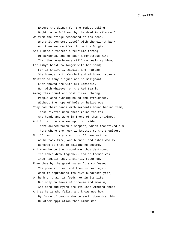Except the doing; for the modest asking Ought to be followed by the deed in silence." We from the bridge descended at its head, Where it connects itself with the eighth bank, And then was manifest to me the Bolgia; And I beheld therein a terrible throng Of serpents, and of such a monstrous kind, That the remembrance still congeals my blood Let Libya boast no longer with her sand; For if Chelydri, Jaculi, and Phareae She breeds, with Cenchri and with Amphisbaena, Neither so many plagues nor so malignant E'er showed she with all Ethiopia, Nor with whatever on the Red Sea is! Among this cruel and most dismal throng People were running naked and affrighted. Without the hope of hole or heliotrope. They had their hands with serpents bound behind them; These riveted upon their reins the tail And head, and were in front of them entwined. And lo! at one who was upon our side There darted forth a serpent, which transfixed him There where the neck is knotted to the shoulders. Nor 'O' so quickly e'er, nor 'I' was written, As he took fire, and burned; and ashes wholly Behoved it that in falling he became. And when he on the ground was thus destroyed, The ashes drew together, and of themselves Into himself they instantly returned. Even thus by the great sages 'tis confessed The phoenix dies, and then is born again, When it approaches its five-hundredth year; On herb or grain it feeds not in its life, But only on tears of incense and amomum, And nard and myrrh are its last winding-sheet. And as he is who falls, and knows not how, By force of demons who to earth down drag him, Or other oppilation that binds man,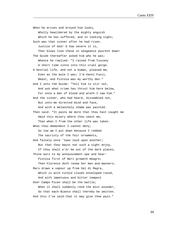When he arises and around him looks, Wholly bewildered by the mighty anguish Which he has suffered, and in looking sighs; Such was that sinner after he had risen. Justice of God! O how severe it is, That blows like these in vengeance poureth down! The Guide thereafter asked him who he was; Whence he replied: "I rained from Tuscany A short time since into this cruel gorge. A bestial life, and not a human, pleased me, Even as the mule I was; I'm Vanni Fucci, Beast, and Pistoia was my worthy den." And I unto the Guide: "Tell him to stir not, And ask what crime has thrust him here below, For once a man of blood and wrath I saw him." And the sinner, who had heard, dissembled not, But unto me directed mind and face, And with a melancholy shame was painted. Then said: "It pains me more that thou hast caught me Amid this misery where thou seest me, Than when I from the other life was taken. What thou demandest I cannot deny; So low am I put down because I robbed The sacristy of the fair ornaments, And falsely once 'twas laid upon another; But that thou mayst not such a sight enjoy, If thou shalt e'er be out of the dark places, Thine ears to my announcement ope and hear: Pistoia first of Neri groweth meagre; Then Florence doth renew her men and manners; Mars draws a vapour up from Val di Magra, Which is with turbid clouds enveloped round, And with impetuous and bitter tempest Over Campo Picen shall be the battle; When it shall suddenly rend the mist asunder, So that each Bianco shall thereby be smitten. And this I've said that it may give thee pain."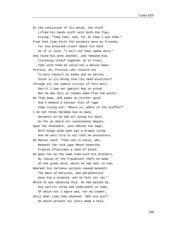At the conclusion of his words, the thief Lifted his hands aloft with both the figs, Crying: "Take that, God, for at thee I aim them." From that time forth the serpents were my friends; For one entwined itself about his neck As if it said: "I will not thou speak more;" And round his arms another, and rebound him, Clinching itself together so in front, That with them he could not a motion make. Pistoia, ah, Pistoia! why resolve not To burn thyself to ashes and so perish, Since in ill-doing thou thy seed excellest? Through all the sombre circles of this Hell, Spirit I saw not against God so proud, Not he who fell at Thebes down from the walls! He fled away, and spake no further word; And I beheld a Centaur full of rage Come crying out: "Where is, where is the scoffer?" I do not think Maremma has so many Serpents as he had all along his back, As far as where our countenance begins. Upon the shoulders, just behind the nape, With wings wide open was a dragon lying, And he sets fire to all that he encounters. My Master said: "That one is Cacus, who Beneath the rock upon Mount Aventine Created oftentimes a lake of blood. He goes not on the same road with his brothers, By reason of the fraudulent theft he made Of the great herd, which he had near to him; Whereat his tortuous actions ceased beneath The mace of Hercules, who peradventure Gave him a hundred, and he felt not ten." While he was speaking thus, he had passed by, And spirits three had underneath us come, Of which nor I aware was, nor my Leader, Until what time they shouted: "Who are you?" On which account our story made a halt,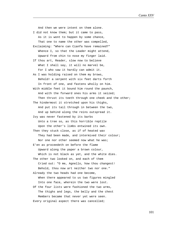And then we were intent on them alone. I did not know them; but it came to pass, As it is wont to happen by some chance, That one to name the other was compelled, Exclaiming: "Where can Cianfa have remained?" Whence I, so that the Leader might attend, Upward from chin to nose my finger laid. If thou art, Reader, slow now to believe What I shall say, it will no marvel be, For I who saw it hardly can admit it. As I was holding raised on them my brows, Behold! a serpent with six feet darts forth In front of one, and fastens wholly on him. With middle feet it bound him round the paunch, And with the forward ones his arms it seized; Then thrust its teeth through one cheek and the other; The hindermost it stretched upon his thighs, And put its tail through in between the two, And up behind along the reins outspread it. Ivy was never fastened by its barbs Unto a tree so, as this horrible reptile Upon the other's limbs entwined its own. Then they stuck close, as if of heated wax They had been made, and intermixed their colour; Nor one nor other seemed now what he was; E'en as proceedeth on before the flame Upward along the paper a brown colour, Which is not black as yet, and the white dies. The other two looked on, and each of them Cried out: "O me, Agnello, how thou changest! Behold, thou now art neither two nor one." Already the two heads had one become, When there appeared to us two figures mingled Into one face, wherein the two were lost. Of the four lists were fashioned the two arms, The thighs and legs, the belly and the chest Members became that never yet were seen. Every original aspect there was cancelled;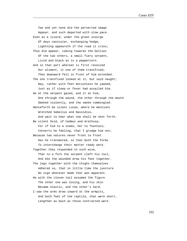Two and yet none did the perverted image Appear, and such departed with slow pace. Even as a lizard, under the great scourge Of days canicular, exchanging hedge, Lightning appeareth if the road it cross; Thus did appear, coming towards the bellies Of the two others, a small fiery serpent, Livid and black as is a peppercorn. And in that part whereat is first received Our aliment, it one of them transfixed; Then downward fell in front of him extended. The one transfixed looked at it, but said naught; Nay, rather with feet motionless he yawned, Just as if sleep or fever had assailed him. He at the serpent gazed, and it at him; One through the wound, the other through the mouth Smoked violently, and the smoke commingled. Henceforth be silent Lucan, where he mentions Wretched Sabellus and Nassidius, And wait to hear what now shall be shot forth. Be silent Ovid, of Cadmus and Arethusa; For if him to a snake, her to fountain, Converts he fabling, that I grudge him not; Because two natures never front to front Has he transmuted, so that both the forms To interchange their matter ready were. Together they responded in such wise, That to a fork the serpent cleft his tail, And eke the wounded drew his feet together. The legs together with the thighs themselves Adhered so, that in little time the juncture No sign whatever made that was apparent. He with the cloven tail assumed the figure The other one was losing, and his skin Became elastic, and the other's hard. I saw the arms draw inward at the armpits, And both feet of the reptile, that were short, Lengthen as much as those contracted were.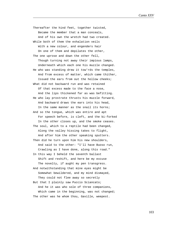Thereafter the hind feet, together twisted, Became the member that a man conceals, And of his own the wretch had two created. While both of them the exhalation veils With a new colour, and engenders hair On one of them and depilates the other, The one uprose and down the other fell, Though turning not away their impious lamps, Underneath which each one his muzzle changed. He who was standing drew it tow'rds the temples, And from excess of matter, which came thither, Issued the ears from out the hollow cheeks; What did not backward run and was retained Of that excess made to the face a nose, And the lips thickened far as was befitting. He who lay prostrate thrusts his muzzle forward, And backward draws the ears into his head, In the same manner as the snail its horns; And so the tongue, which was entire and apt For speech before, is cleft, and the bi-forked In the other closes up, and the smoke ceases. The soul, which to a reptile had been changed, Along the valley hissing takes to flight, And after him the other speaking sputters. Then did he turn upon him his new shoulders, And said to the other: "I'll have Buoso run, Crawling as I have done, along this road." In this way I beheld the seventh ballast Shift and reshift, and here be my excuse The novelty, if aught my pen transgress. And notwithstanding that mine eyes might be Somewhat bewildered, and my mind dismayed, They could not flee away so secretly But that I plainly saw Puccio Sciancato; And he it was who sole of three companions, Which came in the beginning, was not changed; The other was he whom thou, Gaville, weepest.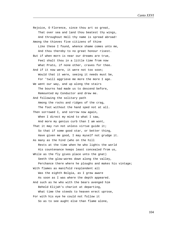Rejoice, O Florence, since thou art so great, That over sea and land thou beatest thy wings, And throughout Hell thy name is spread abroad! Among the thieves five citizens of thine Like these I found, whence shame comes unto me, And thou thereby to no great honour risest. But if when morn is near our dreams are true, Feel shalt thou in a little time from now What Prato, if none other, craves for thee. And if it now were, it were not too soon; Would that it were, seeing it needs must be, For 'twill aggrieve me more the more I age. We went our way, and up along the stairs The bourns had made us to descend before, Remounted my Conductor and drew me. And following the solitary path Among the rocks and ridges of the crag, The foot without the hand sped not at all. Then sorrowed I, and sorrow now again, When I direct my mind to what I saw, And more my genius curb than I am wont, That it may run not unless virtue guide it; So that if some good star, or better thing, Have given me good, I may myself not grudge it. As many as the hind (who on the hill Rests at the time when he who lights the world His countenance keeps least concealed from us, While as the fly gives place unto the gnat) Seeth the glow-worms down along the valley, Perchance there where he ploughs and makes his vintage; With flames as manifold resplendent all Was the eighth Bolgia, as I grew aware As soon as I was where the depth appeared. And such as he who with the bears avenged him Beheld Elijah's chariot at departing, What time the steeds to heaven erect uprose, For with his eye he could not follow it So as to see aught else than flame alone,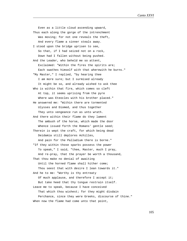Even as a little cloud ascending upward, Thus each along the gorge of the intrenchment Was moving; for not one reveals the theft, And every flame a sinner steals away. I stood upon the bridge uprisen to see, So that, if I had seized not on a rock, Down had I fallen without being pushed. And the Leader, who beheld me so attent, Exclaimed: "Within the fires the spirits are; Each swathes himself with that wherewith he burns." "My Master," I replied, "by hearing thee I am more sure; but I surmised already It might be so, and already wished to ask thee Who is within that fire, which comes so cleft At top, it seems uprising from the pyre Where was Eteocles with his brother placed." He answered me: "Within there are tormented Ulysses and Diomed, and thus together They unto vengeance run as unto wrath. And there within their flame do they lament The ambush of the horse, which made the door Whence issued forth the Romans' gentle seed; Therein is wept the craft, for which being dead Deidamia still deplores Achilles, And pain for the Palladium there is borne." "If they within those sparks possess the power To speak," I said, "thee, Master, much I pray, And re-pray, that the prayer be worth a thousand, That thou make no denial of awaiting Until the horned flame shall hither come; Thou seest that with desire I lean towards it." And he to me: "Worthy is thy entreaty Of much applause, and therefore I accept it; But take heed that thy tongue restrain itself. Leave me to speak, because I have conceived That which thou wishest; for they might disdain Perchance, since they were Greeks, discourse of thine." When now the flame had come unto that point,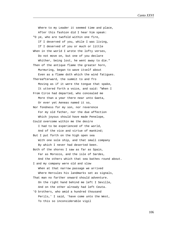Where to my Leader it seemed time and place, After this fashion did I hear him speak: "O ye, who are twofold within one fire, If I deserved of you, while I was living, If I deserved of you or much or little When in the world I wrote the lofty verses, Do not move on, but one of you declare Whither, being lost, he went away to die." Then of the antique flame the greater horn, Murmuring, began to wave itself about Even as a flame doth which the wind fatigues. Thereafterward, the summit to and fro Moving as if it were the tongue that spake, It uttered forth a voice, and said: "When I From Circe had departed, who concealed me More than a year there near unto Gaeta, Or ever yet Aeneas named it so, Nor fondness for my son, nor reverence For my old father, nor the due affection Which joyous should have made Penelope, Could overcome within me the desire I had to be experienced of the world, And of the vice and virtue of mankind; But I put forth on the high open sea With one sole ship, and that small company By which I never had deserted been. Both of the shores I saw as far as Spain, Far as Morocco, and the isle of Sardes, And the others which that sea bathes round about. I and my company were old and slow When at that narrow passage we arrived Where Hercules his landmarks set as signals, That man no farther onward should adventure. On the right hand behind me left I Seville, And on the other already had left Ceuta. 'O brothers, who amid a hundred thousand Perils,' I said, 'have come unto the West, To this so inconsiderable vigil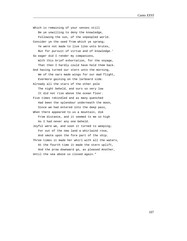Which is remaining of your senses still Be ye unwilling to deny the knowledge, Following the sun, of the unpeopled world. Consider ye the seed from which ye sprang; Ye were not made to live like unto brutes, But for pursuit of virtue and of knowledge.' So eager did I render my companions, With this brief exhortation, for the voyage, That then I hardly could have held them back. And having turned our stern unto the morning, We of the oars made wings for our mad flight, Evermore gaining on the larboard side. Already all the stars of the other pole The night beheld, and ours so very low It did not rise above the ocean floor. Five times rekindled and as many quenched Had been the splendour underneath the moon, Since we had entered into the deep pass, When there appeared to us a mountain, dim From distance, and it seemed to me so high As I had never any one beheld. Joyful were we, and soon it turned to weeping; For out of the new land a whirlwind rose, And smote upon the fore part of the ship. Three times it made her whirl with all the waters, At the fourth time it made the stern uplift, And the prow downward go, as pleased Another, Until the sea above us closed again."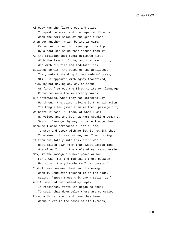Already was the flame erect and quiet, To speak no more, and now departed from us With the permission of the gentle Poet; When yet another, which behind it came, Caused us to turn our eyes upon its top By a confused sound that issued from it. As the Sicilian bull (that bellowed first With the lament of him, and that was right, Who with his file had modulated it) Bellowed so with the voice of the afflicted, That, notwithstanding it was made of brass, Still it appeared with agony transfixed; Thus, by not having any way or issue At first from out the fire, to its own language Converted were the melancholy words. But afterwards, when they had gathered way Up through the point, giving it that vibration The tongue had given them in their passage out, We heard it said: "O thou, at whom I aim My voice, and who but now wast speaking Lombard, Saying, 'Now go thy way, no more I urge thee,' Because I come perchance a little late, To stay and speak with me let it not irk thee; Thou seest it irks not me, and I am burning. If thou but lately into this blind world Hast fallen down from that sweet Latian land, Wherefrom I bring the whole of my transgression, Say, if the Romagnuols have peace or war, For I was from the mountains there between Urbino and the yoke whence Tiber bursts." I still was downward bent and listening, When my Conductor touched me on the side, Saying: "Speak thou: this one a Latian is." And I, who had beforehand my reply In readiness, forthwith began to speak: "O soul, that down below there art concealed, Romagna thine is not and never has been Without war in the bosom of its tyrants;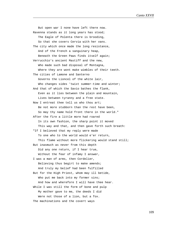But open war I none have left there now. Ravenna stands as it long years has stood; The Eagle of Polenta there is brooding, So that she covers Cervia with her vans. The city which once made the long resistance, And of the French a sanguinary heap, Beneath the Green Paws finds itself again; Verrucchio's ancient Mastiff and the new, Who made such bad disposal of Montagna, Where they are wont make wimbles of their teeth. The cities of Lamone and Santerno Governs the Lioncel of the white lair, Who changes sides 'twixt summer-time and winter; And that of which the Savio bathes the flank, Even as it lies between the plain and mountain, Lives between tyranny and a free state. Now I entreat thee tell us who thou art; Be not more stubborn than the rest have been, So may thy name hold front there in the world." After the fire a little more had roared In its own fashion, the sharp point it moved This way and that, and then gave forth such breath: "If I believed that my reply were made To one who to the world would e'er return, This flame without more flickering would stand still; But inasmuch as never from this depth Did any one return, if I hear true, Without the fear of infamy I answer, I was a man of arms, then Cordelier, Believing thus begirt to make amends; And truly my belief had been fulfilled But for the High Priest, whom may ill betide, Who put me back into my former sins; And how and wherefore I will have thee hear. While I was still the form of bone and pulp My mother gave to me, the deeds I did Were not those of a lion, but a fox. The machinations and the covert ways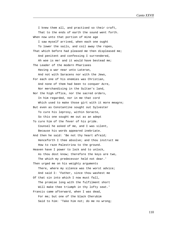I knew them all, and practised so their craft, That to the ends of earth the sound went forth. When now unto that portion of mine age I saw myself arrived, when each one ought To lower the sails, and coil away the ropes, That which before had pleased me then displeased me; And penitent and confessing I surrendered, Ah woe is me! and it would have bestead me; The Leader of the modern Pharisees Having a war near unto Lateran, And not with Saracens nor with the Jews, For each one of his enemies was Christian, And none of them had been to conquer Acre, Nor merchandising in the Sultan's land, Nor the high office, nor the sacred orders, In him regarded, nor in me that cord Which used to make those girt with it more meagre; But even as Constantine sought out Sylvester To cure his leprosy, within Soracte, So this one sought me out as an adept To cure him of the fever of his pride. Counsel he asked of me, and I was silent, Because his words appeared inebriate. And then he said: 'Be not thy heart afraid; Henceforth I thee absolve; and thou instruct me How to raze Palestrina to the ground. Heaven have I power to lock and to unlock, As thou dost know; therefore the keys are two, The which my predecessor held not dear.' Then urged me on his weighty arguments There, where my silence was the worst advice; And said I: 'Father, since thou washest me Of that sin into which I now must fall, The promise long with the fulfilment short Will make thee triumph in thy lofty seat.' Francis came afterward, when I was dead, For me; but one of the black Cherubim Said to him: 'Take him not; do me no wrong;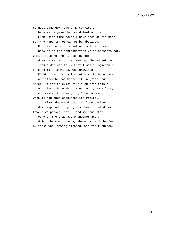He must come down among my servitors, Because he gave the fraudulent advice From which time forth I have been at his hair; For who repents not cannot be absolved, Nor can one both repent and will at once, Because of the contradiction which consents not.' O miserable me! how I did shudder When he seized on me, saying: 'Peradventure Thou didst not think that I was a logician!' He bore me unto Minos, who entwined Eight times his tail about his stubborn back, And after he had bitten it in great rage, Said: 'Of the thievish fire a culprit this;' Wherefore, here where thou seest, am I lost, And vested thus in going I bemoan me." When it had thus completed its recital, The flame departed uttering lamentations, Writhing and flapping its sharp-pointed horn. Onward we passed, both I and my Conductor, Up o'er the crag above another arch, Which the moat covers, where is paid the fee By those who, sowing discord, win their burden.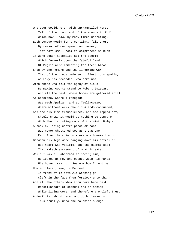Who ever could, e'en with untrammelled words, Tell of the blood and of the wounds in full Which now I saw, by many times narrating? Each tongue would for a certainty fall short By reason of our speech and memory, That have small room to comprehend so much. If were again assembled all the people Which formerly upon the fateful land Of Puglia were lamenting for their blood Shed by the Romans and the lingering war That of the rings made such illustrious spoils, As Livy has recorded, who errs not, With those who felt the agony of blows By making counterstand to Robert Guiscard, And all the rest, whose bones are gathered still At Ceperano, where a renegade Was each Apulian, and at Tagliacozzo, Where without arms the old Alardo conquered, And one his limb transpierced, and one lopped off, Should show, it would be nothing to compare With the disgusting mode of the ninth Bolgia. A cask by losing centre-piece or cant Was never shattered so, as I saw one Rent from the chin to where one breaketh wind. Between his legs were hanging down his entrails; His heart was visible, and the dismal sack That maketh excrement of what is eaten. While I was all absorbed in seeing him, He looked at me, and opened with his hands His bosom, saying: "See now how I rend me; How mutilated, see, is Mahomet; In front of me doth Ali weeping go, Cleft in the face from forelock unto chin; And all the others whom thou here beholdest, Disseminators of scandal and of schism While living were, and therefore are cleft thus. A devil is behind here, who doth cleave us Thus cruelly, unto the falchion's edge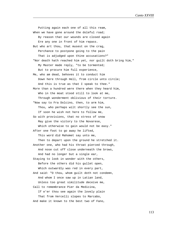Putting again each one of all this ream, When we have gone around the doleful road; By reason that our wounds are closed again Ere any one in front of him repass. But who art thou, that musest on the crag, Perchance to postpone going to the pain That is adjudged upon thine accusations?" "Nor death hath reached him yet, nor guilt doth bring him," My Master made reply, "to be tormented; But to procure him full experience, Me, who am dead, behoves it to conduct him Down here through Hell, from circle unto circle; And this is true as that I speak to thee." More than a hundred were there when they heard him, Who in the moat stood still to look at me, Through wonderment oblivious of their torture. "Now say to Fra Dolcino, then, to arm him, Thou, who perhaps wilt shortly see the sun, If soon he wish not here to follow me, So with provisions, that no stress of snow May give the victory to the Novarese, Which otherwise to gain would not be easy." After one foot to go away he lifted, This word did Mahomet say unto me, Then to depart upon the ground he stretched it. Another one, who had his throat pierced through, And nose cut off close underneath the brows, And had no longer but a single ear, Staying to look in wonder with the others, Before the others did his gullet open, Which outwardly was red in every part, And said: "O thou, whom guilt doth not condemn, And whom I once saw up in Latian land, Unless too great similitude deceive me, Call to remembrance Pier da Medicina, If e'er thou see again the lovely plain That from Vercelli slopes to Marcabo, And make it known to the best two of Fano,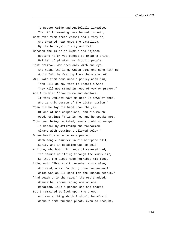To Messer Guido and Angiolello likewise, That if foreseeing here be not in vain, Cast over from their vessel shall they be, And drowned near unto the Cattolica, By the betrayal of a tyrant fell. Between the isles of Cyprus and Majorca Neptune ne'er yet beheld so great a crime, Neither of pirates nor Argolic people. That traitor, who sees only with one eye, And holds the land, which some one here with me Would fain be fasting from the vision of, Will make them come unto a parley with him; Then will do so, that to Focara's wind They will not stand in need of vow or prayer." And I to him: "Show to me and declare, If thou wouldst have me bear up news of thee, Who is this person of the bitter vision." Then did he lay his hand upon the jaw Of one of his companions, and his mouth Oped, crying: "This is he, and he speaks not. This one, being banished, every doubt submerged In Caesar by affirming the forearmed Always with detriment allowed delay." O how bewildered unto me appeared, With tongue asunder in his windpipe slit, Curio, who in speaking was so bold! And one, who both his hands dissevered had, The stumps uplifting through the murky air, So that the blood made horrible his face, Cried out: "Thou shalt remember Mosca also, Who said, alas! 'A thing done has an end!' Which was an ill seed for the Tuscan people." "And death unto thy race," thereto I added; Whence he, accumulating woe on woe, Departed, like a person sad and crazed. But I remained to look upon the crowd; And saw a thing which I should be afraid, Without some further proof, even to recount,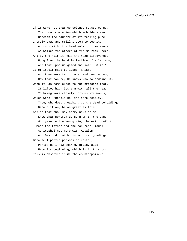If it were not that conscience reassures me, That good companion which emboldens man Beneath the hauberk of its feeling pure. I truly saw, and still I seem to see it, A trunk without a head walk in like manner As walked the others of the mournful herd. And by the hair it held the head dissevered, Hung from the hand in fashion of a lantern, And that upon us gazed and said: "O me!" It of itself made to itself a lamp, And they were two in one, and one in two; How that can be, He knows who so ordains it. When it was come close to the bridge's foot, It lifted high its arm with all the head, To bring more closely unto us its words, Which were: "Behold now the sore penalty, Thou, who dost breathing go the dead beholding; Behold if any be as great as this. And so that thou may carry news of me, Know that Bertram de Born am I, the same Who gave to the Young King the evil comfort. I made the father and the son rebellious; Achitophel not more with Absalom And David did with his accursed goadings. Because I parted persons so united, Parted do I now bear my brain, alas! From its beginning, which is in this trunk. Thus is observed in me the counterpoise."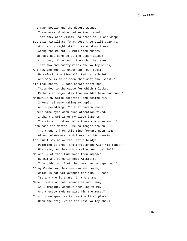The many people and the divers wounds These eyes of mine had so inebriated, That they were wishful to stand still and weep; But said Virgilius: "What dost thou still gaze at? Why is thy sight still riveted down there Among the mournful, mutilated shades? Thou hast not done so at the other Bolge; Consider, if to count them thou believest, That two-and-twenty miles the valley winds, And now the moon is underneath our feet; Henceforth the time allotted us is brief, And more is to be seen than what thou seest." "If thou hadst," I made answer thereupon, "Attended to the cause for which I looked, Perhaps a longer stay thou wouldst have pardoned." Meanwhile my Guide departed, and behind him I went, already making my reply, And superadding: "In that cavern where I held mine eyes with such attention fixed, I think a spirit of my blood laments The sin which down below there costs so much." Then said the Master: "Be no longer broken Thy thought from this time forward upon him; Attend elsewhere, and there let him remain; For him I saw below the little bridge, Pointing at thee, and threatening with his finger Fiercely, and heard him called Geri del Bello. So wholly at that time wast thou impeded By him who formerly held Altaforte, Thou didst not look that way; so he departed." "O my Conductor, his own violent death, Which is not yet avenged for him," I said, "By any who is sharer in the shame, Made him disdainful; whence he went away, As I imagine, without speaking to me, And thereby made me pity him the more." Thus did we speak as far as the first place Upon the crag, which the next valley shows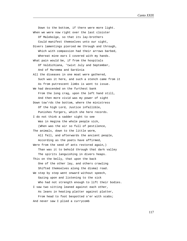Down to the bottom, if there were more light. When we were now right over the last cloister Of Malebolge, so that its lay-brothers Could manifest themselves unto our sight, Divers lamentings pierced me through and through, Which with compassion had their arrows barbed, Whereat mine ears I covered with my hands. What pain would be, if from the hospitals Of Valdichiana, 'twixt July and September, And of Maremma and Sardinia All the diseases in one moat were gathered, Such was it here, and such a stench came from it As from putrescent limbs is wont to issue. We had descended on the furthest bank From the long crag, upon the left hand still, And then more vivid was my power of sight Down tow'rds the bottom, where the ministress Of the high Lord, Justice infallible, Punishes forgers, which she here records. I do not think a sadder sight to see Was in Aegina the whole people sick, (When was the air so full of pestilence, The animals, down to the little worm, All fell, and afterwards the ancient people, According as the poets have affirmed, Were from the seed of ants restored again,) Than was it to behold through that dark valley The spirits languishing in divers heaps. This on the belly, that upon the back One of the other lay, and others crawling Shifted themselves along the dismal road. We step by step went onward without speech, Gazing upon and listening to the sick Who had not strength enough to lift their bodies. I saw two sitting leaned against each other, As leans in heating platter against platter, From head to foot bespotted o'er with scabs; And never saw I plied a currycomb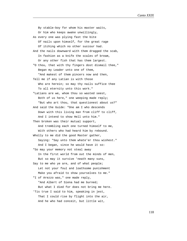By stable-boy for whom his master waits, Or him who keeps awake unwillingly, As every one was plying fast the bite Of nails upon himself, for the great rage Of itching which no other succour had. And the nails downward with them dragged the scab, In fashion as a knife the scales of bream, Or any other fish that has them largest. "O thou, that with thy fingers dost dismail thee," Began my Leader unto one of them, "And makest of them pincers now and then, Tell me if any Latian is with those Who are herein; so may thy nails suffice thee To all eternity unto this work." "Latians are we, whom thou so wasted seest, Both of us here," one weeping made reply; "But who art thou, that questionest about us?" And said the Guide: "One am I who descends Down with this living man from cliff to cliff, And I intend to show Hell unto him." Then broken was their mutual support, And trembling each one turned himself to me, With others who had heard him by rebound. Wholly to me did the good Master gather, Saying: "Say unto them whate'er thou wishest." And I began, since he would have it so: "So may your memory not steal away In the first world from out the minds of men, But so may it survive 'neath many suns, Say to me who ye are, and of what people; Let not your foul and loathsome punishment Make you afraid to show yourselves to me." "I of Arezzo was," one made reply, "And Albert of Siena had me burned; But what I died for does not bring me here. 'Tis true I said to him, speaking in jest, That I could rise by flight into the air, And he who had conceit, but little wit,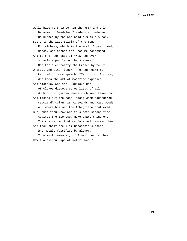Would have me show to him the art; and only Because no Daedalus I made him, made me Be burned by one who held him as his son. But unto the last Bolgia of the ten, For alchemy, which in the world I practised, Minos, who cannot err, has me condemned." And to the Poet said I: "Now was ever So vain a people as the Sienese? Not for a certainty the French by far." Whereat the other leper, who had heard me, Replied unto my speech: "Taking out Stricca, Who knew the art of moderate expenses, And Niccolo, who the luxurious use Of cloves discovered earliest of all Within that garden where such seed takes root; And taking out the band, among whom squandered Caccia d'Ascian his vineyards and vast woods, And where his wit the Abbagliato proffered! But, that thou know who thus doth second thee Against the Sienese, make sharp thine eye Tow'rds me, so that my face well answer thee, And thou shalt see I am Capocchio's shade, Who metals falsified by alchemy; Thou must remember, if I well descry thee, How I a skilful ape of nature was."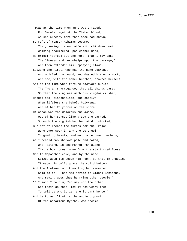'Twas at the time when Juno was enraged, For Semele, against the Theban blood, As she already more than once had shown, So reft of reason Athamas became, That, seeing his own wife with children twain Walking encumbered upon either hand, He cried: "Spread out the nets, that I may take The lioness and her whelps upon the passage;" And then extended his unpitying claws, Seizing the first, who had the name Learchus, And whirled him round, and dashed him on a rock; And she, with the other burthen, drowned herself;-- And at the time when fortune downward hurled The Trojan's arrogance, that all things dared, So that the king was with his kingdom crushed, Hecuba sad, disconsolate, and captive, When lifeless she beheld Polyxena, And of her Polydorus on the shore Of ocean was the dolorous one aware, Out of her senses like a dog she barked, So much the anguish had her mind distorted; But not of Thebes the furies nor the Trojan Were ever seen in any one so cruel In goading beasts, and much more human members, As I beheld two shadows pale and naked, Who, biting, in the manner ran along That a boar does, when from the sty turned loose. One to Capocchio came, and by the nape Seized with its teeth his neck, so that in dragging It made his belly grate the solid bottom. And the Aretine, who trembling had remained, Said to me: "That mad sprite is Gianni Schicchi, And raving goes thus harrying other people." "O," said I to him, "so may not the other Set teeth on thee, let it not weary thee To tell us who it is, ere it dart hence." And he to me: "That is the ancient ghost Of the nefarious Myrrha, who became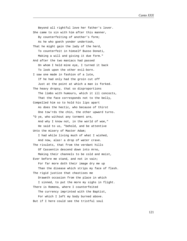Beyond all rightful love her father's lover. She came to sin with him after this manner, By counterfeiting of another's form; As he who goeth yonder undertook, That he might gain the lady of the herd, To counterfeit in himself Buoso Donati, Making a will and giving it due form." And after the two maniacs had passed On whom I held mine eye, I turned it back To look upon the other evil-born. I saw one made in fashion of a lute, If he had only had the groin cut off Just at the point at which a man is forked. The heavy dropsy, that so disproportions The limbs with humours, which it ill concocts, That the face corresponds not to the belly, Compelled him so to hold his lips apart As does the hectic, who because of thirst One tow'rds the chin, the other upward turns. "O ye, who without any torment are, And why I know not, in the world of woe," He said to us, "behold, and be attentive Unto the misery of Master Adam; I had while living much of what I wished, And now, alas! a drop of water crave. The rivulets, that from the verdant hills Of Cassentin descend down into Arno, Making their channels to be cold and moist, Ever before me stand, and not in vain; For far more doth their image dry me up Than the disease which strips my face of flesh. The rigid justice that chastises me Draweth occasion from the place in which I sinned, to put the more my sighs in flight. There is Romena, where I counterfeited The currency imprinted with the Baptist, For which I left my body burned above. But if I here could see the tristful soul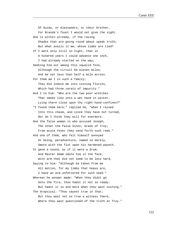Of Guido, or Alessandro, or their brother, For Branda's fount I would not give the sight. One is within already, if the raving Shades that are going round about speak truth; But what avails it me, whose limbs are tied? If I were only still so light, that in A hundred years I could advance one inch, I had already started on the way, Seeking him out among this squalid folk, Although the circuit be eleven miles, And be not less than half a mile across. For them am I in such a family; They did induce me into coining florins, Which had three carats of impurity." And I to him: "Who are the two poor wretches That smoke like unto a wet hand in winter, Lying there close upon thy right-hand confines?" "I found them here," replied he, "when I rained Into this chasm, and since they have not turned, Nor do I think they will for evermore. One the false woman is who accused Joseph, The other the false Sinon, Greek of Troy; From acute fever they send forth such reek." And one of them, who felt himself annoyed At being, peradventure, named so darkly, Smote with the fist upon his hardened paunch. It gave a sound, as if it were a drum; And Master Adam smote him in the face, With arm that did not seem to be less hard, Saying to him: "Although be taken from me All motion, for my limbs that heavy are, I have an arm unfettered for such need." Whereat he answer made: "When thou didst go Unto the fire, thou hadst it not so ready: But hadst it so and more when thou wast coining." The dropsical: "Thou sayest true in that; But thou wast not so true a witness there, Where thou wast questioned of the truth at Troy."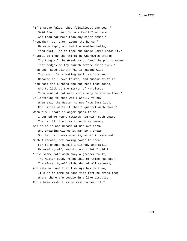"If I spake false, thou falsifiedst the coin," Said Sinon; "and for one fault I am here, And thou for more than any other demon." "Remember, perjurer, about the horse," He made reply who had the swollen belly, "And rueful be it thee the whole world knows it." "Rueful to thee the thirst be wherewith cracks Thy tongue," the Greek said, "and the putrid water That hedges so thy paunch before thine eyes." Then the false-coiner: "So is gaping wide Thy mouth for speaking evil, as 'tis wont; Because if I have thirst, and humour stuff me Thou hast the burning and the head that aches, And to lick up the mirror of Narcissus Thou wouldst not want words many to invite thee." In listening to them was I wholly fixed, When said the Master to me: "Now just look, For little wants it that I quarrel with thee." When him I heard in anger speak to me, I turned me round towards him with such shame That still it eddies through my memory. And as he is who dreams of his own harm, Who dreaming wishes it may be a dream, So that he craves what is, as if it were not; Such I became, not having power to speak, For to excuse myself I wished, and still Excused myself, and did not think I did it. "Less shame doth wash away a greater fault," The Master said, "than this of thine has been; Therefore thyself disburden of all sadness, And make account that I am aye beside thee, If e'er it come to pass that fortune bring thee Where there are people in a like dispute; For a base wish it is to wish to hear it."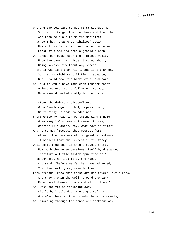One and the selfsame tongue first wounded me, So that it tinged the one cheek and the other, And then held out to me the medicine; Thus do I hear that once Achilles' spear, His and his father's, used to be the cause First of a sad and then a gracious boon. We turned our backs upon the wretched valley, Upon the bank that girds it round about, Going across it without any speech. There it was less than night, and less than day, So that my sight went little in advance; But I could hear the blare of a loud horn, So loud it would have made each thunder faint, Which, counter to it following its way, Mine eyes directed wholly to one place. After the dolorous discomfiture When Charlemagne the holy emprise lost, So terribly Orlando sounded not. Short while my head turned thitherward I held When many lofty towers I seemed to see, Whereat I: "Master, say, what town is this?" And he to me: "Because thou peerest forth Athwart the darkness at too great a distance, It happens that thou errest in thy fancy. Well shalt thou see, if thou arrivest there, How much the sense deceives itself by distance; Therefore a little faster spur thee on." Then tenderly he took me by the hand, And said: "Before we farther have advanced, That the reality may seem to thee Less strange, know that these are not towers, but giants, And they are in the well, around the bank, From navel downward, one and all of them." As, when the fog is vanishing away, Little by little doth the sight refigure Whate'er the mist that crowds the air conceals, So, piercing through the dense and darksome air,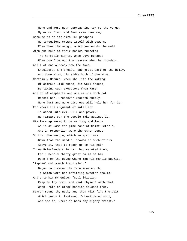More and more near approaching tow'rd the verge, My error fled, and fear came over me; Because as on its circular parapets Montereggione crowns itself with towers, E'en thus the margin which surrounds the well With one half of their bodies turreted The horrible giants, whom Jove menaces E'en now from out the heavens when he thunders. And I of one already saw the face, Shoulders, and breast, and great part of the belly, And down along his sides both of the arms. Certainly Nature, when she left the making Of animals like these, did well indeed, By taking such executors from Mars; And if of elephants and whales she doth not Repent her, whosoever looketh subtly More just and more discreet will hold her for it; For where the argument of intellect Is added unto evil will and power, No rampart can the people make against it. His face appeared to me as long and large As is at Rome the pine-cone of Saint Peter's, And in proportion were the other bones; So that the margin, which an apron was Down from the middle, showed so much of him Above it, that to reach up to his hair Three Frieslanders in vain had vaunted them; For I beheld thirty great palms of him Down from the place where man his mantle buckles. "Raphael mai amech izabi almi," Began to clamour the ferocious mouth, To which were not befitting sweeter psalms. And unto him my Guide: "Soul idiotic, Keep to thy horn, and vent thyself with that, When wrath or other passion touches thee. Search round thy neck, and thou wilt find the belt Which keeps it fastened, O bewildered soul, And see it, where it bars thy mighty breast."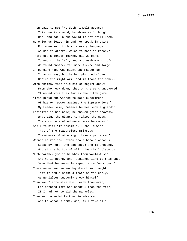Then said to me: "He doth himself accuse; This one is Nimrod, by whose evil thought One language in the world is not still used. Here let us leave him and not speak in vain; For even such to him is every language As his to others, which to none is known." Therefore a longer journey did we make, Turned to the left, and a crossbow-shot oft We found another far more fierce and large. In binding him, who might the master be I cannot say; but he had pinioned close Behind the right arm, and in front the other, With chains, that held him so begirt about From the neck down, that on the part uncovered It wound itself as far as the fifth gyre. "This proud one wished to make experiment Of his own power against the Supreme Jove," My Leader said, "whence he has such a guerdon. Ephialtes is his name; he showed great prowess. What time the giants terrified the gods; The arms he wielded never more he moves." And I to him: "If possible, I should wish That of the measureless Briareus These eyes of mine might have experience." Whence he replied: "Thou shalt behold Antaeus Close by here, who can speak and is unbound, Who at the bottom of all crime shall place us. Much farther yon is he whom thou wouldst see, And he is bound, and fashioned like to this one, Save that he seems in aspect more ferocious." There never was an earthquake of such might That it could shake a tower so violently, As Ephialtes suddenly shook himself. Then was I more afraid of death than ever, For nothing more was needful than the fear, If I had not beheld the manacles. Then we proceeded farther in advance, And to Antaeus came, who, full five ells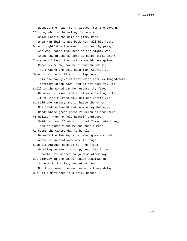Without the head, forth issued from the cavern. "O thou, who in the valley fortunate, Which Scipio the heir of glory made, When Hannibal turned back with all his hosts, Once brought'st a thousand lions for thy prey, And who, hadst thou been at the mighty war Among thy brothers, some it seems still think The sons of Earth the victory would have gained: Place us below, nor be disdainful of it, There where the cold doth lock Cocytus up. Make us not go to Tityus nor Typhoeus; This one can give of that which here is longed for; Therefore stoop down, and do not curl thy lip. Still in the world can he restore thy fame; Because he lives, and still expects long life, If to itself Grace call him not untimely." So said the Master; and in haste the other His hands extended and took up my Guide,-- Hands whose great pressure Hercules once felt. Virgilius, when he felt himself embraced, Said unto me: "Draw nigh, that I may take thee;" Then of himself and me one bundle made. As seems the Carisenda, to behold Beneath the leaning side, when goes a cloud Above it so that opposite it hangs; Such did Antaeus seem to me, who stood Watching to see him stoop, and then it was I could have wished to go some other way. But lightly in the abyss, which swallows up Judas with Lucifer, he put us down; Nor thus bowed downward made he there delay, But, as a mast does in a ship, uprose.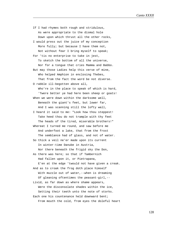If I had rhymes both rough and stridulous, As were appropriate to the dismal hole Down upon which thrust all the other rocks, I would press out the juice of my conception More fully; but because I have them not, Not without fear I bring myself to speak; For 'tis no enterprise to take in jest, To sketch the bottom of all the universe, Nor for a tongue that cries Mamma and Babbo. But may those Ladies help this verse of mine, Who helped Amphion in enclosing Thebes, That from the fact the word be not diverse. O rabble ill-begotten above all, Who're in the place to speak of which is hard, 'Twere better ye had here been sheep or goats! When we were down within the darksome well, Beneath the giant's feet, but lower far, And I was scanning still the lofty wall, I heard it said to me: "Look how thou steppest! Take heed thou do not trample with thy feet The heads of the tired, miserable brothers!" Whereat I turned me round, and saw before me And underfoot a lake, that from the frost The semblance had of glass, and not of water. So thick a veil ne'er made upon its current In winter-time Danube in Austria, Nor there beneath the frigid sky the Don, As there was here; so that if Tambernich Had fallen upon it, or Pietrapana, E'en at the edge 'twould not have given a creak. And as to croak the frog doth place himself With muzzle out of water, --when is dreaming Of gleaning oftentimes the peasant-girl,-- Livid, as far down as where shame appears, Were the disconsolate shades within the ice, Setting their teeth unto the note of storks. Each one his countenance held downward bent; From mouth the cold, from eyes the doleful heart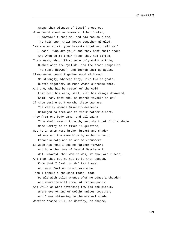Among them witness of itself procures. When round about me somewhat I had looked, I downward turned me, and saw two so close, The hair upon their heads together mingled. "Ye who so strain your breasts together, tell me," I said, "who are you;" and they bent their necks, And when to me their faces they had lifted, Their eyes, which first were only moist within, Gushed o'er the eyelids, and the frost congealed The tears between, and locked them up again. Clamp never bound together wood with wood So strongly; whereat they, like two he-goats, Butted together, so much wrath o'ercame them. And one, who had by reason of the cold Lost both his ears, still with his visage downward, Said: "Why dost thou so mirror thyself in us? If thou desire to know who these two are, The valley whence Bisenzio descends Belonged to them and to their father Albert. They from one body came, and all Caina Thou shalt search through, and shalt not find a shade More worthy to be fixed in gelatine; Not he in whom were broken breast and shadow At one and the same blow by Arthur's hand; Focaccia not; not he who me encumbers So with his head I see no farther forward, And bore the name of Sassol Mascheroni; Well knowest thou who he was, if thou art Tuscan. And that thou put me not to further speech, Know that I Camicion de' Pazzi was, And wait Carlino to exonerate me." Then I beheld a thousand faces, made Purple with cold; whence o'er me comes a shudder, And evermore will come, at frozen ponds. And while we were advancing tow'rds the middle, Where everything of weight unites together, And I was shivering in the eternal shade, Whether 'twere will, or destiny, or chance,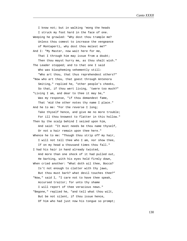I know not; but in walking 'mong the heads I struck my foot hard in the face of one. Weeping he growled: "Why dost thou trample me? Unless thou comest to increase the vengeance of Montaperti, why dost thou molest me?" And I: "My Master, now wait here for me, That I through him may issue from a doubt; Then thou mayst hurry me, as thou shalt wish." The Leader stopped; and to that one I said Who was blaspheming vehemently still: "Who art thou, that thus reprehendest others?" "Now who art thou, that goest through Antenora Smiting," replied he, "other people's cheeks, So that, if thou wert living, 'twere too much?" "Living I am, and dear to thee it may be," Was my response, "if thou demandest fame, That 'mid the other notes thy name I place." And he to me: "For the reverse I long; Take thyself hence, and give me no more trouble; For ill thou knowest to flatter in this hollow." Then by the scalp behind I seized upon him, And said: "It must needs be thou name thyself, Or not a hair remain upon thee here." Whence he to me: "Though thou strip off my hair, I will not tell thee who I am, nor show thee, If on my head a thousand times thou fall." I had his hair in hand already twisted, And more than one shock of it had pulled out, He barking, with his eyes held firmly down, When cried another: "What doth ail thee, Bocca? Is't not enough to clatter with thy jaws, But thou must bark? what devil touches thee?" "Now," said I, "I care not to have thee speak, Accursed traitor; for unto thy shame I will report of thee veracious news." "Begone," replied he, "and tell what thou wilt, But be not silent, if thou issue hence, Of him who had just now his tongue so prompt;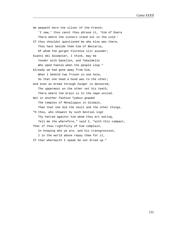He weepeth here the silver of the French; 'I saw,' thus canst thou phrase it, 'him of Duera There where the sinners stand out in the cold.' If thou shouldst questioned be who else was there, Thou hast beside thee him of Beccaria, Of whom the gorget Florence slit asunder; Gianni del Soldanier, I think, may be Yonder with Ganellon, and Tebaldello Who oped Faenza when the people slep." Already we had gone away from him, When I beheld two frozen in one hole, So that one head a hood was to the other; And even as bread through hunger is devoured, The uppermost on the other set his teeth, There where the brain is to the nape united. Not in another fashion Tydeus gnawed The temples of Menalippus in disdain, Than that one did the skull and the other things. "O thou, who showest by such bestial sign Thy hatred against him whom thou art eating, Tell me the wherefore," said I, "with this compact, That if thou rightfully of him complain, In knowing who ye are, and his transgression, I in the world above repay thee for it, If that wherewith I speak be not dried up."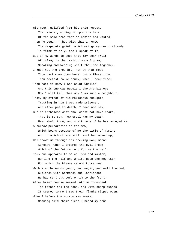His mouth uplifted from his grim repast, That sinner, wiping it upon the hair Of the same head that he behind had wasted. Then he began: "Thou wilt that I renew The desperate grief, which wrings my heart already To think of only, ere I speak of it; But if my words be seed that may bear fruit Of infamy to the traitor whom I gnaw, Speaking and weeping shalt thou see together. I know not who thou art, nor by what mode Thou hast come down here; but a Florentine Thou seemest to me truly, when I hear thee. Thou hast to know I was Count Ugolino, And this one was Ruggieri the Archbishop; Now I will tell thee why I am such a neighbour. That, by effect of his malicious thoughts, Trusting in him I was made prisoner, And after put to death, I need not say; But ne'ertheless what thou canst not have heard, That is to say, how cruel was my death, Hear shalt thou, and shalt know if he has wronged me. A narrow perforation in the mew, Which bears because of me the title of Famine, And in which others still must be locked up, Had shown me through its opening many moons Already, when I dreamed the evil dream Which of the future rent for me the veil. This one appeared to me as lord and master, Hunting the wolf and whelps upon the mountain For which the Pisans cannot Lucca see. With sleuth-hounds gaunt, and eager, and well trained, Gualandi with Sismondi and Lanfianchi He had sent out before him to the front. After brief course seemed unto me forespent The father and the sons, and with sharp tushes It seemed to me I saw their flanks ripped open. When I before the morrow was awake, Moaning amid their sleep I heard my sons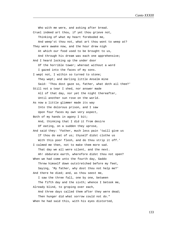Who with me were, and asking after bread. Cruel indeed art thou, if yet thou grieve not, Thinking of what my heart foreboded me, And weep'st thou not, what art thou wont to weep at? They were awake now, and the hour drew nigh At which our food used to be brought to us, And through his dream was each one apprehensive; And I heard locking up the under door Of the horrible tower; whereat without a word I gazed into the faces of my sons. I wept not, I within so turned to stone; They wept; and darling little Anselm mine Said: 'Thou dost gaze so, father, what doth ail thee?' Still not a tear I shed, nor answer made All of that day, nor yet the night thereafter, Until another sun rose on the world. As now a little glimmer made its way Into the dolorous prison, and I saw Upon four faces my own very aspect, Both of my hands in agony I bit; And, thinking that I did it from desire Of eating, on a sudden they uprose, And said they: 'Father, much less pain 'twill give us If thou do eat of us; thyself didst clothe us With this poor flesh, and do thou strip it off.' I calmed me then, not to make them more sad. That day we all were silent, and the next. Ah! obdurate earth, wherefore didst thou not open? When we had come unto the fourth day, Gaddo Threw himself down outstretched before my feet, Saying, 'My father, why dost thou not help me?' And there he died; and, as thou seest me, I saw the three fall, one by one, between The fifth day and the sixth; whence I betook me, Already blind, to groping over each, And three days called them after they were dead; Then hunger did what sorrow could not do." When he had said this, with his eyes distorted,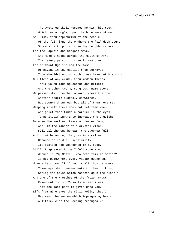The wretched skull resumed he with his teeth, Which, as a dog's, upon the bone were strong. Ah! Pisa, thou opprobrium of the people Of the fair land there where the 'Si' doth sound, Since slow to punish thee thy neighbours are, Let the Capraia and Gorgona move, And make a hedge across the mouth of Arno That every person in thee it may drown! For if Count Ugolino had the fame Of having in thy castles thee betrayed, Thou shouldst not on such cross have put his sons. Guiltless of any crime, thou modern Thebes! Their youth made Uguccione and Brigata, And the other two my song doth name above! We passed still farther onward, where the ice Another people ruggedly enswathes, Not downward turned, but all of them reversed. Weeping itself there does not let them weep, And grief that finds a barrier in the eyes Turns itself inward to increase the anguish; Because the earliest tears a cluster form, And, in the manner of a crystal visor, Fill all the cup beneath the eyebrow full. And notwithstanding that, as in a callus, Because of cold all sensibility Its station had abandoned in my face, Still it appeared to me I felt some wind; Whence I: "My Master, who sets this in motion? Is not below here every vapour quenched?" Whence he to me: "Full soon shalt thou be where Thine eye shall answer make to thee of this, Seeing the cause which raineth down the blast." And one of the wretches of the frozen crust Cried out to us: "O souls so merciless That the last post is given unto you, Lift from mine eyes the rigid veils, that I May vent the sorrow which impregns my heart A little, e'er the weeping recongeal."

134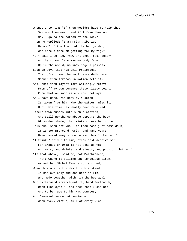Whence I to him: "If thou wouldst have me help thee Say who thou wast; and if I free thee not, May I go to the bottom of the ice." Then he replied: "I am Friar Alberigo; He am I of the fruit of the bad garden, Who here a date am getting for my fig." "O," said I to him, "now art thou, too, dead?" And he to me: "How may my body fare Up in the world, no knowledge I possess. Such an advantage has this Ptolomaea, That oftentimes the soul descendeth here Sooner than Atropos in motion sets it. And, that thou mayest more willingly remove From off my countenance these glassy tears, Know that as soon as any soul betrays As I have done, his body by a demon Is taken from him, who thereafter rules it, Until his time has wholly been revolved. Itself down rushes into such a cistern; And still perchance above appears the body Of yonder shade, that winters here behind me. This thou shouldst know, if thou hast just come down; It is Ser Branca d' Oria, and many years Have passed away since he was thus locked up." "I think," said I to him, "thou dost deceive me; For Branca d' Oria is not dead as yet, And eats, and drinks, and sleeps, and puts on clothes." "In moat above," said he, "of Malebranche, There where is boiling the tenacious pitch, As yet had Michel Zanche not arrived, When this one left a devil in his stead In his own body and one near of kin, Who made together with him the betrayal. But hitherward stretch out thy hand forthwith, Open mine eyes;"--and open them I did not, And to be rude to him was courtesy. Ah, Genoese! ye men at variance With every virtue, full of every vice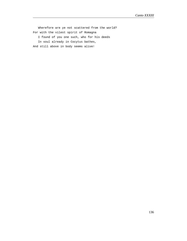Wherefore are ye not scattered from the world? For with the vilest spirit of Romagna I found of you one such, who for his deeds In soul already in Cocytus bathes, And still above in body seems alive!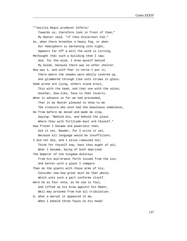"'Vexilla Regis prodeunt Inferni' Towards us; therefore look in front of thee," My Master said, "if thou discernest him." As, when there breathes a heavy fog, or when Our hemisphere is darkening into night, Appears far off a mill the wind is turning, Methought that such a building then I saw; And, for the wind, I drew myself behind My Guide, because there was no other shelter. Now was I, and with fear in verse I put it, There where the shades were wholly covered up, And glimmered through like unto straws in glass. Some prone are lying, others stand erect, This with the head, and that one with the soles; Another, bow-like, face to feet inverts. When in advance so far we had proceeded, That it my Master pleased to show to me The creature who once had the beauteous semblance, He from before me moved and made me stop, Saying: "Behold Dis, and behold the place Where thou with fortitude must arm thyself." How frozen I became and powerless then, Ask it not, Reader, for I write it not, Because all language would be insufficient. I did not die, and I alive remained not; Think for thyself now, hast thou aught of wit, What I became, being of both deprived. The Emperor of the kingdom dolorous From his mid-breast forth issued from the ice; And better with a giant I compare Than do the giants with those arms of his; Consider now how great must be that whole, Which unto such a part conforms itself. Were he as fair once, as he now is foul, And lifted up his brow against his Maker, Well may proceed from him all tribulation. O, what a marvel it appeared to me, When I beheld three faces on his head!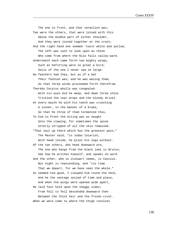The one in front, and that vermilion was; Two were the others, that were joined with this Above the middle part of either shoulder, And they were joined together at the crest; And the right-hand one seemed 'twixt white and yellow; The left was such to look upon as those Who come from where the Nile falls valley-ward. Underneath each came forth two mighty wings, Such as befitting were so great a bird; Sails of the sea I never saw so large. No feathers had they, but as of a bat Their fashion was; and he was waving them, So that three winds proceeded forth therefrom. Thereby Cocytus wholly was congealed. With six eyes did he weep, and down three chins Trickled the tear-drops and the bloody drivel. At every mouth he with his teeth was crunching A sinner, in the manner of a brake, So that he three of them tormented thus. To him in front the biting was as naught Unto the clawing, for sometimes the spine Utterly stripped of all the skin remained. "That soul up there which has the greatest pain," The Master said, "is Judas Iscariot; With head inside, he plies his legs without. Of the two others, who head downward are, The one who hangs from the black jowl is Brutus; See how he writhes himself, and speaks no word. And the other, who so stalwart seems, is Cassius. But night is reascending, and 'tis time That we depart, for we have seen the whole." As seemed him good, I clasped him round the neck, And he the vantage seized of time and place, And when the wings were opened wide apart, He laid fast hold upon the shaggy sides; From fell to fell descended downward then Between the thick hair and the frozen crust. When we were come to where the thigh revolves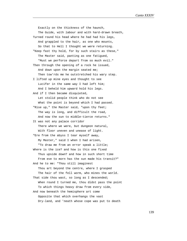Exactly on the thickness of the haunch, The Guide, with labour and with hard-drawn breath, Turned round his head where he had had his legs, And grappled to the hair, as one who mounts, So that to Hell I thought we were returning. "Keep fast thy hold, for by such stairs as these," The Master said, panting as one fatigued, "Must we perforce depart from so much evil." Then through the opening of a rock he issued, And down upon the margin seated me; Then tow'rds me he outstretched his wary step. I lifted up mine eyes and thought to see Lucifer in the same way I had left him; And I beheld him upward hold his legs. And if I then became disquieted, Let stolid people think who do not see What the point is beyond which I had passed. "Rise up," the Master said, "upon thy feet; The way is long, and difficult the road, And now the sun to middle-tierce returns." It was not any palace corridor There where we were, but dungeon natural, With floor uneven and unease of light. "Ere from the abyss I tear myself away, My Master," said I when I had arisen, "To draw me from an error speak a little; Where is the ice? and how is this one fixed Thus upside down? and how in such short time From eve to morn has the sun made his transit?" And he to me: "Thou still imaginest Thou art beyond the centre, where I grasped The hair of the fell worm, who mines the world. That side thou wast, so long as I descended; When round I turned me, thou didst pass the point To which things heavy draw from every side, And now beneath the hemisphere art come Opposite that which overhangs the vast Dry-land, and 'neath whose cope was put to death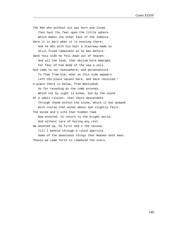The Man who without sin was born and lived. Thou hast thy feet upon the little sphere Which makes the other face of the Judecca. Here it is morn when it is evening there; And he who with his hair a stairway made us Still fixed remaineth as he was before. Upon this side he fell down out of heaven; And all the land, that whilom here emerged, For fear of him made of the sea a veil, And came to our hemisphere; and peradventure To flee from him, what on this side appears Left the place vacant here, and back recoiled." A place there is below, from Beelzebub As far receding as the tomb extends, Which not by sight is known, but by the sound Of a small rivulet, that there descendeth Through chasm within the stone, which it has gnawed With course that winds about and slightly falls. The Guide and I into that hidden road Now entered, to return to the bright world; And without care of having any rest We mounted up, he first and I the second, Till I beheld through a round aperture Some of the beauteous things that Heaven doth bear; Thence we came forth to rebehold the stars.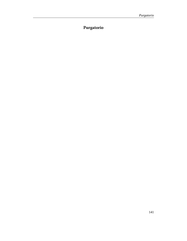## **Purgatorio**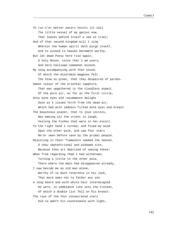To run o'er better waters hoists its sail The little vessel of my genius now, That leaves behind itself a sea so cruel; And of that second kingdom will I sing Wherein the human spirit doth purge itself, And to ascend to heaven becometh worthy. But let dead Poesy here rise again, O holy Muses, since that I am yours, And here Calliope somewhat ascend, My song accompanying with that sound, Of which the miserable magpies felt The blow so great, that they despaired of pardon. Sweet colour of the oriental sapphire, That was upgathered in the cloudless aspect Of the pure air, as far as the first circle, Unto mine eyes did recommence delight Soon as I issued forth from the dead air, Which had with sadness filled mine eyes and breast. The beauteous planet, that to love incites, Was making all the orient to laugh, Veiling the Fishes that were in her escort. To the right hand I turned, and fixed my mind Upon the other pole, and saw four stars Ne'er seen before save by the primal people. Rejoicing in their flamelets seemed the heaven. O thou septentrional and widowed site, Because thou art deprived of seeing these! When from regarding them I had withdrawn, Turning a little to the other pole, There where the Wain had disappeared already, I saw beside me an old man alone, Worthy of so much reverence in his look, That more owes not to father any son. A long beard and with white hair intermingled He wore, in semblance like unto the tresses, Of which a double list fell on his breast. The rays of the four consecrated stars Did so adorn his countenance with light,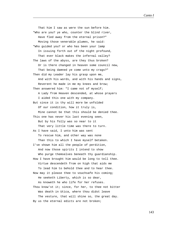That him I saw as were the sun before him. "Who are you? ye who, counter the blind river, Have fled away from the eternal prison?" Moving those venerable plumes, he said: "Who guided you? or who has been your lamp In issuing forth out of the night profound, That ever black makes the infernal valley? The laws of the abyss, are they thus broken? Or is there changed in heaven some council new, That being damned ye come unto my crags?" Then did my Leader lay his grasp upon me, And with his words, and with his hands and signs, Reverent he made in me my knees and brow; Then answered him: "I came not of myself; A Lady from Heaven descended, at whose prayers I aided this one with my company. But since it is thy will more be unfolded Of our condition, how it truly is, Mine cannot be that this should be denied thee. This one has never his last evening seen, But by his folly was so near to it That very little time was there to turn. As I have said, I unto him was sent To rescue him, and other way was none Than this to which I have myself betaken. I've shown him all the people of perdition, And now those spirits I intend to show Who purge themselves beneath thy guardianship. How I have brought him would be long to tell thee. Virtue descendeth from on high that aids me To lead him to behold thee and to hear thee. Now may it please thee to vouchsafe his coming; He seeketh Liberty, which is so dear, As knoweth he who life for her refuses. Thou know'st it; since, for her, to thee not bitter Was death in Utica, where thou didst leave The vesture, that will shine so, the great day. By us the eternal edicts are not broken;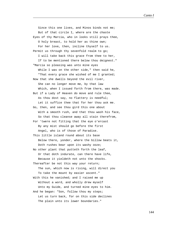Since this one lives, and Minos binds not me; But of that circle I, where are the chaste Eyes of thy Marcia, who in looks still prays thee, O holy breast, to hold her as thine own; For her love, then, incline thyself to us. Permit us through thy sevenfold realm to go; I will take back this grace from thee to her, If to be mentioned there below thou deignest." "Marcia so pleasing was unto mine eyes While I was on the other side," then said he, "That every grace she wished of me I granted; Now that she dwells beyond the evil river, She can no longer move me, by that law Which, when I issued forth from there, was made. But if a Lady of Heaven do move and rule thee, As thou dost say, no flattery is needful; Let it suffice thee that for her thou ask me. Go, then, and see thou gird this one about With a smooth rush, and that thou wash his face, So that thou cleanse away all stain therefrom, For 'twere not fitting that the eye o'ercast By any mist should go before the first Angel, who is of those of Paradise. This little island round about its base Below there, yonder, where the billow beats it, Doth rushes bear upon its washy ooze; No other plant that putteth forth the leaf, Or that doth indurate, can there have life, Because it yieldeth not unto the shocks. Thereafter be not this way your return; The sun, which now is rising, will direct you To take the mount by easier ascent." With this he vanished; and I raised me up Without a word, and wholly drew myself Unto my Guide, and turned mine eyes to him. And he began: "Son, follow thou my steps; Let us turn back, for on this side declines The plain unto its lower boundaries."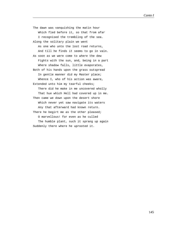The dawn was vanquishing the matin hour Which fled before it, so that from afar I recognised the trembling of the sea. Along the solitary plain we went As one who unto the lost road returns, And till he finds it seems to go in vain. As soon as we were come to where the dew Fights with the sun, and, being in a part Where shadow falls, little evaporates, Both of his hands upon the grass outspread In gentle manner did my Master place; Whence I, who of his action was aware, Extended unto him my tearful cheeks; There did he make in me uncovered wholly That hue which Hell had covered up in me. Then came we down upon the desert shore Which never yet saw navigate its waters Any that afterward had known return. There he begirt me as the other pleased; O marvellous! for even as he culled The humble plant, such it sprang up again Suddenly there where he uprooted it.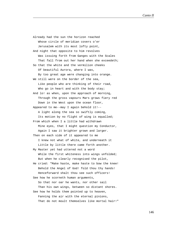*Canto II*

Already had the sun the horizon reached Whose circle of meridian covers o'er Jerusalem with its most lofty point, And night that opposite to him revolves Was issuing forth from Ganges with the Scales That fall from out her hand when she exceedeth; So that the white and the vermilion cheeks Of beautiful Aurora, where I was, By too great age were changing into orange. We still were on the border of the sea, Like people who are thinking of their road, Who go in heart and with the body stay; And lo! as when, upon the approach of morning, Through the gross vapours Mars grows fiery red Down in the West upon the ocean floor, Appeared to me--may I again behold it!-- A light along the sea so swiftly coming, Its motion by no flight of wing is equalled; From which when I a little had withdrawn Mine eyes, that I might question my Conductor, Again I saw it brighter grown and larger. Then on each side of it appeared to me I knew not what of white, and underneath it Little by little there came forth another. My Master yet had uttered not a word While the first whiteness into wings unfolded; But when he clearly recognised the pilot, He cried: "Make haste, make haste to bow the knee! Behold the Angel of God! fold thou thy hands! Henceforward shalt thou see such officers! See how he scorneth human arguments, So that nor oar he wants, nor other sail Than his own wings, between so distant shores. See how he holds them pointed up to heaven, Fanning the air with the eternal pinions, That do not moult themselves like mortal hair!"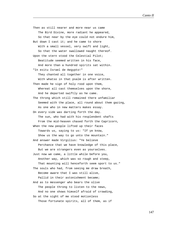Then as still nearer and more near us came The Bird Divine, more radiant he appeared, So that near by the eye could not endure him, But down I cast it; and he came to shore With a small vessel, very swift and light, So that the water swallowed naught thereof. Upon the stern stood the Celestial Pilot; Beatitude seemed written in his face, And more than a hundred spirits sat within. "In exitu Israel de Aegypto!" They chanted all together in one voice, With whatso in that psalm is after written. Then made he sign of holy rood upon them, Whereat all cast themselves upon the shore, And he departed swiftly as he came. The throng which still remained there unfamiliar Seemed with the place, all round about them gazing, As one who in new matters makes essay. On every side was darting forth the day. The sun, who had with his resplendent shafts From the mid-heaven chased forth the Capricorn, When the new people lifted up their faces Towards us, saying to us: "If ye know, Show us the way to go unto the mountain." And answer made Virgilius: "Ye believe Perchance that we have knowledge of this place, But we are strangers even as yourselves. Just now we came, a little while before you, Another way, which was so rough and steep, That mounting will henceforth seem sport to us." The souls who had, from seeing me draw breath, Become aware that I was still alive, Pallid in their astonishment became; And as to messenger who bears the olive The people throng to listen to the news, And no one shows himself afraid of crowding, So at the sight of me stood motionless Those fortunate spirits, all of them, as if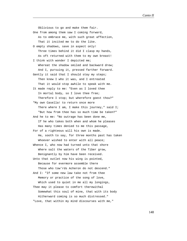*Canto II*

 Oblivious to go and make them fair. One from among them saw I coming forward, As to embrace me, with such great affection, That it incited me to do the like. O empty shadows, save in aspect only! Three times behind it did I clasp my hands, As oft returned with them to my own breast! I think with wonder I depicted me; Whereat the shadow smiled and backward drew; And I, pursuing it, pressed farther forward. Gently it said that I should stay my steps; Then knew I who it was, and I entreated That it would stop awhile to speak with me. It made reply to me: "Even as I loved thee In mortal body, so I love thee free; Therefore I stop; but wherefore goest thou?" "My own Casella! to return once more There where I am, I make this journey," said I; "But how from thee has so much time be taken?" And he to me: "No outrage has been done me, If he who takes both when and whom he pleases Has many times denied to me this passage, For of a righteous will his own is made. He, sooth to say, for three months past has taken Whoever wished to enter with all peace; Whence I, who now had turned unto that shore Where salt the waters of the Tiber grow, Benignantly by him have been received. Unto that outlet now his wing is pointed, Because for evermore assemble there Those who tow'rds Acheron do not descend." And I: "If some new law take not from thee Memory or practice of the song of love, Which used to quiet in me all my longings, Thee may it please to comfort therewithal Somewhat this soul of mine, that with its body Hitherward coming is so much distressed." "Love, that within my mind discourses with me,"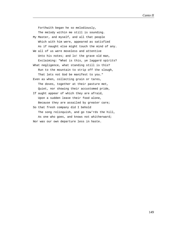Forthwith began he so melodiously, The melody within me still is sounding. My Master, and myself, and all that people Which with him were, appeared as satisfied As if naught else might touch the mind of any. We all of us were moveless and attentive Unto his notes; and lo! the grave old man, Exclaiming: "What is this, ye laggard spirits? What negligence, what standing still is this? Run to the mountain to strip off the slough, That lets not God be manifest to you." Even as when, collecting grain or tares, The doves, together at their pasture met, Quiet, nor showing their accustomed pride, If aught appear of which they are afraid, Upon a sudden leave their food alone, Because they are assailed by greater care; So that fresh company did I behold The song relinquish, and go tow'rds the hill, As one who goes, and knows not whitherward;

Nor was our own departure less in haste.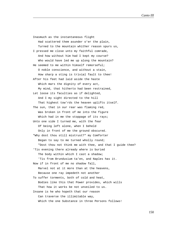Inasmuch as the instantaneous flight Had scattered them asunder o'er the plain, Turned to the mountain whither reason spurs us, I pressed me close unto my faithful comrade, And how without him had I kept my course? Who would have led me up along the mountain? He seemed to me within himself remorseful; O noble conscience, and without a stain, How sharp a sting is trivial fault to thee! After his feet had laid aside the haste Which mars the dignity of every act, My mind, that hitherto had been restrained, Let loose its faculties as if delighted, And I my sight directed to the hill That highest tow'rds the heaven uplifts itself. The sun, that in our rear was flaming red, Was broken in front of me into the figure Which had in me the stoppage of its rays; Unto one side I turned me, with the fear Of being left alone, when I beheld Only in front of me the ground obscured. "Why dost thou still mistrust?" my Comforter Began to say to me turned wholly round; "Dost thou not think me with thee, and that I guide thee? 'Tis evening there already where is buried The body within which I cast a shadow; 'Tis from Brundusium ta'en, and Naples has it. Now if in front of me no shadow fall, Marvel not at it more than at the heavens, Because one ray impedeth not another To suffer torments, both of cold and heat, Bodies like this that Power provides, which wills That how it works be not unveiled to us. Insane is he who hopeth that our reason Can traverse the illimitable way, Which the one Substance in three Persons follows!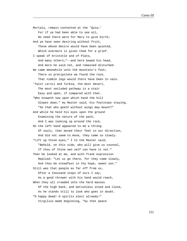Mortals, remain contented at the 'Quia;' For if ye had been able to see all, No need there were for Mary to give birth; And ye have seen desiring without fruit, Those whose desire would have been quieted, Which evermore is given them for a grief. I speak of Aristotle and of Plato, And many others;"--and here bowed his head, And more he said not, and remained disturbed. We came meanwhile unto the mountain's foot; There so precipitate we found the rock, That nimble legs would there have been in vain. 'Twixt Lerici and Turbia, the most desert, The most secluded pathway is a stair Easy and open, if compared with that. "Who knoweth now upon which hand the hill Slopes down," my Master said, his footsteps staying, "So that who goeth without wings may mount?" And while he held his eyes upon the ground Examining the nature of the path, And I was looking up around the rock, On the left hand appeared to me a throng Of souls, that moved their feet in our direction, And did not seem to move, they came so slowly. "Lift up thine eyes," I to the Master said; "Behold, on this side, who will give us counsel, If thou of thine own self can have it not." Then he looked at me, and with frank expression Replied: "Let us go there, for they come slowly, And thou be steadfast in thy hope, sweet son." Still was that people as far off from us, After a thousand steps of ours I say, As a good thrower with his hand would reach, When they all crowded unto the hard masses Of the high bank, and motionless stood and close, As he stands still to look who goes in doubt. "O happy dead! O spirits elect already!" Virgilius made beginning, "by that peace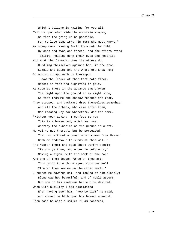Which I believe is waiting for you all, Tell us upon what side the mountain slopes, So that the going up be possible, For to lose time irks him most who most knows." As sheep come issuing forth from out the fold By ones and twos and threes, and the others stand Timidly, holding down their eyes and nostrils, And what the foremost does the others do, Huddling themselves against her, if she stop, Simple and quiet and the wherefore know not; So moving to approach us thereupon I saw the leader of that fortunate flock, Modest in face and dignified in gait. As soon as those in the advance saw broken The light upon the ground at my right side, So that from me the shadow reached the rock, They stopped, and backward drew themselves somewhat; And all the others, who came after them, Not knowing why nor wherefore, did the same. "Without your asking, I confess to you This is a human body which you see, Whereby the sunshine on the ground is cleft. Marvel ye not thereat, but be persuaded That not without a power which comes from Heaven Doth he endeavour to surmount this wall." The Master thus; and said those worthy people: "Return ye then, and enter in before us," Making a signal with the back o' the hand And one of them began: "Whoe'er thou art, Thus going turn thine eyes, consider well If e'er thou saw me in the other world." I turned me tow'rds him, and looked at him closely; Blond was he, beautiful, and of noble aspect, But one of his eyebrows had a blow divided. When with humility I had disclaimed E'er having seen him, "Now behold!" he said, And showed me high upon his breast a wound. Then said he with a smile: "I am Manfredi,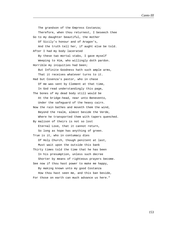The grandson of the Empress Costanza; Therefore, when thou returnest, I beseech thee Go to my daughter beautiful, the mother Of Sicily's honour and of Aragon's, And the truth tell her, if aught else be told. After I had my body lacerated By these two mortal stabs, I gave myself Weeping to Him, who willingly doth pardon. Horrible my iniquities had been; But Infinite Goodness hath such ample arms, That it receives whatever turns to it. Had but Cosenza's pastor, who in chase Of me was sent by Clement at that time, In God read understandingly this page, The bones of my dead body still would be At the bridge-head, near unto Benevento, Under the safeguard of the heavy cairn. Now the rain bathes and moveth them the wind, Beyond the realm, almost beside the Verde, Where he transported them with tapers quenched. By malison of theirs is not so lost Eternal Love, that it cannot return, So long as hope has anything of green. True is it, who in contumacy dies Of Holy Church, though penitent at last, Must wait upon the outside this bank Thirty times told the time that he has been In his presumption, unless such decree Shorter by means of righteous prayers become. See now if thou hast power to make me happy, By making known unto my good Costanza How thou hast seen me, and this ban beside, For those on earth can much advance us here."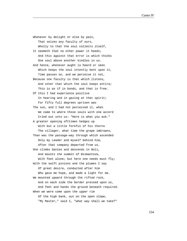Whenever by delight or else by pain, That seizes any faculty of ours, Wholly to that the soul collects itself, It seemeth that no other power it heeds; And this against that error is which thinks One soul above another kindles in us. And hence, whenever aught is heard or seen Which keeps the soul intently bent upon it, Time passes on, and we perceive it not, Because one faculty is that which listens, And other that which the soul keeps entire; This is as if in bonds, and that is free. Of this I had experience positive In hearing and in gazing at that spirit; For fifty full degrees uprisen was The sun, and I had not perceived it, when We came to where those souls with one accord Cried out unto us: "Here is what you ask." A greater opening ofttimes hedges up With but a little forkful of his thorns The villager, what time the grape imbrowns, Than was the passage-way through which ascended Only my Leader and myself behind him, After that company departed from us. One climbs Sanleo and descends in Noli, And mounts the summit of Bismantova, With feet alone; but here one needs must fly; With the swift pinions and the plumes I say Of great desire, conducted after him Who gave me hope, and made a light for me. We mounted upward through the rifted rock, And on each side the border pressed upon us, And feet and hands the ground beneath required. When we were come upon the upper rim Of the high bank, out on the open slope, "My Master," said I, "what way shall we take?"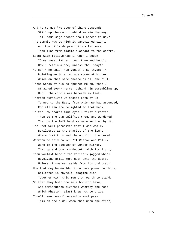And he to me: "No step of thine descend; Still up the mount behind me win thy way, Till some sage escort shall appear to us." The summit was so high it vanquished sight, And the hillside precipitous far more Than line from middle quadrant to the centre. Spent with fatigue was I, when I began: "O my sweet Father! turn thee and behold How I remain alone, unless thou stay!" "O son," he said, "up yonder drag thyself," Pointing me to a terrace somewhat higher, Which on that side encircles all the hill. These words of his so spurred me on, that I Strained every nerve, behind him scrambling up, Until the circle was beneath my feet. Thereon ourselves we seated both of us Turned to the East, from which we had ascended, For all men are delighted to look back. To the low shores mine eyes I first directed, Then to the sun uplifted them, and wondered That on the left hand we were smitten by it. The Poet well perceived that I was wholly Bewildered at the chariot of the light, Where 'twixt us and the Aquilon it entered. Whereon he said to me: "If Castor and Pollux Were in the company of yonder mirror, That up and down conducteth with its light, Thou wouldst behold the zodiac's jagged wheel Revolving still more near unto the Bears, Unless it swerved aside from its old track. How that may be wouldst thou have power to think, Collected in thyself, imagine Zion Together with this mount on earth to stand, So that they both one sole horizon have, And hemispheres diverse; whereby the road Which Phaeton, alas! knew not to drive, Thou'lt see how of necessity must pass This on one side, when that upon the other,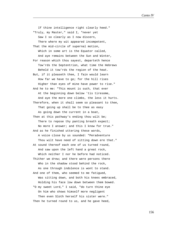If thine intelligence right clearly heed." "Truly, my Master," said I, "never yet Saw I so clearly as I now discern, There where my wit appeared incompetent, That the mid-circle of supernal motion, Which in some art is the Equator called, And aye remains between the Sun and Winter, For reason which thou sayest, departeth hence Tow'rds the Septentrion, what time the Hebrews Beheld it tow'rds the region of the heat. But, if it pleaseth thee, I fain would learn How far we have to go; for the hill rises Higher than eyes of mine have power to rise." And he to me: "This mount is such, that ever At the beginning down below 'tis tiresome, And aye the more one climbs, the less it hurts. Therefore, when it shall seem so pleasant to thee, That going up shall be to thee as easy As going down the current in a boat, Then at this pathway's ending thou wilt be; There to repose thy panting breath expect; No more I answer; and this I know for true." And as he finished uttering these words, A voice close by us sounded: "Peradventure Thou wilt have need of sitting down ere that." At sound thereof each one of us turned round, And saw upon the left hand a great rock, Which neither I nor he before had noticed. Thither we drew; and there were persons there Who in the shadow stood behind the rock, As one through indolence is wont to stand. And one of them, who seemed to me fatigued, Was sitting down, and both his knees embraced, Holding his face low down between them bowed. "O my sweet Lord," I said, "do turn thine eye On him who shows himself more negligent Then even Sloth herself his sister were." Then he turned round to us, and he gave heed,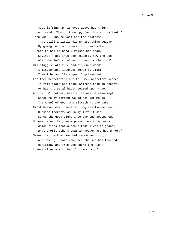Just lifting up his eyes above his thigh, And said: "Now go thou up, for thou art valiant." Then knew I who he was; and the distress, That still a little did my breathing quicken, My going to him hindered not; and after I came to him he hardly raised his head, Saying: "Hast thou seen clearly how the sun O'er thy left shoulder drives his chariot?" His sluggish attitude and his curt words A little unto laughter moved my lips; Then I began: "Belacqua, I grieve not For thee henceforth; but tell me, wherefore seated In this place art thou? Waitest thou an escort? Or has thy usual habit seized upon thee?" And he: "O brother, what's the use of climbing? Since to my torment would not let me go The Angel of God, who sitteth at the gate. First heaven must needs so long revolve me round Outside thereof, as in my life it did, Since the good sighs I to the end postponed, Unless, e'er that, some prayer may bring me aid Which rises from a heart that lives in grace; What profit others that in heaven are heard not?" Meanwhile the Poet was before me mounting, And saying: "Come now; see the sun has touched Meridian, and from the shore the night Covers already with her foot Morocco."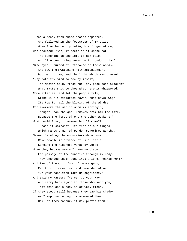I had already from those shades departed, And followed in the footsteps of my Guide, When from behind, pointing his finger at me, One shouted: "See, it seems as if shone not The sunshine on the left of him below, And like one living seems he to conduct him." Mine eyes I turned at utterance of these words, And saw them watching with astonishment But me, but me, and the light which was broken! "Why doth thy mind so occupy itself," The Master said, "that thou thy pace dost slacken? What matters it to thee what here is whispered? Come after me, and let the people talk; Stand like a steadfast tower, that never wags Its top for all the blowing of the winds; For evermore the man in whom is springing Thought upon thought, removes from him the mark, Because the force of one the other weakens." What could I say in answer but "I come"? I said it somewhat with that colour tinged Which makes a man of pardon sometimes worthy. Meanwhile along the mountain-side across Came people in advance of us a little, Singing the Miserere verse by verse. When they became aware I gave no place For passage of the sunshine through my body, They changed their song into a long, hoarse "Oh!" And two of them, in form of messengers, Ran forth to meet us, and demanded of us, "Of your condition make us cognisant." And said my Master: "Ye can go your way And carry back again to those who sent you, That this one's body is of very flesh. If they stood still because they saw his shadow, As I suppose, enough is answered them; Him let them honour, it may profit them."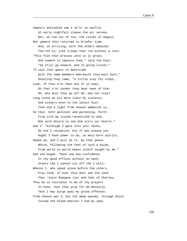Vapours enkindled saw I ne'er so swiftly At early nightfall cleave the air serene, Nor, at the set of sun, the clouds of August, But upward they returned in briefer time, And, on arriving, with the others wheeled Tow'rds us, like troops that run without a rein. "This folk that presses unto us is great, And cometh to implore thee," said the Poet; "So still go onward, and in going listen." "O soul that goest to beatitude With the same members wherewith thou wast born," Shouting they came, "a little stay thy steps, Look, if thou e'er hast any of us seen, So that o'er yonder thou bear news of him; Ah, why dost thou go on? Ah, why not stay? Long since we all were slain by violence, And sinners even to the latest hour; Then did a light from heaven admonish us, So that, both penitent and pardoning, forth From life we issued reconciled to God, Who with desire to see Him stirs our hearts." And I: "Although I gaze into your faces, No one I recognize; but if may please you Aught I have power to do, ye well-born spirits, Speak ye, and I will do it, by that peace Which, following the feet of such a Guide, From world to world makes itself sought by me." And one began: "Each one has confidence In thy good offices without an oath, Unless the I cannot cut off the I will; Whence I, who speak alone before the others, Pray thee, if ever thou dost see the land That 'twixt Romagna lies and that of Charles, Thou be so courteous to me of thy prayers In Fano, that they pray for me devoutly, That I may purge away my grave offences. From thence was I; but the deep wounds, through which Issued the blood wherein I had my seat,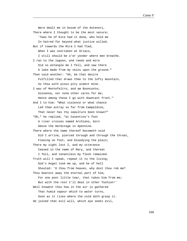Were dealt me in bosom of the Antenori, There where I thought to be the most secure; 'Twas he of Este had it done, who held me In hatred far beyond what justice willed. But if towards the Mira I had fled, When I was overtaken at Oriaco, I still should be o'er yonder where men breathe. I ran to the lagoon, and reeds and mire Did so entangle me I fell, and saw there A lake made from my veins upon the ground." Then said another: "Ah, be that desire Fulfilled that draws thee to the lofty mountain, As thou with pious pity aidest mine. I was of Montefeltro, and am Buonconte; Giovanna, nor none other cares for me; Hence among these I go with downcast front." And I to him: "What violence or what chance Led thee astray so far from Campaldino, That never has thy sepulture been known?" "Oh," he replied, "at Casentino's foot A river crosses named Archiano, born Above the Hermitage in Apennine. There where the name thereof becometh void Did I arrive, pierced through and through the throat, Fleeing on foot, and bloodying the plain; There my sight lost I, and my utterance Ceased in the name of Mary, and thereat I fell, and tenantless my flesh remained. Truth will I speak, repeat it to the living; God's Angel took me up, and he of hell Shouted: 'O thou from heaven, why dost thou rob me? Thou bearest away the eternal part of him, For one poor little tear, that takes him from me; But with the rest I'll deal in other fashion!' Well knowest thou how in the air is gathered That humid vapour which to water turns, Soon as it rises where the cold doth grasp it. He joined that evil will, which aye seeks evil,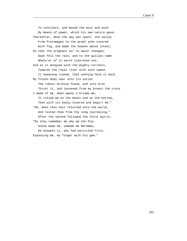To intellect, and moved the mist and wind By means of power, which his own nature gave; Thereafter, when the day was spent, the valley From Pratomagno to the great yoke covered With fog, and made the heaven above intent, So that the pregnant air to water changed; Down fell the rain, and to the gullies came Whate'er of it earth tolerated not; And as it mingled with the mighty torrents, Towards the royal river with such speed It headlong rushed, that nothing held it back. My frozen body near unto its outlet The robust Archian found, and into Arno Thrust it, and loosened from my breast the cross I made of me, when agony o'ercame me; It rolled me on the banks and on the bottom, Then with its booty covered and begirt me." "Ah, when thou hast returned unto the world, And rested thee from thy long journeying," After the second followed the third spirit, "Do thou remember me who am the Pia; Siena made me, unmade me Maremma; He knoweth it, who had encircled first, Espousing me, my finger with his gem."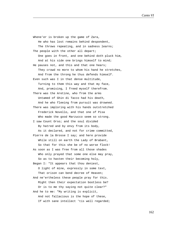Whene'er is broken up the game of Zara, He who has lost remains behind despondent, The throws repeating, and in sadness learns; The people with the other all depart; One goes in front, and one behind doth pluck him, And at his side one brings himself to mind; He pauses not, and this and that one hears; They crowd no more to whom his hand he stretches, And from the throng he thus defends himself. Even such was I in that dense multitude, Turning to them this way and that my face, And, promising, I freed myself therefrom. There was the Aretine, who from the arms Untamed of Ghin di Tacco had his death, And he who fleeing from pursuit was drowned. There was imploring with his hands outstretched Frederick Novello, and that one of Pisa Who made the good Marzucco seem so strong. I saw Count Orso; and the soul divided By hatred and by envy from its body, As it declared, and not for crime committed, Pierre de la Brosse I say; and here provide While still on earth the Lady of Brabant, So that for this she be of no worse flock! As soon as I was free from all those shades Who only prayed that some one else may pray, So as to hasten their becoming holy, Began I: "It appears that thou deniest, O light of mine, expressly in some text, That orison can bend decree of Heaven; And ne'ertheless these people pray for this. Might then their expectation bootless be? Or is to me thy saying not quite clear?" And he to me: "My writing is explicit, And not fallacious is the hope of these, If with sane intellect 'tis well regarded;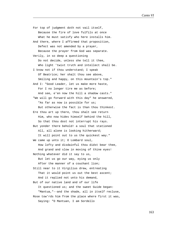For top of judgment doth not vail itself, Because the fire of love fulfils at once What he must satisfy who here installs him. And there, where I affirmed that proposition, Defect was not amended by a prayer, Because the prayer from God was separate. Verily, in so deep a questioning Do not decide, unless she tell it thee, Who light 'twixt truth and intellect shall be. I know not if thou understand; I speak Of Beatrice; her shalt thou see above, Smiling and happy, on this mountain's top." And I: "Good Leader, let us make more haste, For I no longer tire me as before; And see, e'en now the hill a shadow casts." "We will go forward with this day" he answered, "As far as now is possible for us; But otherwise the fact is than thou thinkest. Ere thou art up there, thou shalt see return Him, who now hides himself behind the hill, So that thou dost not interrupt his rays. But yonder there behold! a soul that stationed All, all alone is looking hitherward; It will point out to us the quickest way." We came up unto it; O Lombard soul, How lofty and disdainful thou didst bear thee, And grand and slow in moving of thine eyes! Nothing whatever did it say to us, But let us go our way, eying us only After the manner of a couchant lion; Still near to it Virgilius drew, entreating That it would point us out the best ascent; And it replied not unto his demand, But of our native land and of our life It questioned us; and the sweet Guide began: "Mantua,"--and the shade, all in itself recluse, Rose tow'rds him from the place where first it was, Saying: "O Mantuan, I am Sordello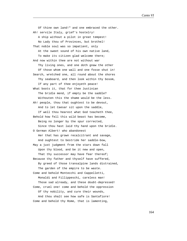Of thine own land!" and one embraced the other. Ah! servile Italy, grief's hostelry! A ship without a pilot in great tempest! No Lady thou of Provinces, but brothel! That noble soul was so impatient, only At the sweet sound of his own native land, To make its citizen glad welcome there; And now within thee are not without war Thy living ones, and one doth gnaw the other Of those whom one wall and one fosse shut in! Search, wretched one, all round about the shores Thy seaboard, and then look within thy bosom, If any part of thee enjoyeth peace! What boots it, that for thee Justinian The bridle mend, if empty be the saddle? Withouten this the shame would be the less. Ah! people, thou that oughtest to be devout, And to let Caesar sit upon the saddle, If well thou hearest what God teacheth thee, Behold how fell this wild beast has become, Being no longer by the spur corrected, Since thou hast laid thy hand upon the bridle. O German Albert! who abandonest Her that has grown recalcitrant and savage, And oughtest to bestride her saddle-bow, May a just judgment from the stars down fall Upon thy blood, and be it new and open, That thy successor may have fear thereof; Because thy father and thyself have suffered, By greed of those transalpine lands distrained, The garden of the empire to be waste. Come and behold Montecchi and Cappelletti, Monaldi and Fillippeschi, careless man! Those sad already, and these doubt-depressed! Come, cruel one! come and behold the oppression Of thy nobility, and cure their wounds, And thou shalt see how safe is Santafiore! Come and behold thy Rome, that is lamenting,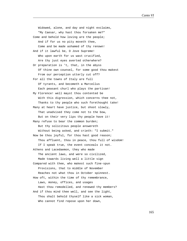Widowed, alone, and day and night exclaims, "My Caesar, why hast thou forsaken me?" Come and behold how loving are the people; And if for us no pity moveth thee, Come and be made ashamed of thy renown! And if it lawful be, O Jove Supreme! Who upon earth for us wast crucified, Are thy just eyes averted otherwhere? Or preparation is 't, that, in the abyss Of thine own counsel, for some good thou makest From our perception utterly cut off? For all the towns of Italy are full Of tyrants, and becometh a Marcellus Each peasant churl who plays the partisan! My Florence! well mayst thou contented be With this digression, which concerns thee not, Thanks to thy people who such forethought take! Many at heart have justice, but shoot slowly, That unadvised they come not to the bow, But on their very lips thy people have it! Many refuse to bear the common burden; But thy solicitous people answereth Without being asked, and crieth: "I submit." Now be thou joyful, for thou hast good reason; Thou affluent, thou in peace, thou full of wisdom! If I speak true, the event conceals it not. Athens and Lacedaemon, they who made The ancient laws, and were so civilized, Made towards living well a little sign Compared with thee, who makest such fine-spun Provisions, that to middle of November Reaches not what thou in October spinnest. How oft, within the time of thy remembrance, Laws, money, offices, and usages Hast thou remodelled, and renewed thy members? And if thou mind thee well, and see the light, Thou shalt behold thyself like a sick woman, Who cannot find repose upon her down,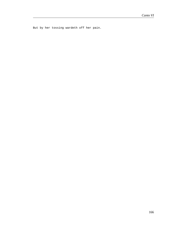But by her tossing wardeth off her pain.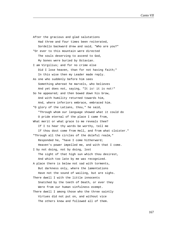After the gracious and glad salutations Had three and four times been reiterated, Sordello backward drew and said, "Who are you?" "Or ever to this mountain were directed The souls deserving to ascend to God, My bones were buried by Octavian. I am Virgilius; and for no crime else Did I lose heaven, than for not having faith;" In this wise then my Leader made reply. As one who suddenly before him sees Something whereat he marvels, who believes And yet does not, saying, "It is! it is not!" So he appeared; and then bowed down his brow, And with humility returned towards him, And, where inferiors embrace, embraced him. "O glory of the Latians, thou," he said, "Through whom our language showed what it could do O pride eternal of the place I came from, What merit or what grace to me reveals thee? If I to hear thy words be worthy, tell me If thou dost come from Hell, and from what cloister." "Through all the circles of the doleful realm," Responded he, "have I come hitherward; Heaven's power impelled me, and with that I come. I by not doing, not by doing, lost The sight of that high sun which thou desirest, And which too late by me was recognized. A place there is below not sad with torments, But darkness only, where the lamentations Have not the sound of wailing, but are sighs. There dwell I with the little innocents Snatched by the teeth of Death, or ever they Were from our human sinfulness exempt. There dwell I among those who the three saintly Virtues did not put on, and without vice The others knew and followed all of them.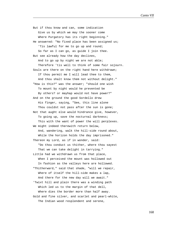But if thou know and can, some indication Give us by which we may the sooner come Where Purgatory has its right beginning." He answered: "No fixed place has been assigned us; 'Tis lawful for me to go up and round; So far as I can go, as guide I join thee. But see already how the day declines, And to go up by night we are not able; Therefore 'tis well to think of some fair sojourn. Souls are there on the right hand here withdrawn; If thou permit me I will lead thee to them, And thou shalt know them not without delight." "How is this?" was the answer; "should one wish To mount by night would he prevented be By others? or mayhap would not have power?" And on the ground the good Sordello drew His finger, saying, "See, this line alone Thou couldst not pass after the sun is gone; Not that aught else would hindrance give, however, To going up, save the nocturnal darkness; This with the want of power the will perplexes. We might indeed therewith return below, And, wandering, walk the hill-side round about, While the horizon holds the day imprisoned." Thereon my Lord, as if in wonder, said: "Do thou conduct us thither, where thou sayest That we can take delight in tarrying." Little had we withdrawn us from that place, When I perceived the mount was hollowed out In fashion as the valleys here are hollowed. "Thitherward," said that shade, "will we repair, Where of itself the hill-side makes a lap, And there for the new day will we await." 'Twixt hill and plain there was a winding path Which led us to the margin of that dell, Where dies the border more than half away. Gold and fine silver, and scarlet and pearl-white, The Indian wood resplendent and serene,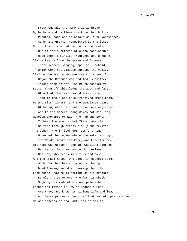Fresh emerald the moment it is broken, By herbage and by flowers within that hollow Planted, each one in colour would be vanquished, As by its greater vanquished is the less. Nor in that place had nature painted only, But of the sweetness of a thousand odours Made there a mingled fragrance and unknown. "Salve Regina," on the green and flowers There seated, singing, spirits I beheld, Which were not visible outside the valley. "Before the scanty sun now seeks his nest," Began the Mantuan who had led us thither, "Among them do not wish me to conduct you. Better from off this ledge the acts and faces Of all of them will you discriminate, Than in the plain below received among them. He who sits highest, and the semblance bears Of having what he should have done neglected, And to the others' song moves not his lips, Rudolph the Emperor was, who had the power To heal the wounds that Italy have slain, So that through others slowly she revives. The other, who in look doth comfort him, Governed the region where the water springs, The Moldau bears the Elbe, and Elbe the sea. His name was Ottocar; and in swaddling-clothes Far better he than bearded Winceslaus His son, who feeds in luxury and ease. And the small-nosed, who close in council seems With him that has an aspect so benign, Died fleeing and disflowering the lily; Look there, how he is beating at his breast! Behold the other one, who for his cheek Sighing has made of his own palm a bed; Father and father-in-law of France's Pest Are they, and know his vicious life and lewd, And hence proceeds the grief that so doth pierce them. He who appears so stalwart, and chimes in,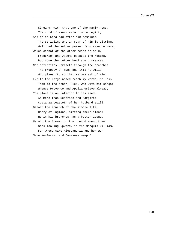Singing, with that one of the manly nose, The cord of every valour wore begirt; And if as King had after him remained The stripling who in rear of him is sitting, Well had the valour passed from vase to vase, Which cannot of the other heirs be said. Frederick and Jacomo possess the realms, But none the better heritage possesses. Not oftentimes upriseth through the branches The probity of man; and this He wills Who gives it, so that we may ask of Him. Eke to the large-nosed reach my words, no less Than to the other, Pier, who with him sings; Whence Provence and Apulia grieve already The plant is as inferior to its seed, As more than Beatrice and Margaret Costanza boasteth of her husband still. Behold the monarch of the simple life, Harry of England, sitting there alone; He in his branches has a better issue. He who the lowest on the ground among them Sits looking upward, is the Marquis William, For whose sake Alessandria and her war Make Monferrat and Canavese weep."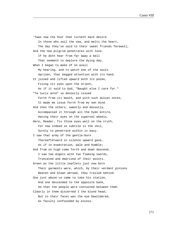'Twas now the hour that turneth back desire In those who sail the sea, and melts the heart, The day they've said to their sweet friends farewell, And the new pilgrim penetrates with love, If he doth hear from far away a bell That seemeth to deplore the dying day, When I began to make of no avail My hearing, and to watch one of the souls Uprisen, that begged attention with its hand. It joined and lifted upward both its palms, Fixing its eyes upon the orient, As if it said to God, "Naught else I care for." "Te lucis ante" so devoutly issued Forth from its mouth, and with such dulcet notes, It made me issue forth from my own mind. And then the others, sweetly and devoutly, Accompanied it through all the hymn entire, Having their eyes on the supernal wheels. Here, Reader, fix thine eyes well on the truth, For now indeed so subtile is the veil, Surely to penetrate within is easy. I saw that army of the gentle-born Thereafterward in silence upward gaze, As if in expectation, pale and humble; And from on high come forth and down descend, I saw two Angels with two flaming swords, Truncated and deprived of their points. Green as the little leaflets just now born Their garments were, which, by their verdant pinions Beaten and blown abroad, they trailed behind. One just above us came to take his station, And one descended to the opposite bank, So that the people were contained between them. Clearly in them discerned I the blond head; But in their faces was the eye bewildered, As faculty confounded by excess.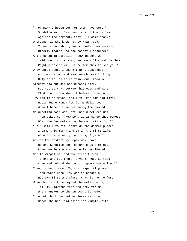"From Mary's bosom both of them have come," Sordello said, "as guardians of the valley Against the serpent, that will come anon." Whereupon I, who knew not by what road, Turned round about, and closely drew myself, Utterly frozen, to the faithful shoulders. And once again Sordello: "Now descend we 'Mid the grand shades, and we will speak to them; Right pleasant will it be for them to see you." Only three steps I think that I descended, And was below, and saw one who was looking Only at me, as if he fain would know me. Already now the air was growing dark, But not so that between his eyes and mine It did not show what it before locked up. Tow'rds me he moved, and I tow'rds him did move; Noble Judge Nino! how it me delighted, When I beheld thee not among the damned! No greeting fair was left unsaid between us; Then asked he: "How long is it since thou camest O'er the far waters to the mountain's foot?" "Oh!" said I to him, "through the dismal places I came this morn; and am in the first life, Albeit the other, going thus, I gain." And on the instant my reply was heard, He and Sordello both shrank back from me, Like people who are suddenly bewildered. One to Virgilius, and the other turned To one who sat there, crying, "Up, Currado! Come and behold what God in grace has willed!" Then, turned to me: "By that especial grace Thou owest unto Him, who so conceals His own first wherefore, that it has no ford, When thou shalt be beyond the waters wide, Tell my Giovanna that she pray for me, Where answer to the innocent is made. I do not think her mother loves me more, Since she has laid aside her wimple white,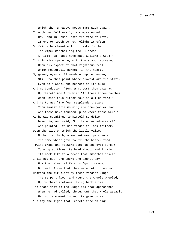Which she, unhappy, needs must wish again. Through her full easily is comprehended How long in woman lasts the fire of love, If eye or touch do not relight it often. So fair a hatchment will not make for her The Viper marshalling the Milanese A-field, as would have made Gallura's Cock." In this wise spake he, with the stamp impressed Upon his aspect of that righteous zeal Which measurably burneth in the heart. My greedy eyes still wandered up to heaven, Still to that point where slowest are the stars, Even as a wheel the nearest to its axle. And my Conductor: "Son, what dost thou gaze at Up there?" And I to him: "At those three torches With which this hither pole is all on fire." And he to me: "The four resplendent stars Thou sawest this morning are down yonder low, And these have mounted up to where those were." As he was speaking, to himself Sordello Drew him, and said, "Lo there our Adversary!" And pointed with his finger to look thither. Upon the side on which the little valley No barrier hath, a serpent was; perchance The same which gave to Eve the bitter food. 'Twixt grass and flowers came on the evil streak, Turning at times its head about, and licking Its back like to a beast that smoothes itself. I did not see, and therefore cannot say How the celestial falcons 'gan to move, But well I saw that they were both in motion. Hearing the air cleft by their verdant wings, The serpent fled, and round the Angels wheeled, Up to their stations flying back alike. The shade that to the Judge had near approached When he had called, throughout that whole assault Had not a moment loosed its gaze on me. "So may the light that leadeth thee on high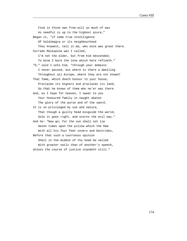Find in thine own free-will as much of wax As needful is up to the highest azure," Began it, "if some true intelligence Of Valdimagra or its neighbourhood Thou knowest, tell it me, who once was great there. Currado Malaspina was I called; I'm not the elder, but from him descended; To mine I bore the love which here refineth." "O," said I unto him, "through your domains I never passed, but where is there a dwelling Throughout all Europe, where they are not known? That fame, which doeth honour to your house, Proclaims its Signors and proclaims its land, So that he knows of them who ne'er was there. And, as I hope for heaven, I swear to you Your honoured family in naught abates The glory of the purse and of the sword. It is so privileged by use and nature, That though a guilty head misguide the world, Sole it goes right, and scorns the evil way." And he: "Now go; for the sun shall not lie Seven times upon the pillow which the Ram With all his four feet covers and bestrides, Before that such a courteous opinion Shall in the middle of thy head be nailed With greater nails than of another's speech, Unless the course of justice standeth still."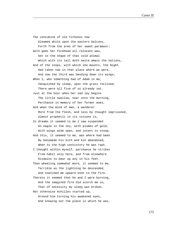The concubine of old Tithonus now Gleamed white upon the eastern balcony, Forth from the arms of her sweet paramour; With gems her forehead all relucent was, Set in the shape of that cold animal Which with its tail doth smite amain the nations, And of the steps, with which she mounts, the Night Had taken two in that place where we were, And now the third was bending down its wings; When I, who something had of Adam in me, Vanquished by sleep, upon the grass reclined, There were all five of us already sat. Just at the hour when her sad lay begins The little swallow, near unto the morning, Perchance in memory of her former woes, And when the mind of man, a wanderer More from the flesh, and less by thought imprisoned, Almost prophetic in its visions is, In dreams it seemed to me I saw suspended An eagle in the sky, with plumes of gold, With wings wide open, and intent to stoop, And this, it seemed to me, was where had been By Ganymede his kith and kin abandoned, When to the high consistory he was rapt. I thought within myself, perchance he strikes From habit only here, and from elsewhere Disdains to bear up any in his feet. Then wheeling somewhat more, it seemed to me, Terrible as the lightning he descended, And snatched me upward even to the fire. Therein it seemed that he and I were burning, And the imagined fire did scorch me so, That of necessity my sleep was broken. Not otherwise Achilles started up, Around him turning his awakened eyes, And knowing not the place in which he was,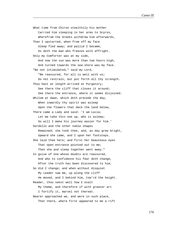What time from Chiron stealthily his mother Carried him sleeping in her arms to Scyros, Wherefrom the Greeks withdrew him afterwards, Than I upstarted, when from off my face Sleep fled away; and pallid I became, As doth the man who freezes with affright. Only my Comforter was at my side, And now the sun was more than two hours high, And turned towards the sea-shore was my face. "Be not intimidated," said my Lord, "Be reassured, for all is well with us; Do not restrain, but put forth all thy strength. Thou hast at length arrived at Purgatory; See there the cliff that closes it around; See there the entrance, where it seems disjoined. Whilom at dawn, which doth precede the day, When inwardly thy spirit was asleep Upon the flowers that deck the land below, There came a Lady and said: 'I am Lucia; Let me take this one up, who is asleep; So will I make his journey easier for him.' Sordello and the other noble shapes Remained; she took thee, and, as day grew bright, Upward she came, and I upon her footsteps. She laid thee here; and first her beauteous eyes That open entrance pointed out to me; Then she and sleep together went away." In guise of one whose doubts are reassured, And who to confidence his fear doth change, After the truth has been discovered to him, So did I change; and when without disquiet My Leader saw me, up along the cliff He moved, and I behind him, tow'rd the height. Reader, thou seest well how I exalt My theme, and therefore if with greater art I fortify it, marvel not thereat. Nearer approached we, and were in such place, That there, where first appeared to me a rift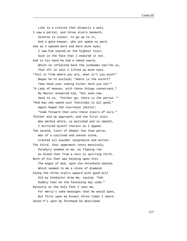Like to a crevice that disparts a wall, I saw a portal, and three stairs beneath, Diverse in colour, to go up to it, And a gate-keeper, who yet spake no word. And as I opened more and more mine eyes, I saw him seated on the highest stair, Such in the face that I endured it not. And in his hand he had a naked sword, Which so reflected back the sunbeams tow'rds us, That oft in vain I lifted up mine eyes. "Tell it from where you are, what is't you wish?" Began he to exclaim; "where is the escort? Take heed your coming hither harm you not!" "A Lady of Heaven, with these things conversant," My Master answered him, "but even now Said to us, 'Thither go; there is the portal.'" "And may she speed your footsteps in all good," Again began the courteous janitor; "Come forward then unto these stairs of ours." Thither did we approach; and the first stair Was marble white, so polished and so smooth, I mirrored myself therein as I appear. The second, tinct of deeper hue than perse, Was of a calcined and uneven stone, Cracked all asunder lengthwise and across. The third, that uppermost rests massively, Porphyry seemed to me, as flaming red As blood that from a vein is spirting forth. Both of his feet was holding upon this The Angel of God, upon the threshold seated, Which seemed to me a stone of diamond. Along the three stairs upward with good will Did my Conductor draw me, saying: "Ask Humbly that he the fastening may undo." Devoutly at the holy feet I cast me, For mercy's sake besought that he would open, But first upon my breast three times I smote. Seven P's upon my forehead he described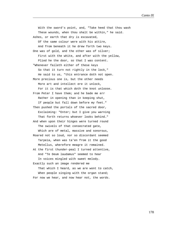With the sword's point, and, "Take heed that thou wash These wounds, when thou shalt be within," he said. Ashes, or earth that dry is excavated, Of the same colour were with his attire, And from beneath it he drew forth two keys. One was of gold, and the other was of silver; First with the white, and after with the yellow, Plied he the door, so that I was content. "Whenever faileth either of these keys So that it turn not rightly in the lock," He said to us, "this entrance doth not open. More precious one is, but the other needs More art and intellect ere it unlock, For it is that which doth the knot unloose. From Peter I have them; and he bade me err Rather in opening than in keeping shut, If people but fall down before my feet." Then pushed the portals of the sacred door, Exclaiming: "Enter; but I give you warning That forth returns whoever looks behind." And when upon their hinges were turned round The swivels of that consecrated gate, Which are of metal, massive and sonorous, Roared not so loud, nor so discordant seemed Tarpeia, when was ta'en from it the good Metellus, wherefore meagre it remained. At the first thunder-peal I turned attentive, And "Te Deum laudamus" seemed to hear In voices mingled with sweet melody. Exactly such an image rendered me That which I heard, as we are wont to catch, When people singing with the organ stand; For now we hear, and now hear not, the words.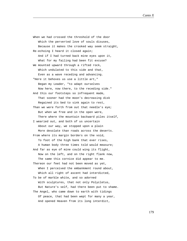When we had crossed the threshold of the door Which the perverted love of souls disuses, Because it makes the crooked way seem straight, Re-echoing I heard it closed again; And if I had turned back mine eyes upon it, What for my failing had been fit excuse? We mounted upward through a rifted rock, Which undulated to this side and that, Even as a wave receding and advancing. "Here it behoves us use a little art," Began my Leader, "to adapt ourselves Now here, now there, to the receding side." And this our footsteps so infrequent made, That sooner had the moon's decreasing disk Regained its bed to sink again to rest, Than we were forth from out that needle's eye; But when we free and in the open were, There where the mountain backward piles itself, I wearied out, and both of us uncertain About our way, we stopped upon a plain More desolate than roads across the deserts. From where its margin borders on the void, To foot of the high bank that ever rises, A human body three times told would measure; And far as eye of mine could wing its flight, Now on the left, and on the right flank now, The same this cornice did appear to me. Thereon our feet had not been moved as yet, When I perceived the embankment round about, Which all right of ascent had interdicted, To be of marble white, and so adorned With sculptures, that not only Polycletus, But Nature's self, had there been put to shame. The Angel, who came down to earth with tidings Of peace, that had been wept for many a year, And opened Heaven from its long interdict,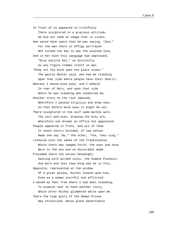*Canto X*

In front of us appeared so truthfully There sculptured in a gracious attitude, He did not seem an image that is silent. One would have sworn that he was saying, "Ave;" For she was there in effigy portrayed Who turned the key to ope the exalted love, And in her mien this language had impressed, "Ecce ancilla Dei," as distinctly As any figure stamps itself in wax. "Keep not thy mind upon one place alone," The gentle Master said, who had me standing Upon that side where people have their hearts; Whereat I moved mine eyes, and I beheld In rear of Mary, and upon that side Where he was standing who conducted me, Another story on the rock imposed; Wherefore I passed Virgilius and drew near, So that before mine eyes it might be set. There sculptured in the self-same marble were The cart and oxen, drawing the holy ark, Wherefore one dreads an office not appointed. People appeared in front, and all of them In seven choirs divided, of two senses Made one say "No," the other, "Yes, they sing." Likewise unto the smoke of the frankincense, Which there was imaged forth, the eyes and nose Were in the yes and no discordant made. Preceded there the vessel benedight, Dancing with girded loins, the humble Psalmist, And more and less than King was he in this. Opposite, represented at the window Of a great palace, Michal looked upon him, Even as a woman scornful and afflicted. I moved my feet from where I had been standing, To examine near at hand another story, Which after Michal glimmered white upon me. There the high glory of the Roman Prince Was chronicled, whose great beneficence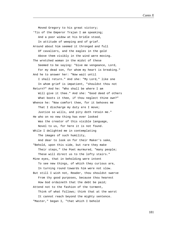*Canto X*

 Moved Gregory to his great victory; 'Tis of the Emperor Trajan I am speaking; And a poor widow at his bridle stood, In attitude of weeping and of grief. Around about him seemed it thronged and full Of cavaliers, and the eagles in the gold Above them visibly in the wind were moving. The wretched woman in the midst of these Seemed to be saying: "Give me vengeance, Lord, For my dead son, for whom my heart is breaking." And he to answer her: "Now wait until I shall return." And she: "My Lord," like one In whom grief is impatient, "shouldst thou not Return?" And he: "Who shall be where I am Will give it thee." And she: "Good deed of others What boots it thee, if thou neglect thine own?" Whence he: "Now comfort thee, for it behoves me That I discharge my duty ere I move; Justice so wills, and pity doth retain me." He who on no new thing has ever looked Was the creator of this visible language, Novel to us, for here it is not found. While I delighted me in contemplating The images of such humility, And dear to look on for their Maker's sake, "Behold, upon this side, but rare they make Their steps," the Poet murmured, "many people; These will direct us to the lofty stairs." Mine eyes, that in beholding were intent To see new things, of which they curious are, In turning round towards him were not slow. But still I wish not, Reader, thou shouldst swerve From thy good purposes, because thou hearest How God ordaineth that the debt be paid; Attend not to the fashion of the torment, Think of what follows; think that at the worst It cannot reach beyond the mighty sentence. "Master," began I, "that which I behold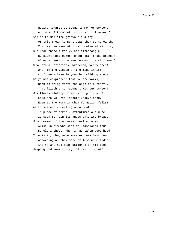Moving towards us seems to me not persons, And what I know not, so in sight I waver." And he to me: "The grievous quality Of this their torment bows them so to earth, That my own eyes at first contended with it; But look there fixedly, and disentangle By sight what cometh underneath those stones; Already canst thou see how each is stricken." O ye proud Christians! wretched, weary ones! Who, in the vision of the mind infirm Confidence have in your backsliding steps, Do ye not comprehend that we are worms, Born to bring forth the angelic butterfly That flieth unto judgment without screen? Why floats aloft your spirit high in air? Like are ye unto insects undeveloped, Even as the worm in whom formation fails! As to sustain a ceiling or a roof, In place of corbel, oftentimes a figure Is seen to join its knees unto its breast, Which makes of the unreal real anguish Arise in him who sees it, fashioned thus Beheld I those, when I had ta'en good heed. True is it, they were more or less bent down, According as they more or less were laden; And he who had most patience in his looks Weeping did seem to say, "I can no more!"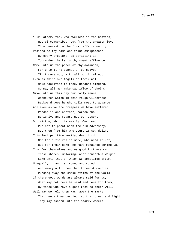"Our Father, thou who dwellest in the heavens, Not circumscribed, but from the greater love Thou bearest to the first effects on high, Praised be thy name and thine omnipotence By every creature, as befitting is To render thanks to thy sweet effluence. Come unto us the peace of thy dominion, For unto it we cannot of ourselves, If it come not, with all our intellect. Even as thine own Angels of their will Make sacrifice to thee, Hosanna singing, So may all men make sacrifice of theirs. Give unto us this day our daily manna, Withouten which in this rough wilderness Backward goes he who toils most to advance. And even as we the trespass we have suffered Pardon in one another, pardon thou Benignly, and regard not our desert. Our virtue, which is easily o'ercome, Put not to proof with the old Adversary, But thou from him who spurs it so, deliver. This last petition verily, dear Lord, Not for ourselves is made, who need it not, But for their sake who have remained behind us." Thus for themselves and us good furtherance Those shades imploring, went beneath a weight Like unto that of which we sometimes dream, Unequally in anguish round and round And weary all, upon that foremost cornice, Purging away the smoke-stains of the world. If there good words are always said for us, What may not here be said and done for them, By those who have a good root to their will? Well may we help them wash away the marks That hence they carried, so that clean and light They may ascend unto the starry wheels!

183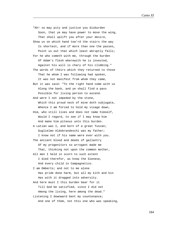"Ah! so may pity and justice you disburden Soon, that ye may have power to move the wing, That shall uplift you after your desire, Show us on which hand tow'rd the stairs the way Is shortest, and if more than one the passes, Point us out that which least abruptly falls; For he who cometh with me, through the burden Of Adam's flesh wherewith he is invested, Against his will is chary of his climbing." The words of theirs which they returned to those That he whom I was following had spoken, It was not manifest from whom they came, But it was said: "To the right hand come with us Along the bank, and ye shall find a pass Possible for living person to ascend. And were I not impeded by the stone, Which this proud neck of mine doth subjugate, Whence I am forced to hold my visage down, Him, who still lives and does not name himself, Would I regard, to see if I may know him And make him piteous unto this burden. A Latian was I, and born of a great Tuscan; Guglielmo Aldobrandeschi was my father; I know not if his name were ever with you. The ancient blood and deeds of gallantry Of my progenitors so arrogant made me That, thinking not upon the common mother, All men I held in scorn to such extent I died therefor, as know the Sienese, And every child in Campagnatico. I am Omberto; and not to me alone Has pride done harm, but all my kith and kin Has with it dragged into adversity. And here must I this burden bear for it Till God be satisfied, since I did not Among the living, here among the dead." Listening I downward bent my countenance; And one of them, not this one who was speaking,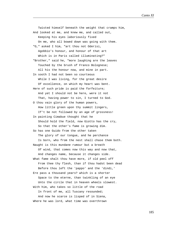Twisted himself beneath the weight that cramps him, And looked at me, and knew me, and called out, Keeping his eyes laboriously fixed On me, who all bowed down was going with them. "O," asked I him, "art thou not Oderisi, Agobbio's honour, and honour of that art Which is in Paris called illuminating?" "Brother," said he, "more laughing are the leaves Touched by the brush of Franco Bolognese; All his the honour now, and mine in part. In sooth I had not been so courteous While I was living, for the great desire Of excellence, on which my heart was bent. Here of such pride is paid the forfeiture; And yet I should not be here, were it not That, having power to sin, I turned to God. O thou vain glory of the human powers, How little green upon thy summit lingers, If't be not followed by an age of grossness! In painting Cimabue thought that he Should hold the field, now Giotto has the cry, So that the other's fame is growing dim. So has one Guido from the other taken The glory of our tongue, and he perchance Is born, who from the nest shall chase them both. Naught is this mundane rumour but a breath Of wind, that comes now this way and now that, And changes name, because it changes side. What fame shalt thou have more, if old peel off From thee thy flesh, than if thou hadst been dead Before thou left the 'pappo' and the 'dindi,' Ere pass a thousand years? which is a shorter Space to the eterne, than twinkling of an eye Unto the circle that in heaven wheels slowest. With him, who takes so little of the road In front of me, all Tuscany resounded; And now he scarce is lisped of in Siena, Where he was lord, what time was overthrown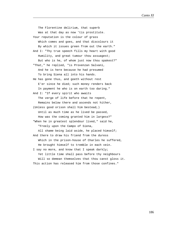*Canto XI*

 The Florentine delirium, that superb Was at that day as now 'tis prostitute. Your reputation is the colour of grass Which comes and goes, and that discolours it By which it issues green from out the earth." And I: "Thy true speech fills my heart with good Humility, and great tumour thou assuagest; But who is he, of whom just now thou spakest?" "That," he replied, "is Provenzan Salvani, And he is here because he had presumed To bring Siena all into his hands. He has gone thus, and goeth without rest E'er since he died; such money renders back In payment he who is on earth too daring." And I: "If every spirit who awaits The verge of life before that he repent, Remains below there and ascends not hither, (Unless good orison shall him bestead,) Until as much time as he lived be passed, How was the coming granted him in largess?" "When he in greatest splendour lived," said he, "Freely upon the Campo of Siena, All shame being laid aside, he placed himself; And there to draw his friend from the duress Which in the prison-house of Charles he suffered, He brought himself to tremble in each vein. I say no more, and know that I speak darkly; Yet little time shall pass before thy neighbours Will so demean themselves that thou canst gloss it. This action has released him from those confines."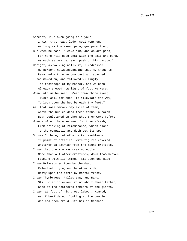Abreast, like oxen going in a yoke, I with that heavy-laden soul went on, As long as the sweet pedagogue permitted; But when he said, "Leave him, and onward pass, For here 'tis good that with the sail and oars, As much as may be, each push on his barque;" Upright, as walking wills it, I redressed My person, notwithstanding that my thoughts Remained within me downcast and abashed. I had moved on, and followed willingly The footsteps of my Master, and we both Already showed how light of foot we were, When unto me he said: "Cast down thine eyes; 'Twere well for thee, to alleviate the way, To look upon the bed beneath thy feet." As, that some memory may exist of them, Above the buried dead their tombs in earth Bear sculptured on them what they were before; Whence often there we weep for them afresh, From pricking of remembrance, which alone To the compassionate doth set its spur; So saw I there, but of a better semblance In point of artifice, with figures covered Whate'er as pathway from the mount projects. I saw that one who was created noble More than all other creatures, down from heaven Flaming with lightnings fall upon one side. I saw Briareus smitten by the dart Celestial, lying on the other side, Heavy upon the earth by mortal frost. I saw Thymbraeus, Pallas saw, and Mars, Still clad in armour round about their father, Gaze at the scattered members of the giants. I saw, at foot of his great labour, Nimrod, As if bewildered, looking at the people Who had been proud with him in Sennaar.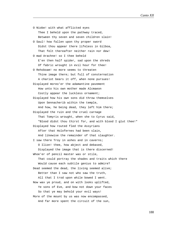*Canto XII*

O Niobe! with what afflicted eyes Thee I beheld upon the pathway traced, Between thy seven and seven children slain! O Saul! how fallen upon thy proper sword Didst thou appear there lifeless in Gilboa, That felt thereafter neither rain nor dew! O mad Arachne! so I thee beheld E'en then half spider, sad upon the shreds Of fabric wrought in evil hour for thee! O Rehoboam! no more seems to threaten Thine image there; but full of consternation A chariot bears it off, when none pursues! Displayed moreo'er the adamantine pavement How unto his own mother made Alcmaeon Costly appear the luckless ornament; Displayed how his own sons did throw themselves Upon Sennacherib within the temple, And how, he being dead, they left him there; Displayed the ruin and the cruel carnage That Tomyris wrought, when she to Cyrus said, "Blood didst thou thirst for, and with blood I glut thee!" Displayed how routed fled the Assyrians After that Holofernes had been slain, And likewise the remainder of that slaughter. I saw there Troy in ashes and in caverns; O Ilion! thee, how abject and debased, Displayed the image that is there discerned! Whoe'er of pencil master was or stile, That could portray the shades and traits which there Would cause each subtile genius to admire? Dead seemed the dead, the living seemed alive; Better than I saw not who saw the truth, All that I trod upon while bowed I went. Now wax ye proud, and on with looks uplifted, Ye sons of Eve, and bow not down your faces So that ye may behold your evil ways! More of the mount by us was now encompassed, And far more spent the circuit of the sun,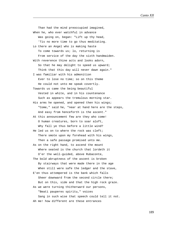Than had the mind preoccupied imagined, When he, who ever watchful in advance Was going on, began: "Lift up thy head, 'Tis no more time to go thus meditating. Lo there an Angel who is making haste To come towards us; lo, returning is From service of the day the sixth handmaiden. With reverence thine acts and looks adorn, So that he may delight to speed us upward; Think that this day will never dawn again." I was familiar with his admonition Ever to lose no time; so on this theme He could not unto me speak covertly. Towards us came the being beautiful Vested in white, and in his countenance Such as appears the tremulous morning star. His arms he opened, and opened then his wings; "Come," said he, "near at hand here are the steps, And easy from henceforth is the ascent." At this announcement few are they who come! O human creatures, born to soar aloft, Why fall ye thus before a little wind? He led us on to where the rock was cleft; There smote upon my forehead with his wings, Then a safe passage promised unto me. As on the right hand, to ascend the mount Where seated is the church that lordeth it O'er the well-guided, above Rubaconte, The bold abruptness of the ascent is broken By stairways that were made there in the age When still were safe the ledger and the stave, E'en thus attempered is the bank which falls Sheer downward from the second circle there; But on this, side and that the high rock graze. As we were turning thitherward our persons, "Beati pauperes spiritu," voices Sang in such wise that speech could tell it not. Ah me! how different are these entrances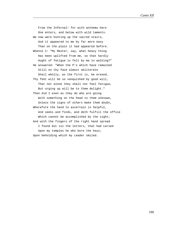From the Infernal! for with anthems here One enters, and below with wild laments. We now were hunting up the sacred stairs, And it appeared to me by far more easy Than on the plain it had appeared before. Whence I: "My Master, say, what heavy thing Has been uplifted from me, so that hardly Aught of fatigue is felt by me in walking?" He answered: "When the P's which have remained Still on thy face almost obliterate Shall wholly, as the first is, be erased, Thy feet will be so vanquished by good will, That not alone they shall not feel fatigue, But urging up will be to them delight." Then did I even as they do who are going With something on the head to them unknown, Unless the signs of others make them doubt, Wherefore the hand to ascertain is helpful, And seeks and finds, and doth fulfill the office Which cannot be accomplished by the sight; And with the fingers of the right hand spread I found but six the letters, that had carved Upon my temples he who bore the keys; Upon beholding which my Leader smiled.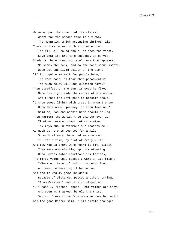We were upon the summit of the stairs, Where for the second time is cut away The mountain, which ascending shriveth all. There in like manner doth a cornice bind The hill all round about, as does the first, Save that its arc more suddenly is curved. Shade is there none, nor sculpture that appears; So seems the bank, and so the road seems smooth, With but the livid colour of the stone. "If to inquire we wait for people here," The Poet said, "I fear that peradventure Too much delay will our election have." Then steadfast on the sun his eyes he fixed, Made his right side the centre of his motion, And turned the left part of himself about. "O thou sweet light! with trust in whom I enter Upon this novel journey, do thou lead us," Said he, "as one within here should be led. Thou warmest the world, thou shinest over it; If other reason prompt not otherwise, Thy rays should evermore our leaders be!" As much as here is counted for a mile, So much already there had we advanced In little time, by dint of ready will; And tow'rds us there were heard to fly, albeit They were not visible, spirits uttering Unto Love's table courteous invitations, The first voice that passed onward in its flight, "Vinum non habent," said in accents loud, And went reiterating it behind us. And ere it wholly grew inaudible Because of distance, passed another, crying, "I am Orestes!" and it also stayed not. "O," said I, "Father, these, what voices are they?" And even as I asked, behold the third, Saying: "Love those from whom ye have had evil!" And the good Master said: "This circle scourges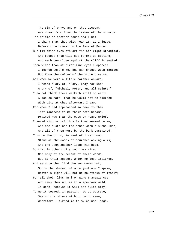The sin of envy, and on that account Are drawn from love the lashes of the scourge. The bridle of another sound shall be; I think that thou wilt hear it, as I judge, Before thou comest to the Pass of Pardon. But fix thine eyes athwart the air right steadfast, And people thou wilt see before us sitting, And each one close against the cliff is seated." Then wider than at first mine eyes I opened; I looked before me, and saw shades with mantles Not from the colour of the stone diverse. And when we were a little farther onward, I heard a cry of, "Mary, pray for us!" A cry of, "Michael, Peter, and all Saints!" I do not think there walketh still on earth A man so hard, that he would not be pierced With pity at what afterward I saw. For when I had approached so near to them That manifest to me their acts became, Drained was I at the eyes by heavy grief. Covered with sackcloth vile they seemed to me, And one sustained the other with his shoulder, And all of them were by the bank sustained. Thus do the blind, in want of livelihood, Stand at the doors of churches asking alms, And one upon another leans his head, So that in others pity soon may rise, Not only at the accent of their words, But at their aspect, which no less implores. And as unto the blind the sun comes not, So to the shades, of whom just now I spake, Heaven's light will not be bounteous of itself; For all their lids an iron wire transpierces, And sews them up, as to a sparhawk wild Is done, because it will not quiet stay. To me it seemed, in passing, to do outrage, Seeing the others without being seen; Wherefore I turned me to my counsel sage.

192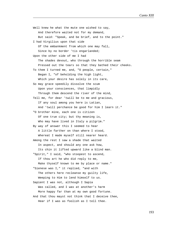Well knew he what the mute one wished to say, And therefore waited not for my demand, But said: "Speak, and be brief, and to the point." I had Virgilius upon that side Of the embankment from which one may fall, Since by no border 'tis engarlanded; Upon the other side of me I had The shades devout, who through the horrible seam Pressed out the tears so that they bathed their cheeks. To them I turned me, and, "O people, certain," Began I, "of beholding the high light, Which your desire has solely in its care, So may grace speedily dissolve the scum Upon your consciences, that limpidly Through them descend the river of the mind, Tell me, for dear 'twill be to me and gracious, If any soul among you here is Latian, And 'twill perchance be good for him I learn it." "O brother mine, each one is citizen Of one true city; but thy meaning is, Who may have lived in Italy a pilgrim." By way of answer this I seemed to hear A little farther on than where I stood, Whereat I made myself still nearer heard. Among the rest I saw a shade that waited In aspect, and should any one ask how, Its chin it lifted upward like a blind man. "Spirit," I said, "who stoopest to ascend, If thou art he who did reply to me, Make thyself known to me by place or name." "Sienese was I," it replied, "and with The others here recleanse my guilty life, Weeping to Him to lend himself to us. Sapient I was not, although I Sapia Was called, and I was at another's harm More happy far than at my own good fortune. And that thou mayst not think that I deceive thee, Hear if I was as foolish as I tell thee.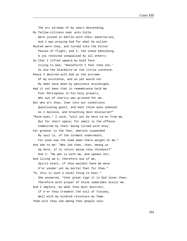The arc already of my years descending, My fellow-citizens near unto Colle Were joined in battle with their adversaries, And I was praying God for what he willed. Routed were they, and turned into the bitter Passes of flight; and I, the chase beholding, A joy received unequalled by all others; So that I lifted upward my bold face Crying to God, 'Henceforth I fear thee not,' As did the blackbird at the little sunshine. Peace I desired with God at the extreme Of my existence, and as yet would not My debt have been by penitence discharged, Had it not been that in remembrance held me Pier Pettignano in his holy prayers, Who out of charity was grieved for me. But who art thou, that into our conditions Questioning goest, and hast thine eyes unbound As I believe, and breathing dost discourse?" "Mine eyes," I said, "will yet be here ta'en from me, But for short space; for small is the offence Committed by their being turned with envy. Far greater is the fear, wherein suspended My soul is, of the torment underneath, For even now the load down there weighs on me." And she to me: "Who led thee, then, among us Up here, if to return below thou thinkest?" And I: "He who is with me, and speaks not; And living am I; therefore ask of me, Spirit elect, if thou wouldst have me move O'er yonder yet my mortal feet for thee." "O, this is such a novel thing to hear," She answered, "that great sign it is God loves thee; Therefore with prayer of thine sometimes assist me. And I implore, by what thou most desirest, If e'er thou treadest the soil of Tuscany, Well with my kindred reinstate my fame. Them wilt thou see among that people vain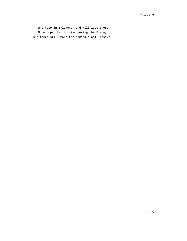Who hope in Talamone, and will lose there More hope than in discovering the Diana; But there still more the admirals will lose."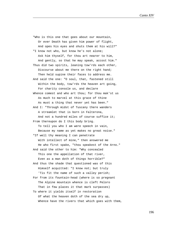"Who is this one that goes about our mountain, Or ever Death has given him power of flight, And opes his eyes and shuts them at his will?" "I know not who, but know he's not alone; Ask him thyself, for thou art nearer to him, And gently, so that he may speak, accost him." Thus did two spirits, leaning tow'rds each other, Discourse about me there on the right hand; Then held supine their faces to address me. And said the one: "O soul, that, fastened still Within the body, tow'rds the heaven art going, For charity console us, and declare Whence comest and who art thou; for thou mak'st us As much to marvel at this grace of thine As must a thing that never yet has been." And I: "Through midst of Tuscany there wanders A streamlet that is born in Falterona, And not a hundred miles of course suffice it; From thereupon do I this body bring. To tell you who I am were speech in vain, Because my name as yet makes no great noise." "If well thy meaning I can penetrate With intellect of mine," then answered me He who first spake, "thou speakest of the Arno." And said the other to him: "Why concealed This one the appellation of that river, Even as a man doth of things horrible?" And thus the shade that questioned was of this Himself acquitted: "I know not; but truly 'Tis fit the name of such a valley perish; For from its fountain-head (where is so pregnant The Alpine mountain whence is cleft Peloro That in few places it that mark surpasses) To where it yields itself in restoration Of what the heaven doth of the sea dry up, Whence have the rivers that which goes with them,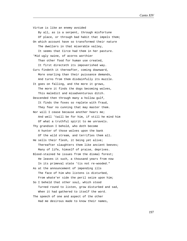Virtue is like an enemy avoided By all, as is a serpent, through misfortune Of place, or through bad habit that impels them; On which account have so transformed their nature The dwellers in that miserable valley, It seems that Circe had them in her pasture. 'Mid ugly swine, of acorns worthier Than other food for human use created, It first directeth its impoverished way. Curs findeth it thereafter, coming downward, More snarling than their puissance demands, And turns from them disdainfully its muzzle. It goes on falling, and the more it grows, The more it finds the dogs becoming wolves, This maledict and misadventurous ditch. Descended then through many a hollow gulf, It finds the foxes so replete with fraud, They fear no cunning that may master them. Nor will I cease because another hears me; And well 'twill be for him, if still he mind him Of what a truthful spirit to me unravels. Thy grandson I behold, who doth become A hunter of those wolves upon the bank Of the wild stream, and terrifies them all. He sells their flesh, it being yet alive; Thereafter slaughters them like ancient beeves; Many of life, himself of praise, deprives. Blood-stained he issues from the dismal forest; He leaves it such, a thousand years from now In its primeval state 'tis not re-wooded." As at the announcement of impending ills The face of him who listens is disturbed, From whate'er side the peril seize upon him; So I beheld that other soul, which stood Turned round to listen, grow disturbed and sad, When it had gathered to itself the word. The speech of one and aspect of the other Had me desirous made to know their names,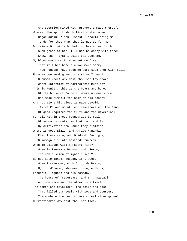And question mixed with prayers I made thereof, Whereat the spirit which first spake to me Began again: "Thou wishest I should bring me To do for thee what thou'lt not do for me; But since God willeth that in thee shine forth Such grace of his, I'll not be chary with thee; Know, then, that I Guido del Duca am. My blood was so with envy set on fire, That if I had beheld a man make merry, Thou wouldst have seen me sprinkled o'er with pallor. From my own sowing such the straw I reap! O human race! why dost thou set thy heart Where interdict of partnership must be? This is Renier; this is the boast and honour Of the house of Calboli, where no one since Has made himself the heir of his desert. And not alone his blood is made devoid, 'Twixt Po and mount, and sea-shore and the Reno, Of good required for truth and for diversion; For all within these boundaries is full Of venomous roots, so that too tardily By cultivation now would they diminish. Where is good Lizio, and Arrigo Manardi, Pier Traversaro, and Guido di Carpigna, O Romagnuoli into bastards turned? When in Bologna will a Fabbro rise? When in Faenza a Bernardin di Fosco, The noble scion of ignoble seed? Be not astonished, Tuscan, if I weep, When I remember, with Guido da Prata, Ugolin d' Azzo, who was living with us, Frederick Tignoso and his company, The house of Traversara, and th' Anastagi, And one race and the other is extinct; The dames and cavaliers, the toils and ease That filled our souls with love and courtesy, There where the hearts have so malicious grown! O Brettinoro! why dost thou not flee,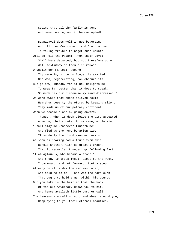*Canto XIV*

 Seeing that all thy family is gone, And many people, not to be corrupted? Bagnacaval does well in not begetting And ill does Castrocaro, and Conio worse, In taking trouble to beget such Counts. Will do well the Pagani, when their Devil Shall have departed; but not therefore pure Will testimony of them e'er remain. O Ugolin de' Fantoli, secure Thy name is, since no longer is awaited One who, degenerating, can obscure it! But go now, Tuscan, for it now delights me To weep far better than it does to speak, So much has our discourse my mind distressed." We were aware that those beloved souls Heard us depart; therefore, by keeping silent, They made us of our pathway confident. When we became alone by going onward, Thunder, when it doth cleave the air, appeared A voice, that counter to us came, exclaiming: "Shall slay me whosoever findeth me!" And fled as the reverberation dies If suddenly the cloud asunder bursts. As soon as hearing had a truce from this, Behold another, with so great a crash, That it resembled thunderings following fast: "I am Aglaurus, who became a stone!" And then, to press myself close to the Poet, I backward, and not forward, took a step. Already on all sides the air was quiet; And said he to me: "That was the hard curb That ought to hold a man within his bounds; But you take in the bait so that the hook Of the old Adversary draws you to him, And hence availeth little curb or call. The heavens are calling you, and wheel around you, Displaying to you their eternal beauties,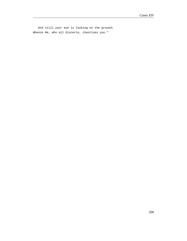And still your eye is looking on the ground; Whence He, who all discerns, chastises you."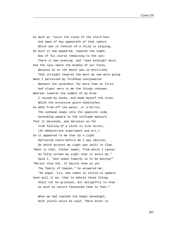*Canto XV*

As much as 'twixt the close of the third hour And dawn of day appeareth of that sphere Which aye in fashion of a child is playing, So much it now appeared, towards the night, Was of his course remaining to the sun; There it was evening, and 'twas midnight here; And the rays smote the middle of our faces, Because by us the mount was so encircled, That straight towards the west we now were going When I perceived my forehead overpowered Beneath the splendour far more than at first, And stupor were to me the things unknown, Whereat towards the summit of my brow I raised my hands, and made myself the visor Which the excessive glare diminishes. As when from off the water, or a mirror, The sunbeam leaps unto the opposite side, Ascending upward in the selfsame measure That it descends, and deviates as far From falling of a stone in line direct, (As demonstrate experiment and art,) So it appeared to me that by a light Refracted there before me I was smitten; On which account my sight was swift to flee. "What is that, Father sweet, from which I cannot So fully screen my sight that it avail me," Said I, "and seems towards us to be moving?" "Marvel thou not, if dazzle thee as yet The family of heaven," he answered me; "An angel 'tis, who comes to invite us upward. Soon will it be, that to behold these things Shall not be grievous, but delightful to thee As much as nature fashioned thee to feel."

 When we had reached the Angel benedight, With joyful voice he said: "Here enter in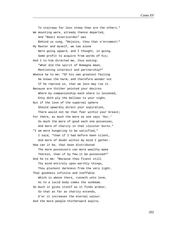To stairway far less steep than are the others." We mounting were, already thence departed, And "Beati misericordes" was Behind us sung, "Rejoice, thou that o'ercomest!" My Master and myself, we two alone Were going upward, and I thought, in going, Some profit to acquire from words of his; And I to him directed me, thus asking: "What did the spirit of Romagna mean, Mentioning interdict and partnership?" Whence he to me: "Of his own greatest failing He knows the harm; and therefore wonder not If he reprove us, that we less may rue it. Because are thither pointed your desires Where by companionship each share is lessened, Envy doth ply the bellows to your sighs. But if the love of the supernal sphere Should upwardly direct your aspiration, There would not be that fear within your breast; For there, as much the more as one says 'Our,' So much the more of good each one possesses, And more of charity in that cloister burns." "I am more hungering to be satisfied," I said, "than if I had before been silent, And more of doubt within my mind I gather. How can it be, that boon distributed The more possessors can more wealthy make Therein, than if by few it be possessed?" And he to me: "Because thou fixest still Thy mind entirely upon earthly things, Thou pluckest darkness from the very light. That goodness infinite and ineffable Which is above there, runneth unto love, As to a lucid body comes the sunbeam. So much it gives itself as it finds ardour, So that as far as charity extends, O'er it increases the eternal valour. And the more people thitherward aspire,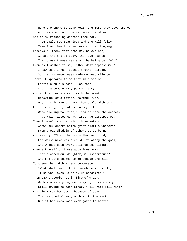More are there to love well, and more they love there, And, as a mirror, one reflects the other. And if my reasoning appease thee not, Thou shalt see Beatrice; and she will fully Take from thee this and every other longing. Endeavour, then, that soon may be extinct, As are the two already, the five wounds That close themselves again by being painful." Even as I wished to say, "Thou dost appease me," I saw that I had reached another circle, So that my eager eyes made me keep silence. There it appeared to me that in a vision Ecstatic on a sudden I was rapt, And in a temple many persons saw; And at the door a woman, with the sweet Behaviour of a mother, saying: "Son, Why in this manner hast thou dealt with us? Lo, sorrowing, thy father and myself Were seeking for thee; "--and as here she ceased, That which appeared at first had disappeared. Then I beheld another with those waters Adown her cheeks which grief distils whenever From great disdain of others it is born, And saying: "If of that city thou art lord, For whose name was such strife among the gods, And whence doth every science scintillate, Avenge thyself on those audacious arms That clasped our daughter, O Pisistratus;" And the lord seemed to me benign and mild To answer her with aspect temperate: "What shall we do to those who wish us ill, If he who loves us be by us condemned?" Then saw I people hot in fire of wrath, With stones a young man slaying, clamorously Still crying to each other, "Kill him! kill him!" And him I saw bow down, because of death That weighed already on him, to the earth, But of his eyes made ever gates to heaven,

203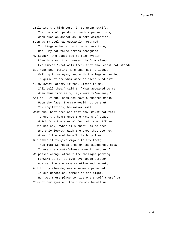Imploring the high Lord, in so great strife, That he would pardon those his persecutors, With such an aspect as unlocks compassion. Soon as my soul had outwardly returned To things external to it which are true, Did I my not false errors recognize. My Leader, who could see me bear myself Like to a man that rouses him from sleep, Exclaimed: "What ails thee, that thou canst not stand? But hast been coming more than half a league Veiling thine eyes, and with thy legs entangled, In guise of one whom wine or sleep subdues?" "O my sweet Father, if thou listen to me, I'll tell thee," said I, "what appeared to me, When thus from me my legs were ta'en away." And he: "If thou shouldst have a hundred masks Upon thy face, from me would not be shut Thy cogitations, howsoever small. What thou hast seen was that thou mayst not fail To ope thy heart unto the waters of peace, Which from the eternal fountain are diffused. I did not ask, 'What ails thee?' as he does Who only looketh with the eyes that see not When of the soul bereft the body lies, But asked it to give vigour to thy feet; Thus must we needs urge on the sluggards, slow To use their wakefulness when it returns." We passed along, athwart the twilight peering Forward as far as ever eye could stretch Against the sunbeams serotine and lucent; And lo! by slow degrees a smoke approached In our direction, sombre as the night, Nor was there place to hide one's self therefrom. This of our eyes and the pure air bereft us.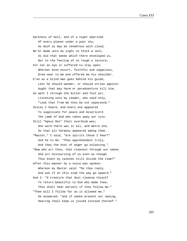Darkness of hell, and of a night deprived Of every planet under a poor sky, As much as may be tenebrous with cloud, Ne'er made unto my sight so thick a veil, As did that smoke which there enveloped us, Nor to the feeling of so rough a texture; For not an eye it suffered to stay open; Whereat mine escort, faithful and sagacious, Drew near to me and offered me his shoulder. E'en as a blind man goes behind his guide, Lest he should wander, or should strike against Aught that may harm or peradventure kill him, So went I through the bitter and foul air, Listening unto my Leader, who said only, "Look that from me thou be not separated." Voices I heard, and every one appeared To supplicate for peace and misericord The Lamb of God who takes away our sins. Still "Agnus Dei" their exordium was; One word there was in all, and metre one, So that all harmony appeared among them. "Master," I said, "are spirits those I hear?" And he to me: "Thou apprehendest truly, And they the knot of anger go unloosing." "Now who art thou, that cleavest through our smoke And art discoursing of us even as though Thou didst by calends still divide the time?" After this manner by a voice was spoken; Whereon my Master said: "Do thou reply, And ask if on this side the way go upward." And I: "O creature that dost cleanse thyself To return beautiful to Him who made thee, Thou shalt hear marvels if thou follow me." "Thee will I follow far as is allowed me," He answered; "and if smoke prevent our seeing, Hearing shall keep us joined instead thereof."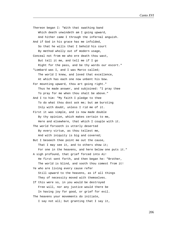Thereon began I: "With that swathing band Which death unwindeth am I going upward, And hither came I through the infernal anguish. And if God in his grace has me infolded, So that he wills that I behold his court By method wholly out of modern usage, Conceal not from me who ere death thou wast, But tell it me, and tell me if I go Right for the pass, and be thy words our escort." "Lombard was I, and I was Marco called; The world I knew, and loved that excellence, At which has each one now unbent his bow. For mounting upward, thou art going right." Thus he made answer, and subjoined: "I pray thee To pray for me when thou shalt be above." And I to him: "My faith I pledge to thee To do what thou dost ask me; but am bursting Inly with doubt, unless I rid me of it. First it was simple, and is now made double By thy opinion, which makes certain to me, Here and elsewhere, that which I couple with it. The world forsooth is utterly deserted By every virtue, as thou tellest me, And with iniquity is big and covered; But I beseech thee point me out the cause, That I may see it, and to others show it; For one in the heavens, and here below one puts it." A sigh profound, that grief forced into Ai! He first sent forth, and then began he: "Brother, The world is blind, and sooth thou comest from it! Ye who are living every cause refer Still upward to the heavens, as if all things They of necessity moved with themselves. If this were so, in you would be destroyed Free will, nor any justice would there be In having joy for good, or grief for evil. The heavens your movements do initiate, I say not all; but granting that I say it,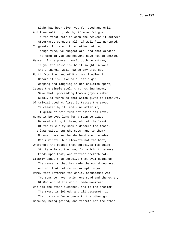Light has been given you for good and evil, And free volition; which, if some fatigue In the first battles with the heavens it suffers, Afterwards conquers all, if well 'tis nurtured. To greater force and to a better nature, Though free, ye subject are, and that creates The mind in you the heavens have not in charge. Hence, if the present world doth go astray, In you the cause is, be it sought in you; And I therein will now be thy true spy. Forth from the hand of Him, who fondles it Before it is, like to a little girl Weeping and laughing in her childish sport, Issues the simple soul, that nothing knows, Save that, proceeding from a joyous Maker, Gladly it turns to that which gives it pleasure. Of trivial good at first it tastes the savour; Is cheated by it, and runs after it, If guide or rein turn not aside its love. Hence it behoved laws for a rein to place, Behoved a king to have, who at the least Of the true city should discern the tower. The laws exist, but who sets hand to them? No one; because the shepherd who precedes Can ruminate, but cleaveth not the hoof; Wherefore the people that perceives its guide Strike only at the good for which it hankers, Feeds upon that, and farther seeketh not. Clearly canst thou perceive that evil guidance The cause is that has made the world depraved, And not that nature is corrupt in you. Rome, that reformed the world, accustomed was Two suns to have, which one road and the other, Of God and of the world, made manifest. One has the other quenched, and to the crosier The sword is joined, and ill beseemeth it That by main force one with the other go, Because, being joined, one feareth not the other;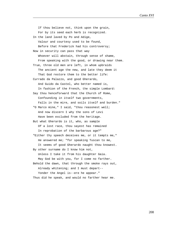If thou believe not, think upon the grain, For by its seed each herb is recognized. In the land laved by Po and Adige, Valour and courtesy used to be found, Before that Frederick had his controversy; Now in security can pass that way Whoever will abstain, through sense of shame, From speaking with the good, or drawing near them. True, three old men are left, in whom upbraids The ancient age the new, and late they deem it That God restore them to the better life: Currado da Palazzo, and good Gherardo, And Guido da Castel, who better named is, In fashion of the French, the simple Lombard: Say thou henceforward that the Church of Rome, Confounding in itself two governments, Falls in the mire, and soils itself and burden." "O Marco mine," I said, "thou reasonest well; And now discern I why the sons of Levi Have been excluded from the heritage. But what Gherardo is it, who, as sample Of a lost race, thou sayest has remained In reprobation of the barbarous age?" "Either thy speech deceives me, or it tempts me," He answered me; "for speaking Tuscan to me, It seems of good Gherardo naught thou knowest. By other surname do I know him not, Unless I take it from his daughter Gaia. May God be with you, for I come no farther. Behold the dawn, that through the smoke rays out, Already whitening; and I must depart-- Yonder the Angel is--ere he appear." Thus did he speak, and would no farther hear me.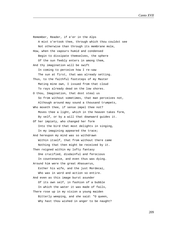Remember, Reader, if e'er in the Alps A mist o'ertook thee, through which thou couldst see Not otherwise than through its membrane mole, How, when the vapours humid and condensed Begin to dissipate themselves, the sphere Of the sun feebly enters in among them, And thy imagination will be swift In coming to perceive how I re-saw The sun at first, that was already setting. Thus, to the faithful footsteps of my Master Mating mine own, I issued from that cloud To rays already dead on the low shores. O thou, Imagination, that dost steal us So from without sometimes, that man perceives not, Although around may sound a thousand trumpets, Who moveth thee, if sense impel thee not? Moves thee a light, which in the heaven takes form, By self, or by a will that downward guides it. Of her impiety, who changed her form Into the bird that most delights in singing, In my imagining appeared the trace; And hereupon my mind was so withdrawn Within itself, that from without there came Nothing that then might be received by it. Then reigned within my lofty fantasy One crucified, disdainful and ferocious In countenance, and even thus was dying. Around him were the great Ahasuerus, Esther his wife, and the just Mordecai, Who was in word and action so entire. And even as this image burst asunder Of its own self, in fashion of a bubble In which the water it was made of fails, There rose up in my vision a young maiden Bitterly weeping, and she said: "O queen, Why hast thou wished in anger to be naught?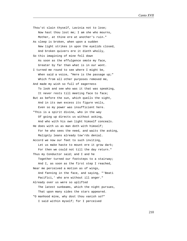Thou'st slain thyself, Lavinia not to lose; Now hast thou lost me; I am she who mourns, Mother, at thine ere at another's ruin." As sleep is broken, when upon a sudden New light strikes in upon the eyelids closed, And broken quivers ere it dieth wholly, So this imagining of mine fell down As soon as the effulgence smote my face, Greater by far than what is in our wont. I turned me round to see where I might be, When said a voice, "Here is the passage up;" Which from all other purposes removed me, And made my wish so full of eagerness To look and see who was it that was speaking, It never rests till meeting face to face; But as before the sun, which quells the sight, And in its own excess its figure veils, Even so my power was insufficient here. "This is a spirit divine, who in the way Of going up directs us without asking, And who with his own light himself conceals. He does with us as man doth with himself; For he who sees the need, and waits the asking, Malignly leans already tow'rds denial. Accord we now our feet to such inviting, Let us make haste to mount ere it grow dark; For then we could not till the day return." Thus my Conductor said; and I and he Together turned our footsteps to a stairway; And I, as soon as the first step I reached, Near me perceived a motion as of wings, And fanning in the face, and saying, "'Beati Pacifici,' who are without ill anger." Already over us were so uplifted The latest sunbeams, which the night pursues, That upon many sides the stars appeared. "O manhood mine, why dost thou vanish so?" I said within myself; for I perceived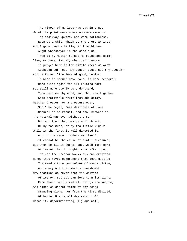The vigour of my legs was put in truce. We at the point were where no more ascends The stairway upward, and were motionless, Even as a ship, which at the shore arrives; And I gave heed a little, if I might hear Aught whatsoever in the circle new; Then to my Master turned me round and said: "Say, my sweet Father, what delinquency Is purged here in the circle where we are? Although our feet may pause, pause not thy speech." And he to me: "The love of good, remiss In what it should have done, is here restored; Here plied again the ill-belated oar; But still more openly to understand, Turn unto me thy mind, and thou shalt gather Some profitable fruit from our delay. Neither Creator nor a creature ever, Son," he began, "was destitute of love Natural or spiritual; and thou knowest it. The natural was ever without error; But err the other may by evil object, Or by too much, or by too little vigour. While in the first it well directed is, And in the second moderates itself, It cannot be the cause of sinful pleasure; But when to ill it turns, and, with more care Or lesser than it ought, runs after good, 'Gainst the Creator works his own creation. Hence thou mayst comprehend that love must be The seed within yourselves of every virtue, And every act that merits punishment. Now inasmuch as never from the welfare Of its own subject can love turn its sight, From their own hatred all things are secure; And since we cannot think of any being Standing alone, nor from the First divided, Of hating Him is all desire cut off. Hence if, discriminating, I judge well,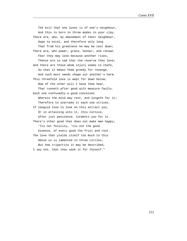The evil that one loves is of one's neighbour, And this is born in three modes in your clay. There are, who, by abasement of their neighbour, Hope to excel, and therefore only long That from his greatness he may be cast down; There are, who power, grace, honour, and renown Fear they may lose because another rises, Thence are so sad that the reverse they love; And there are those whom injury seems to chafe, So that it makes them greedy for revenge, And such must needs shape out another's harm. This threefold love is wept for down below; Now of the other will I have thee hear, That runneth after good with measure faulty. Each one confusedly a good conceives Wherein the mind may rest, and longeth for it; Therefore to overtake it each one strives. If languid love to look on this attract you, Or in attaining unto it, this cornice, After just penitence, torments you for it. There's other good that does not make man happy; 'Tis not felicity, 'tis not the good Essence, of every good the fruit and root. The love that yields itself too much to this Above us is lamented in three circles; But how tripartite it may be described, I say not, that thou seek it for thyself."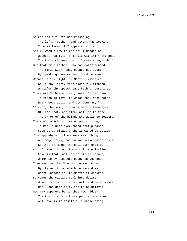An end had put unto his reasoning The lofty Teacher, and attent was looking Into my face, if I appeared content; And I, whom a new thirst still goaded on, Without was mute, and said within: "Perchance The too much questioning I make annoys him." But that true Father, who had comprehended The timid wish, that opened not itself, By speaking gave me hardihood to speak. Whence I: "My sight is, Master, vivified So in thy light, that clearly I discern Whate'er thy speech importeth or describes. Therefore I thee entreat, sweet Father dear, To teach me love, to which thou dost refer Every good action and its contrary." "Direct," he said, "towards me the keen eyes Of intellect, and clear will be to thee The error of the blind, who would be leaders. The soul, which is created apt to love, Is mobile unto everything that pleases, Soon as by pleasure she is waked to action. Your apprehension from some real thing An image draws, and in yourselves displays it So that it makes the soul turn unto it. And if, when turned, towards it she incline, Love is that inclination; it is nature, Which is by pleasure bound in you anew Then even as the fire doth upward move By its own form, which to ascend is born, Where longest in its matter it endures, So comes the captive soul into desire, Which is a motion spiritual, and ne'er rests Until she doth enjoy the thing beloved. Now may apparent be to thee how hidden The truth is from those people, who aver All love is in itself a laudable thing;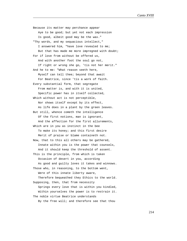Because its matter may perchance appear Aye to be good; but yet not each impression Is good, albeit good may be the wax." "Thy words, and my sequacious intellect," I answered him, "have love revealed to me; But that has made me more impregned with doubt; For if love from without be offered us, And with another foot the soul go not, If right or wrong she go, 'tis not her merit." And he to me: "What reason seeth here, Myself can tell thee; beyond that await For Beatrice, since 'tis a work of faith. Every substantial form, that segregate From matter is, and with it is united, Specific power has in itself collected, Which without act is not perceptible, Nor shows itself except by its effect, As life does in a plant by the green leaves. But still, whence cometh the intelligence Of the first notions, man is ignorant, And the affection for the first allurements, Which are in you as instinct in the bee To make its honey; and this first desire Merit of praise or blame containeth not. Now, that to this all others may be gathered, Innate within you is the power that counsels, And it should keep the threshold of assent. This is the principle, from which is taken Occasion of desert in you, according As good and guilty loves it takes and winnows. Those who, in reasoning, to the bottom went, Were of this innate liberty aware, Therefore bequeathed they Ethics to the world. Supposing, then, that from necessity Springs every love that is within you kindled, Within yourselves the power is to restrain it. The noble virtue Beatrice understands By the free will; and therefore see that thou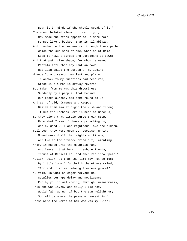Bear it in mind, if she should speak of it." The moon, belated almost unto midnight, Now made the stars appear to us more rare, Formed like a bucket, that is all ablaze, And counter to the heavens ran through those paths Which the sun sets aflame, when he of Rome Sees it 'twixt Sardes and Corsicans go down; And that patrician shade, for whom is named Pietola more than any Mantuan town, Had laid aside the burden of my lading; Whence I, who reason manifest and plain In answer to my questions had received, Stood like a man in drowsy reverie. But taken from me was this drowsiness Suddenly by a people, that behind Our backs already had come round to us. And as, of old, Ismenus and Asopus Beside them saw at night the rush and throng, If but the Thebans were in need of Bacchus, So they along that circle curve their step, From what I saw of those approaching us, Who by good-will and righteous love are ridden. Full soon they were upon us, because running Moved onward all that mighty multitude, And two in the advance cried out, lamenting, "Mary in haste unto the mountain ran, And Caesar, that he might subdue Ilerda, Thrust at Marseilles, and then ran into Spain." "Quick! quick! so that the time may not be lost By little love!" forthwith the others cried, "For ardour in well-doing freshens grace!" "O folk, in whom an eager fervour now Supplies perhaps delay and negligence, Put by you in well-doing, through lukewarmness, This one who lives, and truly I lie not, Would fain go up, if but the sun relight us; So tell us where the passage nearest is." These were the words of him who was my Guide;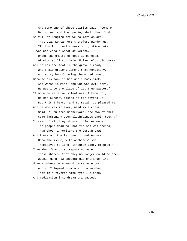And some one of those spirits said: "Come on Behind us, and the opening shalt thou find; So full of longing are we to move onward, That stay we cannot; therefore pardon us, If thou for churlishness our justice take. I was San Zeno's Abbot at Verona, Under the empire of good Barbarossa, Of whom still sorrowing Milan holds discourse; And he has one foot in the grave already, Who shall erelong lament that monastery, And sorry be of having there had power, Because his son, in his whole body sick, And worse in mind, and who was evil-born, He put into the place of its true pastor." If more he said, or silent was, I know not, He had already passed so far beyond us; But this I heard, and to retain it pleased me. And he who was in every need my succour Said: "Turn thee hitherward; see two of them Come fastening upon slothfulness their teeth." In rear of all they shouted: "Sooner were The people dead to whom the sea was opened, Than their inheritors the Jordan saw; And those who the fatigue did not endure Unto the issue, with Anchises' son, Themselves to life withouten glory offered." Then when from us so separated were Those shades, that they no longer could be seen, Within me a new thought did entrance find, Whence others many and diverse were born; And so I lapsed from one into another, That in a reverie mine eyes I closed, And meditation into dream transmuted.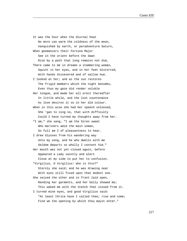It was the hour when the diurnal heat No more can warm the coldness of the moon, Vanquished by earth, or peradventure Saturn, When geomancers their Fortuna Major See in the orient before the dawn Rise by a path that long remains not dim, There came to me in dreams a stammering woman, Squint in her eyes, and in her feet distorted, With hands dissevered and of sallow hue. I looked at her; and as the sun restores The frigid members which the night benumbs, Even thus my gaze did render voluble Her tongue, and made her all erect thereafter In little while, and the lost countenance As love desires it so in her did colour. When in this wise she had her speech unloosed, She 'gan to sing so, that with difficulty Could I have turned my thoughts away from her. "I am," she sang, "I am the Siren sweet Who mariners amid the main unman, So full am I of pleasantness to hear. I drew Ulysses from his wandering way Unto my song, and he who dwells with me Seldom departs so wholly I content him." Her mouth was not yet closed again, before Appeared a Lady saintly and alert Close at my side to put her to confusion. "Virgilius, O Virgilius! who is this?" Sternly she said; and he was drawing near With eyes still fixed upon that modest one. She seized the other and in front laid open, Rending her garments, and her belly showed me; This waked me with the stench that issued from it. I turned mine eyes, and good Virgilius said: "At least thrice have I called thee; rise and come; Find we the opening by which thou mayst enter."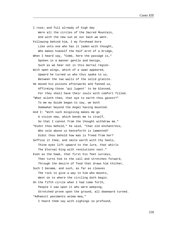*Canto XIX*

I rose; and full already of high day Were all the circles of the Sacred Mountain, And with the new sun at our back we went. Following behind him, I my forehead bore Like unto one who has it laden with thought, Who makes himself the half arch of a bridge, When I heard say, "Come, here the passage is," Spoken in a manner gentle and benign, Such as we hear not in this mortal region. With open wings, which of a swan appeared, Upward he turned us who thus spake to us, Between the two walls of the solid granite. He moved his pinions afterwards and fanned us, Affirming those 'qui lugent' to be blessed, For they shall have their souls with comfort filled. "What aileth thee, that aye to earth thou gazest?" To me my Guide began to say, we both Somewhat beyond the Angel having mounted. And I: "With such misgiving makes me go A vision new, which bends me to itself, So that I cannot from the thought withdraw me." "Didst thou behold," he said, "that old enchantress, Who sole above us henceforth is lamented? Didst thou behold how man is freed from her? Suffice it thee, and smite earth with thy heels, Thine eyes lift upward to the lure, that whirls The Eternal King with revolutions vast." Even as the hawk, that first his feet surveys, Then turns him to the call and stretches forward, Through the desire of food that draws him thither, Such I became, and such, as far as cleaves The rock to give a way to him who mounts, Went on to where the circling doth begin. On the fifth circle when I had come forth, People I saw upon it who were weeping, Stretched prone upon the ground, all downward turned. "Adhaesit pavimento anima mea," I heard them say with sighings so profound,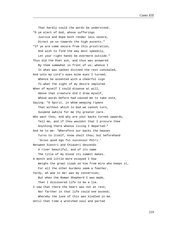That hardly could the words be understood. "O ye elect of God, whose sufferings Justice and Hope both render less severe, Direct ye us towards the high ascents." "If ye are come secure from this prostration, And wish to find the way most speedily, Let your right hands be evermore outside." Thus did the Poet ask, and thus was answered By them somewhat in front of us; whence I In what was spoken divined the rest concealed, And unto my Lord's eyes mine eyes I turned; Whence he assented with a cheerful sign To what the sight of my desire implored. When of myself I could dispose at will, Above that creature did I draw myself, Whose words before had caused me to take note, Saying: "O Spirit, in whom weeping ripens That without which to God we cannot turn, Suspend awhile for me thy greater care. Who wast thou, and why are your backs turned upwards, Tell me, and if thou wouldst that I procure thee Anything there whence living I departed." And he to me: "Wherefore our backs the heaven Turns to itself, know shalt thou; but beforehand 'Scias quod ego fui successor Petri.' Between Siestri and Chiaveri descends A river beautiful, and of its name The title of my blood its summit makes. A month and little more essayed I how Weighs the great cloak on him from mire who keeps it, For all the other burdens seem a feather. Tardy, ah woe is me! was my conversion; But when the Roman Shepherd I was made, Then I discovered life to be a lie. I saw that there the heart was not at rest, Nor farther in that life could one ascend; Whereby the love of this was kindled in me. Until that time a wretched soul and parted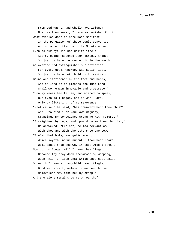From God was I, and wholly avaricious; Now, as thou seest, I here am punished for it. What avarice does is here made manifest In the purgation of these souls converted, And no more bitter pain the Mountain has. Even as our eye did not uplift itself Aloft, being fastened upon earthly things, So justice here has merged it in the earth. As avarice had extinguished our affection For every good, whereby was action lost, So justice here doth hold us in restraint, Bound and imprisoned by the feet and hands; And so long as it pleases the just Lord Shall we remain immovable and prostrate." I on my knees had fallen, and wished to speak; But even as I began, and he was 'ware, Only by listening, of my reverence, "What cause," he said, "has downward bent thee thus?" And I to him: "For your own dignity, Standing, my conscience stung me with remorse." "Straighten thy legs, and upward raise thee, brother," He answered: "Err not, fellow-servant am I With thee and with the others to one power. If e'er that holy, evangelic sound, Which sayeth 'neque nubent,' thou hast heard, Well canst thou see why in this wise I speak. Now go; no longer will I have thee linger, Because thy stay doth incommode my weeping, With which I ripen that which thou hast said. On earth I have a grandchild named Alagia, Good in herself, unless indeed our house Malevolent may make her by example, And she alone remains to me on earth."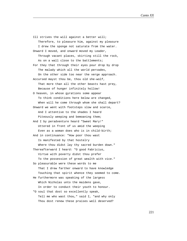Ill strives the will against a better will; Therefore, to pleasure him, against my pleasure I drew the sponge not saturate from the water. Onward I moved, and onward moved my Leader, Through vacant places, skirting still the rock, As on a wall close to the battlements; For they that through their eyes pour drop by drop The malady which all the world pervades, On the other side too near the verge approach. Accursed mayst thou be, thou old she-wolf, That more than all the other beasts hast prey, Because of hunger infinitely hollow! O heaven, in whose gyrations some appear To think conditions here below are changed, When will he come through whom she shall depart? Onward we went with footsteps slow and scarce, And I attentive to the shades I heard Piteously weeping and bemoaning them; And I by peradventure heard "Sweet Mary!" Uttered in front of us amid the weeping Even as a woman does who is in child-birth; And in continuance: "How poor thou wast Is manifested by that hostelry Where thou didst lay thy sacred burden down." Thereafterward I heard: "O good Fabricius, Virtue with poverty didst thou prefer To the possession of great wealth with vice." So pleasurable were these words to me That I drew farther onward to have knowledge Touching that spirit whence they seemed to come. He furthermore was speaking of the largess Which Nicholas unto the maidens gave, In order to conduct their youth to honour. "O soul that dost so excellently speak, Tell me who wast thou," said I, "and why only Thou dost renew these praises well deserved?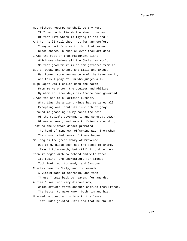Not without recompense shall be thy word, If I return to finish the short journey Of that life which is flying to its end." And he: "I'll tell thee, not for any comfort I may expect from earth, but that so much Grace shines in thee or ever thou art dead. I was the root of that malignant plant Which overshadows all the Christian world, So that good fruit is seldom gathered from it; But if Douay and Ghent, and Lille and Bruges Had Power, soon vengeance would be taken on it; And this I pray of Him who judges all. Hugh Capet was I called upon the earth; From me were born the Louises and Philips, By whom in later days has France been governed. I was the son of a Parisian butcher, What time the ancient kings had perished all, Excepting one, contrite in cloth of gray. I found me grasping in my hands the rein Of the realm's government, and so great power Of new acquest, and so with friends abounding, That to the widowed diadem promoted The head of mine own offspring was, from whom The consecrated bones of these began. So long as the great dowry of Provence Out of my blood took not the sense of shame, 'Twas little worth, but still it did no harm. Then it began with falsehood and with force Its rapine; and thereafter, for amends, Took Ponthieu, Normandy, and Gascony. Charles came to Italy, and for amends A victim made of Conradin, and then Thrust Thomas back to heaven, for amends. A time I see, not very distant now, Which draweth forth another Charles from France, The better to make known both him and his. Unarmed he goes, and only with the lance That Judas jousted with; and that he thrusts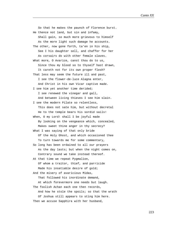So that he makes the paunch of Florence burst. He thence not land, but sin and infamy, Shall gain, so much more grievous to himself As the more light such damage he accounts. The other, now gone forth, ta'en in his ship, See I his daughter sell, and chaffer for her As corsairs do with other female slaves. What more, O Avarice, canst thou do to us, Since thou my blood so to thyself hast drawn, It careth not for its own proper flesh? That less may seem the future ill and past, I see the flower-de-luce Alagna enter, And Christ in his own Vicar captive made. I see him yet another time derided; I see renewed the vinegar and gall, And between living thieves I see him slain. I see the modern Pilate so relentless, This does not sate him, but without decretal He to the temple bears his sordid sails! When, O my Lord! shall I be joyful made By looking on the vengeance which, concealed, Makes sweet thine anger in thy secrecy? What I was saying of that only bride Of the Holy Ghost, and which occasioned thee To turn towards me for some commentary, So long has been ordained to all our prayers As the day lasts; but when the night comes on, Contrary sound we take instead thereof. At that time we repeat Pygmalion, Of whom a traitor, thief, and parricide Made his insatiable desire of gold; And the misery of avaricious Midas, That followed his inordinate demand, At which forevermore one needs but laugh. The foolish Achan each one then records, And how he stole the spoils; so that the wrath Of Joshua still appears to sting him here. Then we accuse Sapphira with her husband,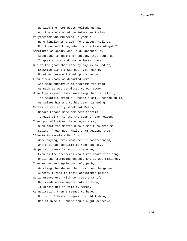We laud the hoof-beats Heliodorus had, And the whole mount in infamy encircles Polymnestor who murdered Polydorus. Here finally is cried: 'O Crassus, tell us, For thou dost know, what is the taste of gold?' Sometimes we speak, one loud, another low, According to desire of speech, that spurs us To greater now and now to lesser pace. But in the good that here by day is talked of, Erewhile alone I was not; yet near by No other person lifted up his voice." From him already we departed were, And made endeavour to o'ercome the road As much as was permitted to our power, When I perceived, like something that is falling, The mountain tremble, whence a chill seized on me, As seizes him who to his death is going. Certes so violently shook not Delos, Before Latona made her nest therein To give birth to the two eyes of the heaven. Then upon all sides there began a cry, Such that the Master drew himself towards me, Saying, "Fear not, while I am guiding thee." "Gloria in excelsis Deo," all Were saying, from what near I comprehended, Where it was possible to hear the cry. We paused immovable and in suspense, Even as the shepherds who first heard that song, Until the trembling ceased, and it was finished. Then we resumed again our holy path, Watching the shades that lay upon the ground, Already turned to their accustomed plaint. No ignorance ever with so great a strife Had rendered me importunate to know, If erreth not in this my memory, As meditating then I seemed to have; Nor out of haste to question did I dare, Nor of myself I there could aught perceive;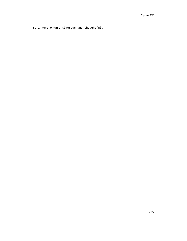So I went onward timorous and thoughtful.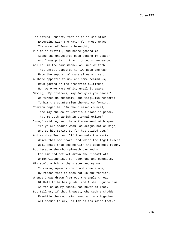The natural thirst, that ne'er is satisfied Excepting with the water for whose grace The woman of Samaria besought, Put me in travail, and haste goaded me Along the encumbered path behind my Leader And I was pitying that righteous vengeance; And lo! in the same manner as Luke writeth That Christ appeared to two upon the way From the sepulchral cave already risen, A shade appeared to us, and came behind us, Down gazing on the prostrate multitude, Nor were we ware of it, until it spake, Saying, "My brothers, may God give you peace!" We turned us suddenly, and Virgilius rendered To him the countersign thereto conforming. Thereon began he: "In the blessed council, Thee may the court veracious place in peace, That me doth banish in eternal exile!" "How," said he, and the while we went with speed, "If ye are shades whom God deigns not on high, Who up his stairs so far has guided you?" And said my Teacher: "If thou note the marks Which this one bears, and which the Angel traces Well shalt thou see he with the good must reign. But because she who spinneth day and night For him had not yet drawn the distaff off, Which Clotho lays for each one and compacts, His soul, which is thy sister and my own, In coming upwards could not come alone, By reason that it sees not in our fashion. Whence I was drawn from out the ample throat Of Hell to be his guide, and I shall guide him As far on as my school has power to lead. But tell us, if thou knowest, why such a shudder Erewhile the mountain gave, and why together All seemed to cry, as far as its moist feet?"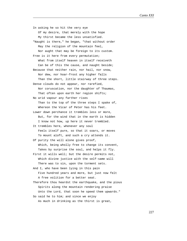In asking he so hit the very eye Of my desire, that merely with the hope My thirst became the less unsatisfied. "Naught is there," he began, "that without order May the religion of the mountain feel, Nor aught that may be foreign to its custom. Free is it here from every permutation; What from itself heaven in itself receiveth Can be of this the cause, and naught beside; Because that neither rain, nor hail, nor snow, Nor dew, nor hoar-frost any higher falls Than the short, little stairway of three steps. Dense clouds do not appear, nor rarefied, Nor coruscation, nor the daughter of Thaumas, That often upon earth her region shifts; No arid vapour any farther rises Than to the top of the three steps I spake of, Whereon the Vicar of Peter has his feet. Lower down perchance it trembles less or more, But, for the wind that in the earth is hidden I know not how, up here it never trembled. It trembles here, whenever any soul Feels itself pure, so that it soars, or moves To mount aloft, and such a cry attends it. Of purity the will alone gives proof, Which, being wholly free to change its convent, Takes by surprise the soul, and helps it fly. First it wills well; but the desire permits not, Which divine justice with the self-same will There was to sin, upon the torment sets. And I, who have been lying in this pain Five hundred years and more, but just now felt A free volition for a better seat. Therefore thou heardst the earthquake, and the pious Spirits along the mountain rendering praise Unto the Lord, that soon he speed them upwards." So said he to him; and since we enjoy As much in drinking as the thirst is great,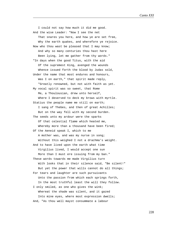I could not say how much it did me good. And the wise Leader: "Now I see the net That snares you here, and how ye are set free, Why the earth quakes, and wherefore ye rejoice. Now who thou wast be pleased that I may know; And why so many centuries thou hast here Been lying, let me gather from thy words." "In days when the good Titus, with the aid Of the supremest King, avenged the wounds Whence issued forth the blood by Judas sold, Under the name that most endures and honours, Was I on earth," that spirit made reply, "Greatly renowned, but not with faith as yet. My vocal spirit was so sweet, that Rome Me, a Thoulousian, drew unto herself, Where I deserved to deck my brows with myrtle. Statius the people name me still on earth; I sang of Thebes, and then of great Achilles; But on the way fell with my second burden. The seeds unto my ardour were the sparks Of that celestial flame which heated me, Whereby more than a thousand have been fired; Of the Aeneid speak I, which to me A mother was, and was my nurse in song; Without this weighed I not a drachma's weight. And to have lived upon the earth what time Virgilius lived, I would accept one sun More than I must ere issuing from my ban." These words towards me made Virgilius turn With looks that in their silence said, "Be silent!" But yet the power that wills cannot do all things; For tears and laughter are such pursuivants Unto the passion from which each springs forth, In the most truthful least the will they follow. I only smiled, as one who gives the wink; Whereat the shade was silent, and it gazed Into mine eyes, where most expression dwells; And, "As thou well mayst consummate a labour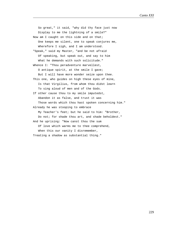So great," it said, "why did thy face just now Display to me the lightning of a smile?" Now am I caught on this side and on that; One keeps me silent, one to speak conjures me, Wherefore I sigh, and I am understood. "Speak," said my Master, "and be not afraid Of speaking, but speak out, and say to him What he demands with such solicitude." Whence I: "Thou peradventure marvellest, O antique spirit, at the smile I gave; But I will have more wonder seize upon thee. This one, who guides on high these eyes of mine, Is that Virgilius, from whom thou didst learn To sing aloud of men and of the Gods. If other cause thou to my smile imputedst, Abandon it as false, and trust it was Those words which thou hast spoken concerning him." Already he was stooping to embrace My Teacher's feet; but he said to him: "Brother, Do not; for shade thou art, and shade beholdest." And he uprising: "Now canst thou the sum Of love which warms me to thee comprehend, When this our vanity I disremember, Treating a shadow as substantial thing."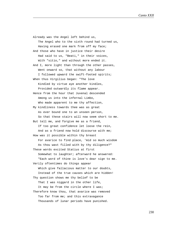Already was the Angel left behind us, The Angel who to the sixth round had turned us, Having erased one mark from off my face; And those who have in justice their desire Had said to us, "Beati," in their voices, With "sitio," and without more ended it. And I, more light than through the other passes, Went onward so, that without any labour I followed upward the swift-footed spirits; When thus Virgilius began: "The love Kindled by virtue aye another kindles, Provided outwardly its flame appear. Hence from the hour that Juvenal descended Among us into the infernal Limbo, Who made apparent to me thy affection, My kindliness towards thee was as great As ever bound one to an unseen person, So that these stairs will now seem short to me. But tell me, and forgive me as a friend, If too great confidence let loose the rein, And as a friend now hold discourse with me; How was it possible within thy breast For avarice to find place, 'mid so much wisdom As thou wast filled with by thy diligence?" These words excited Statius at first Somewhat to laughter; afterward he answered: "Each word of thine is love's dear sign to me. Verily oftentimes do things appear Which give fallacious matter to our doubts, Instead of the true causes which are hidden! Thy question shows me thy belief to be That I was niggard in the other life, It may be from the circle where I was; Therefore know thou, that avarice was removed Too far from me; and this extravagance Thousands of lunar periods have punished.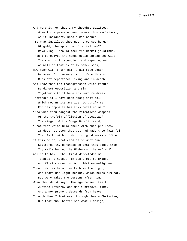And were it not that I my thoughts uplifted, When I the passage heard where thou exclaimest, As if indignant, unto human nature, 'To what impellest thou not, O cursed hunger Of gold, the appetite of mortal men?' Revolving I should feel the dismal joustings. Then I perceived the hands could spread too wide Their wings in spending, and repented me As well of that as of my other sins; How many with shorn hair shall rise again Because of ignorance, which from this sin Cuts off repentance living and in death! And know that the transgression which rebuts By direct opposition any sin Together with it here its verdure dries. Therefore if I have been among that folk Which mourns its avarice, to purify me, For its opposite has this befallen me." "Now when thou sangest the relentless weapons Of the twofold affliction of Jocasta," The singer of the Songs Bucolic said, "From that which Clio there with thee preludes, It does not seem that yet had made thee faithful That faith without which no good works suffice. If this be so, what candles or what sun Scattered thy darkness so that thou didst trim Thy sails behind the Fisherman thereafter?" And he to him: "Thou first directedst me Towards Parnassus, in its grots to drink, And first concerning God didst me enlighten. Thou didst as he who walketh in the night, Who bears his light behind, which helps him not, But wary makes the persons after him, When thou didst say: 'The age renews itself, Justice returns, and man's primeval time, And a new progeny descends from heaven.' Through thee I Poet was, through thee a Christian; But that thou better see what I design,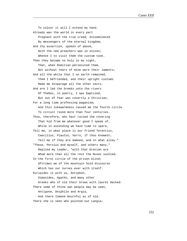To colour it will I extend my hand. Already was the world in every part Pregnant with the true creed, disseminated By messengers of the eternal kingdom; And thy assertion, spoken of above, With the new preachers was in unison; Whence I to visit them the custom took. Then they became so holy in my sight, That, when Domitian persecuted them, Not without tears of mine were their laments; And all the while that I on earth remained, Them I befriended, and their upright customs Made me disparage all the other sects. And ere I led the Greeks unto the rivers Of Thebes, in poetry, I was baptized, But out of fear was covertly a Christian, For a long time professing paganism; And this lukewarmness caused me the fourth circle To circuit round more than four centuries. Thou, therefore, who hast raised the covering That hid from me whatever good I speak of, While in ascending we have time to spare, Tell me, in what place is our friend Terentius, Caecilius, Plautus, Varro, if thou knowest; Tell me if they are damned, and in what alley." "These, Persius and myself, and others many," Replied my Leader, "with that Grecian are Whom more than all the rest the Muses suckled, In the first circle of the prison blind; Ofttimes we of the mountain hold discourse Which has our nurses ever with itself. Euripides is with us, Antiphon, Simonides, Agatho, and many other Greeks who of old their brows with laurel decked. There some of thine own people may be seen, Antigone, Deiphile and Argia, And there Ismene mournful as of old. There she is seen who pointed out Langia;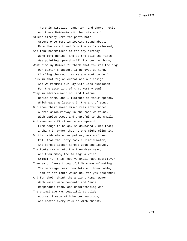There is Tiresias' daughter, and there Thetis, And there Deidamia with her sisters." Silent already were the poets both, Attent once more in looking round about, From the ascent and from the walls released; And four handmaidens of the day already Were left behind, and at the pole the fifth Was pointing upward still its burning horn, What time my Guide: "I think that tow'rds the edge Our dexter shoulders it behoves us turn, Circling the mount as we are wont to do." Thus in that region custom was our ensign; And we resumed our way with less suspicion For the assenting of that worthy soul They in advance went on, and I alone Behind them, and I listened to their speech, Which gave me lessons in the art of song. But soon their sweet discourses interrupted A tree which midway in the road we found, With apples sweet and grateful to the smell. And even as a fir-tree tapers upward From bough to bough, so downwardly did that; I think in order that no one might climb it. On that side where our pathway was enclosed Fell from the lofty rock a limpid water, And spread itself abroad upon the leaves. The Poets twain unto the tree drew near, And from among the foliage a voice Cried: "Of this food ye shall have scarcity." Then said: "More thoughtful Mary was of making The marriage feast complete and honourable, Than of her mouth which now for you responds; And for their drink the ancient Roman women With water were content; and Daniel Disparaged food, and understanding won. The primal age was beautiful as gold; Acorns it made with hunger savorous, And nectar every rivulet with thirst.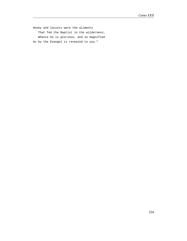Honey and locusts were the aliments That fed the Baptist in the wilderness; Whence he is glorious, and so magnified As by the Evangel is revealed to you."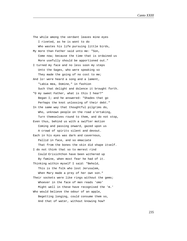The while among the verdant leaves mine eyes I riveted, as he is wont to do Who wastes his life pursuing little birds, My more than Father said unto me: "Son, Come now; because the time that is ordained us More usefully should be apportioned out." I turned my face and no less soon my steps Unto the Sages, who were speaking so They made the going of no cost to me; And lo! were heard a song and a lament, "Labia mea, Domine," in fashion Such that delight and dolence it brought forth. "O my sweet Father, what is this I hear?" Began I; and he answered: "Shades that go Perhaps the knot unloosing of their debt." In the same way that thoughtful pilgrims do, Who, unknown people on the road o'ertaking, Turn themselves round to them, and do not stop, Even thus, behind us with a swifter motion Coming and passing onward, gazed upon us A crowd of spirits silent and devout. Each in his eyes was dark and cavernous, Pallid in face, and so emaciate That from the bones the skin did shape itself. I do not think that so to merest rind Could Erisichthon have been withered up By famine, when most fear he had of it. Thinking within myself I said: "Behold, This is the folk who lost Jerusalem, When Mary made a prey of her own son." Their sockets were like rings without the gems; Whoever in the face of men reads 'omo' Might well in these have recognised the 'm.' Who would believe the odour of an apple, Begetting longing, could consume them so, And that of water, without knowing how?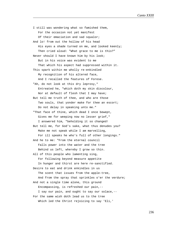I still was wondering what so famished them, For the occasion not yet manifest Of their emaciation and sad squalor; And lo! from out the hollow of his head His eyes a shade turned on me, and looked keenly; Then cried aloud: "What grace to me is this?" Never should I have known him by his look; But in his voice was evident to me That which his aspect had suppressed within it. This spark within me wholly re-enkindled My recognition of his altered face, And I recalled the features of Forese. "Ah, do not look at this dry leprosy," Entreated he, "which doth my skin discolour, Nor at default of flesh that I may have; But tell me truth of thee, and who are those Two souls, that yonder make for thee an escort; Do not delay in speaking unto me." "That face of thine, which dead I once bewept, Gives me for weeping now no lesser grief," I answered him, "beholding it so changed! But tell me, for God's sake, what thus denudes you? Make me not speak while I am marvelling, For ill speaks he who's full of other longings." And he to me: "From the eternal council Falls power into the water and the tree Behind us left, whereby I grow so thin. All of this people who lamenting sing, For following beyond measure appetite In hunger and thirst are here re-sanctified. Desire to eat and drink enkindles in us The scent that issues from the apple-tree, And from the spray that sprinkles o'er the verdure; And not a single time alone, this ground Encompassing, is refreshed our pain,-- I say our pain, and ought to say our solace,-- For the same wish doth lead us to the tree Which led the Christ rejoicing to say 'Eli,'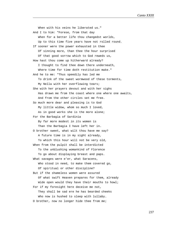When with his veins he liberated us." And I to him: "Forese, from that day When for a better life thou changedst worlds, Up to this time five years have not rolled round. If sooner were the power exhausted in thee Of sinning more, than thee the hour surprised Of that good sorrow which to God reweds us, How hast thou come up hitherward already? I thought to find thee down there underneath, Where time for time doth restitution make." And he to me: "Thus speedily has led me To drink of the sweet wormwood of these torments, My Nella with her overflowing tears; She with her prayers devout and with her sighs Has drawn me from the coast where one where one awaits, And from the other circles set me free. So much more dear and pleasing is to God My little widow, whom so much I loved, As in good works she is the more alone; For the Barbagia of Sardinia By far more modest in its women is Than the Barbagia I have left her in. O brother sweet, what wilt thou have me say? A future time is in my sight already, To which this hour will not be very old, When from the pulpit shall be interdicted To the unblushing womankind of Florence To go about displaying breast and paps. What savages were e'er, what Saracens, Who stood in need, to make them covered go, Of spiritual or other discipline? But if the shameless women were assured Of what swift Heaven prepares for them, already Wide open would they have their mouths to howl; For if my foresight here deceive me not, They shall be sad ere he has bearded cheeks Who now is hushed to sleep with lullaby. O brother, now no longer hide thee from me;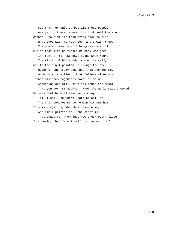See that not only I, but all these people Are gazing there, where thou dost veil the sun." Whence I to him: "If thou bring back to mind What thou with me hast been and I with thee, The present memory will be grievous still. Out of that life he turned me back who goes In front of me, two days agone when round The sister of him yonder showed herself," And to the sun I pointed. "Through the deep Night of the truly dead has this one led me, With this true flesh, that follows after him. Thence his encouragements have led me up, Ascending and still circling round the mount That you doth straighten, whom the world made crooked. He says that he will bear me company, Till I shall be where Beatrice will be; There it behoves me to remain without him. This is Virgilius, who thus says to me," And him I pointed at; "the other is That shade for whom just now shook every slope Your realm, that from itself discharges him."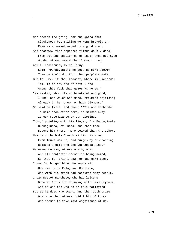Nor speech the going, nor the going that Slackened; but talking we went bravely on, Even as a vessel urged by a good wind. And shadows, that appeared things doubly dead, From out the sepulchres of their eyes betrayed Wonder at me, aware that I was living. And I, continuing my colloquy, Said: "Peradventure he goes up more slowly Than he would do, for other people's sake. But tell me, if thou knowest, where is Piccarda; Tell me if any one of note I see Among this folk that gazes at me so." "My sister, who, 'twixt beautiful and good, I know not which was more, triumphs rejoicing Already in her crown on high Olympus." So said he first, and then: "'Tis not forbidden To name each other here, so milked away Is our resemblance by our dieting. This," pointing with his finger, "is Buonagiunta, Buonagiunta, of Lucca; and that face Beyond him there, more peaked than the others, Has held the holy Church within his arms; From Tours was he, and purges by his fasting Bolsena's eels and the Vernaccia wine." He named me many others one by one; And all contented seemed at being named, So that for this I saw not one dark look. I saw for hunger bite the empty air Ubaldin dalla Pila, and Boniface, Who with his crook had pastured many people. I saw Messer Marchese, who had leisure Once at Forli for drinking with less dryness, And he was one who ne'er felt satisfied. But as he does who scans, and then doth prize One more than others, did I him of Lucca, Who seemed to take most cognizance of me.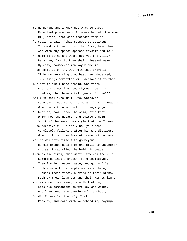He murmured, and I know not what Gentucca From that place heard I, where he felt the wound Of justice, that doth macerate them so. "O soul," I said, "that seemest so desirous To speak with me, do so that I may hear thee, And with thy speech appease thyself and me." "A maid is born, and wears not yet the veil," Began he, "who to thee shall pleasant make My city, howsoever men may blame it. Thou shalt go on thy way with this prevision; If by my murmuring thou hast been deceived, True things hereafter will declare it to thee. But say if him I here behold, who forth Evoked the new-invented rhymes, beginning, 'Ladies, that have intelligence of love?'" And I to him: "One am I, who, whenever Love doth inspire me, note, and in that measure Which he within me dictates, singing go." "O brother, now I see," he said, "the knot Which me, the Notary, and Guittone held Short of the sweet new style that now I hear. I do perceive full clearly how your pens Go closely following after him who dictates, Which with our own forsooth came not to pass; And he who sets himself to go beyond, No difference sees from one style to another;" And as if satisfied, he held his peace. Even as the birds, that winter tow'rds the Nile, Sometimes into a phalanx form themselves, Then fly in greater haste, and go in file; In such wise all the people who were there, Turning their faces, hurried on their steps, Both by their leanness and their wishes light. And as a man, who weary is with trotting, Lets his companions onward go, and walks, Until he vents the panting of his chest; So did Forese let the holy flock Pass by, and came with me behind it, saying,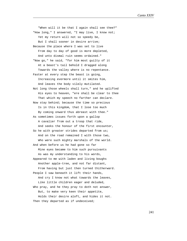"When will it be that I again shall see thee?" "How long," I answered, "I may live, I know not; Yet my return will not so speedy be, But I shall sooner in desire arrive; Because the place where I was set to live From day to day of good is more depleted, And unto dismal ruin seems ordained." "Now go," he said, "for him most guilty of it At a beast's tail behold I dragged along Towards the valley where is no repentance. Faster at every step the beast is going, Increasing evermore until it smites him, And leaves the body vilely mutilated. Not long those wheels shall turn," and he uplifted His eyes to heaven, "ere shall be clear to thee That which my speech no farther can declare. Now stay behind; because the time so precious Is in this kingdom, that I lose too much By coming onward thus abreast with thee." As sometimes issues forth upon a gallop A cavalier from out a troop that ride, And seeks the honour of the first encounter, So he with greater strides departed from us; And on the road remained I with those two, Who were such mighty marshals of the world. And when before us he had gone so far Mine eyes became to him such pursuivants As was my understanding to his words, Appeared to me with laden and living boughs Another apple-tree, and not far distant, From having but just then turned thitherward. People I saw beneath it lift their hands, And cry I know not what towards the leaves, Like little children eager and deluded, Who pray, and he they pray to doth not answer, But, to make very keen their appetite, Holds their desire aloft, and hides it not. Then they departed as if undeceived;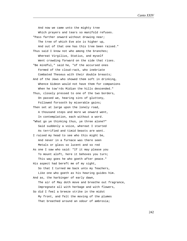And now we came unto the mighty tree Which prayers and tears so manifold refuses. "Pass farther onward without drawing near; The tree of which Eve ate is higher up, And out of that one has this tree been raised." Thus said I know not who among the branches; Whereat Virgilius, Statius, and myself Went crowding forward on the side that rises. "Be mindful," said he, "of the accursed ones Formed of the cloud-rack, who inebriate Combated Theseus with their double breasts; And of the Jews who showed them soft in drinking, Whence Gideon would not have them for companions When he tow'rds Midian the hills descended." Thus, closely pressed to one of the two borders, On passed we, hearing sins of gluttony, Followed forsooth by miserable gains; Then set at large upon the lonely road, A thousand steps and more we onward went, In contemplation, each without a word. "What go ye thinking thus, ye three alone?" Said suddenly a voice, whereat I started As terrified and timid beasts are wont. I raised my head to see who this might be, And never in a furnace was there seen Metals or glass so lucent and so red As one I saw who said: "If it may please you To mount aloft, here it behoves you turn; This way goes he who goeth after peace." His aspect had bereft me of my sight, So that I turned me back unto my Teachers, Like one who goeth as his hearing guides him. And as, the harbinger of early dawn, The air of May doth move and breathe out fragrance, Impregnate all with herbage and with flowers, So did I feel a breeze strike in the midst My front, and felt the moving of the plumes That breathed around an odour of ambrosia;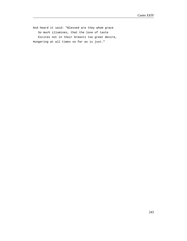And heard it said: "Blessed are they whom grace So much illumines, that the love of taste Excites not in their breasts too great desire, Hungering at all times so far as is just."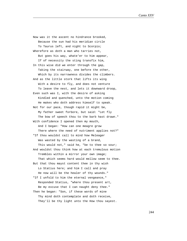Now was it the ascent no hindrance brooked, Because the sun had his meridian circle To Taurus left, and night to Scorpio; Wherefore as doth a man who tarries not, But goes his way, whate'er to him appear, If of necessity the sting transfix him, In this wise did we enter through the gap, Taking the stairway, one before the other, Which by its narrowness divides the climbers. And as the little stork that lifts its wing With a desire to fly, and does not venture To leave the nest, and lets it downward droop, Even such was I, with the desire of asking Kindled and quenched, unto the motion coming He makes who doth address himself to speak. Not for our pace, though rapid it might be, My father sweet forbore, but said: "Let fly The bow of speech thou to the barb hast drawn." With confidence I opened then my mouth, And I began: "How can one meagre grow There where the need of nutriment applies not?" "If thou wouldst call to mind how Meleager Was wasted by the wasting of a brand, This would not," said he, "be to thee so sour; And wouldst thou think how at each tremulous motion Trembles within a mirror your own image; That which seems hard would mellow seem to thee. But that thou mayst content thee in thy wish Lo Statius here; and him I call and pray He now will be the healer of thy wounds." "If I unfold to him the eternal vengeance," Responded Statius, "where thou present art, Be my excuse that I can naught deny thee." Then he began: "Son, if these words of mine Thy mind doth contemplate and doth receive, They'll be thy light unto the How thou sayest.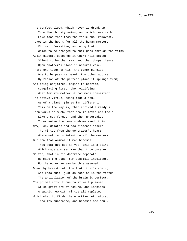The perfect blood, which never is drunk up Into the thirsty veins, and which remaineth Like food that from the table thou removest, Takes in the heart for all the human members Virtue informative, as being that Which to be changed to them goes through the veins Again digest, descends it where 'tis better Silent to be than say; and then drops thence Upon another's blood in natural vase. There one together with the other mingles, One to be passive meant, the other active By reason of the perfect place it springs from; And being conjoined, begins to operate, Coagulating first, then vivifying What for its matter it had made consistent. The active virtue, being made a soul As of a plant, (in so far different, This on the way is, that arrived already,) Then works so much, that now it moves and feels Like a sea-fungus, and then undertakes To organize the powers whose seed it is. Now, Son, dilates and now distends itself The virtue from the generator's heart, Where nature is intent on all the members. But how from animal it man becomes Thou dost not see as  $yeti$  this is a point Which made a wiser man than thou once err So far, that in his doctrine separate He made the soul from possible intellect, For he no organ saw by this assumed. Open thy breast unto the truth that's coming, And know that, just as soon as in the foetus The articulation of the brain is perfect, The primal Motor turns to it well pleased At so great art of nature, and inspires A spirit new with virtue all replete, Which what it finds there active doth attract Into its substance, and becomes one soul,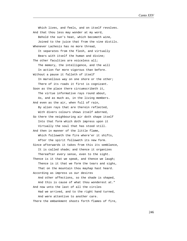Which lives, and feels, and on itself revolves. And that thou less may wonder at my word, Behold the sun's heat, which becometh wine, Joined to the juice that from the vine distils. Whenever Lachesis has no more thread, It separates from the flesh, and virtually Bears with itself the human and divine; The other faculties are voiceless all; The memory, the intelligence, and the will In action far more vigorous than before. Without a pause it falleth of itself In marvellous way on one shore or the other; There of its roads it first is cognizant. Soon as the place there circumscribeth it, The virtue informative rays round about, As, and as much as, in the living members. And even as the air, when full of rain, By alien rays that are therein reflected, With divers colours shows itself adorned, So there the neighbouring air doth shape itself Into that form which doth impress upon it Virtually the soul that has stood still. And then in manner of the little flame, Which followeth the fire where'er it shifts, After the spirit followeth its new form. Since afterwards it takes from this its semblance, It is called shade; and thence it organizes Thereafter every sense, even to the sight. Thence is it that we speak, and thence we laugh; Thence is it that we form the tears and sighs, That on the mountain thou mayhap hast heard. According as impress us our desires And other affections, so the shade is shaped, And this is cause of what thou wonderest at." And now unto the last of all the circles Had we arrived, and to the right hand turned, And were attentive to another care. There the embankment shoots forth flames of fire,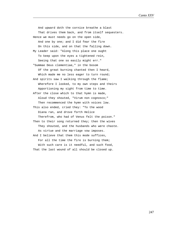And upward doth the cornice breathe a blast That drives them back, and from itself sequesters. Hence we must needs go on the open side, And one by one; and I did fear the fire On this side, and on that the falling down. My Leader said: "Along this place one ought To keep upon the eyes a tightened rein, Seeing that one so easily might err." "Summae Deus clementiae," in the bosom Of the great burning chanted then I heard, Which made me no less eager to turn round; And spirits saw I walking through the flame; Wherefore I looked, to my own steps and theirs Apportioning my sight from time to time. After the close which to that hymn is made, Aloud they shouted, "Virum non cognosco;" Then recommenced the hymn with voices low. This also ended, cried they: "To the wood Diana ran, and drove forth Helice Therefrom, who had of Venus felt the poison." Then to their song returned they; then the wives They shouted, and the husbands who were chaste. As virtue and the marriage vow imposes. And I believe that them this mode suffices, For all the time the fire is burning them; With such care is it needful, and such food, That the last wound of all should be closed up.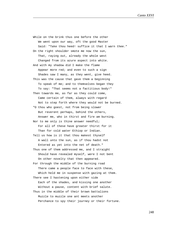While on the brink thus one before the other We went upon our way, oft the good Master Said: "Take thou heed! suffice it that I warn thee." On the right shoulder smote me now the sun, That, raying out, already the whole west Changed from its azure aspect into white. And with my shadow did I make the flame Appear more red; and even to such a sign Shades saw I many, as they went, give heed. This was the cause that gave them a beginning To speak of me; and to themselves began they To say: "That seems not a factitious body!" Then towards me, as far as they could come, Came certain of them, always with regard Not to step forth where they would not be burned. "O thou who goest, not from being slower But reverent perhaps, behind the others, Answer me, who in thirst and fire am burning. Nor to me only is thine answer needful; For all of these have greater thirst for it Than for cold water Ethiop or Indian. Tell us how is it that thou makest thyself A wall unto the sun, as if thou hadst not Entered as yet into the net of death." Thus one of them addressed me, and I straight Should have revealed myself, were I not bent On other novelty that then appeared. For through the middle of the burning road There came a people face to face with these, Which held me in suspense with gazing at them. There see I hastening upon either side Each of the shades, and kissing one another Without a pause, content with brief salute. Thus in the middle of their brown battalions Muzzle to muzzle one ant meets another Perchance to spy their journey or their fortune.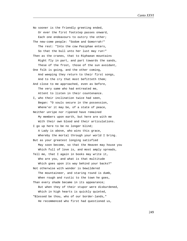No sooner is the friendly greeting ended, Or ever the first footstep passes onward, Each one endeavours to outcry the other; The new-come people: "Sodom and Gomorrah!" The rest: "Into the cow Pasiphae enters, So that the bull unto her lust may run!" Then as the cranes, that to Riphaean mountains Might fly in part, and part towards the sands, These of the frost, those of the sun avoidant, One folk is going, and the other coming, And weeping they return to their first songs, And to the cry that most befitteth them; And close to me approached, even as before, The very same who had entreated me, Attent to listen in their countenance. I, who their inclination twice had seen, Began: "O souls secure in the possession, Whene'er it may be, of a state of peace, Neither unripe nor ripened have remained My members upon earth, but here are with me With their own blood and their articulations. I go up here to be no longer blind; A Lady is above, who wins this grace, Whereby the mortal through your world I bring. But as your greatest longing satisfied May soon become, so that the Heaven may house you Which full of love is, and most amply spreads, Tell me, that I again in books may write it, Who are you, and what is that multitude Which goes upon its way behind your backs?" Not otherwise with wonder is bewildered The mountaineer, and staring round is dumb, When rough and rustic to the town he goes, Than every shade became in its appearance; But when they of their stupor were disburdened, Which in high hearts is quickly quieted, "Blessed be thou, who of our border-lands," He recommenced who first had questioned us,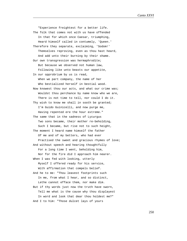"Experience freightest for a better life. The folk that comes not with us have offended In that for which once Caesar, triumphing, Heard himself called in contumely, 'Queen.' Therefore they separate, exclaiming, 'Sodom!' Themselves reproving, even as thou hast heard, And add unto their burning by their shame. Our own transgression was hermaphrodite; But because we observed not human law, Following like unto beasts our appetite, In our opprobrium by us is read, When we part company, the name of her Who bestialized herself in bestial wood. Now knowest thou our acts, and what our crime was; Wouldst thou perchance by name know who we are, There is not time to tell, nor could I do it. Thy wish to know me shall in sooth be granted; I'm Guido Guinicelli, and now purge me, Having repented ere the hour extreme." The same that in the sadness of Lycurgus Two sons became, their mother re-beholding, Such I became, but rise not to such height, The moment I heard name himself the father Of me and of my betters, who had ever Practised the sweet and gracious rhymes of love; And without speech and hearing thoughtfully For a long time I went, beholding him, Nor for the fire did I approach him nearer. When I was fed with looking, utterly Myself I offered ready for his service, With affirmation that compels belief. And he to me: "Thou leavest footprints such In me, from what I hear, and so distinct, Lethe cannot efface them, nor make dim. But if thy words just now the truth have sworn, Tell me what is the cause why thou displayest In word and look that dear thou holdest me?" And I to him: "Those dulcet lays of yours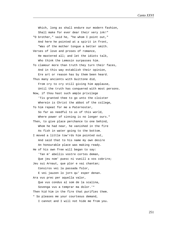Which, long as shall endure our modern fashion, Shall make for ever dear their very ink!" "O brother," said he, "he whom I point out," And here he pointed at a spirit in front, "Was of the mother tongue a better smith. Verses of love and proses of romance, He mastered all; and let the idiots talk, Who think the Lemosin surpasses him. To clamour more than truth they turn their faces, And in this way establish their opinion, Ere art or reason has by them been heard. Thus many ancients with Guittone did, From cry to cry still giving him applause, Until the truth has conquered with most persons. Now, if thou hast such ample privilege 'Tis granted thee to go unto the cloister Wherein is Christ the abbot of the college, To him repeat for me a Paternoster, So far as needful to us of this world, Where power of sinning is no longer ours." Then, to give place perchance to one behind, Whom he had near, he vanished in the fire As fish in water going to the bottom. I moved a little tow'rds him pointed out, And said that to his name my own desire An honourable place was making ready. He of his own free will began to say: 'Tan m' abellis vostre cortes deman, Que jeu nom' puesc ni vueill a vos cobrire; Jeu sui Arnaut, que plor e vai chantan; Consiros vei la passada folor, E vei jauzen lo jorn qu' esper denan. Ara vus prec per aquella valor, Que vus condus al som de la scalina, Sovenga vus a temprar ma dolor.'\* Then hid him in the fire that purifies them. \* So pleases me your courteous demand, I cannot and I will not hide me from you.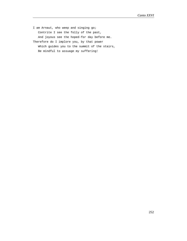I am Arnaut, who weep and singing go; Contrite I see the folly of the past, And joyous see the hoped-for day before me. Therefore do I implore you, by that power Which guides you to the summit of the stairs, Be mindful to assuage my suffering!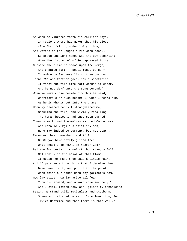As when he vibrates forth his earliest rays, In regions where his Maker shed his blood, (The Ebro falling under lofty Libra, And waters in the Ganges burnt with noon,) So stood the Sun; hence was the day departing, When the glad Angel of God appeared to us. Outside the flame he stood upon the verge, And chanted forth, "Beati mundo corde," In voice by far more living than our own. Then: "No one farther goes, souls sanctified, If first the fire bite not; within it enter, And be not deaf unto the song beyond." When we were close beside him thus he said; Wherefore e'en such became I, when I heard him, As he is who is put into the grave. Upon my clasped hands I straightened me, Scanning the fire, and vividly recalling The human bodies I had once seen burned. Towards me turned themselves my good Conductors, And unto me Virgilius said: "My son, Here may indeed be torment, but not death. Remember thee, remember! and if I On Geryon have safely guided thee, What shall I do now I am nearer God? Believe for certain, shouldst thou stand a full Millennium in the bosom of this flame, It could not make thee bald a single hair. And if perchance thou think that I deceive thee, Draw near to it, and put it to the proof With thine own hands upon thy garment's hem. Now lay aside, now lay aside all fear, Turn hitherward, and onward come securely;" And I still motionless, and 'gainst my conscience! Seeing me stand still motionless and stubborn, Somewhat disturbed he said: "Now look thou, Son, 'Twixt Beatrice and thee there is this wall."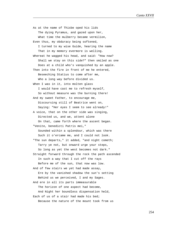As at the name of Thisbe oped his lids The dying Pyramus, and gazed upon her, What time the mulberry became vermilion, Even thus, my obduracy being softened, I turned to my wise Guide, hearing the name That in my memory evermore is welling. Whereat he wagged his head, and said: "How now? Shall we stay on this side?" then smiled as one Does at a child who's vanquished by an apple. Then into the fire in front of me he entered, Beseeching Statius to come after me, Who a long way before divided us. When I was in it, into molten glass I would have cast me to refresh myself, So without measure was the burning there! And my sweet Father, to encourage me, Discoursing still of Beatrice went on, Saying: "Her eyes I seem to see already!" A voice, that on the other side was singing, Directed us, and we, attent alone On that, came forth where the ascent began. "Venite, benedicti Patris mei," Sounded within a splendour, which was there Such it o'ercame me, and I could not look. "The sun departs," it added, "and night cometh; Tarry ye not, but onward urge your steps, So long as yet the west becomes not dark." Straight forward through the rock the path ascended In such a way that I cut off the rays Before me of the sun, that now was low. And of few stairs we yet had made assay, Ere by the vanished shadow the sun's setting Behind us we perceived, I and my Sages. And ere in all its parts immeasurable The horizon of one aspect had become, And Night her boundless dispensation held, Each of us of a stair had made his bed; Because the nature of the mount took from us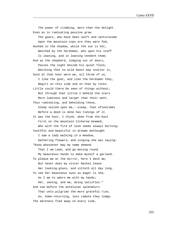The power of climbing, more than the delight. Even as in ruminating passive grow The goats, who have been swift and venturesome Upon the mountain-tops ere they were fed, Hushed in the shadow, while the sun is hot, Watched by the herdsman, who upon his staff Is leaning, and in leaning tendeth them; And as the shepherd, lodging out of doors, Passes the night beside his quiet flock, Watching that no wild beast may scatter it, Such at that hour were we, all three of us, I like the goat, and like the herdsmen they, Begirt on this side and on that by rocks. Little could there be seen of things without; But through that little I beheld the stars More luminous and larger than their wont. Thus ruminating, and beholding these, Sleep seized upon me,--sleep, that oftentimes Before a deed is done has tidings of it. It was the hour, I think, when from the East First on the mountain Citherea beamed, Who with the fire of love seems always burning; Youthful and beautiful in dreams methought I saw a lady walking in a meadow, Gathering flowers; and singing she was saying: "Know whosoever may my name demand That I am Leah, and go moving round My beauteous hands to make myself a garland. To please me at the mirror, here I deck me, But never does my sister Rachel leave Her looking-glass, and sitteth all day long. To see her beauteous eyes as eager is she, As I am to adorn me with my hands; Her, seeing, and me, doing satisfies." And now before the antelucan splendours That unto pilgrims the more grateful rise, As, home-returning, less remote they lodge, The darkness fled away on every side,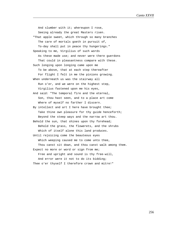And slumber with it; whereupon I rose, Seeing already the great Masters risen. "That apple sweet, which through so many branches The care of mortals goeth in pursuit of, To-day shall put in peace thy hungerings." Speaking to me, Virgilius of such words As these made use; and never were there guerdons That could in pleasantness compare with these. Such longing upon longing came upon me To be above, that at each step thereafter For flight I felt in me the pinions growing. When underneath us was the stairway all Run o'er, and we were on the highest step, Virgilius fastened upon me his eyes, And said: "The temporal fire and the eternal, Son, thou hast seen, and to a place art come Where of myself no farther I discern. By intellect and art I here have brought thee; Take thine own pleasure for thy guide henceforth; Beyond the steep ways and the narrow art thou. Behold the sun, that shines upon thy forehead; Behold the grass, the flowerets, and the shrubs Which of itself alone this land produces. Until rejoicing come the beauteous eyes Which weeping caused me to come unto thee, Thou canst sit down, and thou canst walk among them. Expect no more or word or sign from me; Free and upright and sound is thy free-will, And error were it not to do its bidding; Thee o'er thyself I therefore crown and mitre!"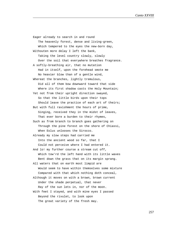Eager already to search in and round The heavenly forest, dense and living-green, Which tempered to the eyes the new-born day, Withouten more delay I left the bank, Taking the level country slowly, slowly Over the soil that everywhere breathes fragrance. A softly-breathing air, that no mutation Had in itself, upon the forehead smote me No heavier blow than of a gentle wind, Whereat the branches, lightly tremulous, Did all of them bow downward toward that side Where its first shadow casts the Holy Mountain; Yet not from their upright direction swayed, So that the little birds upon their tops Should leave the practice of each art of theirs; But with full ravishment the hours of prime, Singing, received they in the midst of leaves, That ever bore a burden to their rhymes, Such as from branch to branch goes gathering on Through the pine forest on the shore of Chiassi, When Eolus unlooses the Sirocco. Already my slow steps had carried me Into the ancient wood so far, that I Could not perceive where I had entered it. And lo! my further course a stream cut off, Which tow'rd the left hand with its little waves Bent down the grass that on its margin sprang. All waters that on earth most limpid are Would seem to have within themselves some mixture Compared with that which nothing doth conceal, Although it moves on with a brown, brown current Under the shade perpetual, that never Ray of the sun lets in, nor of the moon. With feet I stayed, and with mine eyes I passed Beyond the rivulet, to look upon

The great variety of the fresh may.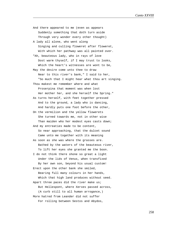And there appeared to me (even as appears Suddenly something that doth turn aside Through very wonder every other thought) A lady all alone, who went along Singing and culling floweret after floweret, With which her pathway was all painted over. "Ah, beauteous lady, who in rays of love Dost warm thyself, if I may trust to looks, Which the heart's witnesses are wont to be, May the desire come unto thee to draw Near to this river's bank," I said to her, "So much that I might hear what thou art singing. Thou makest me remember where and what Proserpina that moment was when lost Her mother her, and she herself the Spring." As turns herself, with feet together pressed And to the ground, a lady who is dancing, And hardly puts one foot before the other, On the vermilion and the yellow flowerets She turned towards me, not in other wise Than maiden who her modest eyes casts down; And my entreaties made to be content, So near approaching, that the dulcet sound Came unto me together with its meaning As soon as she was where the grasses are. Bathed by the waters of the beauteous river, To lift her eyes she granted me the boon. I do not think there shone so great a light Under the lids of Venus, when transfixed By her own son, beyond his usual custom! Erect upon the other bank she smiled, Bearing full many colours in her hands, Which that high land produces without seed. Apart three paces did the river make us; But Hellespont, where Xerxes passed across, (A curb still to all human arrogance,) More hatred from Leander did not suffer For rolling between Sestos and Abydos,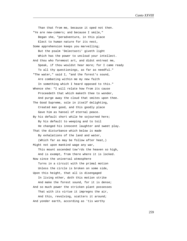Than that from me, because it oped not then. "Ye are new-comers; and because I smile," Began she, "peradventure, in this place Elect to human nature for its nest, Some apprehension keeps you marvelling; But the psalm 'Delectasti' giveth light Which has the power to uncloud your intellect. And thou who foremost art, and didst entreat me, Speak, if thou wouldst hear more; for I came ready To all thy questionings, as far as needful." "The water," said I, "and the forest's sound, Are combating within me my new faith In something which I heard opposed to this." Whence she: "I will relate how from its cause Proceedeth that which maketh thee to wonder, And purge away the cloud that smites upon thee. The Good Supreme, sole in itself delighting, Created man good, and this goodly place Gave him as hansel of eternal peace. By his default short while he sojourned here; By his default to weeping and to toil He changed his innocent laughter and sweet play. That the disturbance which below is made By exhalations of the land and water, (Which far as may be follow after heat,) Might not upon mankind wage any war, This mount ascended tow'rds the heaven so high, And is exempt, from there where it is locked. Now since the universal atmosphere Turns in a circuit with the primal motion Unless the circle is broken on some side, Upon this height, that all is disengaged In living ether, doth this motion strike And make the forest sound, for it is dense; And so much power the stricken plant possesses That with its virtue it impregns the air, And this, revolving, scatters it around; And yonder earth, according as 'tis worthy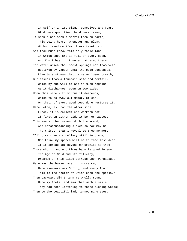In self or in its clime, conceives and bears Of divers qualities the divers trees; It should not seem a marvel then on earth, This being heard, whenever any plant Without seed manifest there taketh root. And thou must know, this holy table-land In which thou art is full of every seed, And fruit has in it never gathered there. The water which thou seest springs not from vein Restored by vapour that the cold condenses, Like to a stream that gains or loses breath; But issues from a fountain safe and certain, Which by the will of God as much regains As it discharges, open on two sides. Upon this side with virtue it descends, Which takes away all memory of sin; On that, of every good deed done restores it. Here Lethe, as upon the other side Eunoe, it is called; and worketh not If first on either side it be not tasted. This every other savour doth transcend; And notwithstanding slaked so far may be Thy thirst, that I reveal to thee no more, I'll give thee a corollary still in grace, Nor think my speech will be to thee less dear If it spread out beyond my promise to thee. Those who in ancient times have feigned in song The Age of Gold and its felicity, Dreamed of this place perhaps upon Parnassus. Here was the human race in innocence; Here evermore was Spring, and every fruit; This is the nectar of which each one speaks." Then backward did I turn me wholly round Unto my Poets, and saw that with a smile They had been listening to these closing words; Then to the beautiful lady turned mine eyes.

260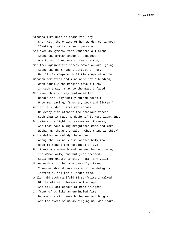Singing like unto an enamoured lady She, with the ending of her words, continued: "Beati quorum tecta sunt peccata." And even as Nymphs, that wandered all alone Among the sylvan shadows, sedulous One to avoid and one to see the sun, She then against the stream moved onward, going Along the bank, and I abreast of her, Her little steps with little steps attending. Between her steps and mine were not a hundred, When equally the margins gave a turn, In such a way, that to the East I faced. Nor even thus our way continued far Before the lady wholly turned herself Unto me, saying, "Brother, look and listen!" And lo! a sudden lustre ran across On every side athwart the spacious forest, Such that it made me doubt if it were lightning. But since the lightning ceases as it comes, And that continuing brightened more and more, Within my thought I said, "What thing is this?" And a delicious melody there ran Along the luminous air, whence holy zeal Made me rebuke the hardihood of Eve; For there where earth and heaven obedient were, The woman only, and but just created, Could not endure to stay 'neath any veil; Underneath which had she devoutly stayed, I sooner should have tasted those delights Ineffable, and for a longer time. While 'mid such manifold first-fruits I walked Of the eternal pleasure all enrapt, And still solicitous of more delights, In front of us like an enkindled fire Became the air beneath the verdant boughs,

And the sweet sound as singing now was heard.

261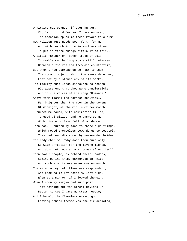O Virgins sacrosanct! if ever hunger, Vigils, or cold for you I have endured, The occasion spurs me their reward to claim! Now Helicon must needs pour forth for me, And with her choir Urania must assist me, To put in verse things difficult to think. A little farther on, seven trees of gold In semblance the long space still intervening Between ourselves and them did counterfeit; But when I had approached so near to them The common object, which the sense deceives, Lost not by distance any of its marks, The faculty that lends discourse to reason Did apprehend that they were candlesticks, And in the voices of the song "Hosanna!" Above them flamed the harness beautiful, Far brighter than the moon in the serene Of midnight, at the middle of her month. I turned me round, with admiration filled, To good Virgilius, and he answered me With visage no less full of wonderment. Then back I turned my face to those high things, Which moved themselves towards us so sedately, They had been distanced by new-wedded brides. The lady chid me: "Why dost thou burn only So with affection for the living lights, And dost not look at what comes after them?" Then saw I people, as behind their leaders, Coming behind them, garmented in white, And such a whiteness never was on earth. The water on my left flank was resplendent, And back to me reflected my left side, E'en as a mirror, if I looked therein. When I upon my margin had such post That nothing but the stream divided us, Better to see I gave my steps repose; And I beheld the flamelets onward go, Leaving behind themselves the air depicted,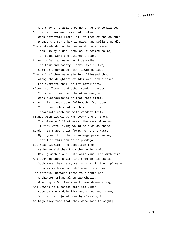And they of trailing pennons had the semblance, So that it overhead remained distinct With sevenfold lists, all of them of the colours Whence the sun's bow is made, and Delia's girdle. These standards to the rearward longer were Than was my sight; and, as it seemed to me, Ten paces were the outermost apart. Under so fair a heaven as I describe The four and twenty Elders, two by two, Came on incoronate with flower-de-luce. They all of them were singing: "Blessed thou Among the daughters of Adam art, and blessed For evermore shall be thy loveliness." After the flowers and other tender grasses In front of me upon the other margin Were disencumbered of that race elect, Even as in heaven star followeth after star, There came close after them four animals, Incoronate each one with verdant leaf. Plumed with six wings was every one of them, The plumage full of eyes; the eyes of Argus If they were living would be such as these. Reader! to trace their forms no more I waste My rhymes; for other spendings press me so, That I in this cannot be prodigal. But read Ezekiel, who depicteth them As he beheld them from the region cold Coming with cloud, with whirlwind, and with fire; And such as thou shalt find them in his pages, Such were they here; saving that in their plumage John is with me, and differeth from him. The interval between these four contained A chariot triumphal on two wheels, Which by a Griffin's neck came drawn along; And upward he extended both his wings Between the middle list and three and three, So that he injured none by cleaving it. So high they rose that they were lost to sight;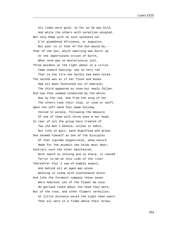His limbs were gold, so far as he was bird, And white the others with vermilion mingled. Not only Rome with no such splendid car E'er gladdened Africanus, or Augustus, But poor to it that of the Sun would be,-- That of the Sun, which swerving was burnt up At the importunate orison of Earth, When Jove was so mysteriously just. Three maidens at the right wheel in a circle Came onward dancing; one so very red That in the fire she hardly had been noted. The second was as if her flesh and bones Had all been fashioned out of emerald; The third appeared as snow but newly fallen. And now they seemed conducted by the white, Now by the red, and from the song of her The others took their step, or slow or swift. Upon the left hand four made holiday Vested in purple, following the measure Of one of them with three eyes m her head. In rear of all the group here treated of Two old men I beheld, unlike in habit, But like in gait, each dignified and grave. One showed himself as one of the disciples Of that supreme Hippocrates, whom nature Made for the animals she holds most dear; Contrary care the other manifested, With sword so shining and so sharp, it caused Terror to me on this side of the river. Thereafter four I saw of humble aspect, And behind all an aged man alone Walking in sleep with countenance acute. And like the foremost company these seven Were habited; yet of the flower-de-luce No garland round about the head they wore, But of the rose, and other flowers vermilion; At little distance would the sight have sworn That all were in a flame above their brows.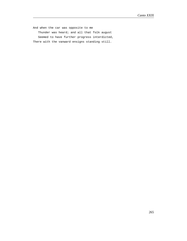And when the car was opposite to me Thunder was heard; and all that folk august Seemed to have further progress interdicted, There with the vanward ensigns standing still.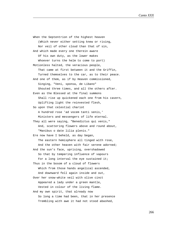When the Septentrion of the highest heaven (Which never either setting knew or rising, Nor veil of other cloud than that of sin, And which made every one therein aware Of his own duty, as the lower makes Whoever turns the helm to come to port) Motionless halted, the veracious people, That came at first between it and the Griffin, Turned themselves to the car, as to their peace. And one of them, as if by Heaven commissioned, Singing, "Veni, sponsa, de Libano" Shouted three times, and all the others after. Even as the Blessed at the final summons Shall rise up quickened each one from his cavern, Uplifting light the reinvested flesh, So upon that celestial chariot A hundred rose 'ad vocem tanti senis,' Ministers and messengers of life eternal. They all were saying, "Benedictus qui venis," And, scattering flowers above and round about, "Manibus o date lilia plenis." Ere now have I beheld, as day began, The eastern hemisphere all tinged with rose, And the other heaven with fair serene adorned; And the sun's face, uprising, overshadowed So that by tempering influence of vapours For a long interval the eye sustained it; Thus in the bosom of a cloud of flowers Which from those hands angelical ascended, And downward fell again inside and out, Over her snow-white veil with olive cinct Appeared a lady under a green mantle, Vested in colour of the living flame. And my own spirit, that already now So long a time had been, that in her presence Trembling with awe it had not stood abashed,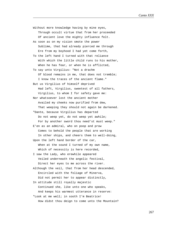Without more knowledge having by mine eyes, Through occult virtue that from her proceeded Of ancient love the mighty influence felt. As soon as on my vision smote the power Sublime, that had already pierced me through Ere from my boyhood I had yet come forth, To the left hand I turned with that reliance With which the little child runs to his mother, When he has fear, or when he is afflicted, To say unto Virgilius: "Not a drachm Of blood remains in me, that does not tremble; I know the traces of the ancient flame." But us Virgilius of himself deprived Had left, Virgilius, sweetest of all fathers, Virgilius, to whom I for safety gave me: Nor whatsoever lost the ancient mother Availed my cheeks now purified from dew, That weeping they should not again be darkened. "Dante, because Virgilius has departed Do not weep yet, do not weep yet awhile; For by another sword thou need'st must weep." E'en as an admiral, who on poop and prow Comes to behold the people that are working In other ships, and cheers them to well-doing, Upon the left hand border of the car, When at the sound I turned of my own name, Which of necessity is here recorded, I saw the Lady, who erewhile appeared Veiled underneath the angelic festival, Direct her eyes to me across the river. Although the veil, that from her head descended, Encircled with the foliage of Minerva, Did not permit her to appear distinctly, In attitude still royally majestic Continued she, like unto one who speaks, And keeps his warmest utterance in reserve: "Look at me well; in sooth I'm Beatrice! How didst thou deign to come unto the Mountain?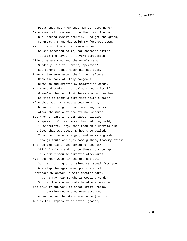Didst thou not know that man is happy here?" Mine eyes fell downward into the clear fountain, But, seeing myself therein, I sought the grass, So great a shame did weigh my forehead down. As to the son the mother seems superb, So she appeared to me; for somewhat bitter Tasteth the savour of severe compassion. Silent became she, and the Angels sang Suddenly, "In te, Domine, speravi:" But beyond 'pedes meos' did not pass. Even as the snow among the living rafters Upon the back of Italy congeals, Blown on and drifted by Sclavonian winds, And then, dissolving, trickles through itself Whene'er the land that loses shadow breathes, So that it seems a fire that melts a taper; E'en thus was I without a tear or sigh, Before the song of those who sing for ever After the music of the eternal spheres. But when I heard in their sweet melodies Compassion for me, more than had they said, "O wherefore, lady, dost thou thus upbraid him?" The ice, that was about my heart congealed, To air and water changed, and in my anguish Through mouth and eyes came gushing from my breast. She, on the right-hand border of the car Still firmly standing, to those holy beings Thus her discourse directed afterwards: "Ye keep your watch in the eternal day, So that nor night nor sleep can steal from you One step the ages make upon their path; Therefore my answer is with greater care, That he may hear me who is weeping yonder, So that the sin and dole be of one measure. Not only by the work of those great wheels, That destine every seed unto some end, According as the stars are in conjunction, But by the largess of celestial graces,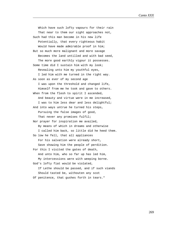Which have such lofty vapours for their rain That near to them our sight approaches not, Such had this man become in his new life Potentially, that every righteous habit Would have made admirable proof in him; But so much more malignant and more savage Becomes the land untilled and with bad seed, The more good earthly vigour it possesses. Some time did I sustain him with my look; Revealing unto him my youthful eyes, I led him with me turned in the right way. As soon as ever of my second age I was upon the threshold and changed life, Himself from me he took and gave to others. When from the flesh to spirit I ascended, And beauty and virtue were in me increased, I was to him less dear and less delightful; And into ways untrue he turned his steps, Pursuing the false images of good, That never any promises fulfil; Nor prayer for inspiration me availed, By means of which in dreams and otherwise I called him back, so little did he heed them. So low he fell, that all appliances For his salvation were already short, Save showing him the people of perdition. For this I visited the gates of death, And unto him, who so far up has led him, My intercessions were with weeping borne. God's lofty fiat would be violated, If Lethe should be passed, and if such viands Should tasted be, withouten any scot Of penitence, that gushes forth in tears."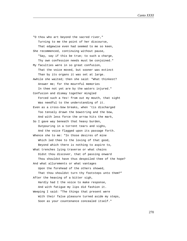"O thou who art beyond the sacred river," Turning to me the point of her discourse, That edgewise even had seemed to me so keen, She recommenced, continuing without pause, "Say, say if this be true; to such a charge, Thy own confession needs must be conjoined." My faculties were in so great confusion, That the voice moved, but sooner was extinct Than by its organs it was set at large. Awhile she waited; then she said: "What thinkest? Answer me; for the mournful memories In thee not yet are by the waters injured." Confusion and dismay together mingled Forced such a Yes! from out my mouth, that sight Was needful to the understanding of it. Even as a cross-bow breaks, when 'tis discharged Too tensely drawn the bowstring and the bow, And with less force the arrow hits the mark, So I gave way beneath that heavy burden, Outpouring in a torrent tears and sighs, And the voice flagged upon its passage forth. Whence she to me: "In those desires of mine Which led thee to the loving of that good, Beyond which there is nothing to aspire to, What trenches lying traverse or what chains Didst thou discover, that of passing onward Thou shouldst have thus despoiled thee of the hope? And what allurements or what vantages Upon the forehead of the others showed, That thou shouldst turn thy footsteps unto them?" After the heaving of a bitter sigh, Hardly had I the voice to make response, And with fatigue my lips did fashion it. Weeping I said: "The things that present were With their false pleasure turned aside my steps, Soon as your countenance concealed itself."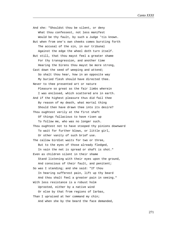And she: "Shouldst thou be silent, or deny What thou confessest, not less manifest Would be thy fault, by such a Judge 'tis known. But when from one's own cheeks comes bursting forth The accusal of the sin, in our tribunal Against the edge the wheel doth turn itself. But still, that thou mayst feel a greater shame For thy transgression, and another time Hearing the Sirens thou mayst be more strong, Cast down the seed of weeping and attend; So shalt thou hear, how in an opposite way My buried flesh should have directed thee. Never to thee presented art or nature Pleasure so great as the fair limbs wherein I was enclosed, which scattered are in earth. And if the highest pleasure thus did fail thee By reason of my death, what mortal thing Should then have drawn thee into its desire? Thou oughtest verily at the first shaft Of things fallacious to have risen up To follow me, who was no longer such. Thou oughtest not to have stooped thy pinions downward To wait for further blows, or little girl, Or other vanity of such brief use. The callow birdlet waits for two or three, But to the eyes of those already fledged, In vain the net is spread or shaft is shot." Even as children silent in their shame Stand listening with their eyes upon the ground, And conscious of their fault, and penitent; So was I standing; and she said: "If thou In hearing sufferest pain, lift up thy beard And thou shalt feel a greater pain in seeing." With less resistance is a robust holm Uprooted, either by a native wind Or else by that from regions of Iarbas, Than I upraised at her command my chin; And when she by the beard the face demanded,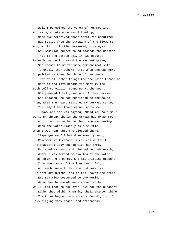Well I perceived the venom of her meaning. And as my countenance was lifted up, Mine eye perceived those creatures beautiful Had rested from the strewing of the flowers; And, still but little reassured, mine eyes Saw Beatrice turned round towards the monster, That is one person only in two natures. Beneath her veil, beyond the margent green, She seemed to me far more her ancient self To excel, than others here, when she was here. So pricked me then the thorn of penitence, That of all other things the one which turned me Most to its love became the most my foe. Such self-conviction stung me at the heart O'erpowered I fell, and what I then became She knoweth who had furnished me the cause. Then, when the heart restored my outward sense, The lady I had found alone, above me I saw, and she was saying, "Hold me, hold me." Up to my throat she in the stream had drawn me, And, dragging me behind her, she was moving Upon the water lightly as a shuttle. When I was near unto the blessed shore, "Asperges me," I heard so sweetly sung, Remember it I cannot, much less write it. The beautiful lady opened wide her arms, Embraced my head, and plunged me underneath, Where I was forced to swallow of the water. Then forth she drew me, and all dripping brought Into the dance of the four beautiful, And each one with her arm did cover me. 'We here are Nymphs, and in the Heaven are stars; Ere Beatrice descended to the world, We as her handmaids were appointed her. We'll lead thee to her eyes; but for the pleasant Light that within them is, shall sharpen thine The three beyond, who more profoundly look.'

Thus singing they began; and afterwards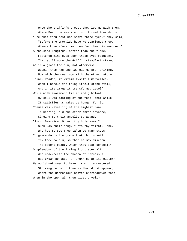Unto the Griffin's breast they led me with them, Where Beatrice was standing, turned towards us. "See that thou dost not spare thine eyes," they said; "Before the emeralds have we stationed thee, Whence Love aforetime drew for thee his weapons." A thousand longings, hotter than the flame, Fastened mine eyes upon those eyes relucent, That still upon the Griffin steadfast stayed. As in a glass the sun, not otherwise Within them was the twofold monster shining, Now with the one, now with the other nature. Think, Reader, if within myself I marvelled, When I beheld the thing itself stand still, And in its image it transformed itself. While with amazement filled and jubilant, My soul was tasting of the food, that while It satisfies us makes us hunger for it, Themselves revealing of the highest rank In bearing, did the other three advance, Singing to their angelic saraband. "Turn, Beatrice, O turn thy holy eyes," Such was their song, "unto thy faithful one, Who has to see thee ta'en so many steps. In grace do us the grace that thou unveil Thy face to him, so that he may discern The second beauty which thou dost conceal." O splendour of the living light eternal! Who underneath the shadow of Parnassus Has grown so pale, or drunk so at its cistern, He would not seem to have his mind encumbered Striving to paint thee as thou didst appear, Where the harmonious heaven o'ershadowed thee, When in the open air thou didst unveil?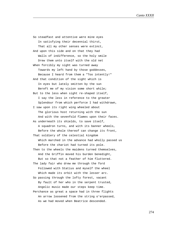So steadfast and attentive were mine eyes In satisfying their decennial thirst, That all my other senses were extinct, And upon this side and on that they had Walls of indifference, so the holy smile Drew them unto itself with the old net When forcibly my sight was turned away Towards my left hand by those goddesses, Because I heard from them a "Too intently!" And that condition of the sight which is In eyes but lately smitten by the sun Bereft me of my vision some short while; But to the less when sight re-shaped itself, I say the less in reference to the greater Splendour from which perforce I had withdrawn, I saw upon its right wing wheeled about The glorious host returning with the sun And with the sevenfold flames upon their faces. As underneath its shields, to save itself, A squadron turns, and with its banner wheels, Before the whole thereof can change its front, That soldiery of the celestial kingdom Which marched in the advance had wholly passed us Before the chariot had turned its pole. Then to the wheels the maidens turned themselves, And the Griffin moved his burden benedight, But so that not a feather of him fluttered. The lady fair who drew me through the ford Followed with Statius and myself the wheel Which made its orbit with the lesser arc. So passing through the lofty forest, vacant By fault of her who in the serpent trusted, Angelic music made our steps keep time. Perchance as great a space had in three flights An arrow loosened from the string o'erpassed, As we had moved when Beatrice descended.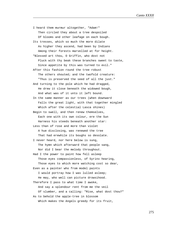I heard them murmur altogether, "Adam!" Then circled they about a tree despoiled Of blooms and other leafage on each bough. Its tresses, which so much the more dilate As higher they ascend, had been by Indians Among their forests marvelled at for height. "Blessed art thou, O Griffin, who dost not Pluck with thy beak these branches sweet to taste, Since appetite by this was turned to evil." After this fashion round the tree robust The others shouted; and the twofold creature: "Thus is preserved the seed of all the just." And turning to the pole which he had dragged, He drew it close beneath the widowed bough, And what was of it unto it left bound. In the same manner as our trees (when downward Falls the great light, with that together mingled Which after the celestial Lasca shines) Begin to swell, and then renew themselves, Each one with its own colour, ere the Sun Harness his steeds beneath another star: Less than of rose and more than violet A hue disclosing, was renewed the tree That had erewhile its boughs so desolate. I never heard, nor here below is sung, The hymn which afterward that people sang, Nor did I bear the melody throughout. Had I the power to paint how fell asleep Those eyes compassionless, of Syrinx hearing, Those eyes to which more watching cost so dear, Even as a painter who from model paints I would portray how I was lulled asleep; He may, who well can picture drowsihood. Therefore I pass to what time I awoke, And say a splendour rent from me the veil Of slumber, and a calling: "Rise, what dost thou?" As to behold the apple-tree in blossom Which makes the Angels greedy for its fruit,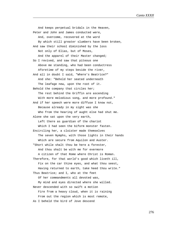And keeps perpetual bridals in the Heaven, Peter and John and James conducted were, And, overcome, recovered at the word By which still greater slumbers have been broken, And saw their school diminished by the loss Not only of Elias, but of Moses, And the apparel of their Master changed; So I revived, and saw that piteous one Above me standing, who had been conductress Aforetime of my steps beside the river, And all in doubt I said, "Where's Beatrice?" And she: "Behold her seated underneath The leafage new, upon the root of it. Behold the company that circles her; The rest behind the Griffin are ascending With more melodious song, and more profound." And if her speech were more diffuse I know not, Because already in my sight was she Who from the hearing of aught else had shut me. Alone she sat upon the very earth, Left there as guardian of the chariot Which I had seen the biform monster fasten. Encircling her, a cloister made themselves The seven Nymphs, with those lights in their hands Which are secure from Aquilon and Auster. "Short while shalt thou be here a forester, And thou shalt be with me for evermore A citizen of that Rome where Christ is Roman. Therefore, for that world's good which liveth ill, Fix on the car thine eyes, and what thou seest, Having returned to earth, take heed thou write." Thus Beatrice; and I, who at the feet Of her commandments all devoted was, My mind and eyes directed where she willed. Never descended with so swift a motion Fire from a heavy cloud, when it is raining From out the region which is most remote, As I beheld the bird of Jove descend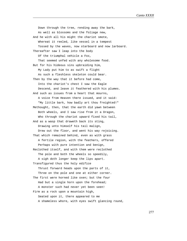Down through the tree, rending away the bark, As well as blossoms and the foliage new, And he with all his might the chariot smote, Whereat it reeled, like vessel in a tempest Tossed by the waves, now starboard and now larboard. Thereafter saw I leap into the body Of the triumphal vehicle a Fox, That seemed unfed with any wholesome food. But for his hideous sins upbraiding him, My Lady put him to as swift a flight As such a fleshless skeleton could bear. Then by the way that it before had come, Into the chariot's chest I saw the Eagle Descend, and leave it feathered with his plumes. And such as issues from a heart that mourns, A voice from Heaven there issued, and it said: "My little bark, how badly art thou freighted!" Methought, then, that the earth did yawn between Both wheels, and I saw rise from it a Dragon, Who through the chariot upward fixed his tail, And as a wasp that draweth back its sting, Drawing unto himself his tail malign, Drew out the floor, and went his way rejoicing. That which remained behind, even as with grass A fertile region, with the feathers, offered Perhaps with pure intention and benign, Reclothed itself, and with them were reclothed The pole and both the wheels so speedily, A sigh doth longer keep the lips apart. Transfigured thus the holy edifice Thrust forward heads upon the parts of it, Three on the pole and one at either corner. The first were horned like oxen; but the four Had but a single horn upon the forehead; A monster such had never yet been seen! Firm as a rock upon a mountain high, Seated upon it, there appeared to me A shameless whore, with eyes swift glancing round,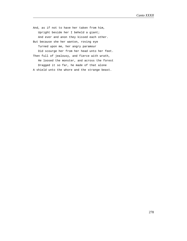And, as if not to have her taken from him, Upright beside her I beheld a giant; And ever and anon they kissed each other. But because she her wanton, roving eye Turned upon me, her angry paramour Did scourge her from her head unto her feet. Then full of jealousy, and fierce with wrath, He loosed the monster, and across the forest Dragged it so far, he made of that alone A shield unto the whore and the strange beast.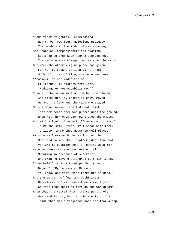"Deus venerunt gentes," alternating Now three, now four, melodious psalmody The maidens in the midst of tears began; And Beatrice, compassionate and sighing, Listened to them with such a countenance, That scarce more changed was Mary at the cross. But when the other virgins place had given For her to speak, uprisen to her feet With colour as of fire, she made response: "'Modicum, et non videbitis me; Et iterum,' my sisters predilect, 'Modicum, et vos videbitis me.'" Then all the seven in front of her she placed; And after her, by beckoning only, moved Me and the lady and the sage who stayed. So she moved onward; and I do not think That her tenth step was placed upon the ground, When with her eyes upon mine eyes she smote, And with a tranquil aspect, "Come more quickly," To me she said, "that, if I speak with thee, To listen to me thou mayst be well placed." As soon as I was with her as I should be, She said to me: "Why, brother, dost thou not Venture to question now, in coming with me?" As unto those who are too reverential, Speaking in presence of superiors, Who drag no living utterance to their teeth, It me befell, that without perfect sound Began I: "My necessity, Madonna, You know, and that which thereunto is good." And she to me: "Of fear and bashfulness Henceforward I will have thee strip thyself, So that thou speak no more as one who dreams. Know that the vessel which the serpent broke Was, and is not; but let him who is guilty Think that God's vengeance does not fear a sop.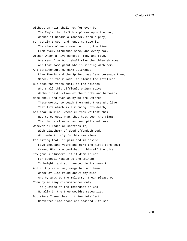Without an heir shall not for ever be The Eagle that left his plumes upon the car, Whence it became a monster, then a prey; For verily I see, and hence narrate it, The stars already near to bring the time, From every hindrance safe, and every bar, Within which a Five-hundred, Ten, and Five, One sent from God, shall slay the thievish woman And that same giant who is sinning with her. And peradventure my dark utterance, Like Themis and the Sphinx, may less persuade thee, Since, in their mode, it clouds the intellect; But soon the facts shall be the Naiades Who shall this difficult enigma solve, Without destruction of the flocks and harvests. Note thou; and even as by me are uttered These words, so teach them unto those who live That life which is a running unto death; And bear in mind, whene'er thou writest them, Not to conceal what thou hast seen the plant, That twice already has been pillaged here. Whoever pillages or shatters it, With blasphemy of deed offendeth God, Who made it holy for his use alone. For biting that, in pain and in desire Five thousand years and more the first-born soul Craved Him, who punished in himself the bite. Thy genius slumbers, if it deem it not For special reason so pre-eminent In height, and so inverted in its summit. And if thy vain imaginings had not been Water of Elsa round about thy mind, And Pyramus to the mulberry, their pleasure, Thou by so many circumstances only The justice of the interdict of God Morally in the tree wouldst recognize. But since I see thee in thine intellect Converted into stone and stained with sin,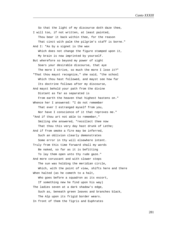So that the light of my discourse doth daze thee, I will too, if not written, at least painted, Thou bear it back within thee, for the reason That cinct with palm the pilgrim's staff is borne." And I: "As by a signet is the wax Which does not change the figure stamped upon it, My brain is now imprinted by yourself. But wherefore so beyond my power of sight Soars your desirable discourse, that aye The more I strive, so much the more I lose it?" "That thou mayst recognize," she said, "the school Which thou hast followed, and mayst see how far Its doctrine follows after my discourse, And mayst behold your path from the divine Distant as far as separated is From earth the heaven that highest hastens on." Whence her I answered: "I do not remember That ever I estranged myself from you, Nor have I conscience of it that reproves me." "And if thou art not able to remember, " Smiling she answered, "recollect thee now That thou this very day hast drunk of Lethe; And if from smoke a fire may be inferred, Such an oblivion clearly demonstrates Some error in thy will elsewhere intent. Truly from this time forward shall my words Be naked, so far as it is befitting To lay them open unto thy rude gaze." And more coruscant and with slower steps The sun was holding the meridian circle, Which, with the point of view, shifts here and there When halted (as he cometh to a halt, Who goes before a squadron as its escort, If something new he find upon his way) The ladies seven at a dark shadow's edge, Such as, beneath green leaves and branches black, The Alp upon its frigid border wears. In front of them the Tigris and Euphrates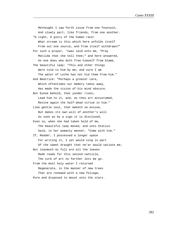Methought I saw forth issue from one fountain, And slowly part, like friends, from one another. "O light, O glory of the human race! What stream is this which here unfolds itself From out one source, and from itself withdraws?" For such a prayer, 'twas said unto me, "Pray Matilda that she tell thee;" and here answered, As one does who doth free himself from blame, The beautiful lady: "This and other things Were told to him by me; and sure I am The water of Lethe has not hid them from him." And Beatrice: "Perhaps a greater care, Which oftentimes our memory takes away, Has made the vision of his mind obscure. But Eunoe behold, that yonder rises; Lead him to it, and, as thou art accustomed, Revive again the half-dead virtue in him." Like gentle soul, that maketh no excuse, But makes its own will of another's will As soon as by a sign it is disclosed, Even so, when she had taken hold of me, The beautiful lady moved, and unto Statius Said, in her womanly manner, "Come with him." If, Reader, I possessed a longer space For writing it, I yet would sing in part Of the sweet draught that ne'er would satiate me; But inasmuch as full are all the leaves Made ready for this second canticle, The curb of art no farther lets me go. From the most holy water I returned Regenerate, in the manner of new trees That are renewed with a new foliage, Pure and disposed to mount unto the stars.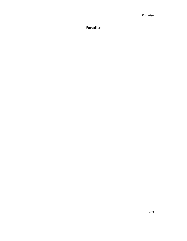## **Paradiso**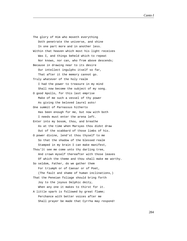The glory of Him who moveth everything Doth penetrate the universe, and shine In one part more and in another less. Within that heaven which most his light receives Was I, and things beheld which to repeat Nor knows, nor can, who from above descends; Because in drawing near to its desire Our intellect ingulphs itself so far, That after it the memory cannot go. Truly whatever of the holy realm I had the power to treasure in my mind Shall now become the subject of my song. O good Apollo, for this last emprise Make of me such a vessel of thy power As giving the beloved laurel asks! One summit of Parnassus hitherto Has been enough for me, but now with both I needs must enter the arena left. Enter into my bosom, thou, and breathe As at the time when Marsyas thou didst draw Out of the scabbard of those limbs of his. O power divine, lend'st thou thyself to me So that the shadow of the blessed realm Stamped in my brain I can make manifest, Thou'lt see me come unto thy darling tree, And crown myself thereafter with those leaves Of which the theme and thou shall make me worthy. So seldom, Father, do we gather them For triumph or of Caesar or of Poet, (The fault and shame of human inclinations,) That the Peneian foliage should bring forth Joy to the joyous Delphic deity, When any one it makes to thirst for it. A little spark is followed by great flame; Perchance with better voices after me Shall prayer be made that Cyrrha may respond!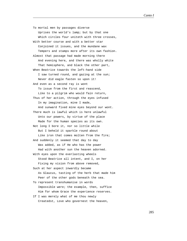To mortal men by passages diverse Uprises the world's lamp; but by that one Which circles four uniteth with three crosses, With better course and with a better star Conjoined it issues, and the mundane wax Tempers and stamps more after its own fashion. Almost that passage had made morning there And evening here, and there was wholly white That hemisphere, and black the other part, When Beatrice towards the left-hand side I saw turned round, and gazing at the sun; Never did eagle fasten so upon it! And even as a second ray is wont To issue from the first and reascend, Like to a pilgrim who would fain return, Thus of her action, through the eyes infused In my imagination, mine I made, And sunward fixed mine eyes beyond our wont. There much is lawful which is here unlawful Unto our powers, by virtue of the place Made for the human species as its own. Not long I bore it, nor so little while But I beheld it sparkle round about Like iron that comes molten from the fire; And suddenly it seemed that day to day Was added, as if He who has the power Had with another sun the heaven adorned. With eyes upon the everlasting wheels Stood Beatrice all intent, and I, on her Fixing my vision from above removed, Such at her aspect inwardly became As Glaucus, tasting of the herb that made him Peer of the other gods beneath the sea. To represent transhumanise in words Impossible were; the example, then, suffice Him for whom Grace the experience reserves. If I was merely what of me thou newly Createdst, Love who governest the heaven,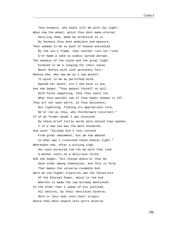Thou knowest, who didst lift me with thy light! When now the wheel, which thou dost make eternal Desiring thee, made me attentive to it By harmony thou dost modulate and measure, Then seemed to me so much of heaven enkindled By the sun's flame, that neither rain nor river E'er made a lake so widely spread abroad. The newness of the sound and the great light Kindled in me a longing for their cause, Never before with such acuteness felt; Whence she, who saw me as I saw myself, To quiet in me my perturbed mind, Opened her mouth, ere I did mine to ask, And she began: "Thou makest thyself so dull With false imagining, that thou seest not What thou wouldst see if thou hadst shaken it off. Thou art not upon earth, as thou believest; But lightning, fleeing its appropriate site, Ne'er ran as thou, who thitherward returnest." If of my former doubt I was divested By these brief little words more smiled than spoken, I in a new one was the more ensnared; And said: "Already did I rest content From great amazement; but am now amazed In what way I transcend these bodies light." Whereupon she, after a pitying sigh, Her eyes directed tow'rds me with that look A mother casts on a delirious child; And she began: "All things whate'er they be Have order among themselves, and this is form, That makes the universe resemble God. Here do the higher creatures see the footprints Of the Eternal Power, which is the end Whereto is made the law already mentioned. In the order that I speak of are inclined All natures, by their destinies diverse, More or less near unto their origin; Hence they move onward unto ports diverse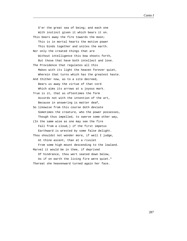O'er the great sea of being; and each one With instinct given it which bears it on. This bears away the fire towards the moon; This is in mortal hearts the motive power This binds together and unites the earth. Nor only the created things that are Without intelligence this bow shoots forth, But those that have both intellect and love. The Providence that regulates all this Makes with its light the heaven forever quiet, Wherein that turns which has the greatest haste. And thither now, as to a site decreed, Bears us away the virtue of that cord Which aims its arrows at a joyous mark. True is it, that as oftentimes the form Accords not with the intention of the art, Because in answering is matter deaf, So likewise from this course doth deviate Sometimes the creature, who the power possesses, Though thus impelled, to swerve some other way, (In the same wise as one may see the fire Fall from a cloud,) if the first impetus Earthward is wrested by some false delight. Thou shouldst not wonder more, if well I judge, At thine ascent, than at a rivulet From some high mount descending to the lowland. Marvel it would be in thee, if deprived Of hindrance, thou wert seated down below, As if on earth the living fire were quiet." Thereat she heavenward turned again her face.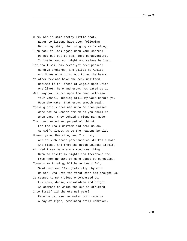O Ye, who in some pretty little boat, Eager to listen, have been following Behind my ship, that singing sails along, Turn back to look again upon your shores; Do not put out to sea, lest peradventure, In losing me, you might yourselves be lost. The sea I sail has never yet been passed; Minerva breathes, and pilots me Apollo, And Muses nine point out to me the Bears. Ye other few who have the neck uplifted Betimes to th' bread of Angels upon which One liveth here and grows not sated by it, Well may you launch upon the deep salt-sea Your vessel, keeping still my wake before you Upon the water that grows smooth again. Those glorious ones who unto Colchos passed Were not so wonder-struck as you shall be, When Jason they beheld a ploughman made! The con-created and perpetual thirst For the realm deiform did bear us on, As swift almost as ye the heavens behold. Upward gazed Beatrice, and I at her; And in such space perchance as strikes a bolt And flies, and from the notch unlocks itself, Arrived I saw me where a wondrous thing Drew to itself my sight; and therefore she From whom no care of mine could be concealed, Towards me turning, blithe as beautiful, Said unto me: "Fix gratefully thy mind On God, who unto the first star has brought us." It seemed to me a cloud encompassed us, Luminous, dense, consolidate and bright As adamant on which the sun is striking. Into itself did the eternal pearl Receive us, even as water doth receive A ray of light, remaining still unbroken.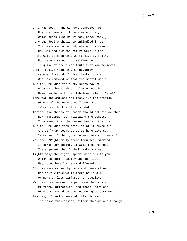If I was body, (and we here conceive not How one dimension tolerates another, Which needs must be if body enter body,) More the desire should be enkindled in us That essence to behold, wherein is seen How God and our own nature were united. There will be seen what we receive by faith, Not demonstrated, but self-evident In guise of the first truth that man believes. I made reply: "Madonna, as devoutly As most I can do I give thanks to Him Who has removed me from the mortal world. But tell me what the dusky spots may be Upon this body, which below on earth Make people tell that fabulous tale of Cain?" Somewhat she smiled; and then, "If the opinion Of mortals be erroneous," she said, "Where'er the key of sense doth not unlock, Certes, the shafts of wonder should not pierce thee Now, forasmuch as, following the senses, Thou seest that the reason has short wings. But tell me what thou think'st of it thyself." And I: "What seems to us up here diverse, Is caused, I think, by bodies rare and dense." And she: "Right truly shalt thou see immersed In error thy belief, if well thou hearest The argument that I shall make against it. Lights many the eighth sphere displays to you Which in their quality and quantity May noted be of aspects different. If this were caused by rare and dense alone, One only virtue would there be in all Or more or less diffused, or equally. Virtues diverse must be perforce the fruits Of formal principles; and these, save one, Of course would by thy reasoning be destroyed. Besides, if rarity were of this dimness The cause thou askest, either through and through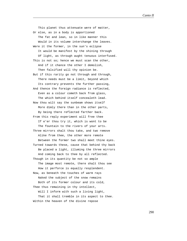This planet thus attenuate were of matter, Or else, as in a body is apportioned The fat and lean, so in like manner this Would in its volume interchange the leaves. Were it the former, in the sun's eclipse It would be manifest by the shining through Of light, as through aught tenuous interfused. This is not so; hence we must scan the other, And if it chance the other I demolish, Then falsified will thy opinion be. But if this rarity go not through and through, There needs must be a limit, beyond which Its contrary prevents the further passing, And thence the foreign radiance is reflected, Even as a colour cometh back from glass, The which behind itself concealeth lead. Now thou wilt say the sunbeam shows itself More dimly there than in the other parts, By being there reflected farther back. From this reply experiment will free thee If e'er thou try it, which is wont to be The fountain to the rivers of your arts. Three mirrors shalt thou take, and two remove Alike from thee, the other more remote Between the former two shall meet thine eyes. Turned towards these, cause that behind thy back Be placed a light, illuming the three mirrors And coming back to thee by all reflected. Though in its quantity be not so ample The image most remote, there shalt thou see How it perforce is equally resplendent. Now, as beneath the touches of warm rays Naked the subject of the snow remains Both of its former colour and its cold, Thee thus remaining in thy intellect, Will I inform with such a living light, That it shall tremble in its aspect to thee. Within the heaven of the divine repose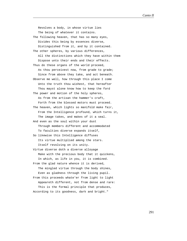Revolves a body, in whose virtue lies The being of whatever it contains. The following heaven, that has so many eyes, Divides this being by essences diverse, Distinguished from it, and by it contained. The other spheres, by various differences, All the distinctions which they have within them Dispose unto their ends and their effects. Thus do these organs of the world proceed, As thou perceivest now, from grade to grade; Since from above they take, and act beneath. Observe me well, how through this place I come Unto the truth thou wishest, that hereafter Thou mayst alone know how to keep the ford The power and motion of the holy spheres, As from the artisan the hammer's craft, Forth from the blessed motors must proceed. The heaven, which lights so manifold make fair, From the Intelligence profound, which turns it, The image takes, and makes of it a seal. And even as the soul within your dust Through members different and accommodated To faculties diverse expands itself, So likewise this Intelligence diffuses Its virtue multiplied among the stars. Itself revolving on its unity. Virtue diverse doth a diverse alloyage Make with the precious body that it quickens, In which, as life in you, it is combined. From the glad nature whence it is derived, The mingled virtue through the body shines, Even as gladness through the living pupil. From this proceeds whate'er from light to light Appeareth different, not from dense and rare: This is the formal principle that produces, According to its goodness, dark and bright."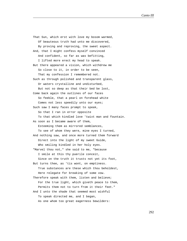That Sun, which erst with love my bosom warmed, Of beauteous truth had unto me discovered, By proving and reproving, the sweet aspect. And, that I might confess myself convinced And confident, so far as was befitting, I lifted more erect my head to speak. But there appeared a vision, which withdrew me So close to it, in order to be seen, That my confession I remembered not. Such as through polished and transparent glass, Or waters crystalline and undisturbed, But not so deep as that their bed be lost, Come back again the outlines of our faces So feeble, that a pearl on forehead white Comes not less speedily unto our eyes; Such saw I many faces prompt to speak, So that I ran in error opposite To that which kindled love 'twixt man and fountain. As soon as I became aware of them, Esteeming them as mirrored semblances, To see of whom they were, mine eyes I turned, And nothing saw, and once more turned them forward Direct into the light of my sweet Guide, Who smiling kindled in her holy eyes. "Marvel thou not," she said to me, "because I smile at this thy puerile conceit, Since on the truth it trusts not yet its foot, But turns thee, as 'tis wont, on emptiness. True substances are these which thou beholdest, Here relegate for breaking of some vow. Therefore speak with them, listen and believe; For the true light, which giveth peace to them, Permits them not to turn from it their feet." And I unto the shade that seemed most wishful To speak directed me, and I began, As one whom too great eagerness bewilders: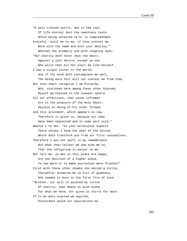"O well-created spirit, who in the rays Of life eternal dost the sweetness taste Which being untasted ne'er is comprehended, Grateful 'twill be to me, if thou content me Both with thy name and with your destiny." Whereat she promptly and with laughing eyes: "Our charity doth never shut the doors Against a just desire, except as one Who wills that all her court be like herself. I was a virgin sister in the world; And if thy mind doth contemplate me well, The being more fair will not conceal me from thee, But thou shalt recognise I am Piccarda, Who, stationed here among these other blessed, Myself am blessed in the slowest sphere. All our affections, that alone inflamed Are in the pleasure of the Holy Ghost, Rejoice at being of his order formed; And this allotment, which appears so low, Therefore is given us, because our vows Have been neglected and in some part void." Whence I to her: "In your miraculous aspects There shines I know not what of the divine, Which doth transform you from our first conceptions. Therefore I was not swift in my remembrance; But what thou tellest me now aids me so, That the refiguring is easier to me. But tell me, ye who in this place are happy, Are you desirous of a higher place, To see more or to make yourselves more friends?" First with those other shades she smiled a little; Thereafter answered me so full of gladness, She seemed to burn in the first fire of love: "Brother, our will is quieted by virtue Of charity, that makes us wish alone For what we have, nor gives us thirst for more. If to be more exalted we aspired, Discordant would our aspirations be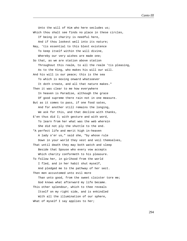Unto the will of Him who here secludes us; Which thou shalt see finds no place in these circles, If being in charity is needful here, And if thou lookest well into its nature; Nay, 'tis essential to this blest existence To keep itself within the will divine, Whereby our very wishes are made one; So that, as we are station above station Throughout this realm, to all the realm 'tis pleasing, As to the King, who makes his will our will. And his will is our peace; this is the sea To which is moving onward whatsoever It doth create, and all that nature makes." Then it was clear to me how everywhere In heaven is Paradise, although the grace Of good supreme there rain not in one measure. But as it comes to pass, if one food sates, And for another still remains the longing, We ask for this, and that decline with thanks, E'en thus did I; with gesture and with word, To learn from her what was the web wherein She did not ply the shuttle to the end. "A perfect life and merit high in-heaven A lady o'er us," said she, "by whose rule Down in your world they vest and veil themselves, That until death they may both watch and sleep Beside that Spouse who every vow accepts Which charity conformeth to his pleasure. To follow her, in girlhood from the world I fled, and in her habit shut myself, And pledged me to the pathway of her sect. Then men accustomed unto evil more Than unto good, from the sweet cloister tore me; God knows what afterward my life became. This other splendour, which to thee reveals Itself on my right side, and is enkindled With all the illumination of our sphere, What of myself I say applies to her;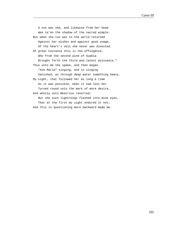A nun was she, and likewise from her head Was ta'en the shadow of the sacred wimple. But when she too was to the world returned Against her wishes and against good usage, Of the heart's veil she never was divested. Of great Costanza this is the effulgence, Who from the second wind of Suabia Brought forth the third and latest puissance." Thus unto me she spake, and then began "Ave Maria" singing, and in singing Vanished, as through deep water something heavy. My sight, that followed her as long a time As it was possible, when it had lost her Turned round unto the mark of more desire, And wholly unto Beatrice reverted; But she such lightnings flashed into mine eyes, That at the first my sight endured it not; And this in questioning more backward made me.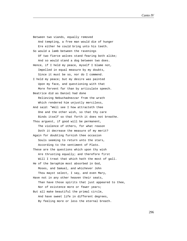Between two viands, equally removed And tempting, a free man would die of hunger Ere either he could bring unto his teeth. So would a lamb between the ravenings Of two fierce wolves stand fearing both alike; And so would stand a dog between two does. Hence, if I held my peace, myself I blame not, Impelled in equal measure by my doubts, Since it must be so, nor do I commend. I held my peace; but my desire was painted Upon my face, and questioning with that More fervent far than by articulate speech. Beatrice did as Daniel had done Relieving Nebuchadnezzar from the wrath Which rendered him unjustly merciless, And said: "Well see I how attracteth thee One and the other wish, so that thy care Binds itself so that forth it does not breathe. Thou arguest, if good will be permanent, The violence of others, for what reason Doth it decrease the measure of my merit? Again for doubting furnish thee occasion Souls seeming to return unto the stars, According to the sentiment of Plato. These are the questions which upon thy wish Are thrusting equally; and therefore first Will I treat that which hath the most of gall. He of the Seraphim most absorbed in God, Moses, and Samuel, and whichever John Thou mayst select, I say, and even Mary, Have not in any other heaven their seats, Than have those spirits that just appeared to thee, Nor of existence more or fewer years; But all make beautiful the primal circle, And have sweet life in different degrees, By feeling more or less the eternal breath.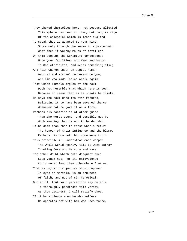They showed themselves here, not because allotted This sphere has been to them, but to give sign Of the celestial which is least exalted. To speak thus is adapted to your mind, Since only through the sense it apprehendeth What then it worthy makes of intellect. On this account the Scripture condescends Unto your faculties, and feet and hands To God attributes, and means something else; And Holy Church under an aspect human Gabriel and Michael represent to you, And him who made Tobias whole again. That which Timaeus argues of the soul Doth not resemble that which here is seen, Because it seems that as he speaks he thinks. He says the soul unto its star returns, Believing it to have been severed thence Whenever nature gave it as a form. Perhaps his doctrine is of other guise Than the words sound, and possibly may be With meaning that is not to be derided. If he doth mean that to these wheels return The honour of their influence and the blame, Perhaps his bow doth hit upon some truth. This principle ill understood once warped The whole world nearly, till it went astray Invoking Jove and Mercury and Mars. The other doubt which doth disquiet thee Less venom has, for its malevolence Could never lead thee otherwhere from me. That as unjust our justice should appear In eyes of mortals, is an argument Of faith, and not of sin heretical. But still, that your perception may be able To thoroughly penetrate this verity, As thou desirest, I will satisfy thee. If it be violence when he who suffers Co-operates not with him who uses force,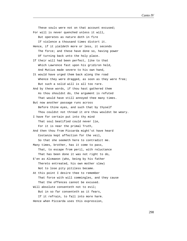These souls were not on that account excused; For will is never quenched unless it will, But operates as nature doth in fire If violence a thousand times distort it. Hence, if it yieldeth more or less, it seconds The force; and these have done so, having power Of turning back unto the holy place. If their will had been perfect, like to that Which Lawrence fast upon his gridiron held, And Mutius made severe to his own hand, It would have urged them back along the road Whence they were dragged, as soon as they were free; But such a solid will is all too rare. And by these words, if thou hast gathered them As thou shouldst do, the argument is refuted That would have still annoyed thee many times. But now another passage runs across Before thine eyes, and such that by thyself Thou couldst not thread it ere thou wouldst be weary. I have for certain put into thy mind That soul beatified could never lie, For it is near the primal Truth, And then thou from Piccarda might'st have heard Costanza kept affection for the veil, So that she seemeth here to contradict me. Many times, brother, has it come to pass, That, to escape from peril, with reluctance That has been done it was not right to do, E'en as Alcmaeon (who, being by his father Thereto entreated, his own mother slew) Not to lose pity pitiless became. At this point I desire thee to remember That force with will commingles, and they cause That the offences cannot be excused. Will absolute consenteth not to evil; But in so far consenteth as it fears, If it refrain, to fall into more harm. Hence when Piccarda uses this expression,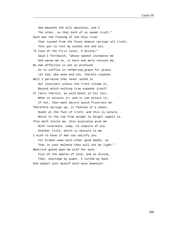She meaneth the will absolute, and I The other, so that both of us speak truth." Such was the flowing of the holy river That issued from the fount whence springs all truth; This put to rest my wishes one and all. "O love of the first lover, O divine," Said I forthwith, "whose speech inundates me And warms me so, it more and more revives me, My own affection is not so profound As to suffice in rendering grace for grace; Let Him, who sees and can, thereto respond. Well I perceive that never sated is Our intellect unless the Truth illume it, Beyond which nothing true expands itself. It rests therein, as wild beast in his lair, When it attains it; and it can attain it; If not, then each desire would frustrate be. Therefore springs up, in fashion of a shoot, Doubt at the foot of truth; and this is nature, Which to the top from height to height impels us. This doth invite me, this assurance give me With reverence, Lady, to inquire of you Another truth, which is obscure to me. I wish to know if man can satisfy you For broken vows with other good deeds, so That in your balance they will not be light." Beatrice gazed upon me with her eyes Full of the sparks of love, and so divine, That, overcome my power, I turned my back And almost lost myself with eyes downcast.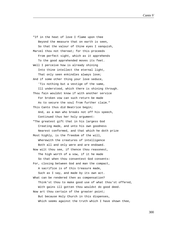"If in the heat of love I flame upon thee Beyond the measure that on earth is seen, So that the valour of thine eyes I vanquish, Marvel thou not thereat; for this proceeds From perfect sight, which as it apprehends To the good apprehended moves its feet. Well I perceive how is already shining Into thine intellect the eternal light, That only seen enkindles always love; And if some other thing your love seduce, 'Tis nothing but a vestige of the same, Ill understood, which there is shining through. Thou fain wouldst know if with another service For broken vow can such return be made As to secure the soul from further claim." This Canto thus did Beatrice begin; And, as a man who breaks not off his speech, Continued thus her holy argument: "The greatest gift that in his largess God Creating made, and unto his own goodness Nearest conformed, and that which he doth prize Most highly, is the freedom of the will, Wherewith the creatures of intelligence Both all and only were and are endowed. Now wilt thou see, if thence thou reasonest, The high worth of a vow, if it he made So that when thou consentest God consents: For, closing between God and man the compact, A sacrifice is of this treasure made, Such as I say, and made by its own act. What can be rendered then as compensation? Think'st thou to make good use of what thou'st offered, With gains ill gotten thou wouldst do good deed. Now art thou certain of the greater point; But because Holy Church in this dispenses, Which seems against the truth which I have shown thee,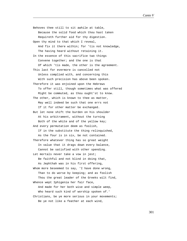Behoves thee still to sit awhile at table, Because the solid food which thou hast taken Requireth further aid for thy digestion. Open thy mind to that which I reveal, And fix it there within; for 'tis not knowledge, The having heard without retaining it. In the essence of this sacrifice two things Convene together; and the one is that Of which 'tis made, the other is the agreement. This last for evermore is cancelled not Unless complied with, and concerning this With such precision has above been spoken. Therefore it was enjoined upon the Hebrews To offer still, though sometimes what was offered Might be commuted, as thou ought'st to know. The other, which is known to thee as matter, May well indeed be such that one errs not If it for other matter be exchanged. But let none shift the burden on his shoulder At his arbitrament, without the turning Both of the white and of the yellow key; And every permutation deem as foolish, If in the substitute the thing relinquished, As the four is in six, be not contained. Therefore whatever thing has so great weight In value that it drags down every balance, Cannot be satisfied with other spending. Let mortals never take a vow in jest; Be faithful and not blind in doing that, As Jephthah was in his first offering, Whom more beseemed to say, 'I have done wrong, Than to do worse by keeping; and as foolish Thou the great leader of the Greeks wilt find, Whence wept Iphigenia her fair face, And made for her both wise and simple weep, Who heard such kind of worship spoken of.' Christians, be ye more serious in your movements;

Be ye not like a feather at each wind,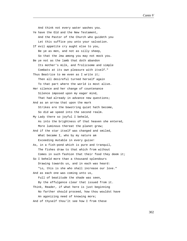And think not every water washes you. Ye have the Old and the New Testament, And the Pastor of the Church who guideth you Let this suffice you unto your salvation. If evil appetite cry aught else to you, Be ye as men, and not as silly sheep, So that the Jew among you may not mock you. Be ye not as the lamb that doth abandon Its mother's milk, and frolicsome and simple Combats at its own pleasure with itself." Thus Beatrice to me even as I write it; Then all desireful turned herself again To that part where the world is most alive. Her silence and her change of countenance Silence imposed upon my eager mind, That had already in advance new questions; And as an arrow that upon the mark Strikes ere the bowstring quiet hath become, So did we speed into the second realm. My Lady there so joyful I beheld, As into the brightness of that heaven she entered, More luminous thereat the planet grew; And if the star itself was changed and smiled, What became I, who by my nature am Exceeding mutable in every guise! As, in a fish-pond which is pure and tranquil, The fishes draw to that which from without Comes in such fashion that their food they deem it; So I beheld more than a thousand splendours Drawing towards us, and in each was heard: "Lo, this is she who shall increase our love." And as each one was coming unto us, Full of beatitude the shade was seen, By the effulgence clear that issued from it. Think, Reader, if what here is just beginning No farther should proceed, how thou wouldst have An agonizing need of knowing more; And of thyself thou'lt see how I from these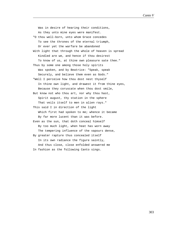Was in desire of hearing their conditions, As they unto mine eyes were manifest. "O thou well-born, unto whom Grace concedes To see the thrones of the eternal triumph, Or ever yet the warfare be abandoned With light that through the whole of heaven is spread Kindled are we, and hence if thou desirest To know of us, at thine own pleasure sate thee." Thus by some one among those holy spirits Was spoken, and by Beatrice: "Speak, speak Securely, and believe them even as Gods." "Well I perceive how thou dost nest thyself In thine own light, and drawest it from thine eyes, Because they coruscate when thou dost smile, But know not who thou art, nor why thou hast, Spirit august, thy station in the sphere That veils itself to men in alien rays." This said I in direction of the light Which first had spoken to me; whence it became By far more lucent than it was before. Even as the sun, that doth conceal himself By too much light, when heat has worn away The tempering influence of the vapours dense, By greater rapture thus concealed itself In its own radiance the figure saintly, And thus close, close enfolded answered me In fashion as the following Canto sings.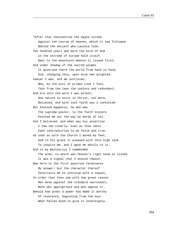"After that Constantine the eagle turned Against the course of heaven, which it had followed Behind the ancient who Lavinia took, Two hundred years and more the bird of God In the extreme of Europe held itself, Near to the mountains whence it issued first; And under shadow of the sacred plumes It governed there the world from hand to hand, And, changing thus, upon mine own alighted. Caesar I was, and am Justinian, Who, by the will of primal Love I feel, Took from the laws the useless and redundant; And ere unto the work I was attent, One nature to exist in Christ, not more, Believed, and with such faith was I contented. But blessed Agapetus, he who was The supreme pastor, to the faith sincere Pointed me out the way by words of his. Him I believed, and what was his assertion I now see clearly, even as thou seest Each contradiction to be false and true. As soon as with the Church I moved my feet, God in his grace it pleased with this high task To inspire me, and I gave me wholly to it, And to my Belisarius I commended The arms, to which was heaven's right hand so joined It was a signal that I should repose. Now here to the first question terminates My answer; but the character thereof Constrains me to continue with a sequel, In order that thou see with how great reason Men move against the standard sacrosanct, Both who appropriate and who oppose it. Behold how great a power has made it worthy Of reverence, beginning from the hour When Pallas died to give it sovereignty.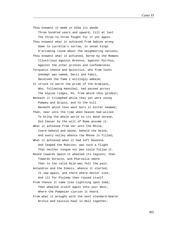Thou knowest it made in Alba its abode Three hundred years and upward, till at last The three to three fought for it yet again. Thou knowest what it achieved from Sabine wrong Down to Lucretia's sorrow, in seven kings O'ercoming round about the neighboring nations; Thou knowest what it achieved, borne by the Romans Illustrious against Brennus, against Pyrrhus, Against the other princes and confederates. Torquatus thence and Quinctius, who from locks Unkempt was named, Decii and Fabii, Received the fame I willingly embalm; It struck to earth the pride of the Arabians, Who, following Hannibal, had passed across The Alpine ridges, Po, from which thou glidest; Beneath it triumphed while they yet were young Pompey and Scipio, and to the hill Beneath which thou wast born it bitter seemed; Then, near unto the time when heaven had willed To bring the whole world to its mood serene, Did Caesar by the will of Rome assume it. What it achieved from Var unto the Rhine, Isere beheld and Saone, beheld the Seine, And every valley whence the Rhone is filled; What it achieved when it had left Ravenna, And leaped the Rubicon, was such a flight That neither tongue nor pen could follow it. Round towards Spain it wheeled its legions; then Towards Durazzo, and Pharsalia smote That to the calid Nile was felt the pain. Antandros and the Simois, whence it started, It saw again, and there where Hector lies, And ill for Ptolemy then roused itself. From thence it came like lightning upon Juba; Then wheeled itself again into your West, Where the Pompeian clarion it heard. From what it wrought with the next standard-bearer Brutus and Cassius howl in Hell together,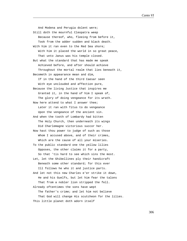And Modena and Perugia dolent were; Still doth the mournful Cleopatra weep Because thereof, who, fleeing from before it, Took from the adder sudden and black death. With him it ran even to the Red Sea shore; With him it placed the world in so great peace, That unto Janus was his temple closed. But what the standard that has made me speak Achieved before, and after should achieve Throughout the mortal realm that lies beneath it, Becometh in appearance mean and dim, If in the hand of the third Caesar seen With eye unclouded and affection pure, Because the living Justice that inspires me Granted it, in the hand of him I speak of, The glory of doing vengeance for its wrath. Now here attend to what I answer thee; Later it ran with Titus to do vengeance Upon the vengeance of the ancient sin. And when the tooth of Lombardy had bitten The Holy Church, then underneath its wings Did Charlemagne victorious succor her. Now hast thou power to judge of such as those Whom I accused above, and of their crimes, Which are the cause of all your miseries. To the public standard one the yellow lilies Opposes, the other claims it for a party, So that 'tis hard to see which sins the most. Let, let the Ghibellines ply their handicraft Beneath some other standard; for this ever Ill follows he who it and justice parts. And let not this new Charles e'er strike it down, He and his Guelfs, but let him fear the talons That from a nobler lion stripped the fell. Already oftentimes the sons have wept The father's crime; and let him not believe That God will change His scutcheon for the lilies. This little planet doth adorn itself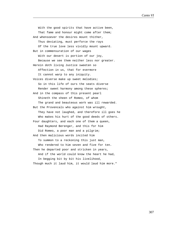With the good spirits that have active been, That fame and honour might come after them; And whensoever the desires mount thither, Thus deviating, must perforce the rays Of the true love less vividly mount upward. But in commensuration of our wages With our desert is portion of our joy, Because we see them neither less nor greater. Herein doth living Justice sweeten so Affection in us, that for evermore It cannot warp to any iniquity. Voices diverse make up sweet melodies; So in this life of ours the seats diverse Render sweet harmony among these spheres; And in the compass of this present pearl Shineth the sheen of Romeo, of whom The grand and beauteous work was ill rewarded. But the Provencals who against him wrought, They have not laughed, and therefore ill goes he Who makes his hurt of the good deeds of others. Four daughters, and each one of them a queen, Had Raymond Berenger, and this for him Did Romeo, a poor man and a pilgrim; And then malicious words incited him To summon to a reckoning this just man, Who rendered to him seven and five for ten. Then he departed poor and stricken in years, And if the world could know the heart he had, In begging bit by bit his livelihood, Though much it laud him, it would laud him more."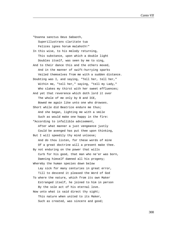"Osanna sanctus Deus Sabaoth, Superillustrans claritate tua Felices ignes horum malahoth!" In this wise, to his melody returning, This substance, upon which a double light Doubles itself, was seen by me to sing, And to their dance this and the others moved, And in the manner of swift-hurrying sparks Veiled themselves from me with a sudden distance. Doubting was I, and saying, "Tell her, tell her," Within me, "tell her," saying, "tell my Lady," Who slakes my thirst with her sweet effluences; And yet that reverence which doth lord it over The whole of me only by B and ICE, Bowed me again like unto one who drowses. Short while did Beatrice endure me thus; And she began, lighting me with a smile Such as would make one happy in the fire: "According to infallible advisement, After what manner a just vengeance justly Could be avenged has put thee upon thinking, But I will speedily thy mind unloose; And do thou listen, for these words of mine Of a great doctrine will a present make thee. By not enduring on the power that wills Curb for his good, that man who ne'er was born, Damning himself damned all his progeny; Whereby the human species down below Lay sick for many centuries in great error, Till to descend it pleased the Word of God To where the nature, which from its own Maker Estranged itself, he joined to him in person By the sole act of his eternal love. Now unto what is said direct thy sight; This nature when united to its Maker, Such as created, was sincere and good;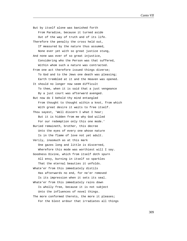But by itself alone was banished forth From Paradise, because it turned aside Out of the way of truth and of its life. Therefore the penalty the cross held out, If measured by the nature thus assumed, None ever yet with so great justice stung, And none was ever of so great injustice, Considering who the Person was that suffered, Within whom such a nature was contracted. From one act therefore issued things diverse; To God and to the Jews one death was pleasing; Earth trembled at it and the Heaven was opened. It should no longer now seem difficult To thee, when it is said that a just vengeance By a just court was afterward avenged. But now do I behold thy mind entangled From thought to thought within a knot, from which With great desire it waits to free itself. Thou sayest, 'Well discern I what I hear; But it is hidden from me why God willed For our redemption only this one mode.' Buried remaineth, brother, this decree Unto the eyes of every one whose nature Is in the flame of love not yet adult. Verily, inasmuch as at this mark One gazes long and little is discerned, Wherefore this mode was worthiest will I say. Goodness Divine, which from itself doth spurn All envy, burning in itself so sparkles That the eternal beauties it unfolds. Whate'er from this immediately distils Has afterwards no end, for ne'er removed Is its impression when it sets its seal. Whate'er from this immediately rains down Is wholly free, because it is not subject Unto the influences of novel things. The more conformed thereto, the more it pleases; For the blest ardour that irradiates all things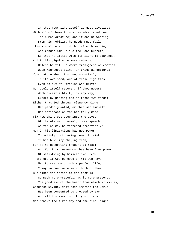In that most like itself is most vivacious. With all of these things has advantaged been The human creature; and if one be wanting, From his nobility he needs must fall. 'Tis sin alone which doth disfranchise him, And render him unlike the Good Supreme, So that he little with its light is blanched, And to his dignity no more returns, Unless he fill up where transgression empties With righteous pains for criminal delights. Your nature when it sinned so utterly In its own seed, out of these dignities Even as out of Paradise was driven, Nor could itself recover, if thou notest With nicest subtilty, by any way, Except by passing one of these two fords: Either that God through clemency alone Had pardon granted, or that man himself Had satisfaction for his folly made. Fix now thine eye deep into the abyss Of the eternal counsel, to my speech As far as may be fastened steadfastly! Man in his limitations had not power To satisfy, not having power to sink In his humility obeying then, Far as he disobeying thought to rise; And for this reason man has been from power Of satisfying by himself excluded. Therefore it God behoved in his own ways Man to restore unto his perfect life, I say in one, or else in both of them. But since the action of the doer is So much more grateful, as it more presents The goodness of the heart from which it issues, Goodness Divine, that doth imprint the world, Has been contented to proceed by each And all its ways to lift you up again; Nor 'twixt the first day and the final night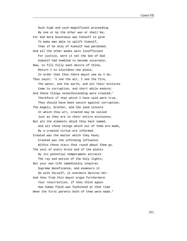Such high and such magnificent proceeding By one or by the other was or shall be; For God more bounteous was himself to give To make man able to uplift himself, Than if he only of himself had pardoned; And all the other modes were insufficient For justice, were it not the Son of God Himself had humbled to become incarnate. Now, to fill fully each desire of thine, Return I to elucidate one place, In order that thou there mayst see as I do. Thou sayst: 'I see the air, I see the fire, The water, and the earth, and all their mixtures Come to corruption, and short while endure; And these things notwithstanding were created;' Therefore if that which I have said were true, They should have been secure against corruption. The Angels, brother, and the land sincere In which thou art, created may be called Just as they are in their entire existence; But all the elements which thou hast named, And all those things which out of them are made, By a created virtue are informed. Created was the matter which they have; Created was the informing influence Within these stars that round about them go. The soul of every brute and of the plants By its potential temperament attracts The ray and motion of the holy lights; But your own life immediately inspires Supreme Beneficence, and enamours it So with herself, it evermore desires her. And thou from this mayst argue furthermore Your resurrection, if thou think again How human flesh was fashioned at that time When the first parents both of them were made."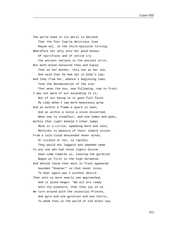The world used in its peril to believe That the fair Cypria delirious love Rayed out, in the third epicycle turning; Wherefore not only unto her paid honour Of sacrifices and of votive cry The ancient nations in the ancient error, But both Dione honoured they and Cupid, That as her mother, this one as her son, And said that he had sat in Dido's lap; And they from her, whence I beginning take, Took the denomination of the star That woos the sun, now following, now in front. I was not ware of our ascending to it; But of our being in it gave full faith My Lady whom I saw more beauteous grow. And as within a flame a spark is seen, And as within a voice a voice discerned, When one is steadfast, and one comes and goes, Within that light beheld I other lamps Move in a circle, speeding more and less, Methinks in measure of their inward vision. From a cold cloud descended never winds, Or visible or not, so rapidly They would not laggard and impeded seem To any one who had those lights divine Seen come towards us, leaving the gyration Begun at first in the high Seraphim. And behind those that most in front appeared Sounded "Osanna!" so that never since To hear again was I without desire. Then unto us more nearly one approached, And it alone began: "We all are ready Unto thy pleasure, that thou joy in us. We turn around with the celestial Princes, One gyre and one gyration and one thirst, To whom thou in the world of old didst say,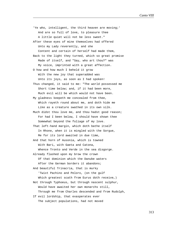'Ye who, intelligent, the third heaven are moving;' And are so full of love, to pleasure thee A little quiet will not be less sweet." After these eyes of mine themselves had offered Unto my Lady reverently, and she Content and certain of herself had made them, Back to the light they turned, which so great promise Made of itself, and "Say, who art thou?" was My voice, imprinted with a great affection. O how and how much I beheld it grow With the new joy that superadded was Unto its joys, as soon as I had spoken! Thus changed, it said to me: "The world possessed me Short time below; and, if it had been more, Much evil will be which would not have been. My gladness keepeth me concealed from thee, Which rayeth round about me, and doth hide me Like as a creature swathed in its own silk. Much didst thou love me, and thou hadst good reason; For had I been below, I should have shown thee Somewhat beyond the foliage of my love. That left-hand margin, which doth bathe itself In Rhone, when it is mingled with the Sorgue, Me for its lord awaited in due time, And that horn of Ausonia, which is towned With Bari, with Gaeta and Catona, Whence Tronto and Verde in the sea disgorge. Already flashed upon my brow the crown Of that dominion which the Danube waters After the German borders it abandons; And beautiful Trinacria, that is murky 'Twixt Pachino and Peloro, (on the gulf Which greatest scath from Eurus doth receive,) Not through Typhoeus, but through nascent sulphur, Would have awaited her own monarchs still, Through me from Charles descended and from Rudolph, If evil lordship, that exasperates ever The subject populations, had not moved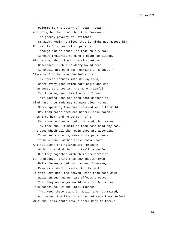Palermo to the outcry of 'Death! death!' And if my brother could but this foresee, The greedy poverty of Catalonia Straight would he flee, that it might not molest him; For verily 'tis needful to provide, Through him or other, so that on his bark Already freighted no more freight be placed. His nature, which from liberal covetous Descended, such a soldiery would need As should not care for hoarding in a chest." "Because I do believe the lofty joy Thy speech infuses into me, my Lord, Where every good thing doth begin and end Thou seest as I see it, the more grateful Is it to me; and this too hold I dear, That gazing upon God thou dost discern it. Glad hast thou made me; so make clear to me, Since speaking thou hast stirred me up to doubt, How from sweet seed can bitter issue forth." This I to him; and he to me: "If I Can show to thee a truth, to what thou askest Thy face thou'lt hold as thou dost hold thy back. The Good which all the realm thou art ascending Turns and contents, maketh its providence To be a power within these bodies vast; And not alone the natures are foreseen Within the mind that in itself is perfect, But they together with their preservation. For whatsoever thing this bow shoots forth Falls foreordained unto an end foreseen, Even as a shaft directed to its mark. If that were not, the heaven which thou dost walk Would in such manner its effects produce, That they no longer would be arts, but ruins. This cannot be, if the Intelligences That keep these stars in motion are not maimed, And maimed the First that has not made them perfect. Wilt thou this truth have clearer made to thee?"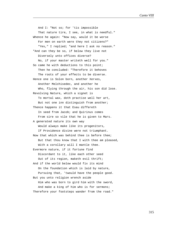And I: "Not so; for 'tis impossible That nature tire, I see, in what is needful." Whence he again: "Now say, would it be worse For men on earth were they not citizens?" "Yes," I replied; "and here I ask no reason." "And can they be so, if below they live not Diversely unto offices diverse? No, if your master writeth well for you." So came he with deductions to this point; Then he concluded: "Therefore it behoves The roots of your effects to be diverse. Hence one is Solon born, another Xerxes, Another Melchisedec, and another he Who, flying through the air, his son did lose. Revolving Nature, which a signet is To mortal wax, doth practise well her art, But not one inn distinguish from another; Thence happens it that Esau differeth In seed from Jacob; and Quirinus comes From sire so vile that he is given to Mars. A generated nature its own way Would always make like its progenitors, If Providence divine were not triumphant. Now that which was behind thee is before thee; But that thou know that I with thee am pleased, With a corollary will I mantle thee. Evermore nature, if it fortune find Discordant to it, like each other seed Out of its region, maketh evil thrift; And if the world below would fix its mind On the foundation which is laid by nature, Pursuing that, 'twould have the people good. But you unto religion wrench aside Him who was born to gird him with the sword, And make a king of him who is for sermons; Therefore your footsteps wander from the road."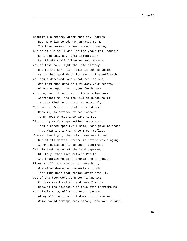Beautiful Clemence, after that thy Charles Had me enlightened, he narrated to me The treacheries his seed should undergo; But said: "Be still and let the years roll round;" So I can only say, that lamentation Legitimate shall follow on your wrongs. And of that holy light the life already Had to the Sun which fills it turned again, As to that good which for each thing sufficeth. Ah, souls deceived, and creatures impious, Who from such good do turn away your hearts, Directing upon vanity your foreheads! And now, behold, another of those splendours Approached me, and its will to pleasure me It signified by brightening outwardly. The eyes of Beatrice, that fastened were Upon me, as before, of dear assent To my desire assurance gave to me. "Ah, bring swift compensation to my wish, Thou blessed spirit," I said, "and give me proof That what I think in thee I can reflect!" Whereat the light, that still was new to me, Out of its depths, whence it before was singing, As one delighted to do good, continued: "Within that region of the land depraved Of Italy, that lies between Rialto And fountain-heads of Brenta and of Piava, Rises a hill, and mounts not very high, Wherefrom descended formerly a torch That made upon that region great assault. Out of one root were born both I and it; Cunizza was I called, and here I shine Because the splendour of this star o'ercame me. But gladly to myself the cause I pardon Of my allotment, and it does not grieve me; Which would perhaps seem strong unto your vulgar.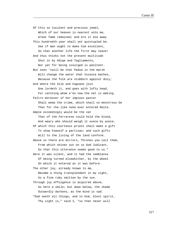Of this so luculent and precious jewel, Which of our heaven is nearest unto me, Great fame remained; and ere it die away This hundredth year shall yet quintupled be. See if man ought to make him excellent, So that another life the first may leave! And thus thinks not the present multitude Shut in by Adige and Tagliamento, Nor yet for being scourged is penitent. But soon 'twill be that Padua in the marsh Will change the water that Vicenza bathes, Because the folk are stubborn against duty; And where the Sile and Cagnano join One lordeth it, and goes with lofty head, For catching whom e'en now the net is making. Feltro moreover of her impious pastor Shall weep the crime, which shall so monstrous be That for the like none ever entered Malta. Ample exceedingly would be the vat That of the Ferrarese could hold the blood, And weary who should weigh it ounce by ounce, Of which this courteous priest shall make a gift To show himself a partisan; and such gifts Will to the living of the land conform. Above us there are mirrors, Thrones you call them, From which shines out on us God Judicant, So that this utterance seems good to us." Here it was silent, and it had the semblance Of being turned elsewhither, by the wheel On which it entered as it was before. The other joy, already known to me, Became a thing transplendent in my sight, As a fine ruby smitten by the sun. Through joy effulgence is acquired above, As here a smile; but down below, the shade Outwardly darkens, as the mind is sad. "God seeth all things, and in Him, blest spirit, Thy sight is," said I, "so that never will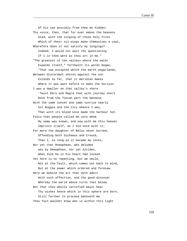Of his can possibly from thee be hidden; Thy voice, then, that for ever makes the heavens Glad, with the singing of those holy fires Which of their six wings make themselves a cowl, Wherefore does it not satisfy my longings? Indeed, I would not wait thy questioning If I in thee were as thou art in me." "The greatest of the valleys where the water Expands itself," forthwith its words began, "That sea excepted which the earth engarlands, Between discordant shores against the sun Extends so far, that it meridian makes Where it was wont before to make the horizon. I was a dweller on that valley's shore 'Twixt Ebro and Magra that with journey short Doth from the Tuscan part the Genoese. With the same sunset and same sunrise nearly Sit Buggia and the city whence I was, That with its blood once made the harbour hot. Folco that people called me unto whom My name was known; and now with me this heaven Imprints itself, as I did once with it; For more the daughter of Belus never burned, Offending both Sichaeus and Creusa, Than I, so long as it became my locks, Nor yet that Rodophean, who deluded was by Demophoon, nor yet Alcides, When Iole he in his heart had locked. Yet here is no repenting, but we smile, Not at the fault, which comes not back to mind, But at the power which ordered and foresaw. Here we behold the art that doth adorn With such affection, and the good discover Whereby the world above turns that below. But that thou wholly satisfied mayst bear Thy wishes hence which in this sphere are born, Still farther to proceed behoveth me. Thou fain wouldst know who is within this light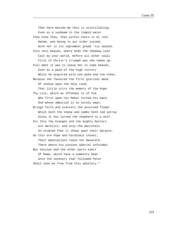That here beside me thus is scintillating, Even as a sunbeam in the limpid water. Then know thou, that within there is at rest Rahab, and being to our order joined, With her in its supremest grade 'tis sealed. Into this heaven, where ends the shadowy cone Cast by your world, before all other souls First of Christ's triumph was she taken up. Full meet it was to leave her in some heaven, Even as a palm of the high victory Which he acquired with one palm and the other, Because she favoured the first glorious deed Of Joshua upon the Holy Land, That little stirs the memory of the Pope. Thy city, which an offshoot is of him Who first upon his Maker turned his back, And whose ambition is so sorely wept, Brings forth and scatters the accursed flower Which both the sheep and lambs hath led astray Since it has turned the shepherd to a wolf. For this the Evangel and the mighty Doctors Are derelict, and only the Decretals So studied that it shows upon their margins. On this are Pope and Cardinals intent; Their meditations reach not Nazareth, There where his pinions Gabriel unfolded; But Vatican and the other parts elect Of Rome, which have a cemetery been Unto the soldiery that followed Peter Shall soon be free from this adultery."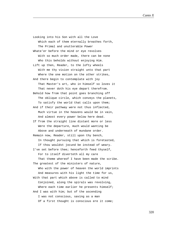Looking into his Son with all the Love Which each of them eternally breathes forth, The Primal and unutterable Power Whate'er before the mind or eye revolves With so much order made, there can be none Who this beholds without enjoying Him. Lift up then, Reader, to the lofty wheels With me thy vision straight unto that part Where the one motion on the other strikes, And there begin to contemplate with joy That Master's art, who in himself so loves it That never doth his eye depart therefrom. Behold how from that point goes branching off The oblique circle, which conveys the planets, To satisfy the world that calls upon them; And if their pathway were not thus inflected, Much virtue in the heavens would be in vain, And almost every power below here dead. If from the straight line distant more or less Were the departure, much would wanting be Above and underneath of mundane order. Remain now, Reader, still upon thy bench, In thought pursuing that which is foretasted, If thou wouldst jocund be instead of weary. I've set before thee; henceforth feed thyself, For to itself diverteth all my care That theme whereof I have been made the scribe. The greatest of the ministers of nature, Who with the power of heaven the world imprints And measures with his light the time for us, With that part which above is called to mind Conjoined, along the spirals was revolving, Where each time earlier he presents himself; And I was with him; but of the ascending I was not conscious, saving as a man Of a first thought is conscious ere it come;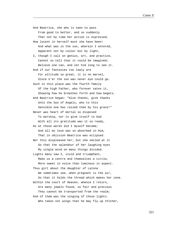And Beatrice, she who is seen to pass From good to better, and so suddenly That not by time her action is expressed, How lucent in herself must she have been! And what was in the sun, wherein I entered, Apparent not by colour but by light, I, though I call on genius, art, and practice, Cannot so tell that it could be imagined; Believe one can, and let him long to see it. And if our fantasies too lowly are For altitude so great, it is no marvel, Since o'er the sun was never eye could go. Such in this place was the fourth family Of the high Father, who forever sates it, Showing how he breathes forth and how begets. And Beatrice began: "Give thanks, give thanks Unto the Sun of Angels, who to this Sensible one has raised thee by his grace!" Never was heart of mortal so disposed To worship, nor to give itself to God With all its gratitude was it so ready, As at those words did I myself become; And all my love was so absorbed in Him, That in oblivion Beatrice was eclipsed. Nor this displeased her; but she smiled at it So that the splendour of her laughing eyes My single mind on many things divided. Lights many saw I, vivid and triumphant, Make us a centre and themselves a circle, More sweet in voice than luminous in aspect. Thus girt about the daughter of Latona We sometimes see, when pregnant is the air, So that it holds the thread which makes her zone. Within the court of Heaven, whence I return, Are many jewels found, so fair and precious They cannot be transported from the realm; And of them was the singing of those lights. Who takes not wings that he may fly up thither,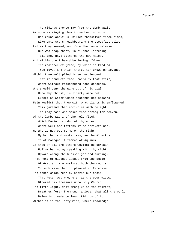The tidings thence may from the dumb await! As soon as singing thus those burning suns Had round about us whirled themselves three times, Like unto stars neighbouring the steadfast poles, Ladies they seemed, not from the dance released, But who stop short, in silence listening Till they have gathered the new melody. And within one I heard beginning: "When The radiance of grace, by which is kindled True love, and which thereafter grows by loving, Within thee multiplied is so resplendent That it conducts thee upward by that stair, Where without reascending none descends, Who should deny the wine out of his vial Unto thy thirst, in liberty were not Except as water which descends not seaward. Fain wouldst thou know with what plants is enflowered This garland that encircles with delight The Lady fair who makes thee strong for heaven. Of the lambs was I of the holy flock Which Dominic conducteth by a road Where well one fattens if he strayeth not. He who is nearest to me on the right My brother and master was; and he Albertus Is of Cologne, I Thomas of Aquinum. If thou of all the others wouldst be certain, Follow behind my speaking with thy sight Upward along the blessed garland turning. That next effulgence issues from the smile Of Gratian, who assisted both the courts In such wise that it pleased in Paradise. The other which near by adorns our choir That Peter was who, e'en as the poor widow, Offered his treasure unto Holy Church. The fifth light, that among us is the fairest, Breathes forth from such a love, that all the world Below is greedy to learn tidings of it. Within it is the lofty mind, where knowledge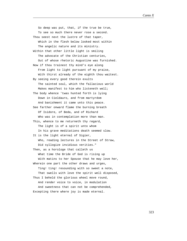So deep was put, that, if the true be true, To see so much there never rose a second. Thou seest next the lustre of that taper, Which in the flesh below looked most within The angelic nature and its ministry. Within that other little light is smiling The advocate of the Christian centuries, Out of whose rhetoric Augustine was furnished. Now if thou trainest thy mind's eye along From light to light pursuant of my praise, With thirst already of the eighth thou waitest. By seeing every good therein exults The sainted soul, which the fallacious world Makes manifest to him who listeneth well; The body whence 'twas hunted forth is lying Down in Cieldauro, and from martyrdom And banishment it came unto this peace. See farther onward flame the burning breath Of Isidore, of Beda, and of Richard Who was in contemplation more than man. This, whence to me returneth thy regard, The light is of a spirit unto whom In his grave meditations death seemed slow. It is the light eternal of Sigier, Who, reading lectures in the Street of Straw, Did syllogize invidious verities." Then, as a horologe that calleth us What time the Bride of God is rising up With matins to her Spouse that he may love her, Wherein one part the other draws and urges, Ting! ting! resounding with so sweet a note, That swells with love the spirit well disposed, Thus I beheld the glorious wheel move round, And render voice to voice, in modulation And sweetness that can not be comprehended, Excepting there where joy is made eternal.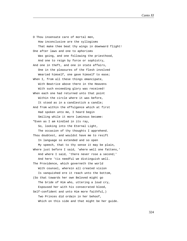O Thou insensate care of mortal men, How inconclusive are the syllogisms That make thee beat thy wings in downward flight! One after laws and one to aphorisms Was going, and one following the priesthood, And one to reign by force or sophistry, And one in theft, and one in state affairs, One in the pleasures of the flesh involved Wearied himself, one gave himself to ease; When I, from all these things emancipate, With Beatrice above there in the Heavens With such exceeding glory was received! When each one had returned unto that point Within the circle where it was before, It stood as in a candlestick a candle; And from within the effulgence which at first Had spoken unto me, I heard begin Smiling while it more luminous became: "Even as I am kindled in its ray, So, looking into the Eternal Light, The occasion of thy thoughts I apprehend. Thou doubtest, and wouldst have me to resift In language so extended and so open My speech, that to thy sense it may be plain, Where just before I said, 'where well one fattens,' And where I said, 'there never rose a second;' And here 'tis needful we distinguish well. The Providence, which governeth the world With counsel, wherein all created vision Is vanquished ere it reach unto the bottom, (So that towards her own Beloved might go The bride of Him who, uttering a loud cry, Espoused her with his consecrated blood, Self-confident and unto Him more faithful,) Two Princes did ordain in her behoof, Which on this side and that might be her guide.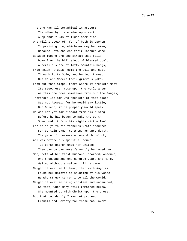*Canto XI*

The one was all seraphical in ardour; The other by his wisdom upon earth A splendour was of light cherubical. One will I speak of, for of both is spoken In praising one, whichever may be taken, Because unto one end their labours were. Between Tupino and the stream that falls Down from the hill elect of blessed Ubald, A fertile slope of lofty mountain hangs, From which Perugia feels the cold and heat Through Porta Sole, and behind it weep Gualdo and Nocera their grievous yoke. From out that slope, there where it breaketh most Its steepness, rose upon the world a sun As this one does sometimes from out the Ganges; Therefore let him who speaketh of that place, Say not Ascesi, for he would say little, But Orient, if he properly would speak. He was not yet far distant from his rising Before he had begun to make the earth Some comfort from his mighty virtue feel. For he in youth his father's wrath incurred For certain Dame, to whom, as unto death, The gate of pleasure no one doth unlock; And was before his spiritual court 'Et coram patre' unto her united; Then day by day more fervently he loved her. She, reft of her first husband, scorned, obscure, One thousand and one hundred years and more, Waited without a suitor till he came. Naught it availed to hear, that with Amyclas Found her unmoved at sounding of his voice He who struck terror into all the world; Naught it availed being constant and undaunted, So that, when Mary still remained below, She mounted up with Christ upon the cross. But that too darkly I may not proceed, Francis and Poverty for these two lovers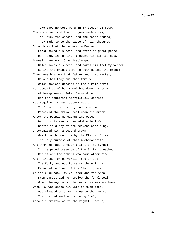Take thou henceforward in my speech diffuse. Their concord and their joyous semblances, The love, the wonder, and the sweet regard, They made to be the cause of holy thoughts; So much so that the venerable Bernard First bared his feet, and after so great peace Ran, and, in running, thought himself too slow. O wealth unknown! O veritable good! Giles bares his feet, and bares his feet Sylvester Behind the bridegroom, so doth please the bride! Then goes his way that father and that master, He and his Lady and that family Which now was girding on the humble cord; Nor cowardice of heart weighed down his brow At being son of Peter Bernardone, Nor for appearing marvellously scorned; But regally his hard determination To Innocent he opened, and from him Received the primal seal upon his Order. After the people mendicant increased Behind this man, whose admirable life Better in glory of the heavens were sung, Incoronated with a second crown Was through Honorius by the Eternal Spirit The holy purpose of this Archimandrite. And when he had, through thirst of martyrdom, In the proud presence of the Sultan preached Christ and the others who came after him, And, finding for conversion too unripe The folk, and not to tarry there in vain, Returned to fruit of the Italic grass, On the rude rock 'twixt Tiber and the Arno From Christ did he receive the final seal, Which during two whole years his members bore. When He, who chose him unto so much good, Was pleased to draw him up to the reward That he had merited by being lowly, Unto his friars, as to the rightful heirs,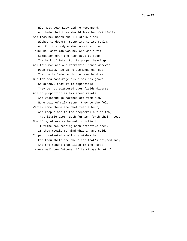His most dear Lady did he recommend, And bade that they should love her faithfully; And from her bosom the illustrious soul Wished to depart, returning to its realm, And for its body wished no other bier. Think now what man was he, who was a fit Companion over the high seas to keep The bark of Peter to its proper bearings. And this man was our Patriarch; hence whoever Doth follow him as he commands can see That he is laden with good merchandise. But for new pasturage his flock has grown So greedy, that it is impossible They be not scattered over fields diverse; And in proportion as his sheep remote And vagabond go farther off from him, More void of milk return they to the fold. Verily some there are that fear a hurt, And keep close to the shepherd; but so few, That little cloth doth furnish forth their hoods. Now if my utterance be not indistinct, If thine own hearing hath attentive been, If thou recall to mind what I have said, In part contented shall thy wishes be; For thou shalt see the plant that's chipped away, And the rebuke that lieth in the words, 'Where well one fattens, if he strayeth not.'"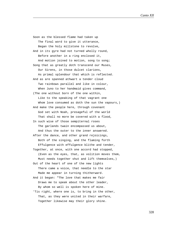*Canto XII*

Soon as the blessed flame had taken up The final word to give it utterance, Began the holy millstone to revolve, And in its gyre had not turned wholly round, Before another in a ring enclosed it, And motion joined to motion, song to song; Song that as greatly doth transcend our Muses, Our Sirens, in those dulcet clarions, As primal splendour that which is reflected. And as are spanned athwart a tender cloud Two rainbows parallel and like in colour, When Juno to her handmaid gives command, (The one without born of the one within, Like to the speaking of that vagrant one Whom love consumed as doth the sun the vapours,) And make the people here, through covenant God set with Noah, presageful of the world That shall no more be covered with a flood, In such wise of those sempiternal roses The garlands twain encompassed us about, And thus the outer to the inner answered. After the dance, and other grand rejoicings, Both of the singing, and the flaming forth Effulgence with effulgence blithe and tender, Together, at once, with one accord had stopped, (Even as the eyes, that, as volition moves them, Must needs together shut and lift themselves,) Out of the heart of one of the new lights There came a voice, that needle to the star Made me appear in turning thitherward. And it began: "The love that makes me fair Draws me to speak about the other leader, By whom so well is spoken here of mine. 'Tis right, where one is, to bring in the other, That, as they were united in their warfare, Together likewise may their glory shine.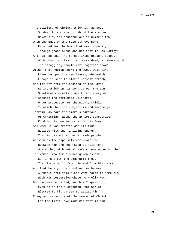The soldiery of Christ, which it had cost So dear to arm again, behind the standard Moved slow and doubtful and in numbers few, When the Emperor who reigneth evermore Provided for the host that was in peril, Through grace alone and not that it was worthy; And, as was said, he to his Bride brought succour With champions twain, at whose deed, at whose word The straggling people were together drawn. Within that region where the sweet west wind Rises to open the new leaves, wherewith Europe is seen to clothe herself afresh, Not far off from the beating of the waves, Behind which in his long career the sun Sometimes conceals himself from every man, Is situate the fortunate Calahorra, Under protection of the mighty shield In which the Lion subject is and sovereign. Therein was born the amorous paramour Of Christian Faith, the athlete consecrate, Kind to his own and cruel to his foes; And when it was created was his mind Replete with such a living energy, That in his mother her it made prophetic. As soon as the espousals were complete Between him and the Faith at holy font, Where they with mutual safety dowered each other, The woman, who for him had given assent, Saw in a dream the admirable fruit That issue would from him and from his heirs; And that he might be construed as he was, A spirit from this place went forth to name him With His possessive whose he wholly was. Dominic was he called; and him I speak of Even as of the husbandman whom Christ Elected to his garden to assist him. Envoy and servant sooth he seemed of Christ, For the first love made manifest in him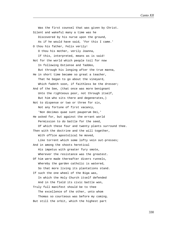Was the first counsel that was given by Christ. Silent and wakeful many a time was he Discovered by his nurse upon the ground, As if he would have said, 'For this I came.' O thou his father, Felix verily! O thou his mother, verily Joanna, If this, interpreted, means as is said! Not for the world which people toil for now In following Ostiense and Taddeo, But through his longing after the true manna, He in short time became so great a teacher, That he began to go about the vineyard, Which fadeth soon, if faithless be the dresser; And of the See, (that once was more benignant Unto the righteous poor, not through itself, But him who sits there and degenerates,) Not to dispense or two or three for six, Not any fortune of first vacancy, 'Non decimas quae sunt pauperum Dei,' He asked for, but against the errant world Permission to do battle for the seed, Of which these four and twenty plants surround thee. Then with the doctrine and the will together, With office apostolical he moved, Like torrent which some lofty vein out-presses; And in among the shoots heretical His impetus with greater fury smote, Wherever the resistance was the greatest. Of him were made thereafter divers runnels, Whereby the garden catholic is watered, So that more living its plantations stand. If such the one wheel of the Biga was, In which the Holy Church itself defended And in the field its civic battle won, Truly full manifest should be to thee The excellence of the other, unto whom Thomas so courteous was before my coming. But still the orbit, which the highest part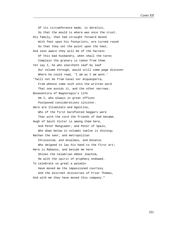Of its circumference made, is derelict, So that the mould is where was once the crust. His family, that had straight forward moved With feet upon his footprints, are turned round So that they set the point upon the heel. And soon aware they will be of the harvest Of this bad husbandry, when shall the tares Complain the granary is taken from them. Yet say I, he who searcheth leaf by leaf Our volume through, would still some page discover Where he could read, 'I am as I am wont.' 'Twill not be from Casal nor Acquasparta, From whence come such unto the written word That one avoids it, and the other narrows. Bonaventura of Bagnoregio's life Am I, who always in great offices Postponed considerations sinister. Here are Illuminato and Agostino, Who of the first barefooted beggars were That with the cord the friends of God became. Hugh of Saint Victor is among them here, And Peter Mangiador, and Peter of Spain, Who down below in volumes twelve is shining; Nathan the seer, and metropolitan Chrysostom, and Anselmus, and Donatus Who deigned to lay his hand to the first art; Here is Rabanus, and beside me here Shines the Calabrian Abbot Joachim, He with the spirit of prophecy endowed. To celebrate so great a paladin Have moved me the impassioned courtesy And the discreet discourses of Friar Thomas, And with me they have moved this company."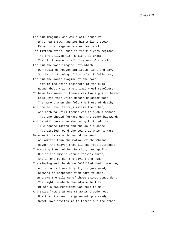Let him imagine, who would well conceive What now I saw, and let him while I speak Retain the image as a steadfast rock, The fifteen stars, that in their divers regions The sky enliven with a light so great That it transcends all clusters of the air; Let him the Wain imagine unto which Our vault of heaven sufficeth night and day, So that in turning of its pole it fails not; Let him the mouth imagine of the horn That in the point beginneth of the axis Round about which the primal wheel revolves,-- To have fashioned of themselves two signs in heaven, Like unto that which Minos' daughter made, The moment when she felt the frost of death; And one to have its rays within the other, And both to whirl themselves in such a manner That one should forward go, the other backward; And he will have some shadowing forth of that True constellation and the double dance That circled round the point at which I was; Because it is as much beyond our wont, As swifter than the motion of the Chiana Moveth the heaven that all the rest outspeeds. There sang they neither Bacchus, nor Apollo, But in the divine nature Persons three, And in one person the divine and human. The singing and the dance fulfilled their measure, And unto us those holy lights gave need, Growing in happiness from care to care. Then broke the silence of those saints concordant The light in which the admirable life Of God's own mendicant was told to me, And said: "Now that one straw is trodden out Now that its seed is garnered up already, Sweet love invites me to thresh out the other.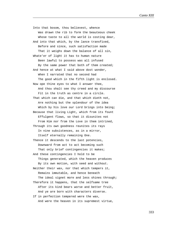Into that bosom, thou believest, whence Was drawn the rib to form the beauteous cheek Whose taste to all the world is costing dear, And into that which, by the lance transfixed, Before and since, such satisfaction made That it weighs down the balance of all sin, Whate'er of light it has to human nature Been lawful to possess was all infused By the same power that both of them created; And hence at what I said above dost wonder, When I narrated that no second had The good which in the fifth light is enclosed. Now ope thine eyes to what I answer thee, And thou shalt see thy creed and my discourse Fit in the truth as centre in a circle. That which can die, and that which dieth not, Are nothing but the splendour of the idea Which by his love our Lord brings into being; Because that living Light, which from its fount Effulgent flows, so that it disunites not From Him nor from the Love in them intrined, Through its own goodness reunites its rays In nine subsistences, as in a mirror, Itself eternally remaining One. Thence it descends to the last potencies, Downward from act to act becoming such That only brief contingencies it makes; And these contingencies I hold to be Things generated, which the heaven produces By its own motion, with seed and without. Neither their wax, nor that which tempers it, Remains immutable, and hence beneath The ideal signet more and less shines through; Therefore it happens, that the selfsame tree After its kind bears worse and better fruit, And ye are born with characters diverse. If in perfection tempered were the wax, And were the heaven in its supremest virtue,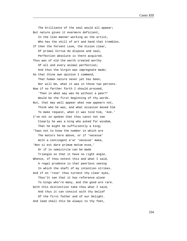The brilliance of the seal would all appear; But nature gives it evermore deficient, In the like manner working as the artist, Who has the skill of art and hand that trembles. If then the fervent Love, the Vision clear, Of primal Virtue do dispose and seal, Perfection absolute is there acquired. Thus was of old the earth created worthy Of all and every animal perfection; And thus the Virgin was impregnate made; So that thine own opinion I commend, That human nature never yet has been, Nor will be, what it was in those two persons. Now if no farther forth I should proceed, 'Then in what way was he without a peer?' Would be the first beginning of thy words. But, that may well appear what now appears not, Think who he was, and what occasion moved him To make request, when it was told him, 'Ask.' I've not so spoken that thou canst not see Clearly he was a king who asked for wisdom, That he might be sufficiently a king; 'Twas not to know the number in which are The motors here above, or if 'necesse' With a contingent e'er 'necesse' make, 'Non si est dare primum motum esse,' Or if in semicircle can be made Triangle so that it have no right angle. Whence, if thou notest this and what I said, A regal prudence is that peerless seeing In which the shaft of my intention strikes. And if on 'rose' thou turnest thy clear eyes, Thou'lt see that it has reference alone To kings who're many, and the good are rare. With this distinction take thou what I said, And thus it can consist with thy belief Of the first father and of our Delight. And lead shall this be always to thy feet,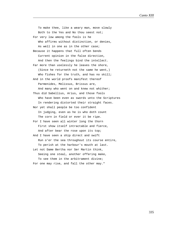To make thee, like a weary man, move slowly Both to the Yes and No thou seest not; For very low among the fools is he Who affirms without distinction, or denies, As well in one as in the other case; Because it happens that full often bends Current opinion in the false direction, And then the feelings bind the intellect. Far more than uselessly he leaves the shore, (Since he returneth not the same he went,) Who fishes for the truth, and has no skill; And in the world proofs manifest thereof Parmenides, Melissus, Brissus are, And many who went on and knew not whither; Thus did Sabellius, Arius, and those fools Who have been even as swords unto the Scriptures In rendering distorted their straight faces. Nor yet shall people be too confident In judging, even as he is who doth count The corn in field or ever it be ripe. For I have seen all winter long the thorn First show itself intractable and fierce, And after bear the rose upon its top; And I have seen a ship direct and swift Run o'er the sea throughout its course entire, To perish at the harbour's mouth at last. Let not Dame Bertha nor Ser Martin think, Seeing one steal, another offering make, To see them in the arbitrament divine; For one may rise, and fall the other may."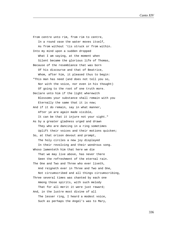From centre unto rim, from rim to centre, In a round vase the water moves itself, As from without 'tis struck or from within. Into my mind upon a sudden dropped What I am saying, at the moment when Silent became the glorious life of Thomas, Because of the resemblance that was born Of his discourse and that of Beatrice, Whom, after him, it pleased thus to begin: "This man has need (and does not tell you so, Nor with the voice, nor even in his thought) Of going to the root of one truth more. Declare unto him if the light wherewith Blossoms your substance shall remain with you Eternally the same that it is now; And if it do remain, say in what manner, After ye are again made visible, It can be that it injure not your sight." As by a greater gladness urged and drawn They who are dancing in a ring sometimes Uplift their voices and their motions quicken; So, at that orison devout and prompt, The holy circles a new joy displayed In their revolving and their wondrous song. Whoso lamenteth him that here we die That we may live above, has never there Seen the refreshment of the eternal rain. The One and Two and Three who ever liveth, And reigneth ever in Three and Two and One, Not circumscribed and all things circumscribing, Three several times was chanted by each one Among those spirits, with such melody That for all merit it were just reward; And, in the lustre most divine of all The lesser ring, I heard a modest voice, Such as perhaps the Angel's was to Mary,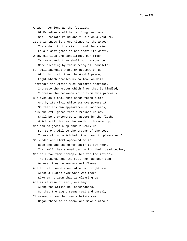Answer: "As long as the festivity Of Paradise shall be, so long our love Shall radiate round about us such a vesture. Its brightness is proportioned to the ardour, The ardour to the vision; and the vision Equals what grace it has above its worth. When, glorious and sanctified, our flesh Is reassumed, then shall our persons be More pleasing by their being all complete; For will increase whate'er bestows on us Of light gratuitous the Good Supreme, Light which enables us to look on Him; Therefore the vision must perforce increase, Increase the ardour which from that is kindled, Increase the radiance which from this proceeds. But even as a coal that sends forth flame, And by its vivid whiteness overpowers it So that its own appearance it maintains, Thus the effulgence that surrounds us now Shall be o'erpowered in aspect by the flesh, Which still to-day the earth doth cover up; Nor can so great a splendour weary us, For strong will be the organs of the body To everything which hath the power to please us." So sudden and alert appeared to me Both one and the other choir to say Amen, That well they showed desire for their dead bodies; Nor sole for them perhaps, but for the mothers, The fathers, and the rest who had been dear Or ever they became eternal flames. And lo! all round about of equal brightness Arose a lustre over what was there, Like an horizon that is clearing up. And as at rise of early eve begin Along the welkin new appearances, So that the sight seems real and unreal, It seemed to me that new subsistences Began there to be seen, and make a circle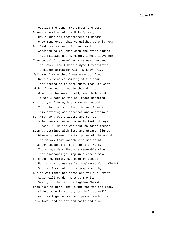Outside the other two circumferences. O very sparkling of the Holy Spirit, How sudden and incandescent it became Unto mine eyes, that vanquished bore it not! But Beatrice so beautiful and smiling Appeared to me, that with the other sights That followed not my memory I must leave her. Then to uplift themselves mine eyes resumed The power, and I beheld myself translated To higher salvation with my Lady only. Well was I ware that I was more uplifted By the enkindled smiling of the star, That seemed to me more ruddy than its wont. With all my heart, and in that dialect Which is the same in all, such holocaust To God I made as the new grace beseemed; And not yet from my bosom was exhausted The ardour of sacrifice, before I knew This offering was accepted and auspicious; For with so great a lustre and so red Splendours appeared to me in twofold rays, I said: "O Helios who dost so adorn them!" Even as distinct with less and greater lights Glimmers between the two poles of the world The Galaxy that maketh wise men doubt, Thus constellated in the depths of Mars, Those rays described the venerable sign That quadrants joining in a circle make. Here doth my memory overcome my genius; For on that cross as levin gleamed forth Christ, So that I cannot find ensample worthy; But he who takes his cross and follows Christ Again will pardon me what I omit, Seeing in that aurora lighten Christ. From horn to horn, and 'twixt the top and base, Lights were in motion, brightly scintillating As they together met and passed each other; Thus level and aslant and swift and slow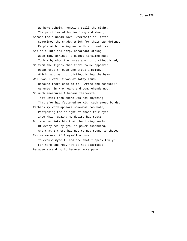We here behold, renewing still the sight, The particles of bodies long and short, Across the sunbeam move, wherewith is listed Sometimes the shade, which for their own defence People with cunning and with art contrive. And as a lute and harp, accordant strung With many strings, a dulcet tinkling make To him by whom the notes are not distinguished, So from the lights that there to me appeared Upgathered through the cross a melody, Which rapt me, not distinguishing the hymn. Well was I ware it was of lofty laud, Because there came to me, "Arise and conquer!" As unto him who hears and comprehends not. So much enamoured I became therewith, That until then there was not anything That e'er had fettered me with such sweet bonds. Perhaps my word appears somewhat too bold, Postponing the delight of those fair eyes, Into which gazing my desire has rest; But who bethinks him that the living seals Of every beauty grow in power ascending, And that I there had not turned round to those, Can me excuse, if I myself accuse To excuse myself, and see that I speak truly: For here the holy joy is not disclosed, Because ascending it becomes more pure.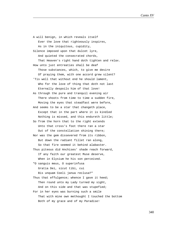A will benign, in which reveals itself Ever the love that righteously inspires, As in the iniquitous, cupidity, Silence imposed upon that dulcet lyre, And quieted the consecrated chords, That Heaven's right hand doth tighten and relax. How unto just entreaties shall be deaf Those substances, which, to give me desire Of praying them, with one accord grew silent? 'Tis well that without end he should lament, Who for the love of thing that doth not last Eternally despoils him of that love! As through the pure and tranquil evening air There shoots from time to time a sudden fire, Moving the eyes that steadfast were before, And seems to be a star that changeth place, Except that in the part where it is kindled Nothing is missed, and this endureth little; So from the horn that to the right extends Unto that cross's foot there ran a star Out of the constellation shining there; Nor was the gem dissevered from its ribbon, But down the radiant fillet ran along, So that fire seemed it behind alabaster. Thus piteous did Anchises' shade reach forward, If any faith our greatest Muse deserve, When in Elysium he his son perceived. "O sanguis meus, O superinfusa Gratia Dei, sicut tibi, cui Bis unquam Coeli janua reclusa?" Thus that effulgence; whence I gave it heed; Then round unto my Lady turned my sight, And on this side and that was stupefied; For in her eyes was burning such a smile That with mine own methought I touched the bottom Both of my grace and of my Paradise!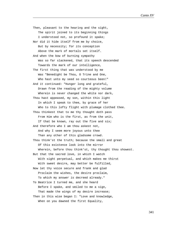Then, pleasant to the hearing and the sight, The spirit joined to its beginning things I understood not, so profound it spake; Nor did it hide itself from me by choice, But by necessity; for its conception Above the mark of mortals set itself. And when the bow of burning sympathy Was so far slackened, that its speech descended Towards the mark of our intelligence, The first thing that was understood by me Was "Benedight be Thou, O Trine and One, Who hast unto my seed so courteous been!" And it continued: "Hunger long and grateful, Drawn from the reading of the mighty volume Wherein is never changed the white nor dark, Thou hast appeased, my son, within this light In which I speak to thee, by grace of her Who to this lofty flight with plumage clothed thee. Thou thinkest that to me thy thought doth pass From Him who is the first, as from the unit, If that be known, ray out the five and six; And therefore who I am thou askest not, And why I seem more joyous unto thee Than any other of this gladsome crowd. Thou think'st the truth; because the small and great Of this existence look into the mirror Wherein, before thou think'st, thy thought thou showest. But that the sacred love, in which I watch With sight perpetual, and which makes me thirst With sweet desire, may better be fulfilled, Now let thy voice secure and frank and glad Proclaim the wishes, the desire proclaim, To which my answer is decreed already." To Beatrice I turned me, and she heard Before I spake, and smiled to me a sign, That made the wings of my desire increase; Then in this wise began I: "Love and knowledge, When on you dawned the first Equality,

341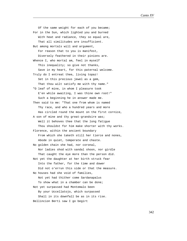Of the same weight for each of you became; For in the Sun, which lighted you and burned With heat and radiance, they so equal are, That all similitudes are insufficient. But among mortals will and argument, For reason that to you is manifest, Diversely feathered in their pinions are. Whence I, who mortal am, feel in myself This inequality; so give not thanks, Save in my heart, for this paternal welcome. Truly do I entreat thee, living topaz! Set in this precious jewel as a gem, That thou wilt satisfy me with thy name." "O leaf of mine, in whom I pleasure took E'en while awaiting, I was thine own root!" Such a beginning he in answer made me. Then said to me: "That one from whom is named Thy race, and who a hundred years and more Has circled round the mount on the first cornice, A son of mine and thy great-grandsire was; Well it behoves thee that the long fatigue Thou shouldst for him make shorter with thy works. Florence, within the ancient boundary From which she taketh still her tierce and nones, Abode in quiet, temperate and chaste. No golden chain she had, nor coronal, Nor ladies shod with sandal shoon, nor girdle That caught the eye more than the person did. Not yet the daughter at her birth struck fear Into the father, for the time and dower Did not o'errun this side or that the measure. No houses had she void of families, Not yet had thither come Sardanapalus To show what in a chamber can be done; Not yet surpassed had Montemalo been By your Uccellatojo, which surpassed Shall in its downfall be as in its rise. Bellincion Berti saw I go begirt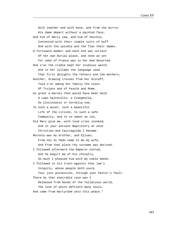With leather and with bone, and from the mirror His dame depart without a painted face; And him of Nerli saw, and him of Vecchio, Contented with their simple suits of buff And with the spindle and the flax their dames. O fortunate women! and each one was certain Of her own burial-place, and none as yet For sake of France was in her bed deserted. One o'er the cradle kept her studious watch, And in her lullaby the language used That first delights the fathers and the mothers; Another, drawing tresses from her distaff, Told o'er among her family the tales Of Trojans and of Fesole and Rome. As great a marvel then would have been held A Lapo Salterello, a Cianghella, As Cincinnatus or Cornelia now. To such a quiet, such a beautiful Life of the citizen, to such a safe Community, and to so sweet an inn, Did Mary give me, with loud cries invoked, And in your ancient Baptistery at once Christian and Cacciaguida I became. Moronto was my brother, and Eliseo; From Val di Pado came to me my wife, And from that place thy surname was derived. I followed afterward the Emperor Conrad, And he begirt me of his chivalry, So much I pleased him with my noble deeds. I followed in his train against that law's Iniquity, whose people doth usurp Your just possession, through your Pastor's fault. There by that execrable race was I Released from bonds of the fallacious world, The love of which defileth many souls, And came from martyrdom unto this peace."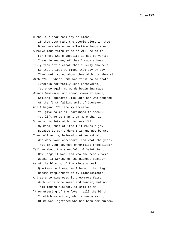O thou our poor nobility of blood, If thou dost make the people glory in thee Down here where our affection languishes, A marvellous thing it ne'er will be to me; For there where appetite is not perverted, I say in Heaven, of thee I made a boast! Truly thou art a cloak that quickly shortens, So that unless we piece thee day by day Time goeth round about thee with his shears! With 'You,' which Rome was first to tolerate, (Wherein her family less perseveres,) Yet once again my words beginning made; Whence Beatrice, who stood somewhat apart, Smiling, appeared like unto her who coughed At the first failing writ of Guenever. And I began: "You are my ancestor, You give to me all hardihood to speak, You lift me so that I am more than I. So many rivulets with gladness fill My mind, that of itself it makes a joy Because it can endure this and not burst. Then tell me, my beloved root ancestral, Who were your ancestors, and what the years That in your boyhood chronicled themselves? Tell me about the sheepfold of Saint John, How large it was, and who the people were Within it worthy of the highest seats." As at the blowing of the winds a coal Quickens to flame, so I beheld that light Become resplendent at my blandishments. And as unto mine eyes it grew more fair, With voice more sweet and tender, but not in This modern dialect, it said to me: "From uttering of the 'Ave,' till the birth In which my mother, who is now a saint, Of me was lightened who had been her burden,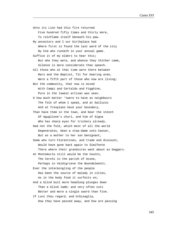Unto its Lion had this fire returned Five hundred fifty times and thirty more, To reinflame itself beneath his paw. My ancestors and I our birthplace had Where first is found the last ward of the city By him who runneth in your annual game. Suffice it of my elders to hear this; But who they were, and whence they thither came, Silence is more considerate than speech. All those who at that time were there between Mars and the Baptist, fit for bearing arms, Were a fifth part of those who now are living; But the community, that now is mixed With Campi and Certaldo and Figghine, Pure in the lowest artisan was seen. O how much better 'twere to have as neighbours The folk of whom I speak, and at Galluzzo And at Trespiano have your boundary, Than have them in the town, and bear the stench Of Aguglione's churl, and him of Signa Who has sharp eyes for trickery already. Had not the folk, which most of all the world Degenerates, been a step-dame unto Caesar, But as a mother to her son benignant, Some who turn Florentines, and trade and discount, Would have gone back again to Simifonte There where their grandsires went about as beggars. At Montemurlo still would be the Counts, The Cerchi in the parish of Acone, Perhaps in Valdigrieve the Buondelmonti. Ever the intermingling of the people Has been the source of malady in cities, As in the body food it surfeits on; And a blind bull more headlong plunges down Than a blind lamb; and very often cuts Better and more a single sword than five. If Luni thou regard, and Urbisaglia, How they have passed away, and how are passing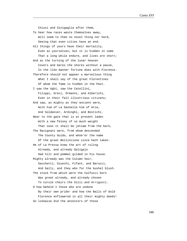*Canto XVI*

 Chiusi and Sinigaglia after them, To hear how races waste themselves away, Will seem to thee no novel thing nor hard, Seeing that even cities have an end. All things of yours have their mortality, Even as yourselves; but it is hidden in some That a long while endure, and lives are short; And as the turning of the lunar heaven Covers and bares the shores without a pause, In the like manner fortune does with Florence. Therefore should not appear a marvellous thing What I shall say of the great Florentines Of whom the fame is hidden in the Past. I saw the Ughi, saw the Catellini, Filippi, Greci, Ormanni, and Alberichi, Even in their fall illustrious citizens; And saw, as mighty as they ancient were, With him of La Sannella him of Arca, And Soldanier, Ardinghi, and Bostichi. Near to the gate that is at present laden With a new felony of so much weight That soon it shall be jetsam from the bark, The Ravignani were, from whom descended The County Guido, and whoe'er the name Of the great Bellincione since hath taken. He of La Pressa knew the art of ruling Already, and already Galigajo Had hilt and pommel gilded in his house. Mighty already was the Column Vair, Sacchetti, Giuochi, Fifant, and Barucci, And Galli, and they who for the bushel blush. The stock from which were the Calfucci born Was great already, and already chosen To curule chairs the Sizii and Arrigucci. O how beheld I those who are undone By their own pride! and how the Balls of Gold Florence enflowered in all their mighty deeds! So likewise did the ancestors of those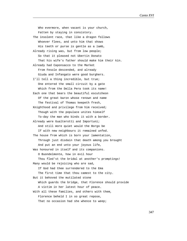Who evermore, when vacant is your church, Fatten by staying in consistory. The insolent race, that like a dragon follows Whoever flees, and unto him that shows His teeth or purse is gentle as a lamb, Already rising was, but from low people; So that it pleased not Ubertin Donato That his wife's father should make him their kin. Already had Caponsacco to the Market From Fesole descended, and already Giuda and Infangato were good burghers. I'll tell a thing incredible, but true; One entered the small circuit by a gate Which from the Della Pera took its name! Each one that bears the beautiful escutcheon Of the great baron whose renown and name The festival of Thomas keepeth fresh, Knighthood and privilege from him received; Though with the populace unites himself To-day the man who binds it with a border. Already were Gualterotti and Importuni; And still more quiet would the Borgo be If with new neighbours it remained unfed. The house from which is born your lamentation, Through just disdain that death among you brought And put an end unto your joyous life, Was honoured in itself and its companions. O Buondelmonte, how in evil hour Thou fled'st the bridal at another's promptings! Many would be rejoicing who are sad, If God had thee surrendered to the Ema The first time that thou camest to the city. But it behoved the mutilated stone Which guards the bridge, that Florence should provide A victim in her latest hour of peace. With all these families, and others with them, Florence beheld I in so great repose, That no occasion had she whence to weep;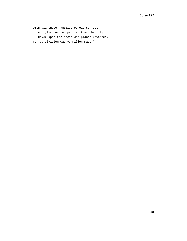With all these families beheld so just And glorious her people, that the lily Never upon the spear was placed reversed, Nor by division was vermilion made."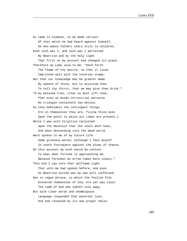As came to Clymene, to be made certain Of that which he had heard against himself, He who makes fathers chary still to children, Even such was I, and such was I perceived By Beatrice and by the holy light That first on my account had changed its place. Therefore my Lady said to me: "Send forth The flame of thy desire, so that it issue Imprinted well with the internal stamp; Not that our knowledge may be greater made By speech of thine, but to accustom thee To tell thy thirst, that we may give thee drink." "O my beloved tree, (that so dost lift thee, That even as minds terrestrial perceive No triangle containeth two obtuse, So thou beholdest the contingent things Ere in themselves they are, fixing thine eyes Upon the point in which all times are present,) While I was with Virgilius conjoined Upon the mountain that the souls doth heal, And when descending into the dead world, Were spoken to me of my future life Some grievous words; although I feel myself In sooth foursquare against the blows of chance. On this account my wish would be content To hear what fortune is approaching me, Because foreseen an arrow comes more slowly." Thus did I say unto that selfsame light That unto me had spoken before; and even As Beatrice willed was my own will confessed. Not in vague phrase, in which the foolish folk Ensnared themselves of old, ere yet was slain The Lamb of God who taketh sins away, But with clear words and unambiguous Language responded that paternal love, Hid and revealed by its own proper smile: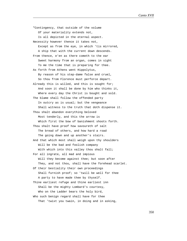"Contingency, that outside of the volume Of your materiality extends not, Is all depicted in the eternal aspect. Necessity however thence it takes not, Except as from the eye, in which 'tis mirrored, A ship that with the current down descends. From thence, e'en as there cometh to the ear Sweet harmony from an organ, comes in sight To me the time that is preparing for thee. As forth from Athens went Hippolytus, By reason of his step-dame false and cruel, So thou from Florence must perforce depart. Already this is willed, and this is sought for; And soon it shall be done by him who thinks it, Where every day the Christ is bought and sold. The blame shall follow the offended party In outcry as is usual; but the vengeance Shall witness to the truth that doth dispense it. Thou shalt abandon everything beloved Most tenderly, and this the arrow is Which first the bow of banishment shoots forth. Thou shalt have proof how savoureth of salt The bread of others, and how hard a road The going down and up another's stairs. And that which most shall weigh upon thy shoulders Will be the bad and foolish company With which into this valley thou shalt fall; For all ingrate, all mad and impious Will they become against thee; but soon after They, and not thou, shall have the forehead scarlet. Of their bestiality their own proceedings Shall furnish proof; so 'twill be well for thee A party to have made thee by thyself. Thine earliest refuge and thine earliest inn Shall be the mighty Lombard's courtesy, Who on the Ladder bears the holy bird, Who such benign regard shall have for thee That 'twixt you twain, in doing and in asking,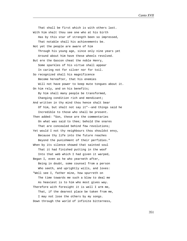That shall be first which is with others last. With him shalt thou see one who at his birth Has by this star of strength been so impressed, That notable shall his achievements be. Not yet the people are aware of him Through his young age, since only nine years yet Around about him have these wheels revolved. But ere the Gascon cheat the noble Henry, Some sparkles of his virtue shall appear In caring not for silver nor for toil. So recognized shall his magnificence Become hereafter, that his enemies Will not have power to keep mute tongues about it. On him rely, and on his benefits; By him shall many people be transformed, Changing condition rich and mendicant; And written in thy mind thou hence shalt bear Of him, but shalt not say it"--and things said he Incredible to those who shall be present. Then added: "Son, these are the commentaries On what was said to thee; behold the snares That are concealed behind few revolutions; Yet would I not thy neighbours thou shouldst envy, Because thy life into the future reaches Beyond the punishment of their perfidies." When by its silence showed that sainted soul That it had finished putting in the woof Into that web which I had given it warped, Began I, even as he who yearneth after, Being in doubt, some counsel from a person Who seeth, and uprightly wills, and loves: "Well see I, father mine, how spurreth on The time towards me such a blow to deal me As heaviest is to him who most gives way. Therefore with foresight it is well I arm me, That, if the dearest place be taken from me, I may not lose the others by my songs. Down through the world of infinite bitterness,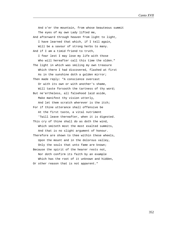And o'er the mountain, from whose beauteous summit The eyes of my own Lady lifted me, And afterward through heaven from light to light, I have learned that which, if I tell again, Will be a savour of strong herbs to many. And if I am a timid friend to truth, I fear lest I may lose my life with those Who will hereafter call this time the olden." The light in which was smiling my own treasure Which there I had discovered, flashed at first As in the sunshine doth a golden mirror; Then made reply: "A conscience overcast Or with its own or with another's shame, Will taste forsooth the tartness of thy word; But ne'ertheless, all falsehood laid aside, Make manifest thy vision utterly, And let them scratch wherever is the itch; For if thine utterance shall offensive be At the first taste, a vital nutriment 'Twill leave thereafter, when it is digested. This cry of thine shall do as doth the wind, Which smiteth most the most exalted summits, And that is no slight argument of honour. Therefore are shown to thee within these wheels, Upon the mount and in the dolorous valley, Only the souls that unto fame are known; Because the spirit of the hearer rests not, Nor doth confirm its faith by an example Which has the root of it unknown and hidden, Or other reason that is not apparent."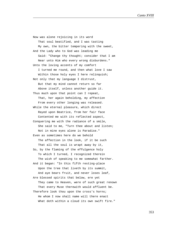Now was alone rejoicing in its word That soul beatified, and I was tasting My own, the bitter tempering with the sweet, And the Lady who to God was leading me Said: "Change thy thought; consider that I am Near unto Him who every wrong disburdens." Unto the loving accents of my comfort I turned me round, and then what love I saw Within those holy eyes I here relinquish; Not only that my language I distrust, But that my mind cannot return so far Above itself, unless another guide it. Thus much upon that point can I repeat, That, her again beholding, my affection From every other longing was released. While the eternal pleasure, which direct Rayed upon Beatrice, from her fair face Contented me with its reflected aspect, Conquering me with the radiance of a smile, She said to me, "Turn thee about and listen; Not in mine eyes alone is Paradise." Even as sometimes here do we behold The affection in the look, if it be such That all the soul is wrapt away by it, So, by the flaming of the effulgence holy To which I turned, I recognized therein The wish of speaking to me somewhat farther. And it began: "In this fifth resting-place Upon the tree that liveth by its summit, And aye bears fruit, and never loses leaf, Are blessed spirits that below, ere yet They came to Heaven, were of such great renown That every Muse therewith would affluent be. Therefore look thou upon the cross's horns; He whom I now shall name will there enact What doth within a cloud its own swift fire."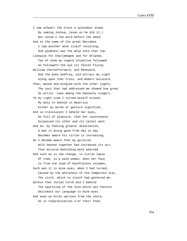I saw athwart the Cross a splendour drawn By naming Joshua, (even as he did it,) Nor noted I the word before the deed; And at the name of the great Maccabee I saw another move itself revolving, And gladness was the whip unto that top. Likewise for Charlemagne and for Orlando, Two of them my regard attentive followed As followeth the eye its falcon flying. William thereafterward, and Renouard, And the Duke Godfrey, did attract my sight Along upon that Cross, and Robert Guiscard. Then, moved and mingled with the other lights, The soul that had addressed me showed how great An artist 'twas among the heavenly singers. To my right side I turned myself around, My duty to behold in Beatrice Either by words or gesture signified; And so translucent I beheld her eyes, So full of pleasure, that her countenance Surpassed its other and its latest wont. And as, by feeling greater delectation, A man in doing good from day to day Becomes aware his virtue is increasing, So I became aware that my gyration With heaven together had increased its arc, That miracle beholding more adorned. And such as is the change, in little lapse Of time, in a pale woman, when her face Is from the load of bashfulness unladen, Such was it in mine eyes, when I had turned, Caused by the whiteness of the temperate star, The sixth, which to itself had gathered me. Within that Jovial torch did I behold The sparkling of the love which was therein Delineate our language to mine eyes. And even as birds uprisen from the shore, As in congratulation o'er their food,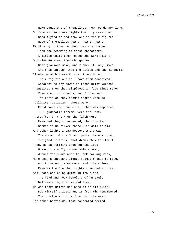Make squadrons of themselves, now round, now long, So from within those lights the holy creatures Sang flying to and fro, and in their figures Made of themselves now D, now I, now L. First singing they to their own music moved; Then one becoming of these characters, A little while they rested and were silent. O divine Pegasea, thou who genius Dost glorious make, and render it long-lived, And this through thee the cities and the kingdoms, Illume me with thyself, that I may bring Their figures out as I have them conceived! Apparent be thy power in these brief verses! Themselves then they displayed in five times seven Vowels and consonants; and I observed The parts as they seemed spoken unto me. 'Diligite justitiam,' these were First verb and noun of all that was depicted; 'Qui judicatis terram' were the last. Thereafter in the M of the fifth word Remained they so arranged, that Jupiter Seemed to be silver there with gold inlaid. And other lights I saw descend where was The summit of the M, and pause there singing The good, I think, that draws them to itself. Then, as in striking upon burning logs Upward there fly innumerable sparks, Whence fools are wont to look for auguries, More than a thousand lights seemed thence to rise, And to ascend, some more, and others less, Even as the Sun that lights them had allotted; And, each one being quiet in its place, The head and neck beheld I of an eagle Delineated by that inlaid fire. He who there paints has none to be his guide; But Himself guides; and is from Him remembered That virtue which is form unto the nest. The other beatitude, that contented seemed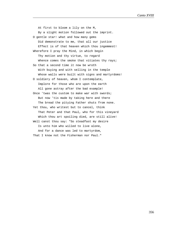At first to bloom a lily on the M, By a slight motion followed out the imprint. O gentle star! what and how many gems Did demonstrate to me, that all our justice Effect is of that heaven which thou ingemmest! Wherefore I pray the Mind, in which begin Thy motion and thy virtue, to regard Whence comes the smoke that vitiates thy rays; So that a second time it now be wroth With buying and with selling in the temple Whose walls were built with signs and martyrdoms! O soldiery of heaven, whom I contemplate, Implore for those who are upon the earth All gone astray after the bad example! Once 'twas the custom to make war with swords; But now 'tis made by taking here and there The bread the pitying Father shuts from none. Yet thou, who writest but to cancel, think That Peter and that Paul, who for this vineyard Which thou art spoiling died, are still alive! Well canst thou say: "So steadfast my desire Is unto him who willed to live alone, And for a dance was led to martyrdom, That I know not the Fisherman nor Paul."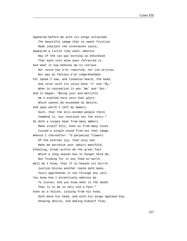Appeared before me with its wings outspread The beautiful image that in sweet fruition Made jubilant the interwoven souls; Appeared a little ruby each, wherein Ray of the sun was burning so enkindled That each into mine eyes refracted it. And what it now behoves me to retrace Nor voice has e'er reported, nor ink written, Nor was by fantasy e'er comprehended; For speak I saw, and likewise heard, the beak, And utter with its voice both 'I' and 'My,' When in conception it was 'We' and 'Our.' And it began: "Being just and merciful Am I exalted here unto that glory Which cannot be exceeded by desire; And upon earth I left my memory Such, that the evil-minded people there Commend it, but continue not the story." So doth a single heat from many embers Make itself felt, even as from many loves Issued a single sound from out that image. Whence I thereafter: "O perpetual flowers Of the eternal joy, that only one Make me perceive your odours manifold, Exhaling, break within me the great fast Which a long season has in hunger held me, Not finding for it any food on earth. Well do I know, that if in heaven its mirror Justice Divine another realm doth make, Yours apprehends it not through any veil. You know how I attentively address me To listen; and you know what is the doubt That is in me so very old a fast." Even as a falcon, issuing from his hood, Doth move his head, and with his wings applaud him, Showing desire, and making himself fine,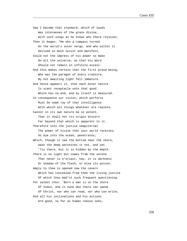Saw I become that standard, which of lauds Was interwoven of the grace divine, With such songs as he knows who there rejoices. Then it began: "He who a compass turned On the world's outer verge, and who within it Devised so much occult and manifest, Could not the impress of his power so make On all the universe, as that his Word Should not remain in infinite excess. And this makes certain that the first proud being, Who was the paragon of every creature, By not awaiting light fell immature. And hence appears it, that each minor nature Is scant receptacle unto that good Which has no end, and by itself is measured. In consequence our vision, which perforce Must be some ray of that intelligence With which all things whatever are replete, Cannot in its own nature be so potent, That it shall not its origin discern Far beyond that which is apparent to it. Therefore into the justice sempiternal The power of vision that your world receives, As eye into the ocean, penetrates; Which, though it see the bottom near the shore, Upon the deep perceives it not, and yet 'Tis there, but it is hidden by the depth. There is no light but comes from the serene That never is o'ercast, nay, it is darkness Or shadow of the flesh, or else its poison. Amply to thee is opened now the cavern Which has concealed from thee the living justice Of which thou mad'st such frequent questioning. For saidst thou: 'Born a man is on the shore Of Indus, and is none who there can speak Of Christ, nor who can read, nor who can write; And all his inclinations and his actions Are good, so far as human reason sees,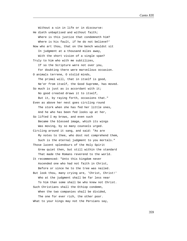Without a sin in life or in discourse: He dieth unbaptised and without faith; Where is this justice that condemneth him? Where is his fault, if he do not believe?' Now who art thou, that on the bench wouldst sit In judgment at a thousand miles away, With the short vision of a single span? Truly to him who with me subtilizes, If so the Scripture were not over you, For doubting there were marvellous occasion. O animals terrene, O stolid minds, The primal will, that in itself is good, Ne'er from itself, the Good Supreme, has moved. So much is just as is accordant with it; No good created draws it to itself, But it, by raying forth, occasions that." Even as above her nest goes circling round The stork when she has fed her little ones, And he who has been fed looks up at her, So lifted I my brows, and even such Became the blessed image, which its wings Was moving, by so many counsels urged. Circling around it sang, and said: "As are My notes to thee, who dost not comprehend them, Such is the eternal judgment to you mortals." Those lucent splendours of the Holy Spirit Grew quiet then, but still within the standard That made the Romans reverend to the world. It recommenced: "Unto this kingdom never Ascended one who had not faith in Christ, Before or since he to the tree was nailed. But look thou, many crying are, 'Christ, Christ!' Who at the judgment shall be far less near To him than some shall be who knew not Christ. Such Christians shall the Ethiop condemn, When the two companies shall be divided, The one for ever rich, the other poor. What to your kings may not the Persians say,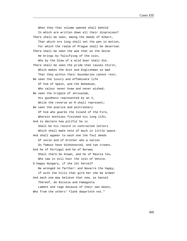When they that volume opened shall behold In which are written down all their dispraises? There shall be seen, among the deeds of Albert, That which ere long shall set the pen in motion, For which the realm of Prague shall be deserted. There shall be seen the woe that on the Seine He brings by falsifying of the coin, Who by the blow of a wild boar shall die. There shall be seen the pride that causes thirst, Which makes the Scot and Englishman so mad That they within their boundaries cannot rest; Be seen the luxury and effeminate life Of him of Spain, and the Bohemian, Who valour never knew and never wished; Be seen the Cripple of Jerusalem, His goodness represented by an I, While the reverse an M shall represent; Be seen the avarice and poltroonery Of him who guards the Island of the Fire, Wherein Anchises finished his long life; And to declare how pitiful he is Shall be his record in contracted letters Which shall make note of much in little space. And shall appear to each one the foul deeds Of uncle and of brother who a nation So famous have dishonoured, and two crowns. And he of Portugal and he of Norway Shall there be known, and he of Rascia too, Who saw in evil hour the coin of Venice. O happy Hungary, if she let herself Be wronged no farther! and Navarre the happy, If with the hills that gird her she be armed! And each one may believe that now, as hansel Thereof, do Nicosia and Famagosta Lament and rage because of their own beast, Who from the others' flank departeth not."

360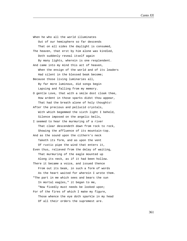When he who all the world illuminates Out of our hemisphere so far descends That on all sides the daylight is consumed, The heaven, that erst by him alone was kindled, Doth suddenly reveal itself again By many lights, wherein is one resplendent. And came into my mind this act of heaven, When the ensign of the world and of its leaders Had silent in the blessed beak become; Because those living luminaries all, By far more luminous, did songs begin Lapsing and falling from my memory. O gentle Love, that with a smile dost cloak thee, How ardent in those sparks didst thou appear, That had the breath alone of holy thoughts! After the precious and pellucid crystals, With which begemmed the sixth light I beheld, Silence imposed on the angelic bells, I seemed to hear the murmuring of a river That clear descendeth down from rock to rock, Showing the affluence of its mountain-top. And as the sound upon the cithern's neck Taketh its form, and as upon the vent Of rustic pipe the wind that enters it, Even thus, relieved from the delay of waiting, That murmuring of the eagle mounted up Along its neck, as if it had been hollow. There it became a voice, and issued thence From out its beak, in such a form of words As the heart waited for wherein I wrote them. "The part in me which sees and bears the sun In mortal eagles," it began to me, "Now fixedly must needs be looked upon; For of the fires of which I make my figure, Those whence the eye doth sparkle in my head Of all their orders the supremest are.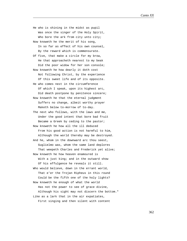He who is shining in the midst as pupil Was once the singer of the Holy Spirit, Who bore the ark from city unto city; Now knoweth he the merit of his song, In so far as effect of his own counsel, By the reward which is commensurate. Of five, that make a circle for my brow, He that approacheth nearest to my beak Did the poor widow for her son console; Now knoweth he how dearly it doth cost Not following Christ, by the experience Of this sweet life and of its opposite. He who comes next in the circumference Of which I speak, upon its highest arc, Did death postpone by penitence sincere; Now knoweth he that the eternal judgment Suffers no change, albeit worthy prayer Maketh below to-morrow of to-day. The next who follows, with the laws and me, Under the good intent that bore bad fruit Became a Greek by ceding to the pastor; Now knoweth he how all the ill deduced From his good action is not harmful to him, Although the world thereby may be destroyed. And he, whom in the downward arc thou seest, Guglielmo was, whom the same land deplores That weepeth Charles and Frederick yet alive; Now knoweth he how heaven enamoured is With a just king; and in the outward show Of his effulgence he reveals it still. Who would believe, down in the errant world, That e'er the Trojan Ripheus in this round Could be the fifth one of the holy lights? Now knoweth he enough of what the world Has not the power to see of grace divine, Although his sight may not discern the bottom." Like as a lark that in the air expatiates, First singing and then silent with content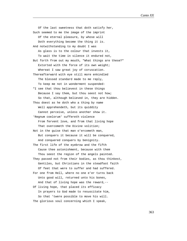Of the last sweetness that doth satisfy her, Such seemed to me the image of the imprint Of the eternal pleasure, by whose will Doth everything become the thing it is. And notwithstanding to my doubt I was As glass is to the colour that invests it, To wait the time in silence it endured not, But forth from out my mouth, "What things are these?" Extorted with the force of its own weight; Whereat I saw great joy of coruscation. Thereafterward with eye still more enkindled The blessed standard made to me reply, To keep me not in wonderment suspended: "I see that thou believest in these things Because I say them, but thou seest not how; So that, although believed in, they are hidden. Thou doest as he doth who a thing by name Well apprehendeth, but its quiddity Cannot perceive, unless another show it. 'Regnum coelorum' suffereth violence From fervent love, and from that living hope That overcometh the Divine volition; Not in the guise that man o'ercometh man, But conquers it because it will be conquered, And conquered conquers by benignity. The first life of the eyebrow and the fifth Cause thee astonishment, because with them Thou seest the region of the angels painted. They passed not from their bodies, as thou thinkest, Gentiles, but Christians in the steadfast faith Of feet that were to suffer and had suffered. For one from Hell, where no one e'er turns back Unto good will, returned unto his bones, And that of living hope was the reward,-- Of living hope, that placed its efficacy In prayers to God made to resuscitate him, So that 'twere possible to move his will. The glorious soul concerning which I speak,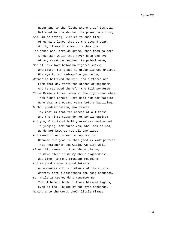Returning to the flesh, where brief its stay, Believed in Him who had the power to aid it; And, in believing, kindled to such fire Of genuine love, that at the second death Worthy it was to come unto this joy. The other one, through grace, that from so deep A fountain wells that never hath the eye Of any creature reached its primal wave, Set all his love below on righteousness; Wherefore from grace to grace did God unclose His eye to our redemption yet to be, Whence he believed therein, and suffered not From that day forth the stench of paganism, And he reproved therefor the folk perverse. Those Maidens three, whom at the right-hand wheel Thou didst behold, were unto him for baptism More than a thousand years before baptizing. O thou predestination, how remote Thy root is from the aspect of all those Who the First Cause do not behold entire! And you, O mortals! hold yourselves restrained In judging; for ourselves, who look on God, We do not know as yet all the elect; And sweet to us is such a deprivation, Because our good in this good is made perfect, That whatsoe'er God wills, we also will." After this manner by that shape divine, To make clear in me my short-sightedness, Was given to me a pleasant medicine; And as good singer a good lutanist Accompanies with vibrations of the chords, Whereby more pleasantness the song acquires, So, while it spake, do I remember me That I beheld both of those blessed lights, Even as the winking of the eyes concords, Moving unto the words their little flames.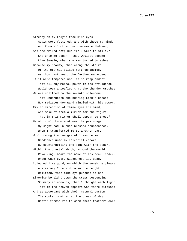Already on my Lady's face mine eyes Again were fastened, and with these my mind, And from all other purpose was withdrawn; And she smiled not; but "If I were to smile," She unto me began, "thou wouldst become Like Semele, when she was turned to ashes. Because my beauty, that along the stairs Of the eternal palace more enkindles, As thou hast seen, the farther we ascend, If it were tempered not, is so resplendent That all thy mortal power in its effulgence Would seem a leaflet that the thunder crushes. We are uplifted to the seventh splendour, That underneath the burning Lion's breast Now radiates downward mingled with his power. Fix in direction of thine eyes the mind, And make of them a mirror for the figure That in this mirror shall appear to thee." He who could know what was the pasturage My sight had in that blessed countenance, When I transferred me to another care, Would recognize how grateful was to me Obedience unto my celestial escort, By counterpoising one side with the other. Within the crystal which, around the world Revolving, bears the name of its dear leader, Under whom every wickedness lay dead, Coloured like gold, on which the sunshine gleams, A stairway I beheld to such a height Uplifted, that mine eye pursued it not. Likewise beheld I down the steps descending So many splendours, that I thought each light That in the heaven appears was there diffused. And as accordant with their natural custom The rooks together at the break of day Bestir themselves to warm their feathers cold;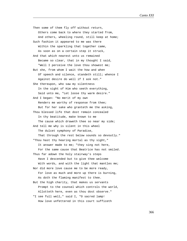Then some of them fly off without return, Others come back to where they started from, And others, wheeling round, still keep at home; Such fashion it appeared to me was there Within the sparkling that together came, As soon as on a certain step it struck, And that which nearest unto us remained Became so clear, that in my thought I said, "Well I perceive the love thou showest me; But she, from whom I wait the how and when Of speech and silence, standeth still; whence I Against desire do well if I ask not." She thereupon, who saw my silentness In the sight of Him who seeth everything, Said unto me, "Let loose thy warm desire." And I began: "No merit of my own Renders me worthy of response from thee; But for her sake who granteth me the asking, Thou blessed life that dost remain concealed In thy beatitude, make known to me The cause which draweth thee so near my side; And tell me why is silent in this wheel The dulcet symphony of Paradise, That through the rest below sounds so devoutly." "Thou hast thy hearing mortal as thy sight," It answer made to me; "they sing not here, For the same cause that Beatrice has not smiled. Thus far adown the holy stairway's steps Have I descended but to give thee welcome With words, and with the light that mantles me; Nor did more love cause me to be more ready, For love as much and more up there is burning, As doth the flaming manifest to thee. But the high charity, that makes us servants Prompt to the counsel which controls the world, Allotteth here, even as thou dost observe." "I see full well," said I, "O sacred lamp! How love unfettered in this court sufficeth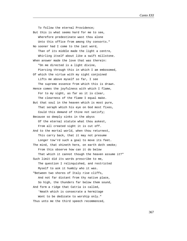To follow the eternal Providence; But this is what seems hard for me to see, Wherefore predestinate wast thou alone Unto this office from among thy consorts." No sooner had I come to the last word, Than of its middle made the light a centre, Whirling itself about like a swift millstone. When answer made the love that was therein: "On me directed is a light divine, Piercing through this in which I am embosomed, Of which the virtue with my sight conjoined Lifts me above myself so far, I see The supreme essence from which this is drawn. Hence comes the joyfulness with which I flame, For to my sight, as far as it is clear, The clearness of the flame I equal make. But that soul in the heaven which is most pure, That seraph which his eye on God most fixes, Could this demand of thine not satisfy; Because so deeply sinks in the abyss Of the eternal statute what thou askest, From all created sight it is cut off. And to the mortal world, when thou returnest, This carry back, that it may not presume Longer tow'rd such a goal to move its feet. The mind, that shineth here, on earth doth smoke; From this observe how can it do below That which it cannot though the heaven assume it?" Such limit did its words prescribe to me, The question I relinquished, and restricted Myself to ask it humbly who it was. "Between two shores of Italy rise cliffs, And not far distant from thy native place, So high, the thunders far below them sound, And form a ridge that Catria is called, 'Neath which is consecrate a hermitage Wont to be dedicate to worship only." Thus unto me the third speech recommenced,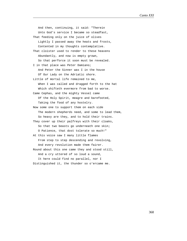And then, continuing, it said: "Therein Unto God's service I became so steadfast, That feeding only on the juice of olives Lightly I passed away the heats and frosts, Contented in my thoughts contemplative. That cloister used to render to these heavens Abundantly, and now is empty grown, So that perforce it soon must be revealed. I in that place was Peter Damiano; And Peter the Sinner was I in the house Of Our Lady on the Adriatic shore. Little of mortal life remained to me, When I was called and dragged forth to the hat Which shifteth evermore from bad to worse. Came Cephas, and the mighty Vessel came Of the Holy Spirit, meagre and barefooted, Taking the food of any hostelry. Now some one to support them on each side The modern shepherds need, and some to lead them, So heavy are they, and to hold their trains. They cover up their palfreys with their cloaks, So that two beasts go underneath one skin; O Patience, that dost tolerate so much!" At this voice saw I many little flames From step to step descending and revolving, And every revolution made them fairer. Round about this one came they and stood still, And a cry uttered of so loud a sound, It here could find no parallel, nor I Distinguished it, the thunder so o'ercame me.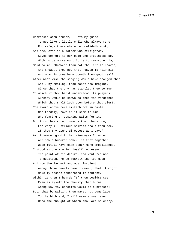Oppressed with stupor, I unto my guide Turned like a little child who always runs For refuge there where he confideth most; And she, even as a mother who straightway Gives comfort to her pale and breathless boy With voice whose wont it is to reassure him, Said to me: "Knowest thou not thou art in heaven, And knowest thou not that heaven is holy all And what is done here cometh from good zeal? After what wise the singing would have changed thee And I by smiling, thou canst now imagine, Since that the cry has startled thee so much, In which if thou hadst understood its prayers Already would be known to thee the vengeance Which thou shalt look upon before thou diest. The sword above here smiteth not in haste Nor tardily, howe'er it seem to him Who fearing or desiring waits for it. But turn thee round towards the others now, For very illustrious spirits shalt thou see, If thou thy sight directest as I say." As it seemed good to her mine eyes I turned, And saw a hundred spherules that together With mutual rays each other more embellished. I stood as one who in himself represses The point of his desire, and ventures not To question, he so feareth the too much. And now the largest and most luculent Among those pearls came forward, that it might Make my desire concerning it content. Within it then I heard: "If thou couldst see Even as myself the charity that burns Among us, thy conceits would be expressed; But, that by waiting thou mayst not come late To the high end, I will make answer even Unto the thought of which thou art so chary.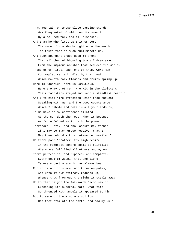That mountain on whose slope Cassino stands Was frequented of old upon its summit By a deluded folk and ill-disposed; And I am he who first up thither bore The name of Him who brought upon the earth The truth that so much sublimateth us. And such abundant grace upon me shone That all the neighbouring towns I drew away From the impious worship that seduced the world. These other fires, each one of them, were men Contemplative, enkindled by that heat Which maketh holy flowers and fruits spring up. Here is Macarius, here is Romualdus, Here are my brethren, who within the cloisters Their footsteps stayed and kept a steadfast heart." And I to him: "The affection which thou showest Speaking with me, and the good countenance Which I behold and note in all your ardours, In me have so my confidence dilated As the sun doth the rose, when it becomes As far unfolded as it hath the power. Therefore I pray, and thou assure me, father, If I may so much grace receive, that I May thee behold with countenance unveiled." He thereupon: "Brother, thy high desire In the remotest sphere shall be fulfilled, Where are fulfilled all others and my own. There perfect is, and ripened, and complete, Every desire; within that one alone Is every part where it has always been; For it is not in space, nor turns on poles, And unto it our stairway reaches up, Whence thus from out thy sight it steals away. Up to that height the Patriarch Jacob saw it Extending its supernal part, what time So thronged with angels it appeared to him. But to ascend it now no one uplifts His feet from off the earth, and now my Rule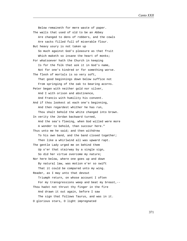Below remaineth for mere waste of paper. The walls that used of old to be an Abbey Are changed to dens of robbers, and the cowls Are sacks filled full of miserable flour. But heavy usury is not taken up So much against God's pleasure as that fruit Which maketh so insane the heart of monks; For whatsoever hath the Church in keeping Is for the folk that ask it in God's name, Not for one's kindred or for something worse. The flesh of mortals is so very soft, That good beginnings down below suffice not From springing of the oak to bearing acorns. Peter began with neither gold nor silver, And I with orison and abstinence, And Francis with humility his convent. And if thou lookest at each one's beginning, And then regardest whither he has run, Thou shalt behold the white changed into brown. In verity the Jordan backward turned, And the sea's fleeing, when God willed were more A wonder to behold, than succour here." Thus unto me he said; and then withdrew To his own band, and the band closed together; Then like a whirlwind all was upward rapt. The gentle Lady urged me on behind them Up o'er that stairway by a single sign, So did her virtue overcome my nature; Nor here below, where one goes up and down By natural law, was motion e'er so swift That it could be compared unto my wing. Reader, as I may unto that devout Triumph return, on whose account I often For my transgressions weep and beat my breast,-- Thou hadst not thrust thy finger in the fire And drawn it out again, before I saw The sign that follows Taurus, and was in it. O glorious stars, O light impregnated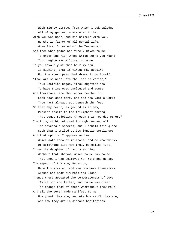With mighty virtue, from which I acknowledge All of my genius, whatsoe'er it be, With you was born, and hid himself with you, He who is father of all mortal life, When first I tasted of the Tuscan air; And then when grace was freely given to me To enter the high wheel which turns you round, Your region was allotted unto me. To you devoutly at this hour my soul Is sighing, that it virtue may acquire For the stern pass that draws it to itself. "Thou art so near unto the last salvation," Thus Beatrice began, "thou oughtest now To have thine eves unclouded and acute; And therefore, ere thou enter farther in, Look down once more, and see how vast a world Thou hast already put beneath thy feet; So that thy heart, as jocund as it may, Present itself to the triumphant throng That comes rejoicing through this rounded ether." I with my sight returned through one and all The sevenfold spheres, and I beheld this globe Such that I smiled at its ignoble semblance; And that opinion I approve as best Which doth account it least; and he who thinks Of something else may truly be called just. I saw the daughter of Latona shining Without that shadow, which to me was cause That once I had believed her rare and dense. The aspect of thy son, Hyperion, Here I sustained, and saw how move themselves Around and near him Maia and Dione. Thence there appeared the temperateness of Jove 'Twixt son and father, and to me was clear The change that of their whereabout they make; And all the seven made manifest to me How great they are, and eke how swift they are, And how they are in distant habitations.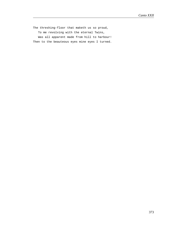The threshing-floor that maketh us so proud, To me revolving with the eternal Twins, Was all apparent made from hill to harbour! Then to the beauteous eyes mine eyes I turned.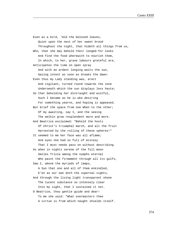Even as a bird, 'mid the beloved leaves, Quiet upon the nest of her sweet brood Throughout the night, that hideth all things from us, Who, that she may behold their longed-for looks And find the food wherewith to nourish them, In which, to her, grave labours grateful are, Anticipates the time on open spray And with an ardent longing waits the sun, Gazing intent as soon as breaks the dawn: Even thus my Lady standing was, erect And vigilant, turned round towards the zone Underneath which the sun displays less haste; So that beholding her distraught and wistful, Such I became as he is who desiring For something yearns, and hoping is appeased. But brief the space from one When to the other; Of my awaiting, say I, and the seeing The welkin grow resplendent more and more. And Beatrice exclaimed: "Behold the hosts Of Christ's triumphal march, and all the fruit Harvested by the rolling of these spheres!" It seemed to me her face was all aflame; And eyes she had so full of ecstasy That I must needs pass on without describing. As when in nights serene of the full moon Smiles Trivia among the nymphs eternal Who paint the firmament through all its gulfs, Saw I, above the myriads of lamps, A Sun that one and all of them enkindled, E'en as our own doth the supernal sights, And through the living light transparent shone The lucent substance so intensely clear Into my sight, that I sustained it not. O Beatrice, thou gentle guide and dear! To me she said: "What overmasters thee A virtue is from which naught shields itself.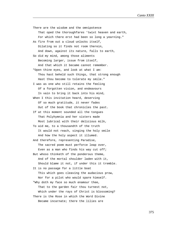There are the wisdom and the omnipotence That oped the thoroughfares 'twixt heaven and earth, For which there erst had been so long a yearning." As fire from out a cloud unlocks itself, Dilating so it finds not room therein, And down, against its nature, falls to earth, So did my mind, among those aliments Becoming larger, issue from itself, And that which it became cannot remember. "Open thine eyes, and look at what I am: Thou hast beheld such things, that strong enough Hast thou become to tolerate my smile." I was as one who still retains the feeling Of a forgotten vision, and endeavours In vain to bring it back into his mind, When I this invitation heard, deserving Of so much gratitude, it never fades Out of the book that chronicles the past. If at this moment sounded all the tongues That Polyhymnia and her sisters made Most lubrical with their delicious milk, To aid me, to a thousandth of the truth It would not reach, singing the holy smile And how the holy aspect it illumed. And therefore, representing Paradise, The sacred poem must perforce leap over, Even as a man who finds his way cut off; But whoso thinketh of the ponderous theme, And of the mortal shoulder laden with it, Should blame it not, if under this it tremble. It is no passage for a little boat This which goes cleaving the audacious prow, Nor for a pilot who would spare himself. "Why doth my face so much enamour thee, That to the garden fair thou turnest not, Which under the rays of Christ is blossoming? There is the Rose in which the Word Divine Became incarnate; there the lilies are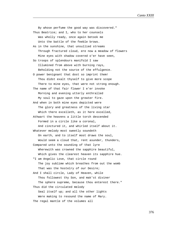By whose perfume the good way was discovered." Thus Beatrice; and I, who to her counsels Was wholly ready, once again betook me Unto the battle of the feeble brows. As in the sunshine, that unsullied streams Through fractured cloud, ere now a meadow of flowers Mine eyes with shadow covered o'er have seen, So troops of splendours manifold I saw Illumined from above with burning rays, Beholding not the source of the effulgence. O power benignant that dost so imprint them! Thou didst exalt thyself to give more scope There to mine eyes, that were not strong enough. The name of that fair flower I e'er invoke Morning and evening utterly enthralled My soul to gaze upon the greater fire. And when in both mine eyes depicted were The glory and greatness of the living star Which there excelleth, as it here excelled, Athwart the heavens a little torch descended Formed in a circle like a coronal, And cinctured it, and whirled itself about it. Whatever melody most sweetly soundeth On earth, and to itself most draws the soul, Would seem a cloud that, rent asunder, thunders, Compared unto the sounding of that lyre Wherewith was crowned the sapphire beautiful, Which gives the clearest heaven its sapphire hue. "I am Angelic Love, that circle round The joy sublime which breathes from out the womb That was the hostelry of our Desire; And I shall circle, Lady of Heaven, while Thou followest thy Son, and mak'st diviner The sphere supreme, because thou enterest there." Thus did the circulated melody Seal itself up; and all the other lights Were making to resound the name of Mary. The regal mantle of the volumes all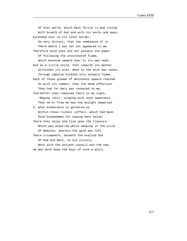Of that world, which most fervid is and living With breath of God and with his works and ways, Extended over us its inner border, So very distant, that the semblance of it There where I was not yet appeared to me. Therefore mine eyes did not possess the power Of following the incoronated flame, Which mounted upward near to its own seed. And as a little child, that towards its mother Stretches its arms, when it the milk has taken, Through impulse kindled into outward flame, Each of those gleams of whiteness upward reached So with its summit, that the deep affection They had for Mary was revealed to me. Thereafter they remained there in my sight, 'Regina coeli' singing with such sweetness, That ne'er from me has the delight departed. O, what exuberance is garnered up Within those richest coffers, which had been Good husbandmen for sowing here below! There they enjoy and live upon the treasure Which was acquired while weeping in the exile Of Babylon, wherein the gold was left. There triumpheth, beneath the exalted Son Of God and Mary, in his victory, Both with the ancient council and the new,

He who doth keep the keys of such a glory.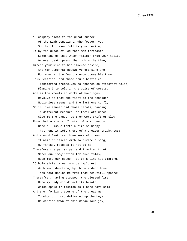"O company elect to the great supper Of the Lamb benedight, who feedeth you So that for ever full is your desire, If by the grace of God this man foretaste Something of that which falleth from your table, Or ever death prescribe to him the time, Direct your mind to his immense desire, And him somewhat bedew; ye drinking are For ever at the fount whence comes his thought." Thus Beatrice; and those souls beatified Transformed themselves to spheres on steadfast poles, Flaming intensely in the guise of comets. And as the wheels in works of horologes Revolve so that the first to the beholder Motionless seems, and the last one to fly, So in like manner did those carols, dancing In different measure, of their affluence Give me the gauge, as they were swift or slow. From that one which I noted of most beauty Beheld I issue forth a fire so happy That none it left there of a greater brightness; And around Beatrice three several times It whirled itself with so divine a song, My fantasy repeats it not to me; Therefore the pen skips, and I write it not, Since our imagination for such folds, Much more our speech, is of a tint too glaring. "O holy sister mine, who us implorest With such devotion, by thine ardent love Thou dost unbind me from that beautiful sphere!" Thereafter, having stopped, the blessed fire Unto my Lady did direct its breath, Which spake in fashion as I here have said. And she: "O light eterne of the great man To whom our Lord delivered up the keys He carried down of this miraculous joy,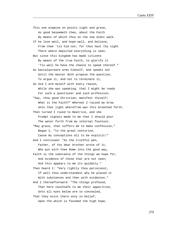This one examine on points light and grave, As good beseemeth thee, about the Faith By means of which thou on the sea didst walk. If he love well, and hope well, and believe, From thee 'tis hid not; for thou hast thy sight There where depicted everything is seen. But since this kingdom has made citizens By means of the true Faith, to glorify it 'Tis well he have the chance to speak thereof." As baccalaureate arms himself, and speaks not Until the master doth propose the question, To argue it, and not to terminate it, So did I arm myself with every reason, While she was speaking, that I might be ready For such a questioner and such profession. "Say, thou good Christian; manifest thyself; What is the Faith?" Whereat I raised my brow Unto that light wherefrom was this breathed forth. Then turned I round to Beatrice, and she Prompt signals made to me that I should pour The water forth from my internal fountain. "May grace, that suffers me to make confession," Began I, "to the great centurion, Cause my conceptions all to be explicit!" And I continued: "As the truthful pen, Father, of thy dear brother wrote of it, Who put with thee Rome into the good way, Faith is the substance of the things we hope for, And evidence of those that are not seen; And this appears to me its quiddity." Then heard I: "Very rightly thou perceivest, If well thou understandest why he placed it With substances and then with evidences." And I thereafterward: "The things profound, That here vouchsafe to me their apparition, Unto all eyes below are so concealed, That they exist there only in belief, Upon the which is founded the high hope,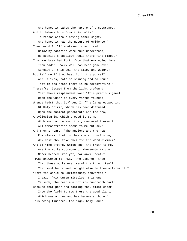And hence it takes the nature of a substance. And it behoveth us from this belief To reason without having other sight, And hence it has the nature of evidence." Then heard I: "If whatever is acquired Below by doctrine were thus understood, No sophist's subtlety would there find place." Thus was breathed forth from that enkindled love; Then added: "Very well has been gone over Already of this coin the alloy and weight; But tell me if thou hast it in thy purse?" And I: "Yes, both so shining and so round That in its stamp there is no peradventure." Thereafter issued from the light profound That there resplendent was: "This precious jewel, Upon the which is every virtue founded, Whence hadst thou it?" And I: "The large outpouring Of Holy Spirit, which has been diffused Upon the ancient parchments and the new, A syllogism is, which proved it to me With such acuteness, that, compared therewith, All demonstration seems to me obtuse." And then I heard: "The ancient and the new Postulates, that to thee are so conclusive, Why dost thou take them for the word divine?" And I: "The proofs, which show the truth to me, Are the works subsequent, whereunto Nature Ne'er heated iron yet, nor anvil beat." 'Twas answered me: "Say, who assureth thee That those works ever were? the thing itself That must be proved, nought else to thee affirms it." "Were the world to Christianity converted," I said, "withouten miracles, this one Is such, the rest are not its hundredth part; Because that poor and fasting thou didst enter Into the field to sow there the good plant, Which was a vine and has become a thorn!" This being finished, the high, holy Court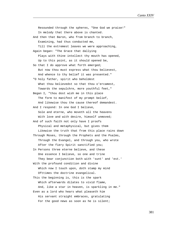Resounded through the spheres, "One God we praise!" In melody that there above is chanted. And then that Baron, who from branch to branch, Examining, had thus conducted me, Till the extremest leaves we were approaching, Again began: "The Grace that dallying Plays with thine intellect thy mouth has opened, Up to this point, as it should opened be, So that I do approve what forth emerged; But now thou must express what thou believest, And whence to thy belief it was presented." "O holy father, spirit who beholdest What thou believedst so that thou o'ercamest, Towards the sepulchre, more youthful feet," Began I, "thou dost wish me in this place The form to manifest of my prompt belief, And likewise thou the cause thereof demandest. And I respond: In one God I believe, Sole and eterne, who moveth all the heavens With love and with desire, himself unmoved; And of such faith not only have I proofs Physical and metaphysical, but gives them Likewise the truth that from this place rains down Through Moses, through the Prophets and the Psalms, Through the Evangel, and through you, who wrote After the fiery Spirit sanctified you; In Persons three eterne believe, and these One essence I believe, so one and trine They bear conjunction both with 'sunt' and 'est.' With the profound condition and divine Which now I touch upon, doth stamp my mind Ofttimes the doctrine evangelical. This the beginning is, this is the spark Which afterwards dilates to vivid flame, And, like a star in heaven, is sparkling in me." Even as a lord who hears what pleaseth him His servant straight embraces, gratulating For the good news as soon as he is silent;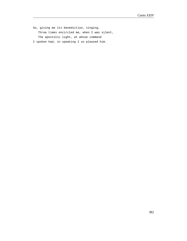So, giving me its benediction, singing, Three times encircled me, when I was silent, The apostolic light, at whose command I spoken had, in speaking I so pleased him.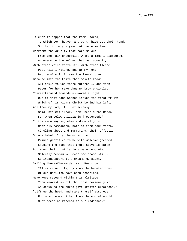If e'er it happen that the Poem Sacred, To which both heaven and earth have set their hand, So that it many a year hath made me lean, O'ercome the cruelty that bars me out From the fair sheepfold, where a lamb I slumbered, An enemy to the wolves that war upon it, With other voice forthwith, with other fleece Poet will I return, and at my font Baptismal will I take the laurel crown; Because into the Faith that maketh known All souls to God there entered I, and then Peter for her sake thus my brow encircled. Thereafterward towards us moved a light Out of that band whence issued the first-fruits Which of his vicars Christ behind him left, And then my Lady, full of ecstasy, Said unto me: "Look, look! behold the Baron For whom below Galicia is frequented." In the same way as, when a dove alights Near his companion, both of them pour forth, Circling about and murmuring, their affection, So one beheld I by the other grand Prince glorified to be with welcome greeted, Lauding the food that there above is eaten. But when their gratulations were complete, Silently 'coram me' each one stood still, So incandescent it o'ercame my sight. Smiling thereafterwards, said Beatrice: "Illustrious life, by whom the benefactions Of our Basilica have been described, Make Hope resound within this altitude; Thou knowest as oft thou dost personify it As Jesus to the three gave greater clearness."-- "Lift up thy head, and make thyself assured; For what comes hither from the mortal world Must needs be ripened in our radiance."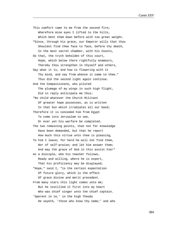This comfort came to me from the second fire; Wherefore mine eyes I lifted to the hills, Which bent them down before with too great weight. "Since, through his grace, our Emperor wills that thou Shouldst find thee face to face, before thy death, In the most secret chamber, with his Counts, So that, the truth beholden of this court, Hope, which below there rightfully enamours, Thereby thou strengthen in thyself and others, Say what it is, and how is flowering with it Thy mind, and say from whence it came to thee." Thus did the second light again continue. And the Compassionate, who piloted The plumage of my wings in such high flight, Did in reply anticipate me thus: "No child whatever the Church Militant Of greater hope possesses, as is written In that Sun which irradiates all our band; Therefore it is conceded him from Egypt To come into Jerusalem to see, Or ever yet his warfare be completed. The two remaining points, that not for knowledge Have been demanded, but that he report How much this virtue unto thee is pleasing, To him I leave; for hard he will not find them, Nor of self-praise; and let him answer them; And may the grace of God in this assist him!" As a disciple, who his teacher follows, Ready and willing, where he is expert, That his proficiency may be displayed, "Hope," said I, "is the certain expectation Of future glory, which is the effect Of grace divine and merit precedent. From many stars this light comes unto me; But he instilled it first into my heart Who was chief singer unto the chief captain. 'Sperent in te,' in the high Theody He sayeth, 'those who know thy name;' and who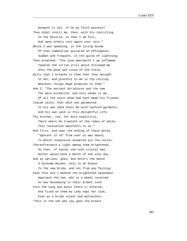Knoweth it not, if he my faith possess? Thou didst instil me, then, with his instilling In the Epistle, so that I am full, And upon others rain again your rain." While I was speaking, in the living bosom Of that combustion quivered an effulgence, Sudden and frequent, in the guise of lightning; Then breathed: "The love wherewith I am inflamed Towards the virtue still which followed me Unto the palm and issue of the field, Wills that I breathe to thee that thou delight In her; and grateful to me is thy telling Whatever things Hope promises to thee." And I: "The ancient Scriptures and the new The mark establish, and this shows it me, Of all the souls whom God hath made his friends. Isaiah saith, that each one garmented In his own land shall be with twofold garments, And his own land is this delightful life. Thy brother, too, far more explicitly, There where he treateth of the robes of white, This revelation manifests to us." And first, and near the ending of these words, "Sperent in te" from over us was heard, To which responsive answered all the carols. Thereafterward a light among them brightened, So that, if Cancer one such crystal had, Winter would have a month of one sole day. And as uprises, goes, and enters the dance A winsome maiden, only to do honour To the new bride, and not from any failing, Even thus did I behold the brightened splendour Approach the two, who in a wheel revolved As was beseeming to their ardent love. Into the song and music there it entered; And fixed on them my Lady kept her look, Even as a bride silent and motionless. "This is the one who lay upon the breast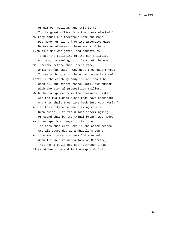Of him our Pelican; and this is he To the great office from the cross elected." My Lady thus; but therefore none the more Did move her sight from its attentive gaze Before or afterward these words of hers. Even as a man who gazes, and endeavours To see the eclipsing of the sun a little, And who, by seeing, sightless doth become, So I became before that latest fire, While it was said, "Why dost thou daze thyself To see a thing which here hath no existence? Earth in the earth my body is, and shall be With all the others there, until our number With the eternal proposition tallies. With the two garments in the blessed cloister Are the two lights alone that have ascended: And this shalt thou take back into your world." And at this utterance the flaming circle Grew quiet, with the dulcet intermingling Of sound that by the trinal breath was made, As to escape from danger or fatigue The oars that erst were in the water beaten Are all suspended at a whistle's sound. Ah, how much in my mind was I disturbed, When I turned round to look on Beatrice,

That her I could not see, although I was

Close at her side and in the Happy World!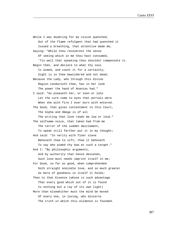While I was doubting for my vision quenched, Out of the flame refulgent that had quenched it Issued a breathing, that attentive made me, Saying: "While thou recoverest the sense Of seeing which in me thou hast consumed, 'Tis well that speaking thou shouldst compensate it. Begin then, and declare to what thy soul Is aimed, and count it for a certainty, Sight is in thee bewildered and not dead; Because the Lady, who through this divine Region conducteth thee, has in her look The power the hand of Ananias had." I said: "As pleaseth her, or soon or late Let the cure come to eyes that portals were When she with fire I ever burn with entered. The Good, that gives contentment to this Court, The Alpha and Omega is of all The writing that love reads me low or loud." The selfsame voice, that taken had from me The terror of the sudden dazzlement, To speak still farther put it in my thought; And said: "In verity with finer sieve Behoveth thee to sift; thee it behoveth To say who aimed thy bow at such a target." And I: "By philosophic arguments, And by authority that hence descends, Such love must needs imprint itself in me; For Good, so far as good, when comprehended Doth straight enkindle love, and so much greater As more of goodness in itself it holds; Then to that Essence (whose is such advantage That every good which out of it is found Is nothing but a ray of its own light) More than elsewhither must the mind be moved Of every one, in loving, who discerns The truth in which this evidence is founded.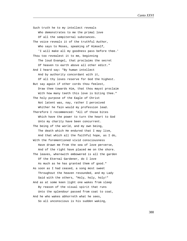Such truth he to my intellect reveals Who demonstrates to me the primal love Of all the sempiternal substances. The voice reveals it of the truthful Author, Who says to Moses, speaking of Himself, 'I will make all my goodness pass before thee.' Thou too revealest it to me, beginning The loud Evangel, that proclaims the secret Of heaven to earth above all other edict." And I heard say: "By human intellect And by authority concordant with it, Of all thy loves reserve for God the highest. But say again if other cords thou feelest, Draw thee towards Him, that thou mayst proclaim With how many teeth this love is biting thee." The holy purpose of the Eagle of Christ Not latent was, nay, rather I perceived Whither he fain would my profession lead. Therefore I recommenced: "All of those bites Which have the power to turn the heart to God Unto my charity have been concurrent. The being of the world, and my own being, The death which He endured that I may live, And that which all the faithful hope, as I do, With the forementioned vivid consciousness Have drawn me from the sea of love perverse, And of the right have placed me on the shore. The leaves, wherewith embowered is all the garden Of the Eternal Gardener, do I love As much as he has granted them of good." As soon as I had ceased, a song most sweet Throughout the heaven resounded, and my Lady Said with the others, "Holy, holy, holy!" And as at some keen light one wakes from sleep By reason of the visual spirit that runs Unto the splendour passed from coat to coat, And he who wakes abhorreth what he sees, So all unconscious is his sudden waking,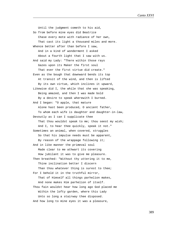Until the judgment cometh to his aid, So from before mine eyes did Beatrice Chase every mote with radiance of her own, That cast its light a thousand miles and more. Whence better after than before I saw, And in a kind of wonderment I asked About a fourth light that I saw with us. And said my Lady: "There within those rays Gazes upon its Maker the first soul That ever the first virtue did create." Even as the bough that downward bends its top At transit of the wind, and then is lifted By its own virtue, which inclines it upward, Likewise did I, the while that she was speaking, Being amazed, and then I was made bold By a desire to speak wherewith I burned. And I began: "O apple, that mature Alone hast been produced, O ancient father, To whom each wife is daughter and daughter-in-law, Devoutly as I can I supplicate thee That thou wouldst speak to me; thou seest my wish; And I, to hear thee quickly, speak it not." Sometimes an animal, when covered, struggles So that his impulse needs must be apparent, By reason of the wrappage following it; And in like manner the primeval soul Made clear to me athwart its covering How jubilant it was to give me pleasure. Then breathed: "Without thy uttering it to me, Thine inclination better I discern Than thou whatever thing is surest to thee; For I behold it in the truthful mirror, That of Himself all things parhelion makes, And none makes Him parhelion of itself. Thou fain wouldst hear how long ago God placed me Within the lofty garden, where this Lady Unto so long a stairway thee disposed. And how long to mine eyes it was a pleasure,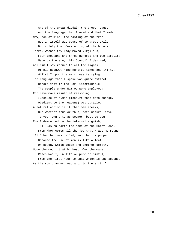And of the great disdain the proper cause, And the language that I used and that I made. Now, son of mine, the tasting of the tree Not in itself was cause of so great exile, But solely the o'erstepping of the bounds. There, whence thy Lady moved Virgilius, Four thousand and three hundred and two circuits Made by the sun, this Council I desired; And him I saw return to all the lights Of his highway nine hundred times and thirty, Whilst I upon the earth was tarrying. The language that I spake was quite extinct Before that in the work interminable The people under Nimrod were employed; For nevermore result of reasoning (Because of human pleasure that doth change, Obedient to the heavens) was durable. A natural action is it that man speaks; But whether thus or thus, doth nature leave To your own art, as seemeth best to you. Ere I descended to the infernal anguish, 'El' was on earth the name of the Chief Good, From whom comes all the joy that wraps me round 'Eli' he then was called, and that is proper, Because the use of men is like a leaf On bough, which goeth and another cometh. Upon the mount that highest o'er the wave Rises was I, in life or pure or sinful, From the first hour to that which is the second, As the sun changes quadrant, to the sixth."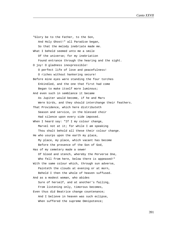"Glory be to the Father, to the Son, And Holy Ghost!" all Paradise began, So that the melody inebriate made me. What I beheld seemed unto me a smile Of the universe; for my inebriation Found entrance through the hearing and the sight. O joy! O gladness inexpressible! O perfect life of love and peacefulness! O riches without hankering secure! Before mine eyes were standing the four torches Enkindled, and the one that first had come Began to make itself more luminous; And even such in semblance it became As Jupiter would become, if he and Mars Were birds, and they should interchange their feathers. That Providence, which here distributeth Season and service, in the blessed choir Had silence upon every side imposed. When I heard say: "If I my colour change, Marvel not at it; for while I am speaking Thou shalt behold all these their colour change. He who usurps upon the earth my place, My place, my place, which vacant has become Before the presence of the Son of God, Has of my cemetery made a sewer Of blood and stench, whereby the Perverse One, Who fell from here, below there is appeased!" With the same colour which, through sun adverse, Painteth the clouds at evening or at morn, Beheld I then the whole of heaven suffused. And as a modest woman, who abides Sure of herself, and at another's failing, From listening only, timorous becomes, Even thus did Beatrice change countenance; And I believe in heaven was such eclipse, When suffered the supreme Omnipotence;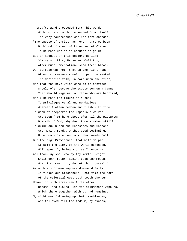Thereafterward proceeded forth his words With voice so much transmuted from itself, The very countenance was not more changed. "The spouse of Christ has never nurtured been On blood of mine, of Linus and of Cletus, To be made use of in acquest of gold; But in acquest of this delightful life Sixtus and Pius, Urban and Calixtus, After much lamentation, shed their blood. Our purpose was not, that on the right hand Of our successors should in part be seated The Christian folk, in part upon the other; Nor that the keys which were to me confided Should e'er become the escutcheon on a banner, That should wage war on those who are baptized; Nor I be made the figure of a seal To privileges venal and mendacious, Whereat I often redden and flash with fire. In garb of shepherds the rapacious wolves Are seen from here above o'er all the pastures! O wrath of God, why dost thou slumber still? To drink our blood the Caorsines and Gascons Are making ready. O thou good beginning, Unto how vile an end must thou needs fall! But the high Providence, that with Scipio At Rome the glory of the world defended, Will speedily bring aid, as I conceive; And thou, my son, who by thy mortal weight Shalt down return again, open thy mouth; What I conceal not, do not thou conceal." As with its frozen vapours downward falls In flakes our atmosphere, what time the horn Of the celestial Goat doth touch the sun, Upward in such array saw I the ether Become, and flaked with the triumphant vapours, Which there together with us had remained. My sight was following up their semblances, And followed till the medium, by excess,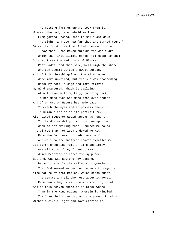The passing farther onward took from it; Whereat the Lady, who beheld me freed From gazing upward, said to me: "Cast down Thy sight, and see how far thou art turned round." Since the first time that I had downward looked, I saw that I had moved through the whole arc Which the first climate makes from midst to end; So that I saw the mad track of Ulysses Past Gades, and this side, well nigh the shore Whereon became Europa a sweet burden. And of this threshing-floor the site to me Were more unveiled, but the sun was proceeding Under my feet, a sign and more removed. My mind enamoured, which is dallying At all times with my Lady, to bring back To her mine eyes was more than ever ardent. And if or Art or Nature has made bait To catch the eyes and so possess the mind, In human flesh or in its portraiture, All joined together would appear as nought To the divine delight which shone upon me When to her smiling face I turned me round. The virtue that her look endowed me with From the fair nest of Leda tore me forth, And up into the swiftest heaven impelled me. Its parts exceeding full of life and lofty Are all so uniform, I cannot say Which Beatrice selected for my place. But she, who was aware of my desire, Began, the while she smiled so joyously That God seemed in her countenance to rejoice: "The nature of that motion, which keeps quiet The centre and all the rest about it moves, From hence begins as from its starting point. And in this heaven there is no other Where Than in the Mind Divine, wherein is kindled The love that turns it, and the power it rains. Within a circle light and love embrace it,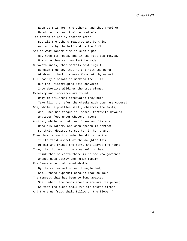Even as this doth the others, and that precinct He who encircles it alone controls. Its motion is not by another meted, But all the others measured are by this, As ten is by the half and by the fifth. And in what manner time in such a pot May have its roots, and in the rest its leaves, Now unto thee can manifest be made. O Covetousness, that mortals dost ingulf Beneath thee so, that no one hath the power Of drawing back his eyes from out thy waves! Full fairly blossoms in mankind the will; But the uninterrupted rain converts Into abortive wildings the true plums. Fidelity and innocence are found Only in children; afterwards they both Take flight or e'er the cheeks with down are covered. One, while he prattles still, observes the fasts, Who, when his tongue is loosed, forthwith devours Whatever food under whatever moon; Another, while he prattles, loves and listens Unto his mother, who when speech is perfect Forthwith desires to see her in her grave. Even thus is swarthy made the skin so white In its first aspect of the daughter fair Of him who brings the morn, and leaves the night. Thou, that it may not be a marvel to thee, Think that on earth there is no one who governs; Whence goes astray the human family. Ere January be unwintered wholly By the centesimal on earth neglected, Shall these supernal circles roar so loud The tempest that has been so long awaited Shall whirl the poops about where are the prows; So that the fleet shall run its course direct, And the true fruit shall follow on the flower."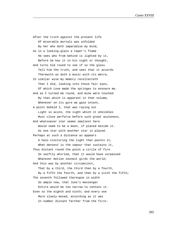After the truth against the present life Of miserable mortals was unfolded By her who doth imparadise my mind, As in a looking-glass a taper's flame He sees who from behind is lighted by it, Before he has it in his sight or thought, And turns him round to see if so the glass Tell him the truth, and sees that it accords Therewith as doth a music with its metre, In similar wise my memory recollecteth That I did, looking into those fair eyes, Of which Love made the springes to ensnare me. And as I turned me round, and mine were touched By that which is apparent in that volume, Whenever on its gyre we gaze intent, A point beheld I, that was raying out Light so acute, the sight which it enkindles Must close perforce before such great acuteness. And whatsoever star seems smallest here Would seem to be a moon, if placed beside it. As one star with another star is placed. Perhaps at such a distance as appears A halo cincturing the light that paints it, When densest is the vapour that sustains it, Thus distant round the point a circle of fire So swiftly whirled, that it would have surpassed Whatever motion soonest girds the world; And this was by another circumcinct, That by a third, the third then by a fourth, By a fifth the fourth, and then by a sixth the fifth; The seventh followed thereupon in width So ample now, that Juno's messenger Entire would be too narrow to contain it. Even so the eighth and ninth; and every one More slowly moved, according as it was In number distant farther from the first.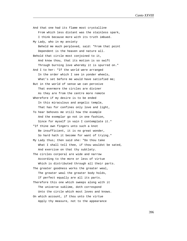And that one had its flame most crystalline From which less distant was the stainless spark, I think because more with its truth imbued. My Lady, who in my anxiety Beheld me much perplexed, said: "From that point Dependent is the heaven and nature all. Behold that circle most conjoined to it, And know thou, that its motion is so swift Through burning love whereby it is spurred on." And I to her: "If the world were arranged In the order which I see in yonder wheels, What's set before me would have satisfied me; But in the world of sense we can perceive That evermore the circles are diviner As they are from the centre more remote Wherefore if my desire is to be ended In this miraculous and angelic temple, That has for confines only love and light, To hear behoves me still how the example And the exemplar go not in one fashion, Since for myself in vain I contemplate it." "If thine own fingers unto such a knot Be insufficient, it is no great wonder, So hard hath it become for want of trying." My Lady thus; then said she: "Do thou take What I shall tell thee, if thou wouldst be sated, And exercise on that thy subtlety. The circles corporal are wide and narrow According to the more or less of virtue Which is distributed through all their parts. The greater goodness works the greater weal, The greater weal the greater body holds, If perfect equally are all its parts. Therefore this one which sweeps along with it The universe sublime, doth correspond Unto the circle which most loves and knows. On which account, if thou unto the virtue Apply thy measure, not to the appearance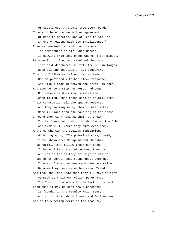Of substances that unto thee seem round, Thou wilt behold a marvellous agreement, Of more to greater, and of less to smaller, In every heaven, with its Intelligence." Even as remaineth splendid and serene The hemisphere of air, when Boreas Is blowing from that cheek where he is mildest, Because is purified and resolved the rack That erst disturbed it, till the welkin laughs With all the beauties of its pageantry; Thus did I likewise, after that my Lady Had me provided with her clear response, And like a star in heaven the truth was seen. And soon as to a stop her words had come, Not otherwise does iron scintillate When molten, than those circles scintillated. Their coruscation all the sparks repeated, And they so many were, their number makes More millions than the doubling of the chess. I heard them sing hosanna choir by choir To the fixed point which holds them at the 'Ubi,' And ever will, where they have ever been. And she, who saw the dubious meditations Within my mind, "The primal circles," said, "Have shown thee Seraphim and Cherubim. Thus rapidly they follow their own bonds, To be as like the point as most they can, And can as far as they are high in vision. Those other Loves, that round about them go, Thrones of the countenance divine are called, Because they terminate the primal Triad. And thou shouldst know that they all have delight As much as their own vision penetrates The Truth, in which all intellect finds rest. From this it may be seen how blessedness Is founded in the faculty which sees, And not in that which loves, and follows next; And of this seeing merit is the measure,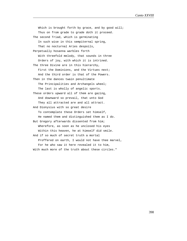Which is brought forth by grace, and by good will; Thus on from grade to grade doth it proceed. The second Triad, which is germinating In such wise in this sempiternal spring, That no nocturnal Aries despoils, Perpetually hosanna warbles forth With threefold melody, that sounds in three Orders of joy, with which it is intrined. The three Divine are in this hierarchy, First the Dominions, and the Virtues next; And the third order is that of the Powers. Then in the dances twain penultimate The Principalities and Archangels wheel; The last is wholly of angelic sports. These orders upward all of them are gazing, And downward so prevail, that unto God They all attracted are and all attract. And Dionysius with so great desire To contemplate these Orders set himself, He named them and distinguished them as I do. But Gregory afterwards dissented from him; Wherefore, as soon as he unclosed his eyes Within this heaven, he at himself did smile. And if so much of secret truth a mortal Proffered on earth, I would not have thee marvel, For he who saw it here revealed it to him, With much more of the truth about these circles."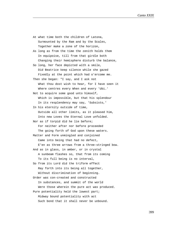At what time both the children of Latona, Surmounted by the Ram and by the Scales, Together make a zone of the horizon, As long as from the time the zenith holds them In equipoise, till from that girdle both Changing their hemisphere disturb the balance, So long, her face depicted with a smile, Did Beatrice keep silence while she gazed Fixedly at the point which had o'ercome me. Then she began: "I say, and I ask not What thou dost wish to hear, for I have seen it Where centres every When and every 'Ubi.' Not to acquire some good unto himself, Which is impossible, but that his splendour In its resplendency may say, 'Subsisto,' In his eternity outside of time, Outside all other limits, as it pleased him, Into new Loves the Eternal Love unfolded. Nor as if torpid did he lie before; For neither after nor before proceeded The going forth of God upon these waters. Matter and Form unmingled and conjoined Came into being that had no defect, E'en as three arrows from a three-stringed bow. And as in glass, in amber, or in crystal A sunbeam flashes so, that from its coming To its full being is no interval, So from its Lord did the triform effect Ray forth into its being all together, Without discrimination of beginning. Order was con-created and constructed In substances, and summit of the world Were those wherein the pure act was produced. Pure potentiality held the lowest part; Midway bound potentiality with act Such bond that it shall never be unbound.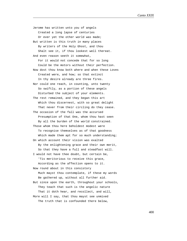*Canto XXIX*

Jerome has written unto you of angels Created a long lapse of centuries Or ever yet the other world was made; But written is this truth in many places By writers of the Holy Ghost, and thou Shalt see it, if thou lookest well thereat. And even reason seeth it somewhat, For it would not concede that for so long Could be the motors without their perfection. Now dost thou know both where and when these Loves Created were, and how; so that extinct In thy desire already are three fires. Nor could one reach, in counting, unto twenty So swiftly, as a portion of these angels Disturbed the subject of your elements. The rest remained, and they began this art Which thou discernest, with so great delight That never from their circling do they cease. The occasion of the fall was the accursed Presumption of that One, whom thou hast seen By all the burden of the world constrained. Those whom thou here beholdest modest were To recognise themselves as of that goodness Which made them apt for so much understanding; On which account their vision was exalted By the enlightening grace and their own merit, So that they have a full and steadfast will. I would not have thee doubt, but certain be, 'Tis meritorious to receive this grace, According as the affection opens to it. Now round about in this consistory Much mayst thou contemplate, if these my words Be gathered up, without all further aid. But since upon the earth, throughout your schools, They teach that such is the angelic nature That it doth hear, and recollect, and will, More will I say, that thou mayst see unmixed The truth that is confounded there below,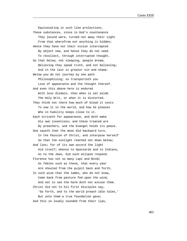Equivocating in such like prelections. These substances, since in God's countenance They jocund were, turned not away their sight From that wherefrom not anything is hidden; Hence they have not their vision intercepted By object new, and hence they do not need To recollect, through interrupted thought. So that below, not sleeping, people dream, Believing they speak truth, and not believing; And in the last is greater sin and shame. Below you do not journey by one path Philosophising; so transporteth you Love of appearance and the thought thereof. And even this above here is endured With less disdain, than when is set aside The Holy Writ, or when it is distorted. They think not there how much of blood it costs To sow it in the world, and how he pleases Who in humility keeps close to it. Each striveth for appearance, and doth make His own inventions; and these treated are By preachers, and the Evangel holds its peace. One sayeth that the moon did backward turn, In the Passion of Christ, and interpose herself So that the sunlight reached not down below; And lies; for of its own accord the light Hid itself; whence to Spaniards and to Indians, As to the Jews, did such eclipse respond. Florence has not so many Lapi and Bindi As fables such as these, that every year Are shouted from the pulpit back and forth, In such wise that the lambs, who do not know, Come back from pasture fed upon the wind, And not to see the harm doth not excuse them. Christ did not to his first disciples say, 'Go forth, and to the world preach idle tales,' But unto them a true foundation gave; And this so loudly sounded from their lips,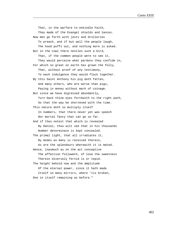That, in the warfare to enkindle Faith, They made of the Evangel shields and lances. Now men go forth with jests and drolleries To preach, and if but well the people laugh, The hood puffs out, and nothing more is asked. But in the cowl there nestles such a bird, That, if the common people were to see it, They would perceive what pardons they confide in, For which so great on earth has grown the folly, That, without proof of any testimony, To each indulgence they would flock together. By this Saint Anthony his pig doth fatten, And many others, who are worse than pigs, Paying in money without mark of coinage. But since we have digressed abundantly, Turn back thine eyes forthwith to the right path, So that the way be shortened with the time. This nature doth so multiply itself In numbers, that there never yet was speech Nor mortal fancy that can go so far. And if thou notest that which is revealed By Daniel, thou wilt see that in his thousands Number determinate is kept concealed. The primal light, that all irradiates it, By modes as many is received therein, As are the splendours wherewith it is mated. Hence, inasmuch as on the act conceptive The affection followeth, of love the sweetness Therein diversely fervid is or tepid. The height behold now and the amplitude Of the eternal power, since it hath made Itself so many mirrors, where 'tis broken, One in itself remaining as before."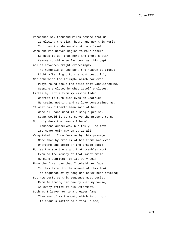Perchance six thousand miles remote from us Is glowing the sixth hour, and now this world Inclines its shadow almost to a level, When the mid-heaven begins to make itself So deep to us, that here and there a star Ceases to shine so far down as this depth, And as advances bright exceedingly The handmaid of the sun, the heaven is closed Light after light to the most beautiful; Not otherwise the Triumph, which for ever Plays round about the point that vanquished me, Seeming enclosed by what itself encloses, Little by little from my vision faded; Whereat to turn mine eyes on Beatrice My seeing nothing and my love constrained me. If what has hitherto been said of her Were all concluded in a single praise, Scant would it be to serve the present turn. Not only does the beauty I beheld Transcend ourselves, but truly I believe Its Maker only may enjoy it all. Vanquished do I confess me by this passage More than by problem of his theme was ever O'ercome the comic or the tragic poet; For as the sun the sight that trembles most, Even so the memory of that sweet smile My mind depriveth of its very self. From the first day that I beheld her face In this life, to the moment of this look, The sequence of my song has ne'er been severed; But now perforce this sequence must desist From following her beauty with my verse, As every artist at his uttermost. Such as I leave her to a greater fame Than any of my trumpet, which is bringing Its arduous matter to a final close,

403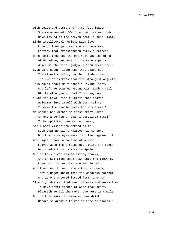With voice and gesture of a perfect leader She recommenced: "We from the greatest body Have issued to the heaven that is pure light; Light intellectual replete with love, Love of true good replete with ecstasy, Ecstasy that transcendeth every sweetness. Here shalt thou see the one host and the other Of Paradise, and one in the same aspects Which at the final judgment thou shalt see." Even as a sudden lightning that disperses The visual spirits, so that it deprives The eye of impress from the strongest objects, Thus round about me flashed a living light, And left me swathed around with such a veil Of its effulgence, that I nothing saw. "Ever the Love which quieteth this heaven Welcomes into itself with such salute, To make the candle ready for its flame." No sooner had within me these brief words An entrance found, than I perceived myself To be uplifted over my own power, And I with vision new rekindled me, Such that no light whatever is so pure But that mine eyes were fortified against it. And light I saw in fashion of a river Fulvid with its effulgence, 'twixt two banks Depicted with an admirable Spring. Out of this river issued living sparks, And on all sides sank down into the flowers, Like unto rubies that are set in gold; And then, as if inebriate with the odours, They plunged again into the wondrous torrent, And as one entered issued forth another. "The high desire, that now inflames and moves thee To have intelligence of what thou seest, Pleaseth me all the more, the more it swells. But of this water it behoves thee drink Before so great a thirst in thee be slaked."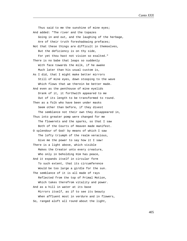Thus said to me the sunshine of mine eyes; And added: "The river and the topazes Going in and out, and the laughing of the herbage, Are of their truth foreshadowing prefaces; Not that these things are difficult in themselves, But the deficiency is on thy side, For yet thou hast not vision so exalted." There is no babe that leaps so suddenly With face towards the milk, if he awake Much later than his usual custom is, As I did, that I might make better mirrors Still of mine eyes, down stooping to the wave Which flows that we therein be better made. And even as the penthouse of mine eyelids Drank of it, it forthwith appeared to me Out of its length to be transformed to round. Then as a folk who have been under masks Seem other than before, if they divest The semblance not their own they disappeared in, Thus into greater pomp were changed for me The flowerets and the sparks, so that I saw Both of the Courts of Heaven made manifest. O splendour of God! by means of which I saw The lofty triumph of the realm veracious, Give me the power to say how it I saw! There is a light above, which visible Makes the Creator unto every creature, Who only in beholding Him has peace, And it expands itself in circular form To such extent, that its circumference Would be too large a girdle for the sun. The semblance of it is all made of rays Reflected from the top of Primal Motion, Which takes therefrom vitality and power. And as a hill in water at its base Mirrors itself, as if to see its beauty When affluent most in verdure and in flowers, So, ranged aloft all round about the light,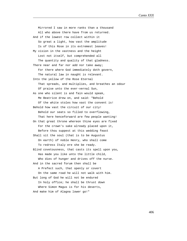Mirrored I saw in more ranks than a thousand All who above there have from us returned. And if the lowest row collect within it So great a light, how vast the amplitude Is of this Rose in its extremest leaves! My vision in the vastness and the height Lost not itself, but comprehended all The quantity and quality of that gladness. There near and far nor add nor take away; For there where God immediately doth govern, The natural law in naught is relevant. Into the yellow of the Rose Eternal That spreads, and multiplies, and breathes an odour Of praise unto the ever-vernal Sun, As one who silent is and fain would speak, Me Beatrice drew on, and said: "Behold Of the white stoles how vast the convent is! Behold how vast the circuit of our city! Behold our seats so filled to overflowing, That here henceforward are few people wanting! On that great throne whereon thine eyes are fixed For the crown's sake already placed upon it, Before thou suppest at this wedding feast Shall sit the soul (that is to be Augustus On earth) of noble Henry, who shall come To redress Italy ere she be ready. Blind covetousness, that casts its spell upon you, Has made you like unto the little child, Who dies of hunger and drives off the nurse. And in the sacred forum then shall be A Prefect such, that openly or covert On the same road he will not walk with him. But long of God he will not be endured In holy office; he shall be thrust down Where Simon Magus is for his deserts, And make him of Alagna lower go!"

406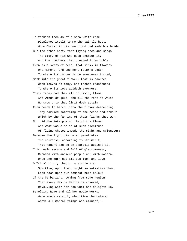In fashion then as of a snow-white rose Displayed itself to me the saintly host, Whom Christ in his own blood had made his bride, But the other host, that flying sees and sings The glory of Him who doth enamour it, And the goodness that created it so noble, Even as a swarm of bees, that sinks in flowers One moment, and the next returns again To where its labour is to sweetness turned, Sank into the great flower, that is adorned With leaves so many, and thence reascended To where its love abideth evermore. Their faces had they all of living flame, And wings of gold, and all the rest so white No snow unto that limit doth attain. From bench to bench, into the flower descending, They carried something of the peace and ardour Which by the fanning of their flanks they won. Nor did the interposing 'twixt the flower And what was o'er it of such plenitude Of flying shapes impede the sight and splendour; Because the light divine so penetrates The universe, according to its merit, That naught can be an obstacle against it. This realm secure and full of gladsomeness, Crowded with ancient people and with modern, Unto one mark had all its look and love. O Trinal Light, that in a single star Sparkling upon their sight so satisfies them, Look down upon our tempest here below! If the barbarians, coming from some region That every day by Helice is covered, Revolving with her son whom she delights in, Beholding Rome and all her noble works, Were wonder-struck, what time the Lateran Above all mortal things was eminent,--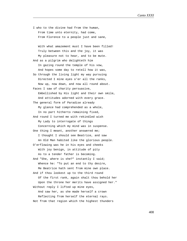I who to the divine had from the human, From time unto eternity, had come, From Florence to a people just and sane, With what amazement must I have been filled! Truly between this and the joy, it was My pleasure not to hear, and to be mute. And as a pilgrim who delighteth him In gazing round the temple of his vow, And hopes some day to retell how it was, So through the living light my way pursuing Directed I mine eyes o'er all the ranks, Now up, now down, and now all round about. Faces I saw of charity persuasive, Embellished by His light and their own smile, And attitudes adorned with every grace. The general form of Paradise already My glance had comprehended as a whole, In no part hitherto remaining fixed, And round I turned me with rekindled wish My Lady to interrogate of things Concerning which my mind was in suspense. One thing I meant, another answered me; I thought I should see Beatrice, and saw An Old Man habited like the glorious people. O'erflowing was he in his eyes and cheeks With joy benign, in attitude of pity As to a tender father is becoming. And "She, where is she?" instantly I said; Whence he: "To put an end to thy desire, Me Beatrice hath sent from mine own place. And if thou lookest up to the third round Of the first rank, again shalt thou behold her Upon the throne her merits have assigned her." Without reply I lifted up mine eyes, And saw her, as she made herself a crown Reflecting from herself the eternal rays. Not from that region which the highest thunders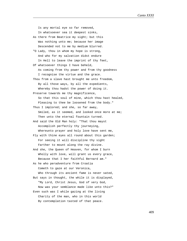Is any mortal eye so far removed, In whatsoever sea it deepest sinks, As there from Beatrice my sight; but this Was nothing unto me; because her image Descended not to me by medium blurred. "O Lady, thou in whom my hope is strong, And who for my salvation didst endure In Hell to leave the imprint of thy feet, Of whatsoever things I have beheld, As coming from thy power and from thy goodness I recognise the virtue and the grace. Thou from a slave hast brought me unto freedom, By all those ways, by all the expedients, Whereby thou hadst the power of doing it. Preserve towards me thy magnificence, So that this soul of mine, which thou hast healed, Pleasing to thee be loosened from the body." Thus I implored; and she, so far away, Smiled, as it seemed, and looked once more at me; Then unto the eternal fountain turned. And said the Old Man holy: "That thou mayst Accomplish perfectly thy journeying, Whereunto prayer and holy love have sent me, Fly with thine eyes all round about this garden; For seeing it will discipline thy sight Farther to mount along the ray divine. And she, the Queen of Heaven, for whom I burn Wholly with love, will grant us every grace, Because that I her faithful Bernard am." As he who peradventure from Croatia Cometh to gaze at our Veronica, Who through its ancient fame is never sated, But says in thought, the while it is displayed, "My Lord, Christ Jesus, God of very God, Now was your semblance made like unto this?" Even such was I while gazing at the living Charity of the man, who in this world By contemplation tasted of that peace.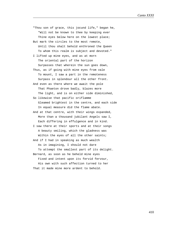"Thou son of grace, this jocund life," began he, "Will not be known to thee by keeping ever Thine eyes below here on the lowest place; But mark the circles to the most remote, Until thou shalt behold enthroned the Queen To whom this realm is subject and devoted." I lifted up mine eyes, and as at morn The oriental part of the horizon Surpasses that wherein the sun goes down, Thus, as if going with mine eyes from vale To mount, I saw a part in the remoteness Surpass in splendour all the other front. And even as there where we await the pole That Phaeton drove badly, blazes more The light, and is on either side diminished, So likewise that pacific oriflamme Gleamed brightest in the centre, and each side In equal measure did the flame abate. And at that centre, with their wings expanded, More than a thousand jubilant Angels saw I, Each differing in effulgence and in kind. I saw there at their sports and at their songs A beauty smiling, which the gladness was Within the eyes of all the other saints; And if I had in speaking as much wealth As in imagining, I should not dare To attempt the smallest part of its delight. Bernard, as soon as he beheld mine eyes Fixed and intent upon its fervid fervour, His own with such affection turned to her That it made mine more ardent to behold.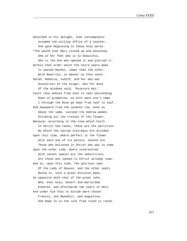Absorbed in his delight, that contemplator Assumed the willing office of a teacher, And gave beginning to these holy words: "The wound that Mary closed up and anointed, She at her feet who is so beautiful, She is the one who opened it and pierced it. Within that order which the third seats make Is seated Rachel, lower than the other, With Beatrice, in manner as thou seest. Sarah, Rebecca, Judith, and her who was Ancestress of the Singer, who for dole Of the misdeed said, 'Miserere mei,' Canst thou behold from seat to seat descending Down in gradation, as with each one's name I through the Rose go down from leaf to leaf. And downward from the seventh row, even as Above the same, succeed the Hebrew women, Dividing all the tresses of the flower; Because, according to the view which Faith In Christ had taken, these are the partition By which the sacred stairways are divided. Upon this side, where perfect is the flower With each one of its petals, seated are Those who believed in Christ who was to come. Upon the other side, where intersected With vacant spaces are the semicircles, Are those who looked to Christ already come. And as, upon this side, the glorious seat Of the Lady of Heaven, and the other seats Below it, such a great division make, So opposite doth that of the great John, Who, ever holy, desert and martyrdom Endured, and afterwards two years in Hell. And under him thus to divide were chosen Francis, and Benedict, and Augustine, And down to us the rest from round to round.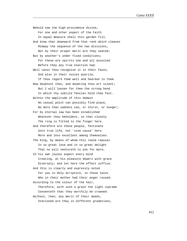Behold now the high providence divine; For one and other aspect of the Faith In equal measure shall this garden fill. And know that downward from that rank which cleaves Midway the sequence of the two divisions, Not by their proper merit are they seated; But by another's under fixed conditions; For these are spirits one and all assoiled Before they any true election had. Well canst thou recognise it in their faces, And also in their voices puerile, If thou regard them well and hearken to them. Now doubtest thou, and doubting thou art silent; But I will loosen for thee the strong bond In which thy subtile fancies hold thee fast. Within the amplitude of this domain No casual point can possibly find place, No more than sadness can, or thirst, or hunger; For by eternal law has been established Whatever thou beholdest, so that closely The ring is fitted to the finger here. And therefore are these people, festinate Unto true life, not 'sine causa' here More and less excellent among themselves. The King, by means of whom this realm reposes In so great love and in so great delight That no will ventureth to ask for more, In his own joyous aspect every mind Creating, at his pleasure dowers with grace Diversely; and let here the effect suffice. And this is clearly and expressly noted For you in Holy Scripture, in those twins Who in their mother had their anger roused. According to the colour of the hair, Therefore, with such a grace the light supreme Consenteth that they worthily be crowned. Without, then, any merit of their deeds, Stationed are they in different gradations,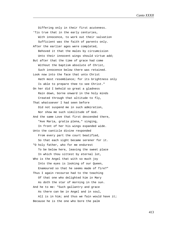Differing only in their first acuteness. 'Tis true that in the early centuries, With innocence, to work out their salvation Sufficient was the faith of parents only. After the earlier ages were completed, Behoved it that the males by circumcision Unto their innocent wings should virtue add; But after that the time of grace had come Without the baptism absolute of Christ, Such innocence below there was retained. Look now into the face that unto Christ Hath most resemblance; for its brightness only Is able to prepare thee to see Christ." On her did I behold so great a gladness Rain down, borne onward in the holy minds Created through that altitude to fly, That whatsoever I had seen before Did not suspend me in such admiration, Nor show me such similitude of God. And the same Love that first descended there, "Ave Maria, gratia plena," singing, In front of her his wings expanded wide. Unto the canticle divine responded From every part the court beatified, So that each sight became serener for it. "O holy father, who for me endurest To be below here, leaving the sweet place In which thou sittest by eternal lot, Who is the Angel that with so much joy Into the eyes is looking of our Queen, Enamoured so that he seems made of fire?" Thus I again recourse had to the teaching Of that one who delighted him in Mary As doth the star of morning in the sun. And he to me: "Such gallantry and grace As there can be in Angel and in soul, All is in him; and thus we fain would have it; Because he is the one who bore the palm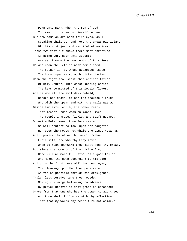Down unto Mary, when the Son of God To take our burden on himself decreed. But now come onward with thine eyes, as I Speaking shall go, and note the great patricians Of this most just and merciful of empires. Those two that sit above there most enrapture As being very near unto Augusta, Are as it were the two roots of this Rose. He who upon the left is near her placed The father is, by whose audacious taste The human species so much bitter tastes. Upon the right thou seest that ancient father Of Holy Church, into whose keeping Christ The keys committed of this lovely flower. And he who all the evil days beheld, Before his death, of her the beauteous bride Who with the spear and with the nails was won, Beside him sits, and by the other rests That leader under whom on manna lived The people ingrate, fickle, and stiff-necked. Opposite Peter seest thou Anna seated, So well content to look upon her daughter, Her eyes she moves not while she sings Hosanna. And opposite the eldest household father Lucia sits, she who thy Lady moved When to rush downward thou didst bend thy brows. But since the moments of thy vision fly, Here will we make full stop, as a good tailor Who makes the gown according to his cloth, And unto the first Love will turn our eyes, That looking upon Him thou penetrate As far as possible through his effulgence. Truly, lest peradventure thou recede, Moving thy wings believing to advance, By prayer behoves it that grace be obtained; Grace from that one who has the power to aid thee; And thou shalt follow me with thy affection That from my words thy heart turn not aside."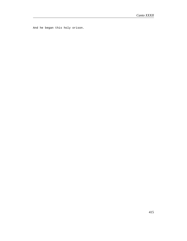And he began this holy orison.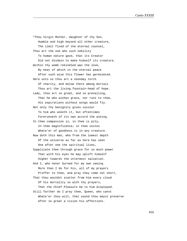"Thou Virgin Mother, daughter of thy Son, Humble and high beyond all other creature, The limit fixed of the eternal counsel, Thou art the one who such nobility To human nature gave, that its Creator Did not disdain to make himself its creature. Within thy womb rekindled was the love, By heat of which in the eternal peace After such wise this flower has germinated. Here unto us thou art a noonday torch Of charity, and below there among mortals Thou art the living fountain-head of hope. Lady, thou art so great, and so prevailing, That he who wishes grace, nor runs to thee, His aspirations without wings would fly. Not only thy benignity gives succour To him who asketh it, but oftentimes Forerunneth of its own accord the asking. In thee compassion is, in thee is pity, In thee magnificence; in thee unites Whate'er of goodness is in any creature. Now doth this man, who from the lowest depth Of the universe as far as here has seen One after one the spiritual lives, Supplicate thee through grace for so much power That with his eyes he may uplift himself Higher towards the uttermost salvation. And I, who never burned for my own seeing More than I do for his, all of my prayers Proffer to thee, and pray they come not short, That thou wouldst scatter from him every cloud Of his mortality so with thy prayers, That the Chief Pleasure be to him displayed. Still farther do I pray thee, Queen, who canst Whate'er thou wilt, that sound thou mayst preserve After so great a vision his affections.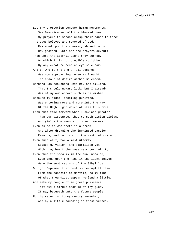Let thy protection conquer human movements; See Beatrice and all the blessed ones My prayers to second clasp their hands to thee!" The eyes beloved and revered of God, Fastened upon the speaker, showed to us How grateful unto her are prayers devout; Then unto the Eternal Light they turned, On which it is not credible could be By any creature bent an eye so clear. And I, who to the end of all desires Was now approaching, even as I ought The ardour of desire within me ended. Bernard was beckoning unto me, and smiling, That I should upward look; but I already Was of my own accord such as he wished; Because my sight, becoming purified, Was entering more and more into the ray Of the High Light which of itself is true. From that time forward what I saw was greater Than our discourse, that to such vision yields, And yields the memory unto such excess. Even as he is who seeth in a dream, And after dreaming the imprinted passion Remains, and to his mind the rest returns not, Even such am I, for almost utterly Ceases my vision, and distilleth yet Within my heart the sweetness born of it; Even thus the snow is in the sun unsealed, Even thus upon the wind in the light leaves Were the soothsayings of the Sibyl lost. O Light Supreme, that dost so far uplift thee From the conceits of mortals, to my mind Of what thou didst appear re-lend a little, And make my tongue of so great puissance, That but a single sparkle of thy glory It may bequeath unto the future people; For by returning to my memory somewhat, And by a little sounding in these verses,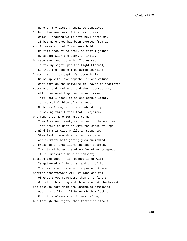More of thy victory shall be conceived! I think the keenness of the living ray Which I endured would have bewildered me, If but mine eyes had been averted from it; And I remember that I was more bold On this account to bear, so that I joined My aspect with the Glory Infinite. O grace abundant, by which I presumed To fix my sight upon the Light Eternal, So that the seeing I consumed therein! I saw that in its depth far down is lying Bound up with love together in one volume, What through the universe in leaves is scattered; Substance, and accident, and their operations, All interfused together in such wise That what I speak of is one simple light. The universal fashion of this knot Methinks I saw, since more abundantly In saying this I feel that I rejoice. One moment is more lethargy to me, Than five and twenty centuries to the emprise That startled Neptune with the shade of Argo! My mind in this wise wholly in suspense, Steadfast, immovable, attentive gazed, And evermore with gazing grew enkindled. In presence of that light one such becomes, That to withdraw therefrom for other prospect It is impossible he e'er consent; Because the good, which object is of will, Is gathered all in this, and out of it That is defective which is perfect there. Shorter henceforward will my language fall Of what I yet remember, than an infant's Who still his tongue doth moisten at the breast. Not because more than one unmingled semblance Was in the living light on which I looked, For it is always what it was before; But through the sight, that fortified itself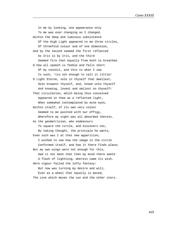In me by looking, one appearance only To me was ever changing as I changed. Within the deep and luminous subsistence Of the High Light appeared to me three circles, Of threefold colour and of one dimension, And by the second seemed the first reflected As Iris is by Iris, and the third Seemed fire that equally from both is breathed. O how all speech is feeble and falls short Of my conceit, and this to what I saw Is such, 'tis not enough to call it little! O Light Eterne, sole in thyself that dwellest, Sole knowest thyself, and, known unto thyself And knowing, lovest and smilest on thyself! That circulation, which being thus conceived Appeared in thee as a reflected light, When somewhat contemplated by mine eyes, Within itself, of its own very colour Seemed to me painted with our effigy, Wherefore my sight was all absorbed therein. As the geometrician, who endeavours To square the circle, and discovers not, By taking thought, the principle he wants, Even such was I at that new apparition; I wished to see how the image to the circle Conformed itself, and how it there finds place; But my own wings were not enough for this, Had it not been that then my mind there smote A flash of lightning, wherein came its wish. Here vigour failed the lofty fantasy: But now was turning my desire and will, Even as a wheel that equally is moved, The Love which moves the sun and the other stars.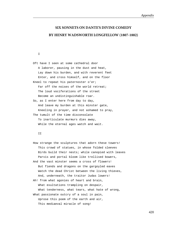# **SIX SONNETS ON DANTE'S DIVINE COMEDY BY HENRY WADSWORTH LONGFELLOW (1807-1882)**

I

Oft have I seen at some cathedral door A laborer, pausing in the dust and heat, Lay down his burden, and with reverent feet Enter, and cross himself, and on the floor Kneel to repeat his paternoster o'er; Far off the noises of the world retreat; The loud vociferations of the street Become an undistinguishable roar. So, as I enter here from day to day, And leave my burden at this minster gate, Kneeling in prayer, and not ashamed to pray, The tumult of the time disconsolate To inarticulate murmurs dies away, While the eternal ages watch and wait.

### II

How strange the sculptures that adorn these towers! This crowd of statues, in whose folded sleeves Birds build their nests; while canopied with leaves Parvis and portal bloom like trellised bowers, And the vast minster seems a cross of flowers! But fiends and dragons on the gargoyled eaves Watch the dead Christ between the living thieves, And, underneath, the traitor Judas lowers! Ah! from what agonies of heart and brain, What exultations trampling on despair, What tenderness, what tears, what hate of wrong, What passionate outcry of a soul in pain, Uprose this poem of the earth and air, This mediaeval miracle of song!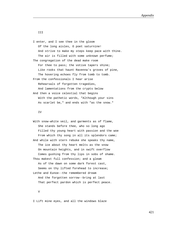#### III

I enter, and I see thee in the gloom Of the long aisles, O poet saturnine! And strive to make my steps keep pace with thine. The air is filled with some unknown perfume; The congregation of the dead make room For thee to pass; the votive tapers shine; Like rooks that haunt Ravenna's groves of pine, The hovering echoes fly from tomb to tomb. From the confessionals I hear arise Rehearsals of forgotten tragedies, And lamentations from the crypts below And then a voice celestial that begins With the pathetic words, "Although your sins As scarlet be," and ends with "as the snow."

## IV

With snow-white veil, and garments as of flame, She stands before thee, who so long ago Filled thy young heart with passion and the woe From which thy song in all its splendors came; And while with stern rebuke she speaks thy name, The ice about thy heart melts as the snow On mountain heights, and in swift overflow Comes gushing from thy lips in sobs of shame. Thou makest full confession; and a gleam As of the dawn on some dark forest cast, Seems on thy lifted forehead to increase; Lethe and Eunoe--the remembered dream And the forgotten sorrow--bring at last That perfect pardon which is perfect peace.

#### V

I Lift mine eyes, and all the windows blaze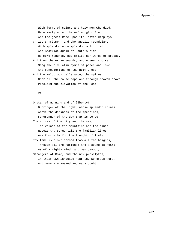With forms of saints and holy men who died, Here martyred and hereafter glorified; And the great Rose upon its leaves displays Christ's Triumph, and the angelic roundelays, With splendor upon splendor multiplied; And Beatrice again at Dante's side No more rebukes, but smiles her words of praise. And then the organ sounds, and unseen choirs Sing the old Latin hymns of peace and love And benedictions of the Holy Ghost; And the melodious bells among the spires O'er all the house-tops and through heaven above Proclaim the elevation of the Host!

## VI

O star of morning and of liberty! O bringer of the light, whose splendor shines Above the darkness of the Apennines, Forerunner of the day that is to be! The voices of the city and the sea, The voices of the mountains and the pines, Repeat thy song, till the familiar lines Are footpaths for the thought of Italy! Thy fame is blown abroad from all the heights, Through all the nations; and a sound is heard, As of a mighty wind, and men devout, Strangers of Rome, and the new proselytes, In their own language hear thy wondrous word, And many are amazed and many doubt.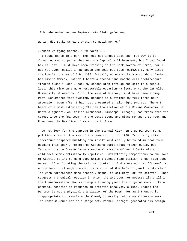'Ich habe unter meinen Papieren ein Blatt gefunden,

wo ich die Baukunst eine erstarrte Musik nenne.'

(Johann Wolfgang Goethe, 1829 March 23)

 I found Dante in a bar. The Poet had indeed lost the True Way to be found reduced to party chatter in a Capitol Hill basement, but I had found him at last. I must have been drinking in the Dark Tavern of Error, for I did not even realize I had begun the dolorous path followed by many since the Poet's journey of A.D. 1300. Actually no one spoke a word about Dante or his Divine Comedy, rather I heard a second-hand Goethe call architecture "frozen music." Soon I took my second step through the gate to a people lost; this time on a more respectable occasion--a lecture at the Catholic University of America. Clio, the muse of history, must have been aiding Prof. Schumacher that evening, because it sustained my full three-hour attention, even after I had just presented an all-night project. There I heard of a most astonishing Italian translation of 'la Divina Commedia' di Dante Alighieri. An Italian architect, Giuseppi Terragni, had translated the Comedy into the 'Danteum,' a projected stone and glass monument to Poet and Poem near the Basilica of Maxentius in Rome.

 Do not look for the Danteum in the Eternal City. In true Dantean form, politics stood in the way of its construction in 1938. Ironically this literature-inspired building can itself most easily be found in book form. Reading this book I remembered Goethe's quote about frozen music. Did Terragni try to freeze Dante's medieval miracle of song? Certainly a cold-poem seems artistically repulsive. Unflattering comparisons to the lake of Cocytus spring to mind too. While I cannot read Italian, I can read some German. After locating the original quotation I discovered that 'frozen' is a problematic (though common) translation of Goethe's original 'erstarrte.' The verb 'erstarren' more properly means 'to solidify' or 'to stiffen.' This suggests a chemical reaction in which the art does not necessarily chill in the transformation. Nor can simple thawing yield the original work. Like a chemical reaction it requires an artistic catalyst, a muse. Indeed the Danteum is not a physical translation of the Poem. Terragni thought it inappropriate to translate the Comedy literally into a non-literary work. The Danteum would not be a stage set, rather Terragni generated his design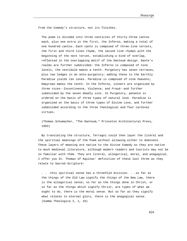from the Comedy's structure, not its finishes.

 The poem is divided into three canticles of thirty-three cantos each, plus one extra in the first, the Inferno, making a total of one hundred cantos. Each canto is composed of three-line tercets, the first and third lines rhyme, the second line rhymes with the beginning of the next tercet, establishing a kind of overlap, reflected in the overlapping motif of the Danteum design. Dante's realms are further subdivided: the Inferno is composed of nine levels, the vestibule makes a tenth. Purgatory has seven terraces, plus two ledges in an ante-purgatory; adding these to the Earthly Paradise yields ten zones. Paradise is composed of nine heavens; Empyrean makes the tenth. In the Inferno, sinners are organized by three vices--Incontinence, Violence, and Fraud--and further subdivided by the seven deadly sins. In Purgatory, penance is ordered on the basis of three types of natural love. Paradise is organized on the basis of three types of Divine Love, and further subdivided according to the three theological and four cardinal virtues.

 (Thomas Schumacher, "The Danteum," Princeton Architectural Press, 1993)

 By translating the structure, Terragni could then layer the literal and the spiritual meanings of the Poem without allowing either to dominate. These layers of meaning are native to the Divine Comedy as they are native to much medieval literature, although modern readers and tourists may not be so familiar with them. They are literal, allegorical, moral, and anagogical. I offer you St. Thomas of Aquinas' definition of these last three as they relate to Sacred Scripture:

 . . .this spiritual sense has a threefold division. . .so far as the things of the Old Law signify the things of the New Law, there is the allegorical sense; so far as the things done in Christ, or so far as the things which signify Christ, are types of what we ought to do, there is the moral sense. But so far as they signify what relates to eternal glory, there is the anagogical sense. (Summa Theologica I, 1, 10)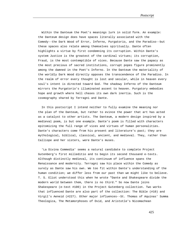*Postscript*

 Within the Danteum the Poet's meanings lurk in solid form. An example: the Danteum design does have spaces literally associated with the Comedy--the Dark Wood of Error, Inferno, Purgatorio, and the Paradiso--but these spaces also relate among themselves spiritually. Dante often highlights a virtue by first condemning its corruption. Within Dante's system Justice is the greatest of the cardinal virtues; its corruption, Fraud, is the most contemptible of vices. Because Dante saw the papacy as the most precious of sacred institutions, corrupt popes figure prominently among the damned in the Poet's Inferno. In the Danteum the materiality of the worldly Dark Wood directly opposes the transcendence of the Paradiso. In the realm of error every thought is lost and secular, while in heaven every soul's intent is directed toward God. The shadowy Inferno of the Danteum mirrors the Purgatorio's illuminated ascent to heaven. Purgatory embodies hope and growth where hell chases its own dark inertia. Such is the cosmography shared by Terragni and Dante.

 In this postscript I intend neither to fully examine the meaning nor the plan of the Danteum, but rather to evince the power that art has acted as a catalyst to other artists. The Danteum, a modern design inspired by a medieval poem, is but one example. Dante's poem is filled with characters epitomizing the full range of vices and virtues of human personalities. Dante's characters come from his present and literature's past; they are mythological, biblical, classical, ancient, and medieval. They, rather than Calliope and her sisters, were Dante's muses.

 'La Divina Commedia' seems a natural candidate to complete Project Gutenberg's first milleditio and to begin its second thousand e-texts. Although distinctly medieval, its continuum of influence spans the Renaissance and modernity. Terragni saw his place within the Comedy as surely as Dante saw his own. We too fit within Dante's understanding of the human condition; we differ less from our past than we might like to believe. T. S. Eliot understood this when he wrote "Dante and Shakespeare divide the modern world between them, there is no third." So now Dante joins Shakespeare (e-text #100) in the Project Gutenberg collection. Two works that influenced Dante are also part of the collection: The Bible (#10) and Virgil's Aeneid (#227). Other major influences--St. Thomas of Aquinas' Summa Theologica, The Metamorphoses of Ovid, and Aristotle's Nicomachean